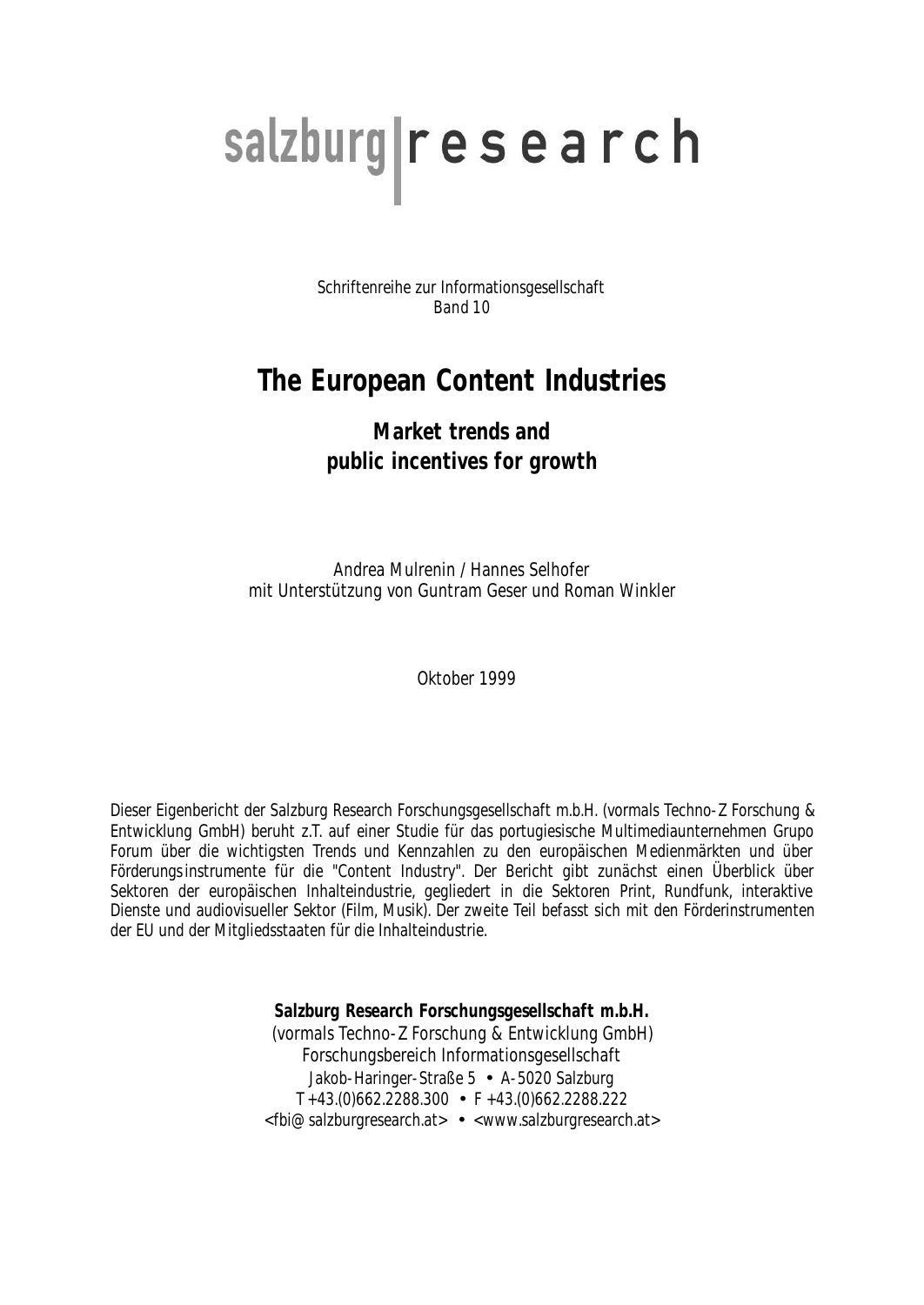# salzburg research

Schriftenreihe zur Informationsgesellschaft Band 10

# **The European Content Industries**

## **Market trends and public incentives for growth**

Andrea Mulrenin / Hannes Selhofer mit Unterstützung von Guntram Geser und Roman Winkler

Oktober 1999

Dieser Eigenbericht der Salzburg Research Forschungsgesellschaft m.b.H. (vormals Techno-Z Forschung & Entwicklung GmbH) beruht z.T. auf einer Studie für das portugiesische Multimediaunternehmen Grupo Forum über die wichtigsten Trends und Kennzahlen zu den europäischen Medienmärkten und über Förderungsinstrumente für die "Content Industry". Der Bericht gibt zunächst einen Überblick über Sektoren der europäischen Inhalteindustrie, gegliedert in die Sektoren Print, Rundfunk, interaktive Dienste und audiovisueller Sektor (Film, Musik). Der zweite Teil befasst sich mit den Förderinstrumenten der EU und der Mitgliedsstaaten für die Inhalteindustrie.

> **Salzburg Research Forschungsgesellschaft m.b.H.** (vormals Techno-Z Forschung & Entwicklung GmbH) Forschungsbereich Informationsgesellschaft Jakob-Haringer-Straße 5 • A-5020 Salzburg T +43.(0)662.2288.300 • F +43.(0)662.2288.222 <fbi@salzburgresearch.at> • <www.salzburgresearch.at>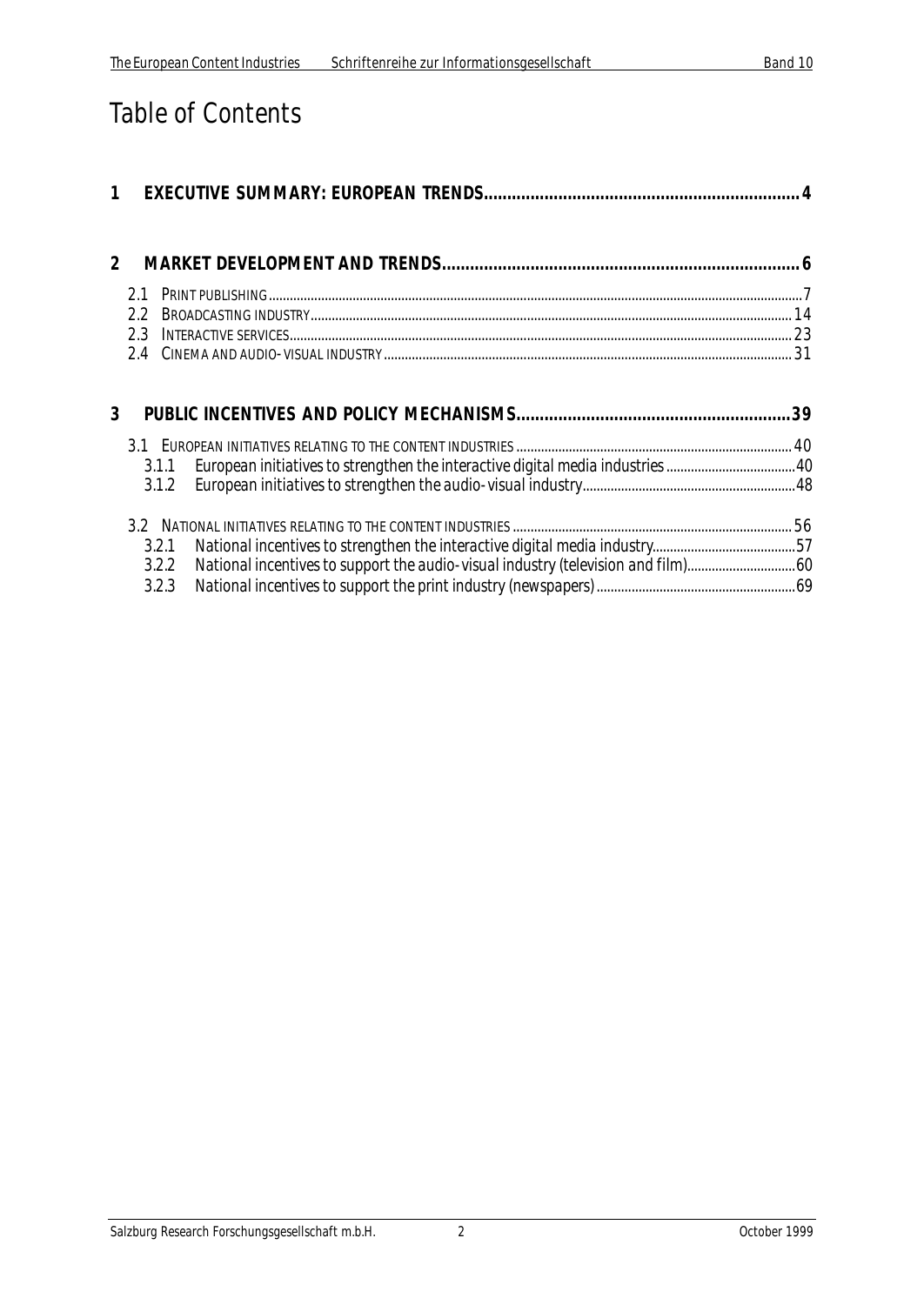# Table of Contents

| 1              |       |                                                                               |  |
|----------------|-------|-------------------------------------------------------------------------------|--|
| $\overline{2}$ |       |                                                                               |  |
|                | 2.1   |                                                                               |  |
|                | 22    |                                                                               |  |
|                | 2.3   |                                                                               |  |
|                |       |                                                                               |  |
| 3              |       |                                                                               |  |
|                |       |                                                                               |  |
|                | 3.1.1 | European initiatives to strengthen the interactive digital media industries40 |  |
|                | 3.1.2 |                                                                               |  |
|                |       |                                                                               |  |
|                | 3.2.1 |                                                                               |  |
|                | 3.2.2 |                                                                               |  |
|                | 3.2.3 |                                                                               |  |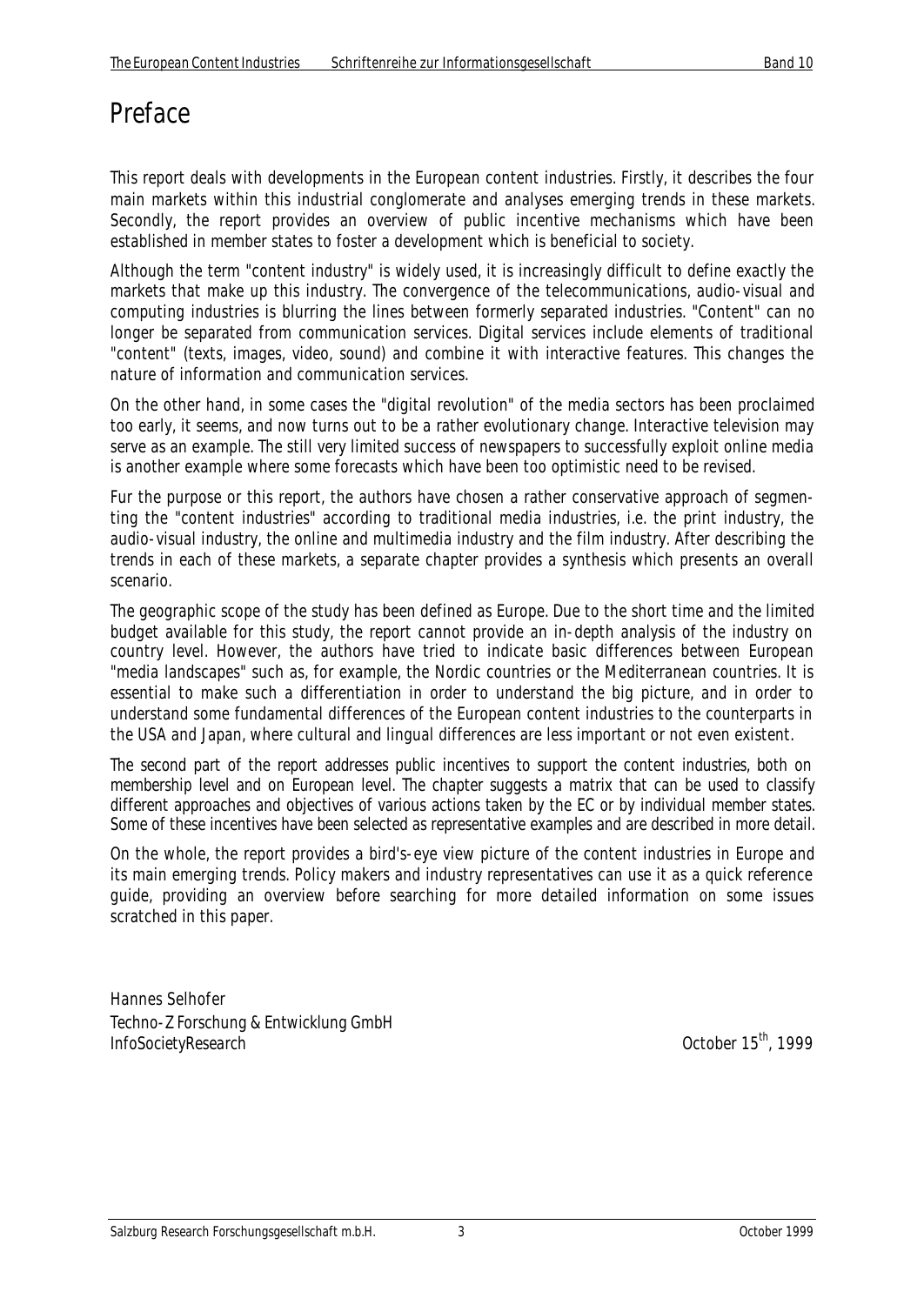# Preface

This report deals with developments in the European content industries. Firstly, it describes the four main markets within this industrial conglomerate and analyses emerging trends in these markets. Secondly, the report provides an overview of public incentive mechanisms which have been established in member states to foster a development which is beneficial to society.

Although the term "content industry" is widely used, it is increasingly difficult to define exactly the markets that make up this industry. The convergence of the telecommunications, audio-visual and computing industries is blurring the lines between formerly separated industries. "Content" can no longer be separated from communication services. Digital services include elements of traditional "content" (texts, images, video, sound) and combine it with interactive features. This changes the nature of information and communication services.

On the other hand, in some cases the "digital revolution" of the media sectors has been proclaimed too early, it seems, and now turns out to be a rather evolutionary change. Interactive television may serve as an example. The still very limited success of newspapers to successfully exploit online media is another example where some forecasts which have been too optimistic need to be revised.

Fur the purpose or this report, the authors have chosen a rather conservative approach of segmenting the "content industries" according to traditional media industries, i.e. the print industry, the audio-visual industry, the online and multimedia industry and the film industry. After describing the trends in each of these markets, a separate chapter provides a synthesis which presents an overall scenario.

The geographic scope of the study has been defined as Europe. Due to the short time and the limited budget available for this study, the report cannot provide an in-depth analysis of the industry on country level. However, the authors have tried to indicate basic differences between European "media landscapes" such as, for example, the Nordic countries or the Mediterranean countries. It is essential to make such a differentiation in order to understand the big picture, and in order to understand some fundamental differences of the European content industries to the counterparts in the USA and Japan, where cultural and lingual differences are less important or not even existent.

The second part of the report addresses public incentives to support the content industries, both on membership level and on European level. The chapter suggests a matrix that can be used to classify different approaches and objectives of various actions taken by the EC or by individual member states. Some of these incentives have been selected as representative examples and are described in more detail.

On the whole, the report provides a bird's-eye view picture of the content industries in Europe and its main emerging trends. Policy makers and industry representatives can use it as a quick reference guide, providing an overview before searching for more detailed information on some issues scratched in this paper.

Hannes Selhofer *Techno-Z Forschung & Entwicklung GmbH InfoSocietyResearch* October 15th, 1999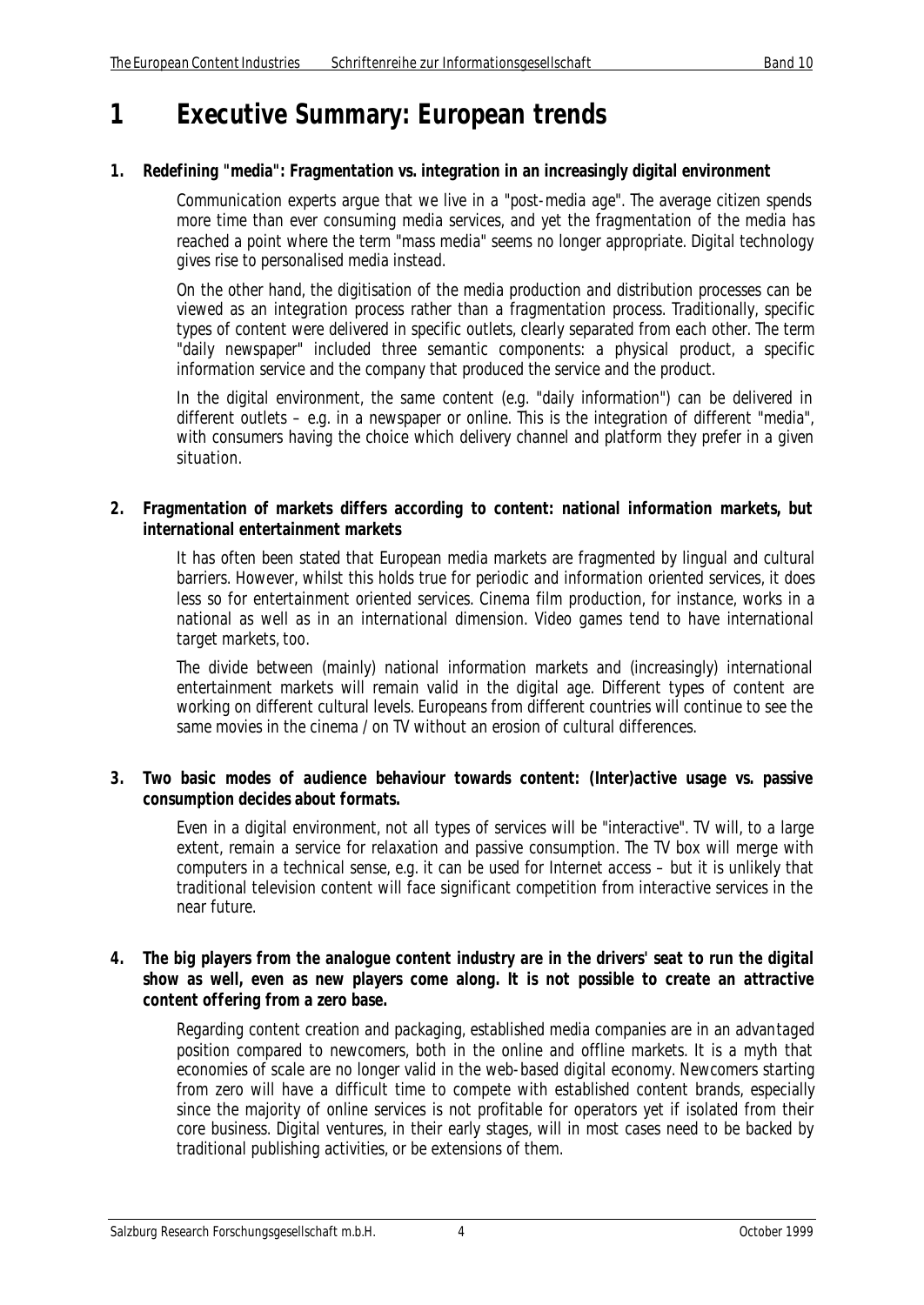# **1 Executive Summary: European trends**

#### **1. Redefining "media": Fragmentation vs. integration in an increasingly digital environment**

Communication experts argue that we live in a "post-media age". The average citizen spends more time than ever consuming media services, and yet the fragmentation of the media has reached a point where the term "mass media" seems no longer appropriate. Digital technology gives rise to personalised media instead.

On the other hand, the digitisation of the media production and distribution processes can be viewed as an integration process rather than a fragmentation process. Traditionally, specific types of content were delivered in specific outlets, clearly separated from each other. The term "daily newspaper" included three semantic components: a physical product, a specific information service and the company that produced the service and the product.

In the digital environment, the same content (e.g. "daily information") can be delivered in different outlets – e.g. in a newspaper or online. This is the integration of different "media", with consumers having the choice which delivery channel and platform they prefer in a given situation.

#### **2. Fragmentation of markets differs according to content: national information markets, but international entertainment markets**

It has often been stated that European media markets are fragmented by lingual and cultural barriers. However, whilst this holds true for periodic and information oriented services, it does less so for entertainment oriented services. Cinema film production, for instance, works in a national as well as in an international dimension. Video games tend to have international target markets, too.

The divide between (mainly) national information markets and (increasingly) international entertainment markets will remain valid in the digital age. Different types of content are working on different cultural levels. Europeans from different countries will continue to see the same movies in the cinema / on TV without an erosion of cultural differences

#### **3. Two basic modes of audience behaviour towards content: (Inter)active usage vs. passive consumption decides about formats.**

Even in a digital environment, not all types of services will be "interactive". TV will, to a large extent, remain a service for relaxation and passive consumption. The TV box will merge with computers in a technical sense, e.g. it can be used for Internet access – but it is unlikely that traditional television content will face significant competition from interactive services in the near future.

#### **4. The big players from the analogue content industry are in the drivers' seat to run the digital show as well, even as new players come along. It is not possible to create an attractive content offering from a zero base.**

Regarding content creation and packaging, established media companies are in an advantaged position compared to newcomers, both in the online and offline markets. It is a myth that economies of scale are no longer valid in the web-based digital economy. Newcomers starting from zero will have a difficult time to compete with established content brands, especially since the majority of online services is not profitable for operators yet if isolated from their core business. Digital ventures, in their early stages, will in most cases need to be backed by traditional publishing activities, or be extensions of them.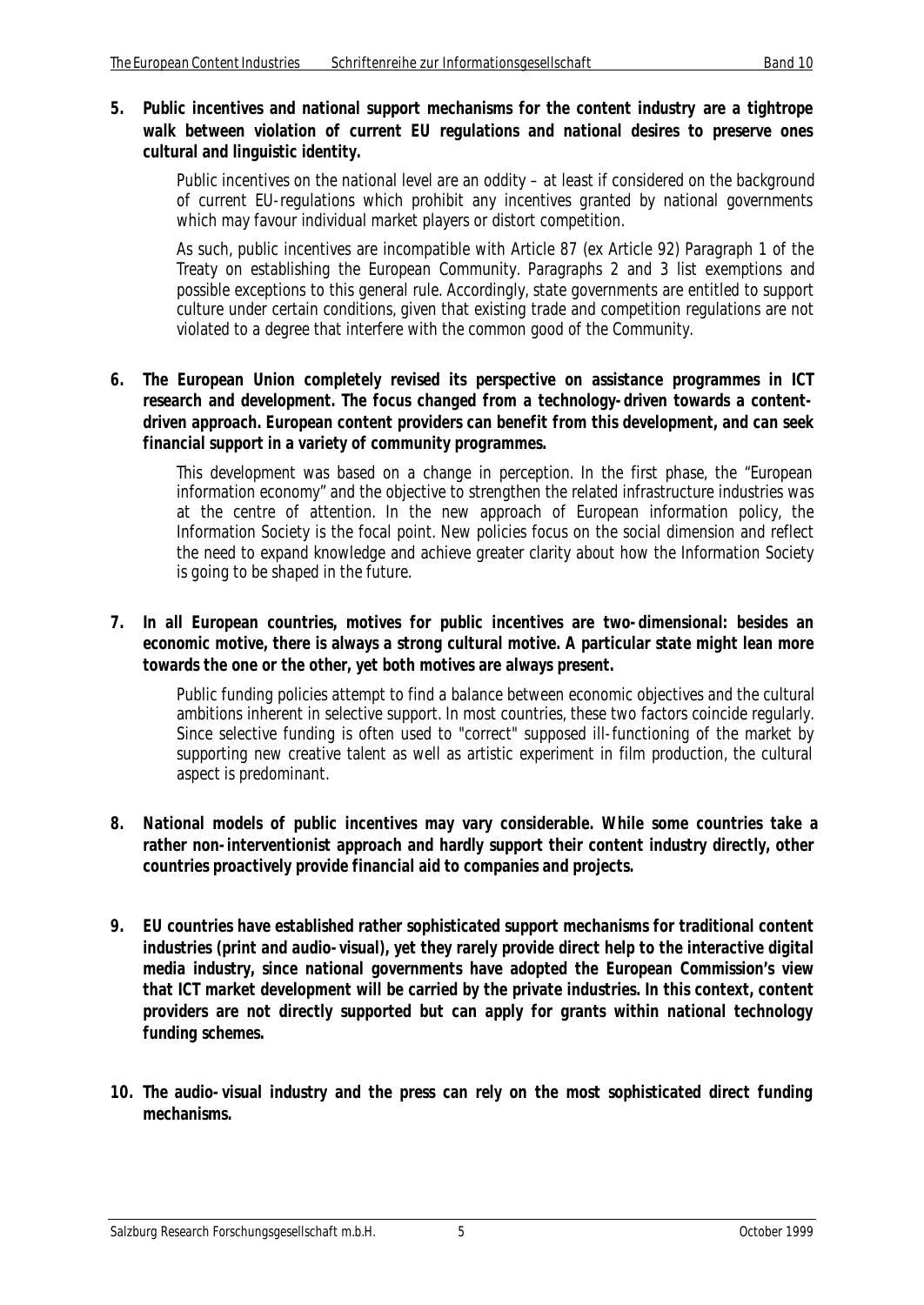#### **5. Public incentives and national support mechanisms for the content industry are a tightrope walk between violation of current EU regulations and national desires to preserve ones cultural and linguistic identity.**

Public incentives on the national level are an oddity – at least if considered on the background of current EU-regulations which prohibit any incentives granted by national governments which may favour individual market players or distort competition.

As such, public incentives are incompatible with Article 87 (ex Article 92) Paragraph 1 of the Treaty on establishing the European Community. Paragraphs 2 and 3 list exemptions and possible exceptions to this general rule. Accordingly, state governments are entitled to support culture under certain conditions, given that existing trade and competition regulations are not violated to a degree that interfere with the common good of the Community.

#### **6. The European Union completely revised its perspective on assistance programmes in ICT research and development. The focus changed from a technology-driven towards a contentdriven approach. European content providers can benefit from this development, and can seek financial support in a variety of community programmes.**

This development was based on a change in perception. In the first phase, the "European information economy" and the objective to strengthen the related infrastructure industries was at the centre of attention. In the new approach of European information policy, the Information Society is the focal point. New policies focus on the social dimension and reflect the need to expand knowledge and achieve greater clarity about how the Information Society is going to be shaped in the future.

#### **7. In all European countries, motives for public incentives are two-dimensional: besides an economic motive, there is always a strong cultural motive. A particular state might lean more towards the one or the other, yet both motives are always present.**

Public funding policies attempt to find a balance between economic objectives and the cultural ambitions inherent in selective support. In most countries, these two factors coincide regularly. Since selective funding is often used to "correct" supposed ill-functioning of the market by supporting new creative talent as well as artistic experiment in film production, the cultural aspect is predominant.

- **8. National models of public incentives may vary considerable. While some countries take a rather non-interventionist approach and hardly support their content industry directly, other countries proactively provide financial aid to companies and projects.**
- **9. EU countries have established rather sophisticated support mechanisms for traditional content industries (print and audio-visual), yet they rarely provide direct help to the interactive digital media industry, since national governments have adopted the European Commission's view that ICT market development will be carried by the private industries. In this context, content providers are not directly supported but can apply for grants within national technology funding schemes.**
- **10. The audio-visual industry and the press can rely on the most sophisticated direct funding mechanisms.**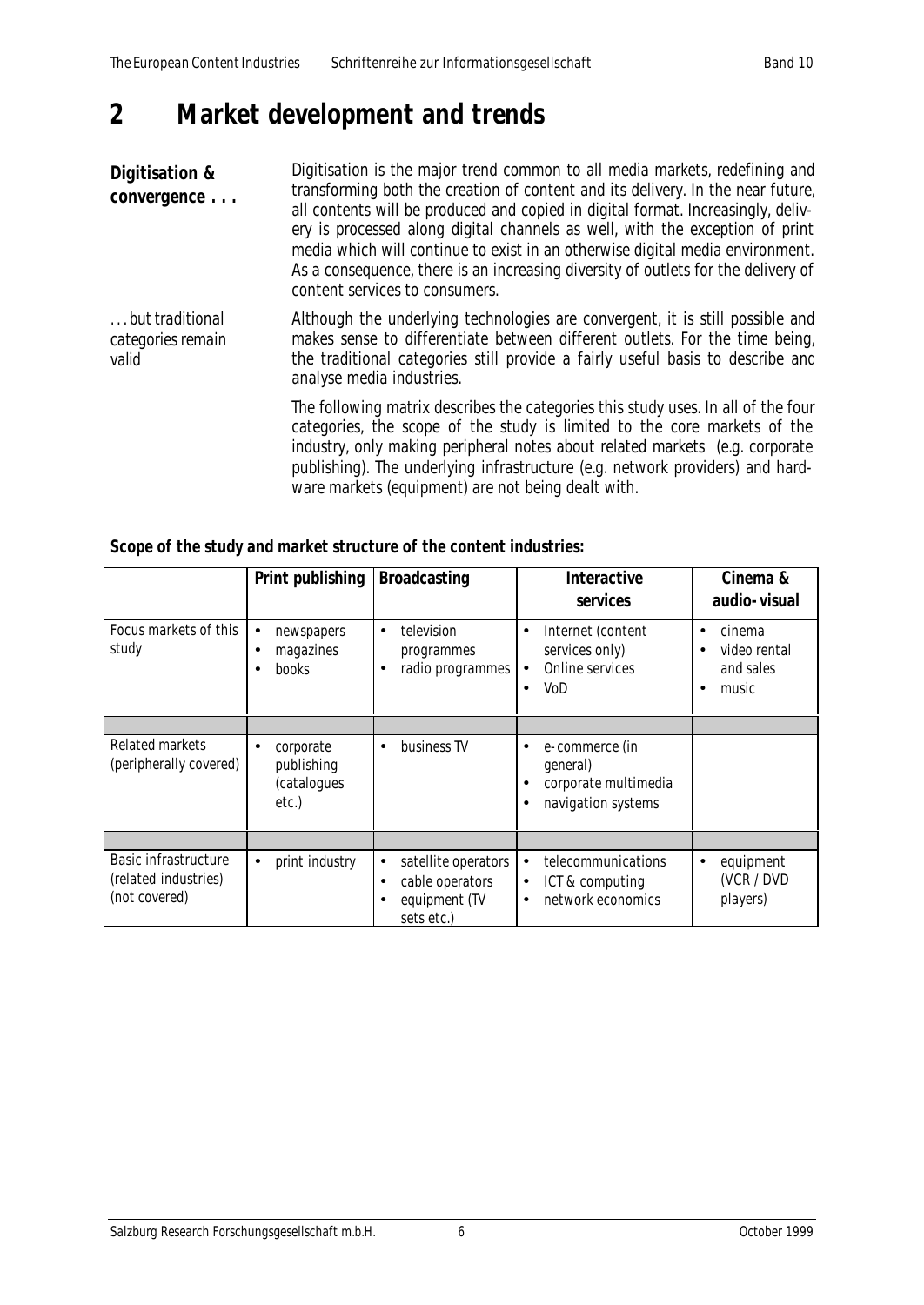# **2 Market development and trends**

**Digitisation & convergence . . .** Digitisation is the major trend common to all media markets, redefining and transforming both the creation of content and its delivery. In the near future, all contents will be produced and copied in digital format. Increasingly, delivery is processed along digital channels as well, with the exception of print media which will continue to exist in an otherwise digital media environment. As a consequence, there is an increasing diversity of outlets for the delivery of content services to consumers.

*. . . but traditional categories remain valid* Although the underlying technologies are convergent, it is still possible and makes sense to differentiate between different outlets. For the time being, the traditional categories still provide a fairly useful basis to describe and analyse media industries.

> The following matrix describes the categories this study uses. In all of the four categories, the scope of the study is limited to the core markets of the industry, only making peripheral notes about related markets (e.g. corporate publishing). The underlying infrastructure (e.g. network providers) and hardware markets (equipment) are not being dealt with.

| Scope of the study and market structure of the content industries: |
|--------------------------------------------------------------------|
|--------------------------------------------------------------------|

|                                                               | Print publishing                                | <b>Broadcasting</b>                                                                | <b>Interactive</b><br>services                                                                       | Cinema &<br>audio-visual                                                    |
|---------------------------------------------------------------|-------------------------------------------------|------------------------------------------------------------------------------------|------------------------------------------------------------------------------------------------------|-----------------------------------------------------------------------------|
| Focus markets of this<br>study                                | newspapers<br>$\bullet$<br>magazines<br>books   | television<br>$\bullet$<br>programmes<br>radio programmes                          | Internet (content<br>$\bullet$<br>services only)<br>Online services<br>$\bullet$<br>VoD<br>$\bullet$ | cinema<br>$\bullet$<br>video rental<br>$\bullet$<br>and sales<br>music<br>٠ |
|                                                               |                                                 |                                                                                    |                                                                                                      |                                                                             |
| Related markets<br>(peripherally covered)                     | corporate<br>publishing<br>(catalogues<br>etc.) | business TV<br>$\bullet$                                                           | e-commerce (in<br>$\bullet$<br>general)<br>corporate multimedia<br>navigation systems                |                                                                             |
|                                                               |                                                 |                                                                                    |                                                                                                      |                                                                             |
| Basic infrastructure<br>(related industries)<br>(not covered) | print industry<br>$\bullet$                     | satellite operators<br>$\bullet$<br>cable operators<br>equipment (TV<br>sets etc.) | telecommunications<br>$\bullet$<br>ICT & computing<br>$\bullet$<br>network economics<br>$\bullet$    | equipment<br>$\bullet$<br>(VCR / DVD<br>players)                            |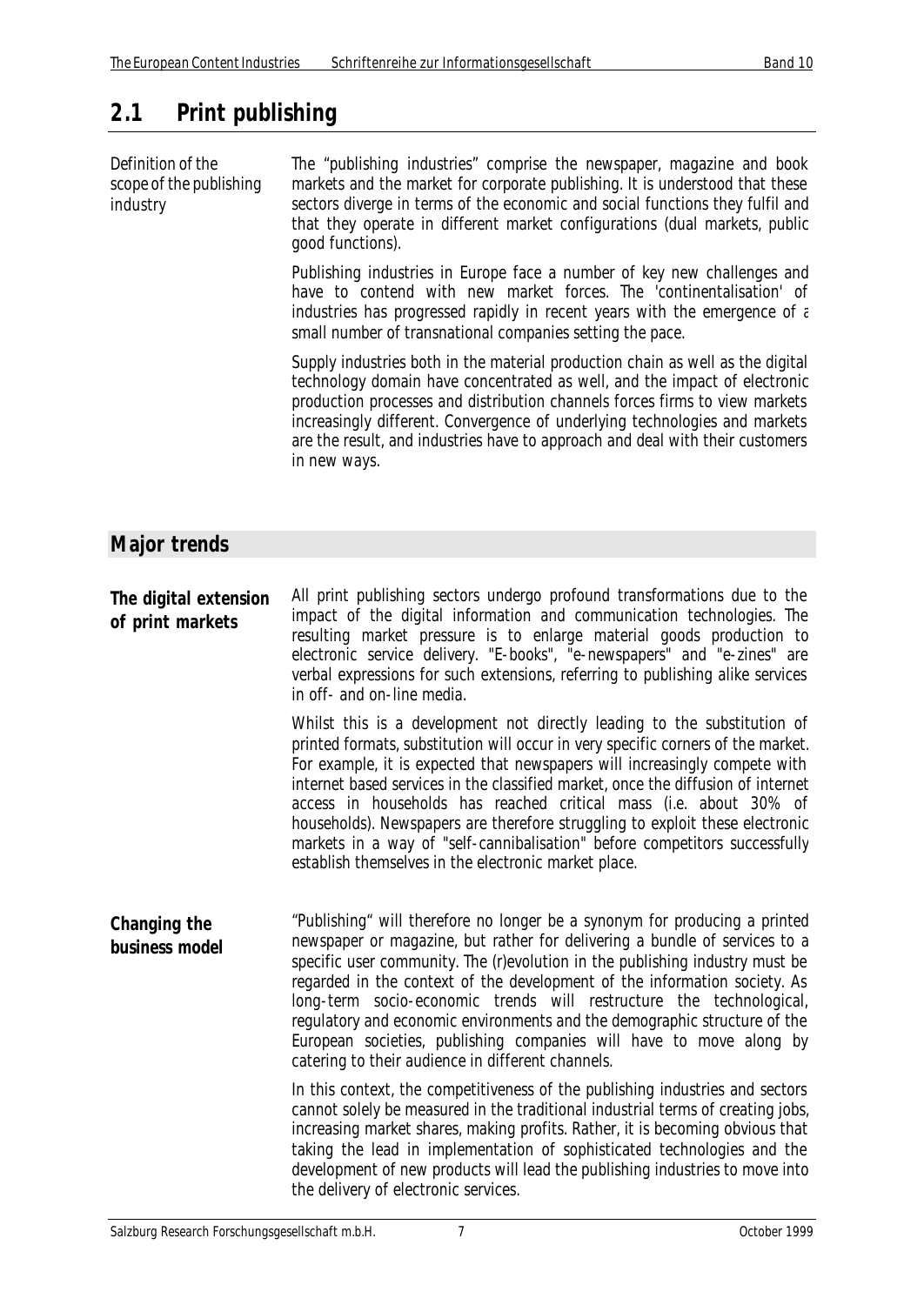# **2.1 Print publishing**

*Definition of the scope of the publishing industry* The "publishing industries" comprise the newspaper, magazine and book markets and the market for corporate publishing. It is understood that these sectors diverge in terms of the economic and social functions they fulfil and that they operate in different market configurations (dual markets, public good functions).

> Publishing industries in Europe face a number of key new challenges and have to contend with new market forces. The 'continentalisation' of industries has progressed rapidly in recent years with the emergence of  $\varepsilon$ small number of transnational companies setting the pace.

> Supply industries both in the material production chain as well as the digital technology domain have concentrated as well, and the impact of electronic production processes and distribution channels forces firms to view markets increasingly different. Convergence of underlying technologies and markets are the result, and industries have to approach and deal with their customers in new ways.

## **Major trends**

**The digital extension of print markets** All print publishing sectors undergo profound transformations due to the impact of the digital information and communication technologies. The resulting market pressure is to enlarge material goods production to electronic service delivery. "E-books", "e-newspapers" and "e-zines" are verbal expressions for such extensions, referring to publishing alike services in off- and on-line media.

> Whilst this is a development not directly leading to the substitution of printed formats, substitution will occur in very specific corners of the market. For example, it is expected that newspapers will increasingly compete with internet based services in the classified market, once the diffusion of internet access in households has reached critical mass (i.e. about 30% of households). Newspapers are therefore struggling to exploit these electronic markets in a way of "self-cannibalisation" before competitors successfully establish themselves in the electronic market place.

**Changing the business model** "Publishing" will therefore no longer be a synonym for producing a printed newspaper or magazine, but rather for delivering a bundle of services to a specific user community. The (r)evolution in the publishing industry must be regarded in the context of the development of the information society. As long-term socio-economic trends will restructure the technological, regulatory and economic environments and the demographic structure of the European societies, publishing companies will have to move along by catering to their audience in different channels.

> In this context, the competitiveness of the publishing industries and sectors cannot solely be measured in the traditional industrial terms of creating jobs, increasing market shares, making profits. Rather, it is becoming obvious that taking the lead in implementation of sophisticated technologies and the development of new products will lead the publishing industries to move into the delivery of electronic services.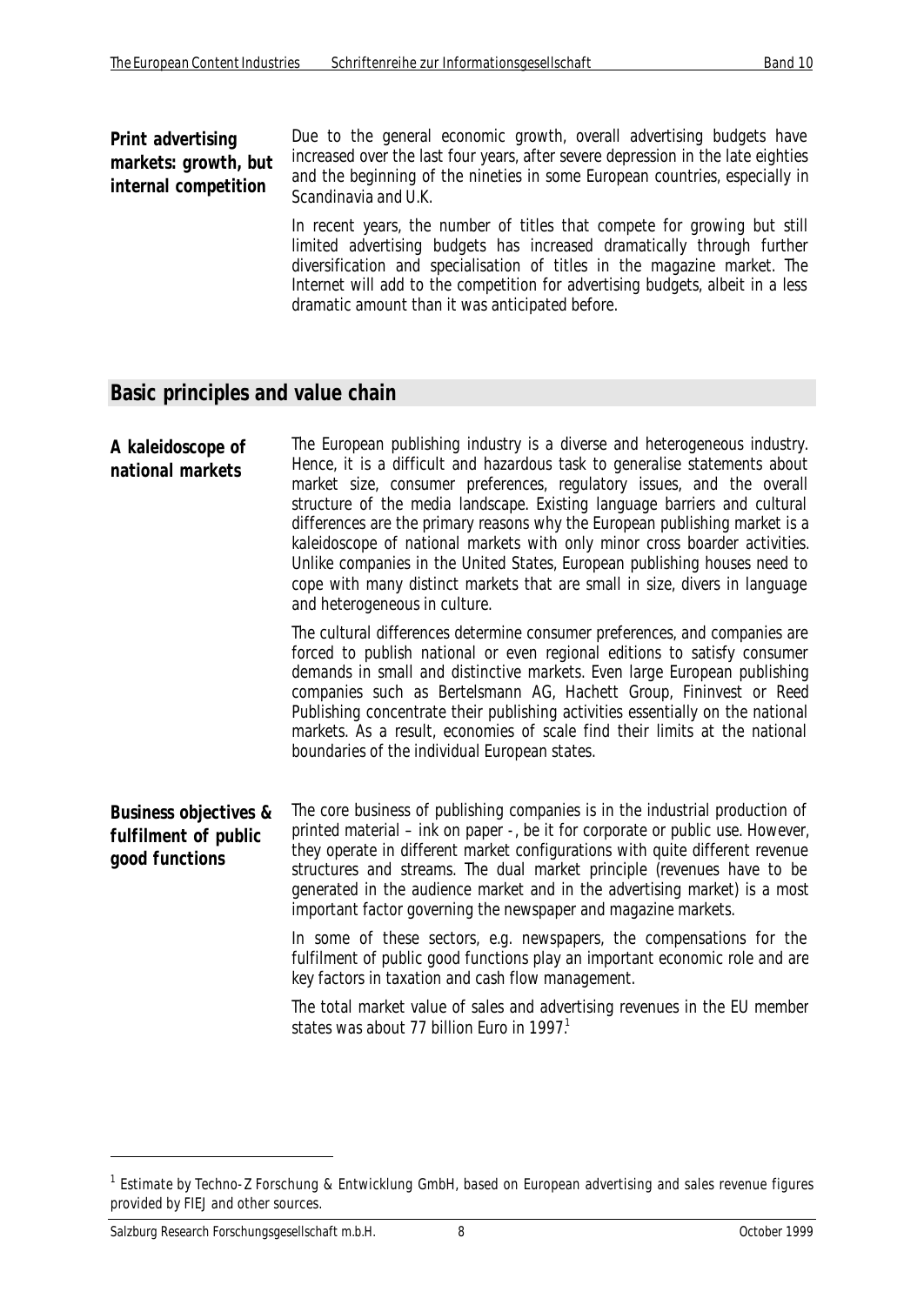#### **Print advertising markets: growth, but internal competition**

Due to the general economic growth, overall advertising budgets have increased over the last four years, after severe depression in the late eighties and the beginning of the nineties in some European countries, especially in Scandinavia and U.K.

In recent years, the number of titles that compete for growing but still limited advertising budgets has increased dramatically through further diversification and specialisation of titles in the magazine market. The Internet will add to the competition for advertising budgets, albeit in a less dramatic amount than it was anticipated before.

#### **Basic principles and value chain**

**A kaleidoscope of national markets** The European publishing industry is a diverse and heterogeneous industry. Hence, it is a difficult and hazardous task to generalise statements about market size, consumer preferences, regulatory issues, and the overall structure of the media landscape. Existing language barriers and cultural differences are the primary reasons why the European publishing market is a kaleidoscope of national markets with only minor cross boarder activities. Unlike companies in the United States, European publishing houses need to cope with many distinct markets that are small in size, divers in language and heterogeneous in culture. The cultural differences determine consumer preferences, and companies are forced to publish national or even regional editions to satisfy consumer demands in small and distinctive markets. Even large European publishing companies such as Bertelsmann AG, Hachett Group, Fininvest or Reed Publishing concentrate their publishing activities essentially on the national markets. As a result, economies of scale find their limits at the national boundaries of the individual European states.

**Business objectives & fulfilment of public good functions** The core business of publishing companies is in the industrial production of printed material – ink on paper -, be it for corporate or public use. However, they operate in different market configurations with quite different revenue structures and streams. The dual market principle (revenues have to be generated in the audience market and in the advertising market) is a most important factor governing the newspaper and magazine markets.

> In some of these sectors, e.g. newspapers, the compensations for the fulfilment of public good functions play an important economic role and are key factors in taxation and cash flow management.

> The total market value of sales and advertising revenues in the EU member states was about 77 billion Furo in 1997 $<sup>1</sup>$ </sup>

<sup>&</sup>lt;sup>1</sup> Estimate by Techno-Z Forschung & Entwicklung GmbH, based on European advertising and sales revenue figures provided by FIEJ and other sources.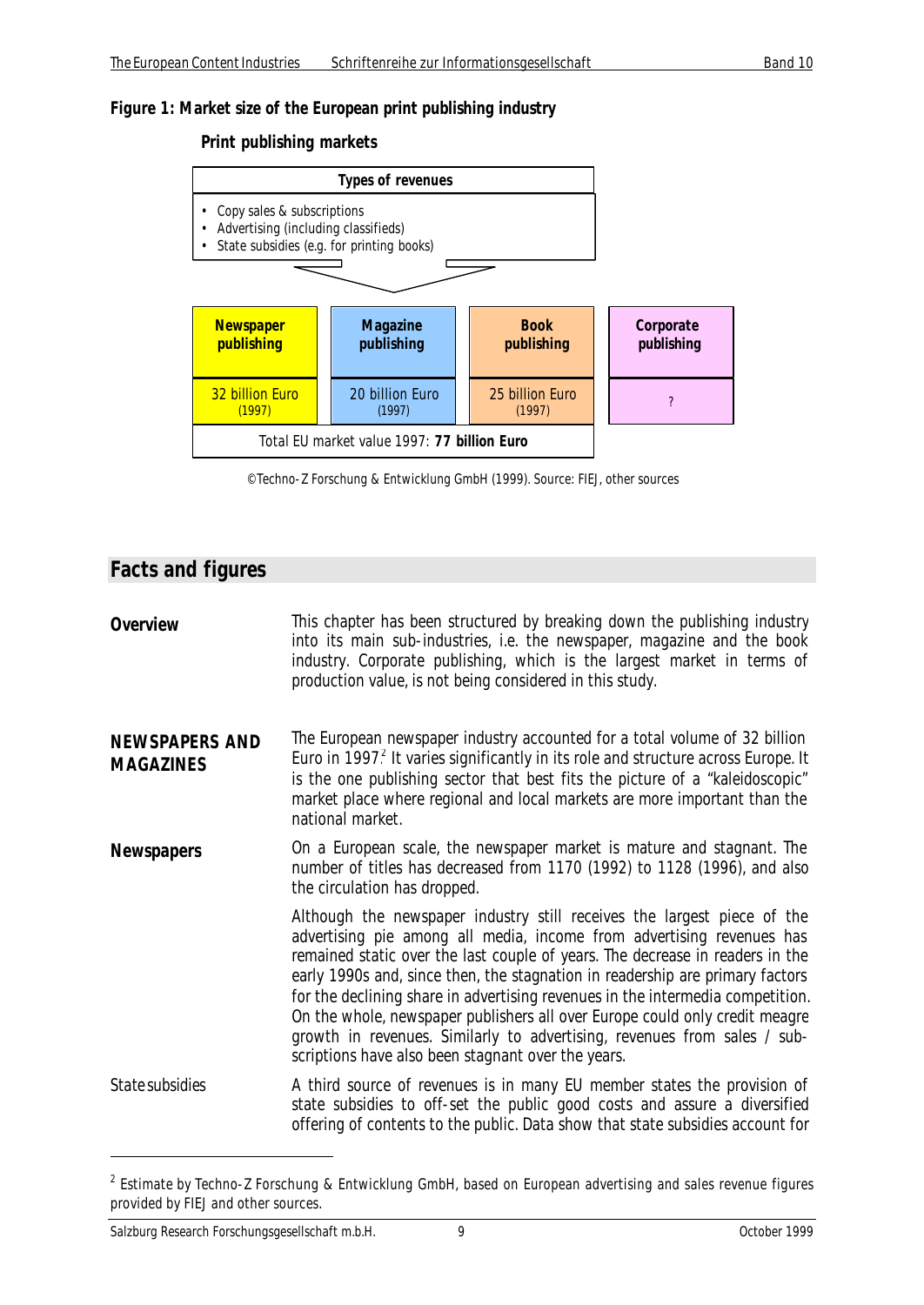#### *Figure 1: Market size of the European print publishing industry*

#### **Print publishing markets**



<sup>©</sup> Techno-Z Forschung & Entwicklung GmbH (1999). Source: FIEJ, other sources

#### **Facts and figures**

| Overview | This chapter has been structured by breaking down the publishing industry<br>into its main sub-industries, i.e. the newspaper, magazine and the book<br>industry. Corporate publishing, which is the largest market in terms of<br>production value, is not being considered in this study. |
|----------|---------------------------------------------------------------------------------------------------------------------------------------------------------------------------------------------------------------------------------------------------------------------------------------------|
|          |                                                                                                                                                                                                                                                                                             |

**NEWSPAPERS AND MAGAZINES** The European newspaper industry accounted for a total volume of 32 billion Euro in 1997 $<sup>2</sup>$  It varies significantly in its role and structure across Europe. It</sup> is the one publishing sector that best fits the picture of a "kaleidoscopic" market place where regional and local markets are more important than the national market.

**Newspapers** On a European scale, the newspaper market is mature and stagnant. The number of titles has decreased from 1170 (1992) to 1128 (1996), and also the circulation has dropped.

> Although the newspaper industry still receives the largest piece of the advertising pie among all media, income from advertising revenues has remained static over the last couple of years. The decrease in readers in the early 1990s and, since then, the stagnation in readership are primary factors for the declining share in advertising revenues in the intermedia competition. On the whole, newspaper publishers all over Europe could only credit meagre growth in revenues. Similarly to advertising, revenues from sales / subscriptions have also been stagnant over the years.

*State subsidies* A third source of revenues is in many EU member states the provision of state subsidies to off-set the public good costs and assure a diversified offering of contents to the public. Data show that state subsidies account for

<sup>&</sup>lt;sup>2</sup> Estimate by Techno-Z Forschung & Entwicklung GmbH, based on European advertising and sales revenue figures provided by FIEJ and other sources.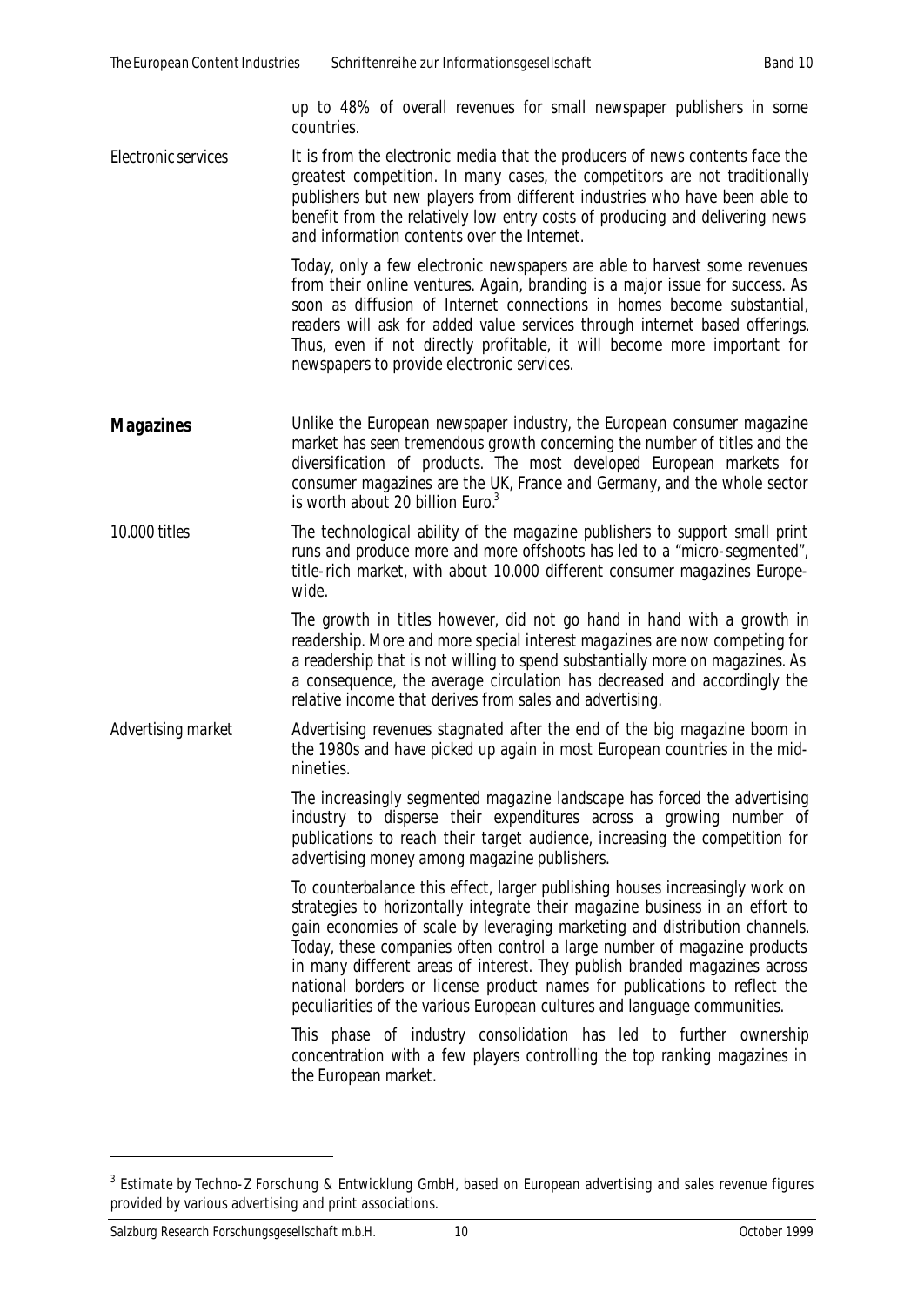up to 48% of overall revenues for small newspaper publishers in some countries.

*Electronic services* It is from the electronic media that the producers of news contents face the greatest competition. In many cases, the competitors are not traditionally publishers but new players from different industries who have been able to benefit from the relatively low entry costs of producing and delivering news and information contents over the Internet.

> Today, only a few electronic newspapers are able to harvest some revenues from their online ventures. Again, branding is a major issue for success. As soon as diffusion of Internet connections in homes become substantial, readers will ask for added value services through internet based offerings. Thus, even if not directly profitable, it will become more important for newspapers to provide electronic services.

- **Magazines** Unlike the European newspaper industry, the European consumer magazine market has seen tremendous growth concerning the number of titles and the diversification of products. The most developed European markets for consumer magazines are the UK, France and Germany, and the whole sector is worth about 20 billion Euro.<sup>3</sup>
- *10.000 titles* The technological ability of the magazine publishers to support small print runs and produce more and more offshoots has led to a "micro-segmented", title-rich market, with about 10.000 different consumer magazines Europewide.

The growth in titles however, did not go hand in hand with a growth in readership. More and more special interest magazines are now competing for a readership that is not willing to spend substantially more on magazines. As a consequence, the average circulation has decreased and accordingly the relative income that derives from sales and advertising.

*Advertising market* Advertising revenues stagnated after the end of the big magazine boom in the 1980s and have picked up again in most European countries in the midnineties.

> The increasingly segmented magazine landscape has forced the advertising industry to disperse their expenditures across a growing number of publications to reach their target audience, increasing the competition for advertising money among magazine publishers.

> To counterbalance this effect, larger publishing houses increasingly work on strategies to horizontally integrate their magazine business in an effort to gain economies of scale by leveraging marketing and distribution channels. Today, these companies often control a large number of magazine products in many different areas of interest. They publish branded magazines across national borders or license product names for publications to reflect the peculiarities of the various European cultures and language communities.

> This phase of industry consolidation has led to further ownership concentration with a few players controlling the top ranking magazines in the European market.

<sup>&</sup>lt;sup>3</sup> Estimate by Techno-Z Forschung & Entwicklung GmbH, based on European advertising and sales revenue figures provided by various advertising and print associations.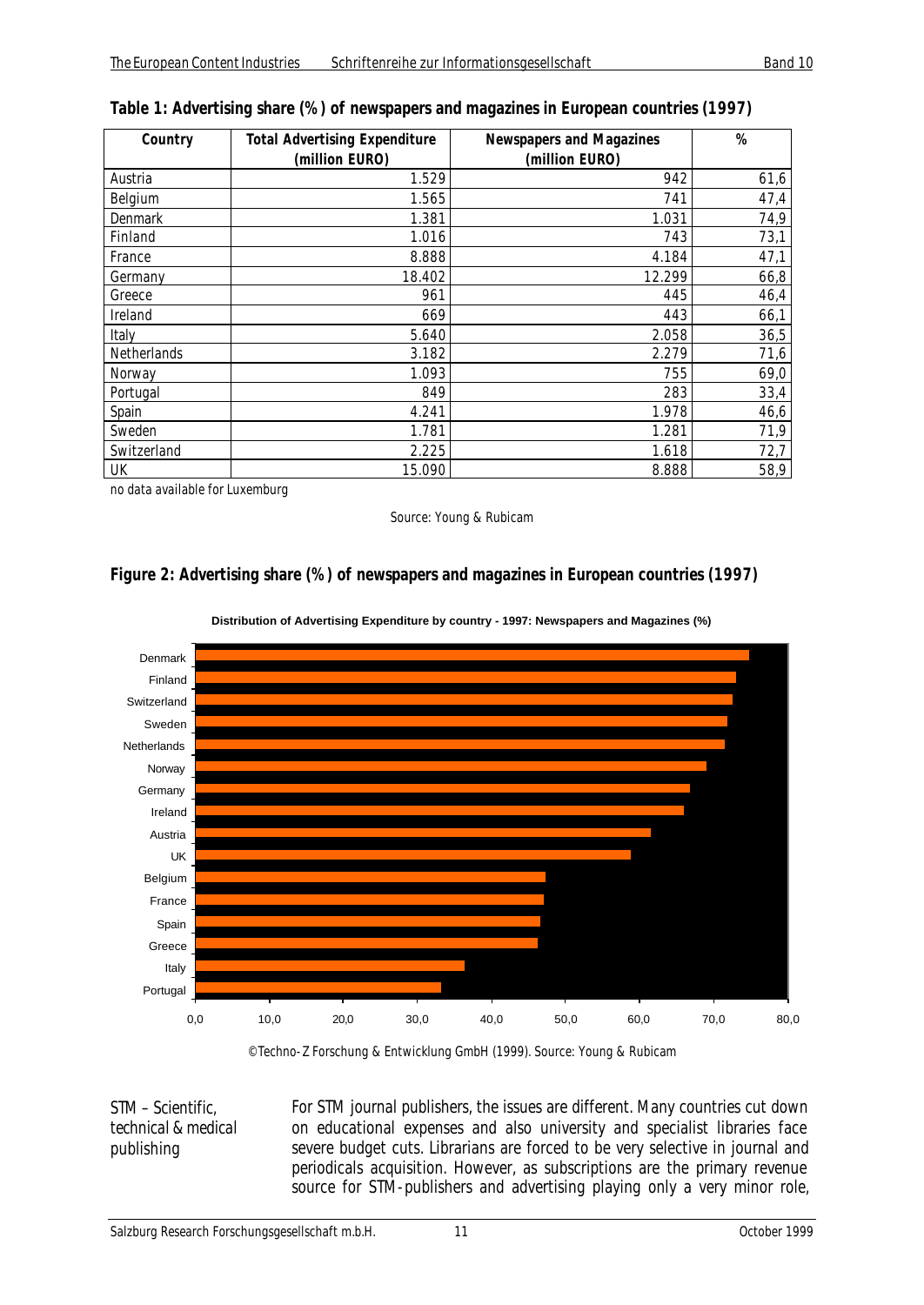| Country        | <b>Total Advertising Expenditure</b><br>(million EURO) | <b>Newspapers and Magazines</b><br>(million EURO) | $\%$ |
|----------------|--------------------------------------------------------|---------------------------------------------------|------|
|                |                                                        |                                                   |      |
| Austria        | 1.529                                                  | 942                                               | 61,6 |
| Belgium        | 1.565                                                  | 741                                               | 47,4 |
| <b>Denmark</b> | 1.381                                                  | 1.031                                             | 74,9 |
| Finland        | 1.016                                                  | 743                                               | 73,1 |
| France         | 8.888                                                  | 4.184                                             | 47,1 |
| Germany        | 18.402                                                 | 12.299                                            | 66,8 |
| Greece         | 961                                                    | 445                                               | 46,4 |
| Ireland        | 669                                                    | 443                                               | 66,1 |
| Italy          | 5.640                                                  | 2.058                                             | 36,5 |
| Netherlands    | 3.182                                                  | 2.279                                             | 71,6 |
| Norway         | 1.093                                                  | 755                                               | 69,0 |
| Portugal       | 849                                                    | 283                                               | 33,4 |
| Spain          | 4.241                                                  | 1.978                                             | 46,6 |
| Sweden         | 1.781                                                  | 1.281                                             | 71,9 |
| Switzerland    | 2.225                                                  | 1.618                                             | 72,7 |
| UK             | 15.090                                                 | 8.888                                             | 58,9 |

#### *Table 1: Advertising share (%) of newspapers and magazines in European countries (1997)*

no data available for Luxemburg

Source: Young & Rubicam

#### *Figure 2: Advertising share (%) of newspapers and magazines in European countries (1997)*



**Distribution of Advertising Expenditure by country - 1997: Newspapers and Magazines (%)**

© Techno-Z Forschung & Entwicklung GmbH (1999). Source: Young & Rubicam

*STM – Scientific, technical & medical publishing*

For STM journal publishers, the issues are different. Many countries cut down on educational expenses and also university and specialist libraries face severe budget cuts. Librarians are forced to be very selective in journal and periodicals acquisition. However, as subscriptions are the primary revenue source for STM-publishers and advertising playing only a very minor role,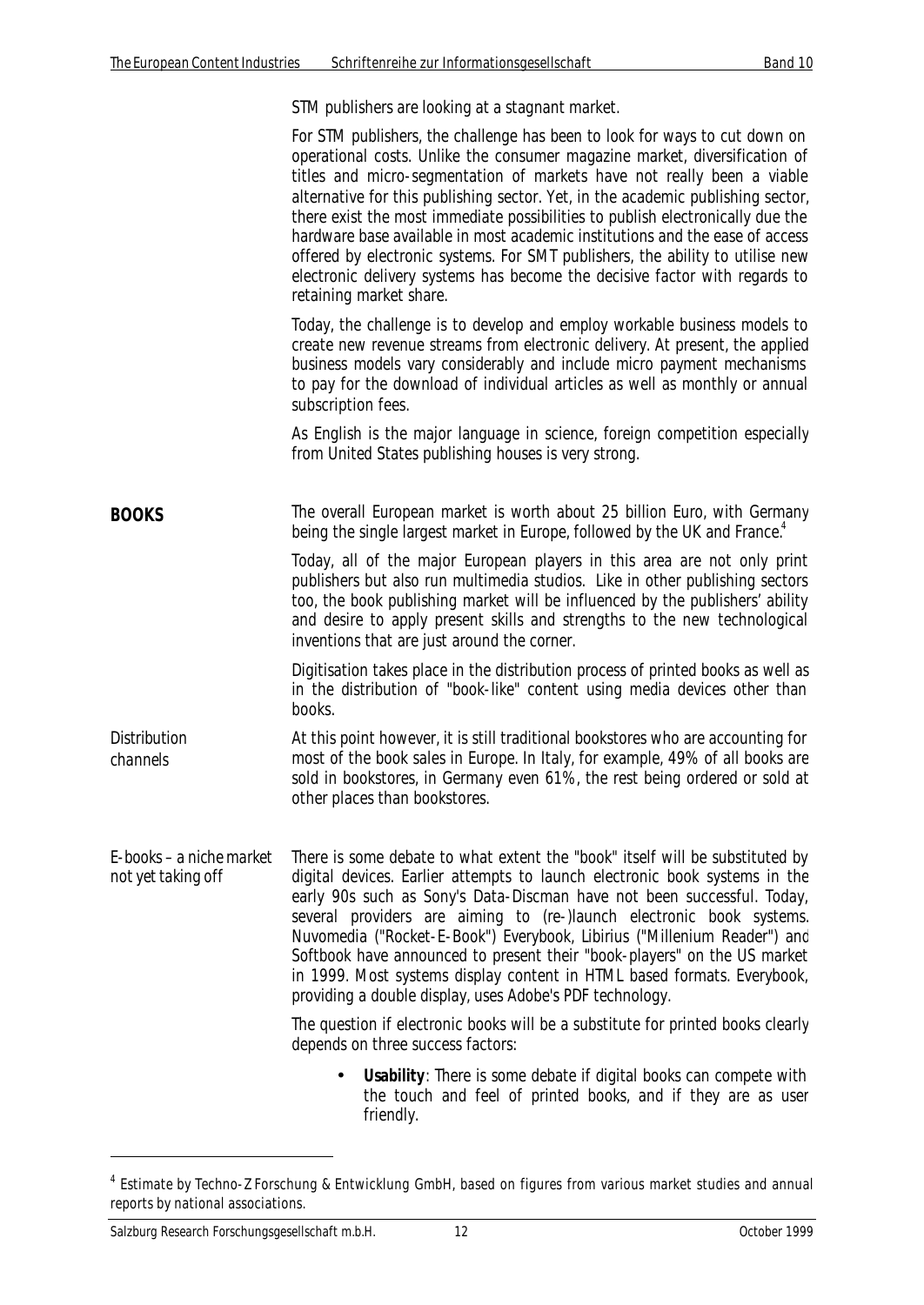STM publishers are looking at a stagnant market.

|                                                | For STM publishers, the challenge has been to look for ways to cut down on<br>operational costs. Unlike the consumer magazine market, diversification of<br>titles and micro-segmentation of markets have not really been a viable<br>alternative for this publishing sector. Yet, in the academic publishing sector,<br>there exist the most immediate possibilities to publish electronically due the<br>hardware base available in most academic institutions and the ease of access<br>offered by electronic systems. For SMT publishers, the ability to utilise new<br>electronic delivery systems has become the decisive factor with regards to<br>retaining market share. |
|------------------------------------------------|-----------------------------------------------------------------------------------------------------------------------------------------------------------------------------------------------------------------------------------------------------------------------------------------------------------------------------------------------------------------------------------------------------------------------------------------------------------------------------------------------------------------------------------------------------------------------------------------------------------------------------------------------------------------------------------|
|                                                | Today, the challenge is to develop and employ workable business models to<br>create new revenue streams from electronic delivery. At present, the applied<br>business models vary considerably and include micro payment mechanisms<br>to pay for the download of individual articles as well as monthly or annual<br>subscription fees.                                                                                                                                                                                                                                                                                                                                          |
|                                                | As English is the major language in science, foreign competition especially<br>from United States publishing houses is very strong.                                                                                                                                                                                                                                                                                                                                                                                                                                                                                                                                               |
| <b>BOOKS</b>                                   | The overall European market is worth about 25 billion Euro, with Germany<br>being the single largest market in Europe, followed by the UK and France. <sup>4</sup>                                                                                                                                                                                                                                                                                                                                                                                                                                                                                                                |
|                                                | Today, all of the major European players in this area are not only print<br>publishers but also run multimedia studios. Like in other publishing sectors<br>too, the book publishing market will be influenced by the publishers' ability<br>and desire to apply present skills and strengths to the new technological<br>inventions that are just around the corner.                                                                                                                                                                                                                                                                                                             |
|                                                | Digitisation takes place in the distribution process of printed books as well as<br>in the distribution of "book-like" content using media devices other than<br>books.                                                                                                                                                                                                                                                                                                                                                                                                                                                                                                           |
| <b>Distribution</b><br>channels                | At this point however, it is still traditional bookstores who are accounting for<br>most of the book sales in Europe. In Italy, for example, 49% of all books are<br>sold in bookstores, in Germany even 61%, the rest being ordered or sold at<br>other places than bookstores.                                                                                                                                                                                                                                                                                                                                                                                                  |
| E-books – a niche market<br>not yet taking off | There is some debate to what extent the "book" itself will be substituted by<br>digital devices. Earlier attempts to launch electronic book systems in the<br>early 90s such as Sony's Data-Discman have not been successful. Today,<br>several providers are aiming to (re-)launch electronic book systems.<br>Nuvomedia ("Rocket-E-Book") Everybook, Libirius ("Millenium Reader") and<br>Softbook have announced to present their "book-players" on the US market<br>in 1999. Most systems display content in HTML based formats. Everybook,<br>providing a double display, uses Adobe's PDF technology.                                                                       |
|                                                | The question if electronic books will be a substitute for printed books clearly<br>depends on three success factors:                                                                                                                                                                                                                                                                                                                                                                                                                                                                                                                                                              |
|                                                | <b>Usability:</b> There is some debate if digital books can compete with<br>the touch and feel of printed books, and if they are as user<br>friendly.                                                                                                                                                                                                                                                                                                                                                                                                                                                                                                                             |

<sup>&</sup>lt;sup>4</sup> Estimate by Techno-Z Forschung & Entwicklung GmbH, based on figures from various market studies and annual reports by national associations.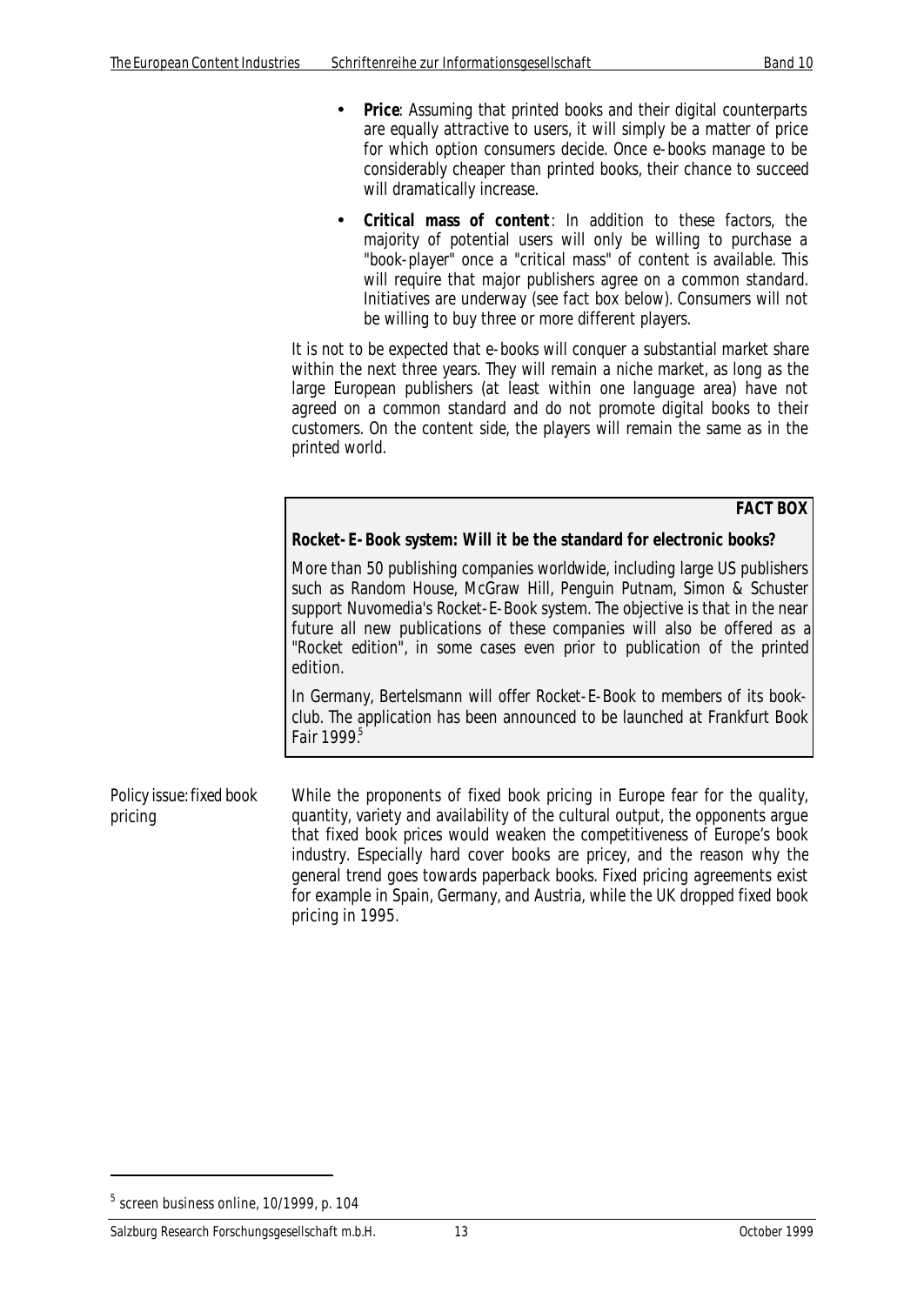- **Price**: Assuming that printed books and their digital counterparts are equally attractive to users, it will simply be a matter of price for which option consumers decide. Once e-books manage to be considerably cheaper than printed books, their chance to succeed will dramatically increase.
- **Critical mass of content**: In addition to these factors, the majority of potential users will only be willing to purchase a "book-player" once a "critical mass" of content is available. This will require that major publishers agree on a common standard. Initiatives are underway (see fact box below). Consumers will not be willing to buy three or more different players.

It is not to be expected that e-books will conquer a substantial market share within the next three years. They will remain a niche market, as long as the large European publishers (at least within one language area) have not agreed on a common standard and do not promote digital books to their customers. On the content side, the players will remain the same as in the printed world.

**FACT BOX**

#### **Rocket-E-Book system: Will it be the standard for electronic books?**

More than 50 publishing companies worldwide, including large US publishers such as Random House, McGraw Hill, Penguin Putnam, Simon & Schuster support Nuvomedia's Rocket-E-Book system. The objective is that in the near future all new publications of these companies will also be offered as a "Rocket edition", in some cases even prior to publication of the printed edition.

In Germany, Bertelsmann will offer Rocket-E-Book to members of its bookclub. The application has been announced to be launched at Frankfurt Book Fair  $1999<sup>5</sup>$ 

*Policy issue: fixed book pricing* While the proponents of fixed book pricing in Europe fear for the quality, quantity, variety and availability of the cultural output, the opponents argue that fixed book prices would weaken the competitiveness of Europe's book industry. Especially hard cover books are pricey, and the reason why the general trend goes towards paperback books. Fixed pricing agreements exist for example in Spain, Germany, and Austria, while the UK dropped fixed book pricing in 1995.

 $^5$  screen business online, 10/1999, p. 104  $\,$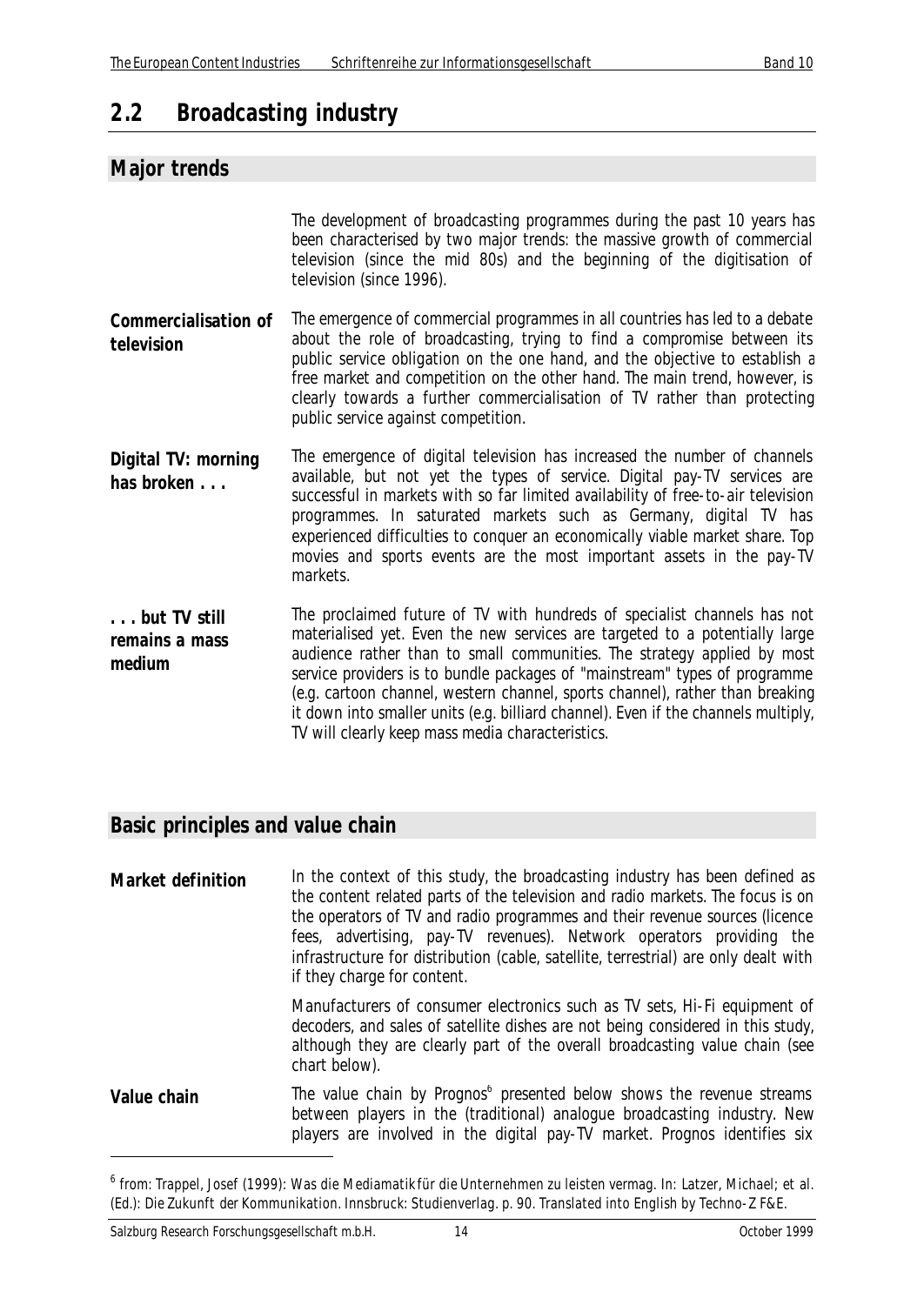# **2.2 Broadcasting industry**

### **Major trends**

|                                           | The development of broadcasting programmes during the past 10 years has<br>been characterised by two major trends: the massive growth of commercial<br>television (since the mid 80s) and the beginning of the digitisation of<br>television (since 1996).                                                                                                                                                                                                                                                                                  |
|-------------------------------------------|---------------------------------------------------------------------------------------------------------------------------------------------------------------------------------------------------------------------------------------------------------------------------------------------------------------------------------------------------------------------------------------------------------------------------------------------------------------------------------------------------------------------------------------------|
| <b>Commercialisation of</b><br>television | The emergence of commercial programmes in all countries has led to a debate<br>about the role of broadcasting, trying to find a compromise between its<br>public service obligation on the one hand, and the objective to establish a<br>free market and competition on the other hand. The main trend, however, is<br>clearly towards a further commercialisation of TV rather than protecting<br>public service against competition.                                                                                                      |
| Digital TV: morning<br>has broken         | The emergence of digital television has increased the number of channels<br>available, but not yet the types of service. Digital pay-TV services are<br>successful in markets with so far limited availability of free-to-air television<br>programmes. In saturated markets such as Germany, digital TV has<br>experienced difficulties to conquer an economically viable market share. Top<br>movies and sports events are the most important assets in the pay-TV<br>markets.                                                            |
| but TV still<br>remains a mass<br>medium  | The proclaimed future of TV with hundreds of specialist channels has not<br>materialised yet. Even the new services are targeted to a potentially large<br>audience rather than to small communities. The strategy applied by most<br>service providers is to bundle packages of "mainstream" types of programme<br>(e.g. cartoon channel, western channel, sports channel), rather than breaking<br>it down into smaller units (e.g. billiard channel). Even if the channels multiply,<br>TV will clearly keep mass media characteristics. |

#### **Basic principles and value chain**

**Market definition** In the context of this study, the broadcasting industry has been defined as the content related parts of the television and radio markets. The focus is on the operators of TV and radio programmes and their revenue sources (licence fees, advertising, pay-TV revenues). Network operators providing the infrastructure for distribution (cable, satellite, terrestrial) are only dealt with if they charge for content. Manufacturers of consumer electronics such as TV sets, Hi-Fi equipment of

decoders, and sales of satellite dishes are not being considered in this study, although they are clearly part of the overall broadcasting value chain (see chart below).

**Value chain** The value chain by Prognos<sup>6</sup> presented below shows the revenue streams between players in the (traditional) analogue broadcasting industry. New players are involved in the digital pay-TV market. Prognos identifies six

<sup>&</sup>lt;sup>6</sup> from: Trappel, Josef (1999): Was die Mediamatik für die Unternehmen zu leisten vermag. In: Latzer, Michael; et al. (Ed.): Die Zukunft der Kommunikation. Innsbruck: Studienverlag. p. 90. Translated into English by Techno-Z F&E.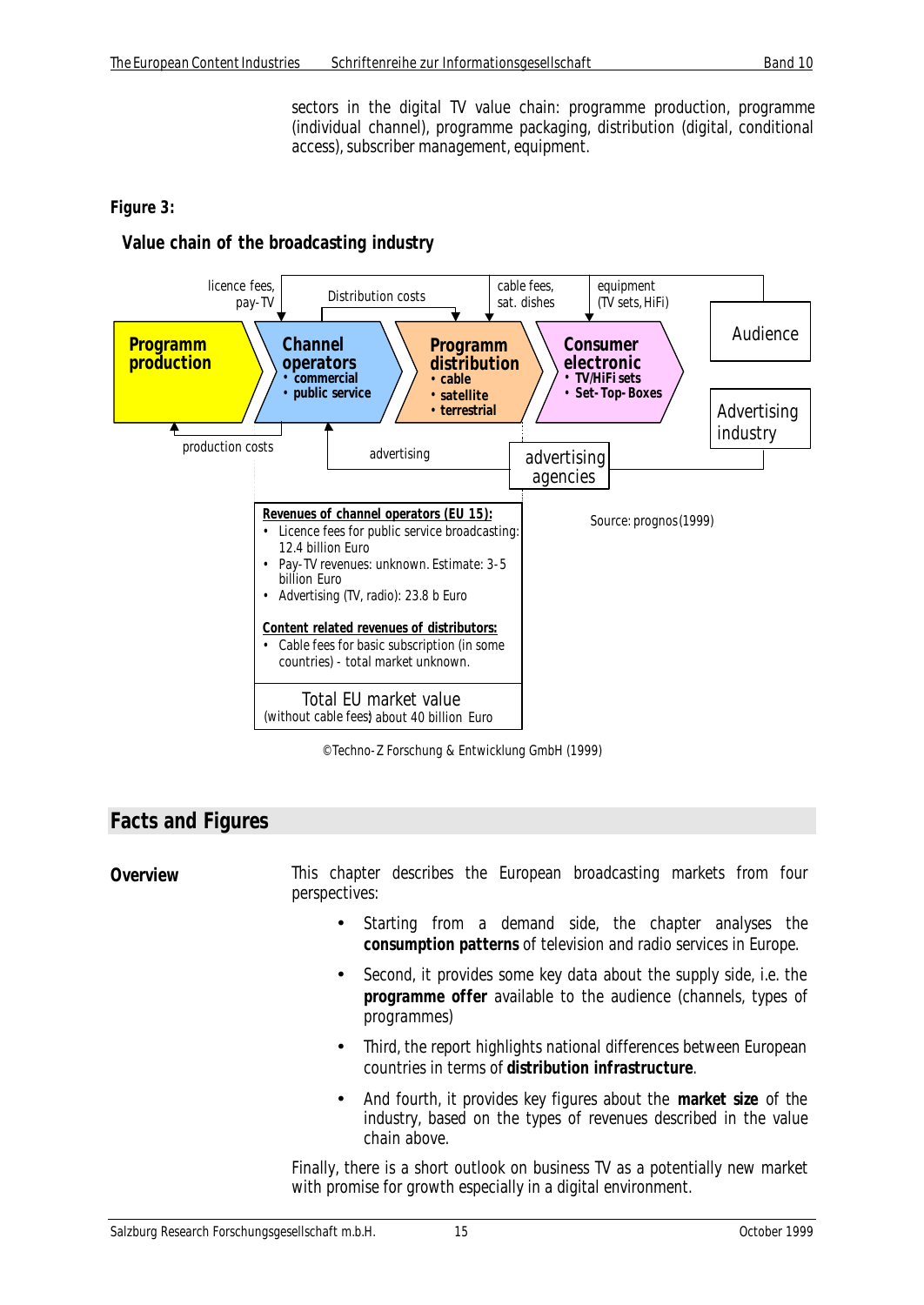sectors in the digital TV value chain: programme production, programme (individual channel), programme packaging, distribution (digital, conditional access), subscriber management, equipment.

#### *Figure 3:*

#### **Value chain of the broadcasting industry**



© Techno-Z Forschung & Entwicklung GmbH (1999)

#### **Facts and Figures**

**Overview** This chapter describes the European broadcasting markets from four perspectives:

- Starting from a demand side, the chapter analyses the **consumption patterns** of television and radio services in Europe.
- Second, it provides some key data about the supply side, i.e. the **programme offer** available to the audience (channels, types of programmes)
- Third, the report highlights national differences between European countries in terms of **distribution infrastructure**.
- And fourth, it provides key figures about the **market size** of the industry, based on the types of revenues described in the value chain above.

Finally, there is a short outlook on business TV as a potentially new market with promise for growth especially in a digital environment.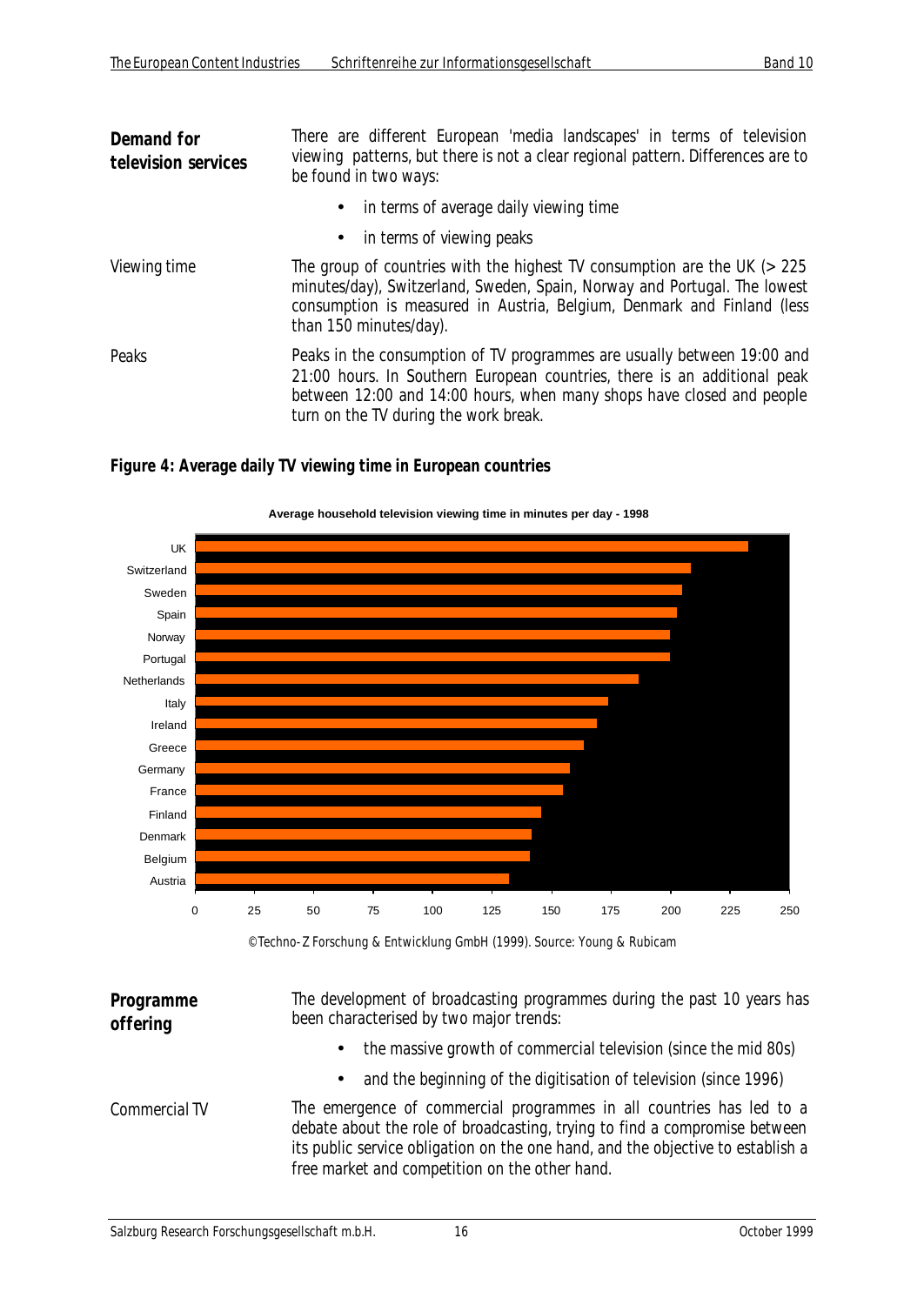| Demand for<br>television services | There are different European 'media landscapes' in terms of television<br>viewing patterns, but there is not a clear regional pattern. Differences are to<br>be found in two ways:                                                                                    |  |
|-----------------------------------|-----------------------------------------------------------------------------------------------------------------------------------------------------------------------------------------------------------------------------------------------------------------------|--|
|                                   | • in terms of average daily viewing time                                                                                                                                                                                                                              |  |
|                                   | • in terms of viewing peaks                                                                                                                                                                                                                                           |  |
| Viewing time                      | The group of countries with the highest TV consumption are the UK $($ > 225<br>minutes/day), Switzerland, Sweden, Spain, Norway and Portugal. The lowest<br>consumption is measured in Austria, Belgium, Denmark and Finland (less<br>than 150 minutes/day).          |  |
| Peaks                             | Peaks in the consumption of TV programmes are usually between 19:00 and<br>21:00 hours. In Southern European countries, there is an additional peak<br>between 12:00 and 14:00 hours, when many shops have closed and people<br>turn on the TV during the work break. |  |

*Figure 4: Average daily TV viewing time in European countries*



© Techno-Z Forschung & Entwicklung GmbH (1999). Source: Young & Rubicam

| Programme<br>offering | The development of broadcasting programmes during the past 10 years has<br>been characterised by two major trends:                                                                                                                                                                      |
|-----------------------|-----------------------------------------------------------------------------------------------------------------------------------------------------------------------------------------------------------------------------------------------------------------------------------------|
|                       | the massive growth of commercial television (since the mid 80s)<br>$\bullet$                                                                                                                                                                                                            |
|                       | and the beginning of the digitisation of television (since 1996)<br>$\bullet$                                                                                                                                                                                                           |
| Commercial TV         | The emergence of commercial programmes in all countries has led to a<br>debate about the role of broadcasting, trying to find a compromise between<br>its public service obligation on the one hand, and the objective to establish a<br>free market and competition on the other hand. |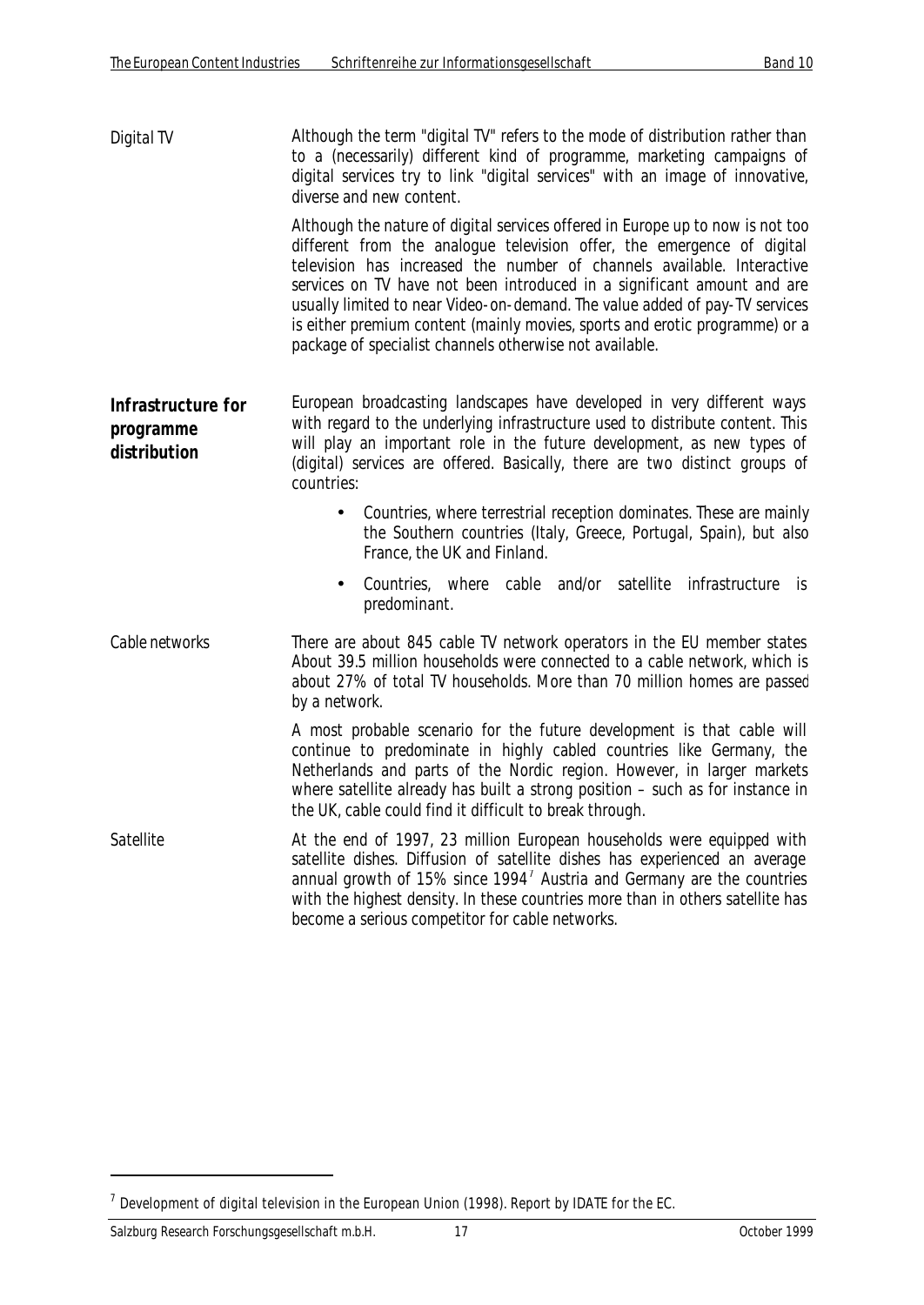*Digital TV* Although the term "digital TV" refers to the mode of distribution rather than to a (necessarily) different kind of programme, marketing campaigns of digital services try to link "digital services" with an image of innovative, diverse and new content.

> Although the nature of digital services offered in Europe up to now is not too different from the analogue television offer, the emergence of digital television has increased the number of channels available. Interactive services on TV have not been introduced in a significant amount and are usually limited to near Video-on-demand. The value added of pay-TV services is either premium content (mainly movies, sports and erotic programme) or a package of specialist channels otherwise not available.

- **Infrastructure for programme distribution** European broadcasting landscapes have developed in very different ways with regard to the underlying infrastructure used to distribute content. This will play an important role in the future development, as new types of (digital) services are offered. Basically, there are two distinct groups of countries:
	- Countries, where terrestrial reception dominates. These are mainly the Southern countries (Italy, Greece, Portugal, Spain), but also France, the UK and Finland.
	- Countries, where cable and/or satellite infrastructure is predominant.
- *Cable networks* There are about 845 cable TV network operators in the EU member states. About 39.5 million households were connected to a cable network, which is about 27% of total TV households. More than 70 million homes are passed by a network.

A most probable scenario for the future development is that cable will continue to predominate in highly cabled countries like Germany, the Netherlands and parts of the Nordic region. However, in larger markets where satellite already has built a strong position – such as for instance in the UK, cable could find it difficult to break through.

*Satellite* At the end of 1997, 23 million European households were equipped with satellite dishes. Diffusion of satellite dishes has experienced an average annual growth of 15% since 1994<sup>7</sup> Austria and Germany are the countries with the highest density. In these countries more than in others satellite has become a serious competitor for cable networks.

<sup>&</sup>lt;sup>7</sup> Development of digital television in the European Union (1998). Report by IDATE for the EC.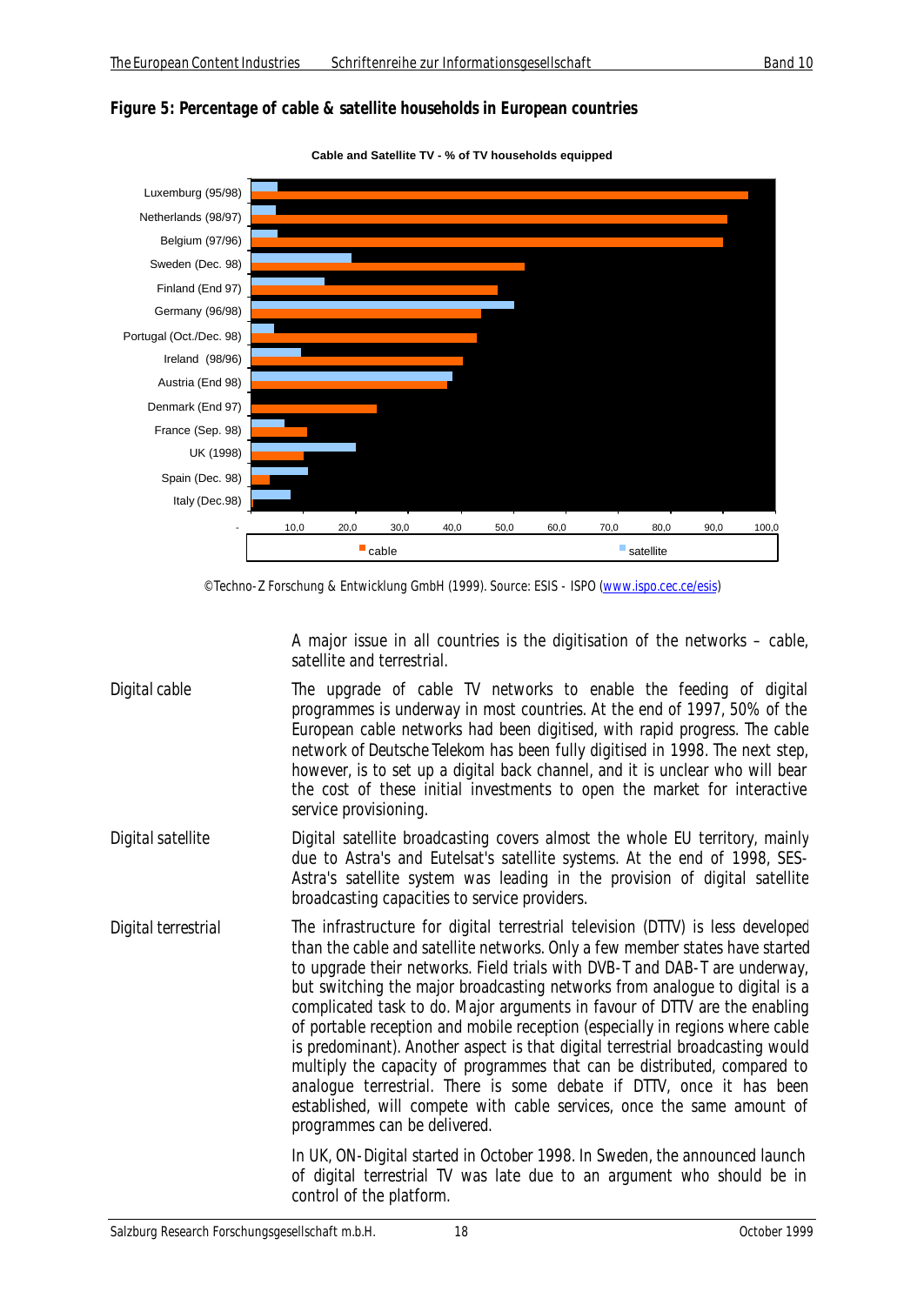



**Cable and Satellite TV - % of TV households equipped**

A major issue in all countries is the digitisation of the networks – cable, satellite and terrestrial.

- *Digital cable* The upgrade of cable TV networks to enable the feeding of digital programmes is underway in most countries. At the end of 1997, 50% of the European cable networks had been digitised, with rapid progress. The cable network of *Deutsche Telekom* has been fully digitised in 1998. The next step, however, is to set up a digital back channel, and it is unclear who will bear the cost of these initial investments to open the market for interactive service provisioning.
- *Digital satellite* Digital satellite broadcasting covers almost the whole EU territory, mainly due to Astra's and Eutelsat's satellite systems. At the end of 1998, SES-Astra's satellite system was leading in the provision of digital satellite broadcasting capacities to service providers.
- *Digital terrestrial* The infrastructure for digital terrestrial television (DTTV) is less developed than the cable and satellite networks. Only a few member states have started to upgrade their networks. Field trials with DVB-T and DAB-T are underway, but switching the major broadcasting networks from analogue to digital is a complicated task to do. Major arguments in favour of DTTV are the enabling of portable reception and mobile reception (especially in regions where cable is predominant). Another aspect is that digital terrestrial broadcasting would multiply the capacity of programmes that can be distributed, compared to analogue terrestrial. There is some debate if DTTV, once it has been established, will compete with cable services, once the same amount of programmes can be delivered.

In UK, ON-Digital started in October 1998. In Sweden, the announced launch of digital terrestrial TV was late due to an argument who should be in control of the platform.

<sup>©</sup> Techno-Z Forschung & Entwicklung GmbH (1999). Source: ESIS - ISPO (www.ispo.cec.ce/esis)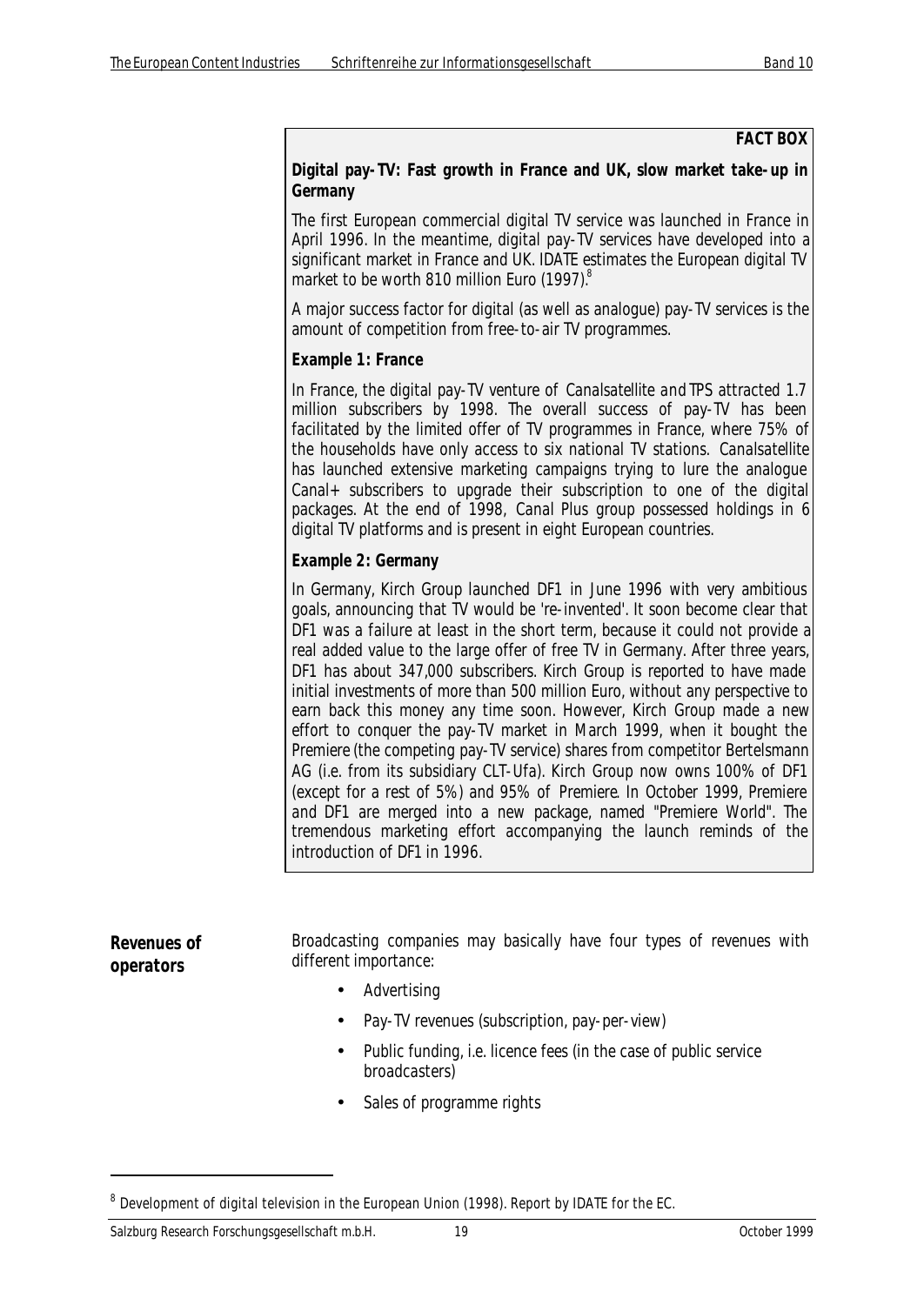#### **FACT BOX**

#### **Digital pay-TV: Fast growth in France and UK, slow market take-up in Germany**

The first European commercial digital TV service was launched in France in April 1996. In the meantime, digital pay-TV services have developed into a significant market in France and UK. IDATE estimates the European digital TV market to be worth 810 million Euro (1997).<sup>8</sup>

A major success factor for digital (as well as analogue) pay-TV services is the amount of competition from free-to-air TV programmes.

#### **Example 1: France**

In France, the digital pay-TV venture of *Canalsatellite* and *TPS* attracted 1.7 million subscribers by 1998. The overall success of pay-TV has been facilitated by the limited offer of TV programmes in France, where 75% of the households have only access to six national TV stations. *Canalsatellite* has launched extensive marketing campaigns trying to lure the analogue Canal+ subscribers to upgrade their subscription to one of the digital packages. At the end of 1998, *Canal Plus* group possessed holdings in 6 digital TV platforms and is present in eight European countries.

#### **Example 2: Germany**

In Germany, Kirch Group launched *DF1* in June 1996 with very ambitious goals, announcing that TV would be 're-invented'. It soon become clear that *DF1* was a failure at least in the short term, because it could not provide a real added value to the large offer of free TV in Germany. After three years, *DF1* has about 347,000 subscribers. Kirch Group is reported to have made initial investments of more than 500 million Euro, without any perspective to earn back this money any time soon. However, Kirch Group made a new effort to conquer the pay-TV market in March 1999, when it bought the *Premiere* (the competing pay-TV service) shares from competitor Bertelsmann AG (i.e. from its subsidiary CLT-Ufa). Kirch Group now owns 100% of *DF1* (except for a rest of 5%) and 95% of *Premiere*. In October 1999, Premiere and *DF1* are merged into a new package, named "Premiere World". The tremendous marketing effort accompanying the launch reminds of the introduction of *DF1* in 1996.

#### **Revenues of operators** Broadcasting companies may basically have four types of revenues with different importance: • Advertising

- Pay-TV revenues (subscription, pay-per-view)
- Public funding, i.e. licence fees (in the case of public service broadcasters)
- Sales of programme rights

 $^8$  Development of digital television in the European Union (1998). Report by IDATE for the EC.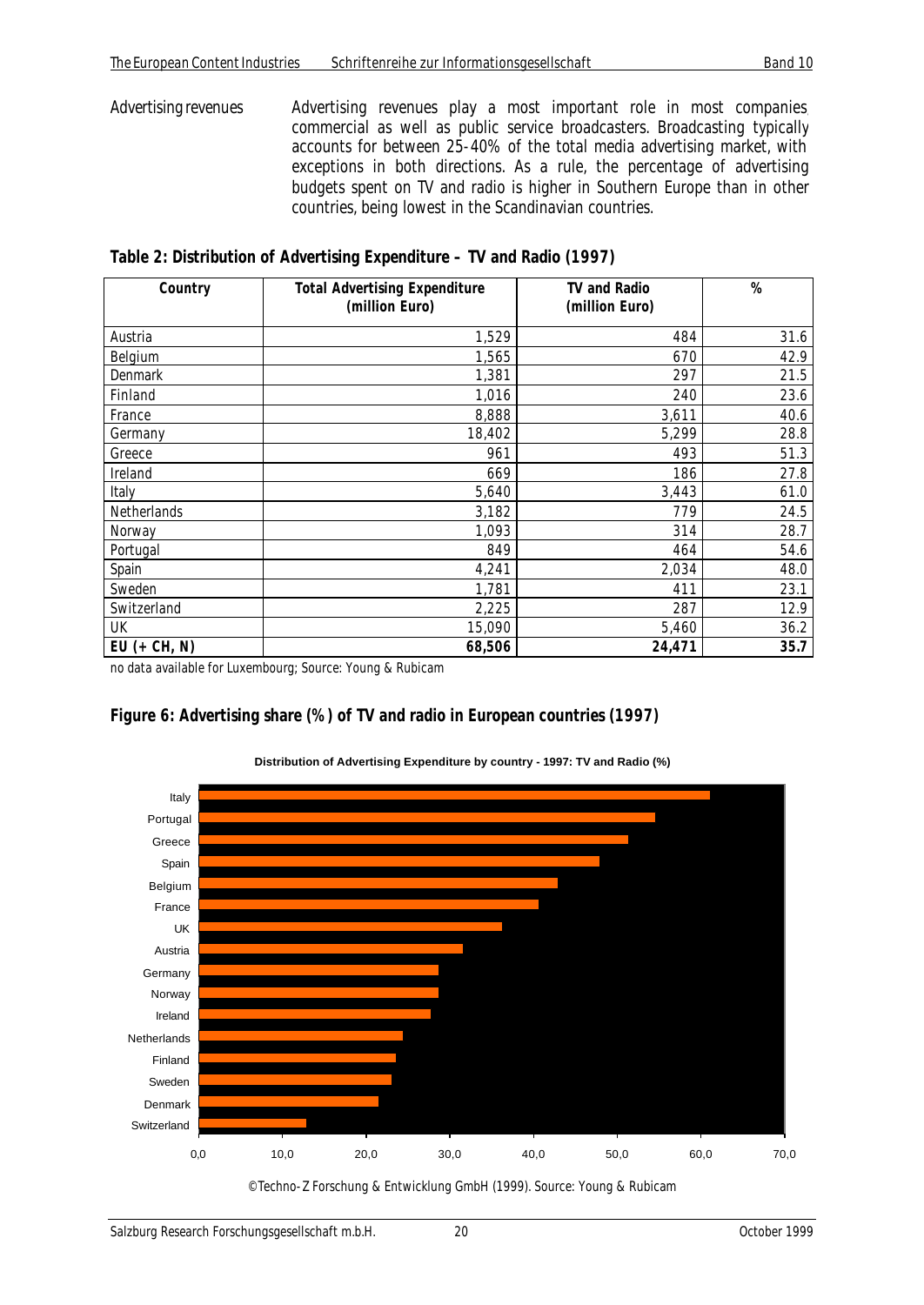*Advertising revenues* Advertising revenues play a most important role in most companies, commercial as well as public service broadcasters. Broadcasting typically accounts for between 25-40% of the total media advertising market, with exceptions in both directions. As a rule, the percentage of advertising budgets spent on TV and radio is higher in Southern Europe than in other countries, being lowest in the Scandinavian countries.

*Table 2: Distribution of Advertising Expenditure – TV and Radio (1997)*

| Country      | <b>Total Advertising Expenditure</b><br>(million Euro) | TV and Radio<br>(million Euro) | $\%$ |
|--------------|--------------------------------------------------------|--------------------------------|------|
|              |                                                        |                                |      |
| Austria      | 1,529                                                  | 484                            | 31.6 |
| Belgium      | 1,565                                                  | 670                            | 42.9 |
| Denmark      | 1,381                                                  | 297                            | 21.5 |
| Finland      | 1,016                                                  | 240                            | 23.6 |
| France       | 8,888                                                  | 3,611                          | 40.6 |
| Germany      | 18,402                                                 | 5,299                          | 28.8 |
| Greece       | 961                                                    | 493                            | 51.3 |
| Ireland      | 669                                                    | 186                            | 27.8 |
| Italy        | 5,640                                                  | 3,443                          | 61.0 |
| Netherlands  | 3,182                                                  | 779                            | 24.5 |
| Norway       | 1,093                                                  | 314                            | 28.7 |
| Portugal     | 849                                                    | 464                            | 54.6 |
| Spain        | 4,241                                                  | 2,034                          | 48.0 |
| Sweden       | 1,781                                                  | 411                            | 23.1 |
| Switzerland  | 2,225                                                  | 287                            | 12.9 |
| UK           | 15,090                                                 | 5,460                          | 36.2 |
| EU (+ CH, N) | 68,506                                                 | 24,471                         | 35.7 |

no data available for Luxembourg; Source: Young & Rubicam

#### *Figure 6: Advertising share (%) of TV and radio in European countries (1997)*



**Distribution of Advertising Expenditure by country - 1997: TV and Radio (%)**

© Techno-Z Forschung & Entwicklung GmbH (1999). Source: Young & Rubicam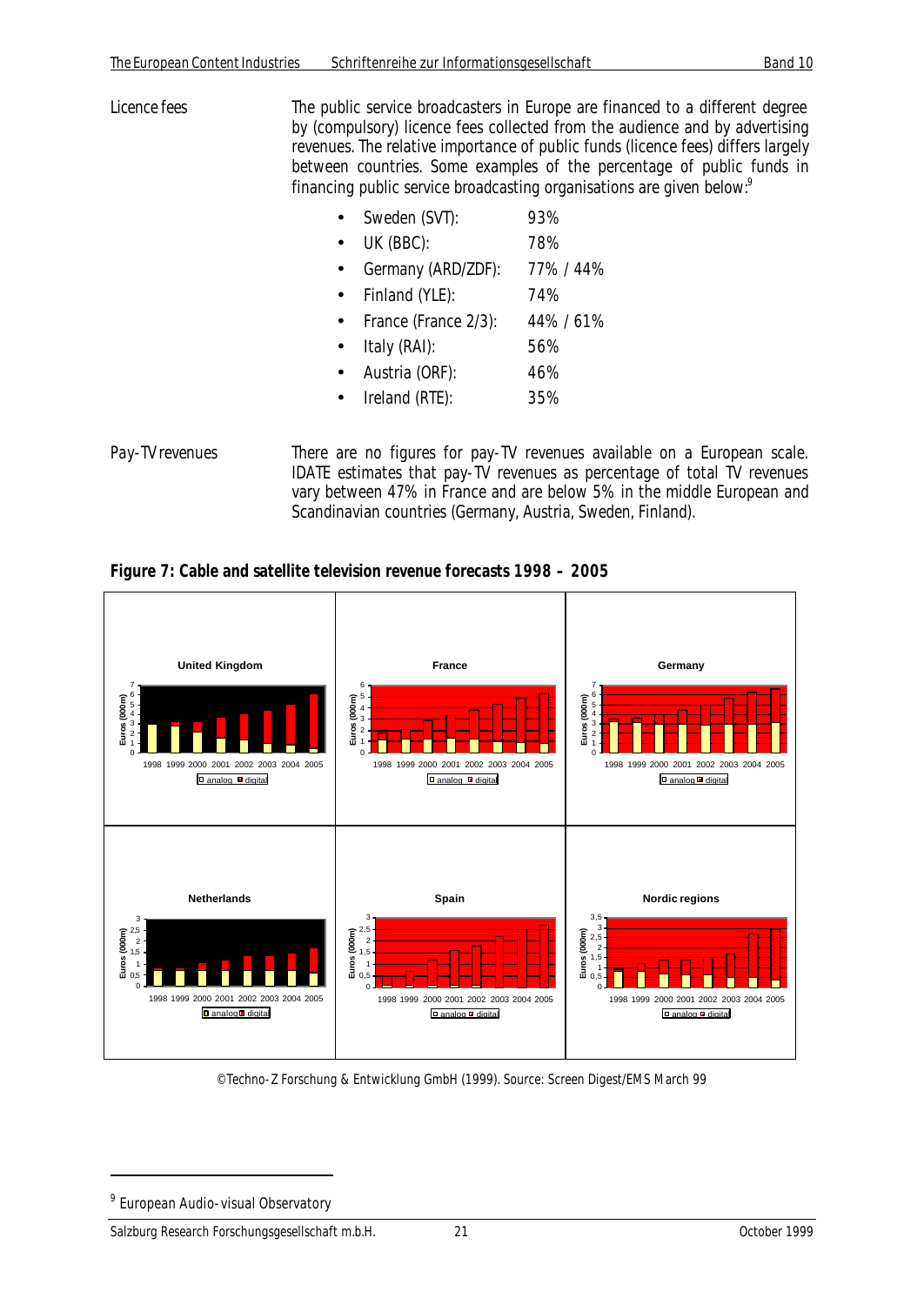- *Licence fees* The public service broadcasters in Europe are financed to a different degree by (compulsory) licence fees collected from the audience and by advertising revenues. The relative importance of public funds (licence fees) differs largely between countries. Some examples of the percentage of public funds in financing public service broadcasting organisations are given below.<sup>9</sup>
	- Sweden (SVT): 93%
	- UK (BBC): 78%
	- Germany (ARD/ZDF): 77% / 44%
	- Finland (YLE): 74%
	- France (France 2/3): 44% / 61%
	- $\bullet$  Italy (RAI):  $56\%$
	- Austria (ORF): 46%
	- Ireland (RTE): 35%

*Pay-TV revenues* There are no figures for pay-TV revenues available on a European scale. IDATE estimates that pay-TV revenues as percentage of total TV revenues vary between 47% in France and are below 5% in the middle European and Scandinavian countries (Germany, Austria, Sweden, Finland).

*Figure 7: Cable and satellite television revenue forecasts 1998 – 2005*



© Techno-Z Forschung & Entwicklung GmbH (1999). Source: Screen Digest/EMS March 99

<sup>&</sup>lt;sup>9</sup> European Audio-visual Observatory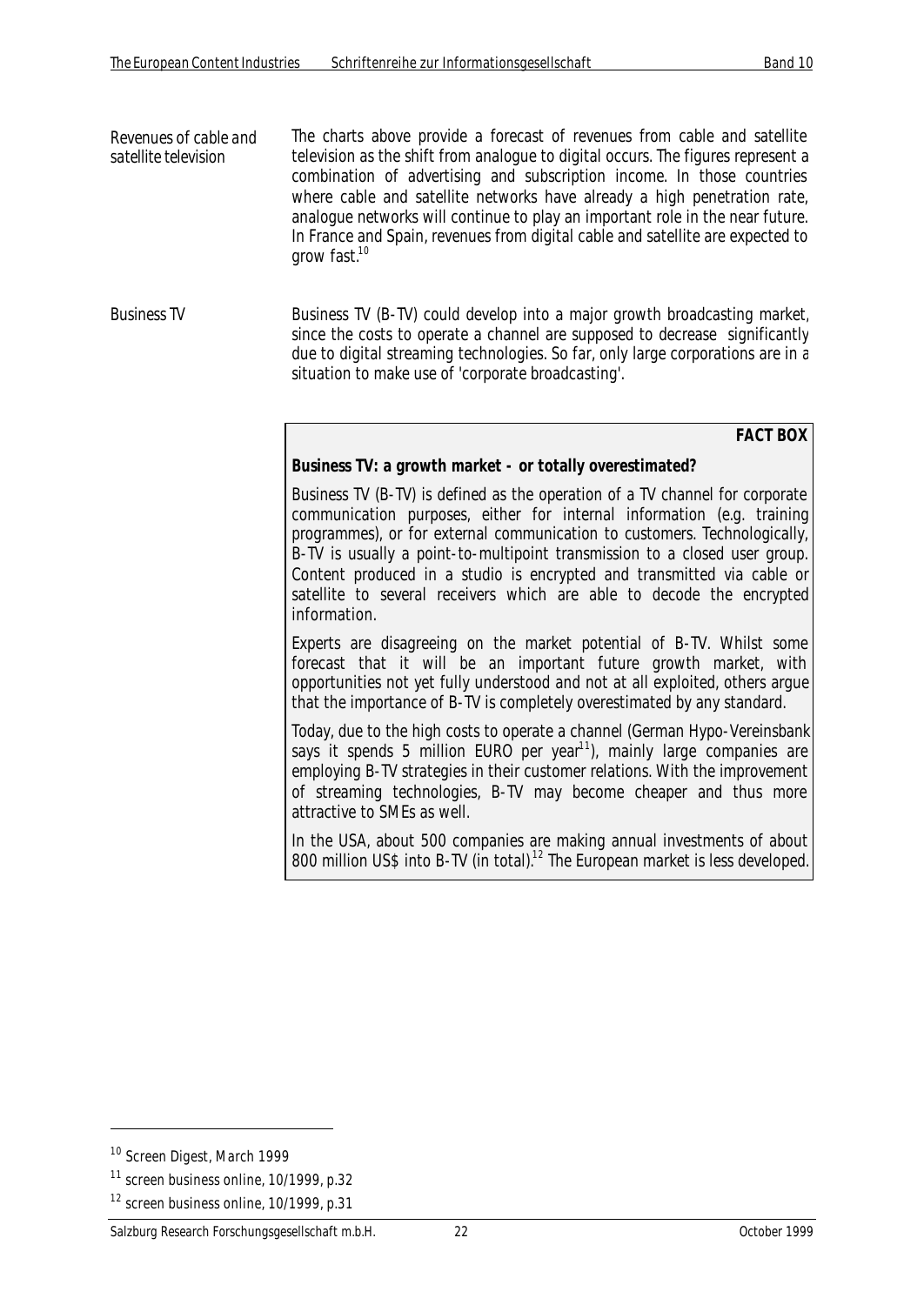*Revenues of cable and satellite television* The charts above provide a forecast of revenues from cable and satellite television as the shift from analogue to digital occurs. The figures represent a combination of advertising and subscription income. In those countries where cable and satellite networks have already a high penetration rate, analogue networks will continue to play an important role in the near future. In France and Spain, revenues from digital cable and satellite are expected to arow fast. $10$ 

*Business TV* Business TV (B-TV) could develop into a major growth broadcasting market, since the costs to operate a channel are supposed to decrease significantly due to digital streaming technologies. So far, only large corporations are in a situation to make use of 'corporate broadcasting'.

**FACT BOX**

#### **Business TV: a growth market - or totally overestimated?**

Business TV (B-TV) is defined as the operation of a TV channel for corporate communication purposes, either for internal information (e.g. training programmes), or for external communication to customers. Technologically, B-TV is usually a point-to-multipoint transmission to a closed user group. Content produced in a studio is encrypted and transmitted via cable or satellite to several receivers which are able to decode the encrypted information.

Experts are disagreeing on the market potential of B-TV. Whilst some forecast that it will be an important future growth market, with opportunities not yet fully understood and not at all exploited, others argue that the importance of B-TV is completely overestimated by any standard.

Today, due to the high costs to operate a channel (German Hypo-Vereinsbank says it spends 5 million EURO per year<sup>11</sup>), mainly large companies are employing B-TV strategies in their customer relations. With the improvement of streaming technologies, B-TV may become cheaper and thus more attractive to SMEs as well.

In the USA, about 500 companies are making annual investments of about 800 million US\$ into B-TV (in total).<sup>12</sup> The European market is less developed.

<sup>10</sup> Screen Digest, March 1999

 $11$  screen business online,  $10/1999$ , p.32

<sup>&</sup>lt;sup>12</sup> screen business online, 10/1999, p.31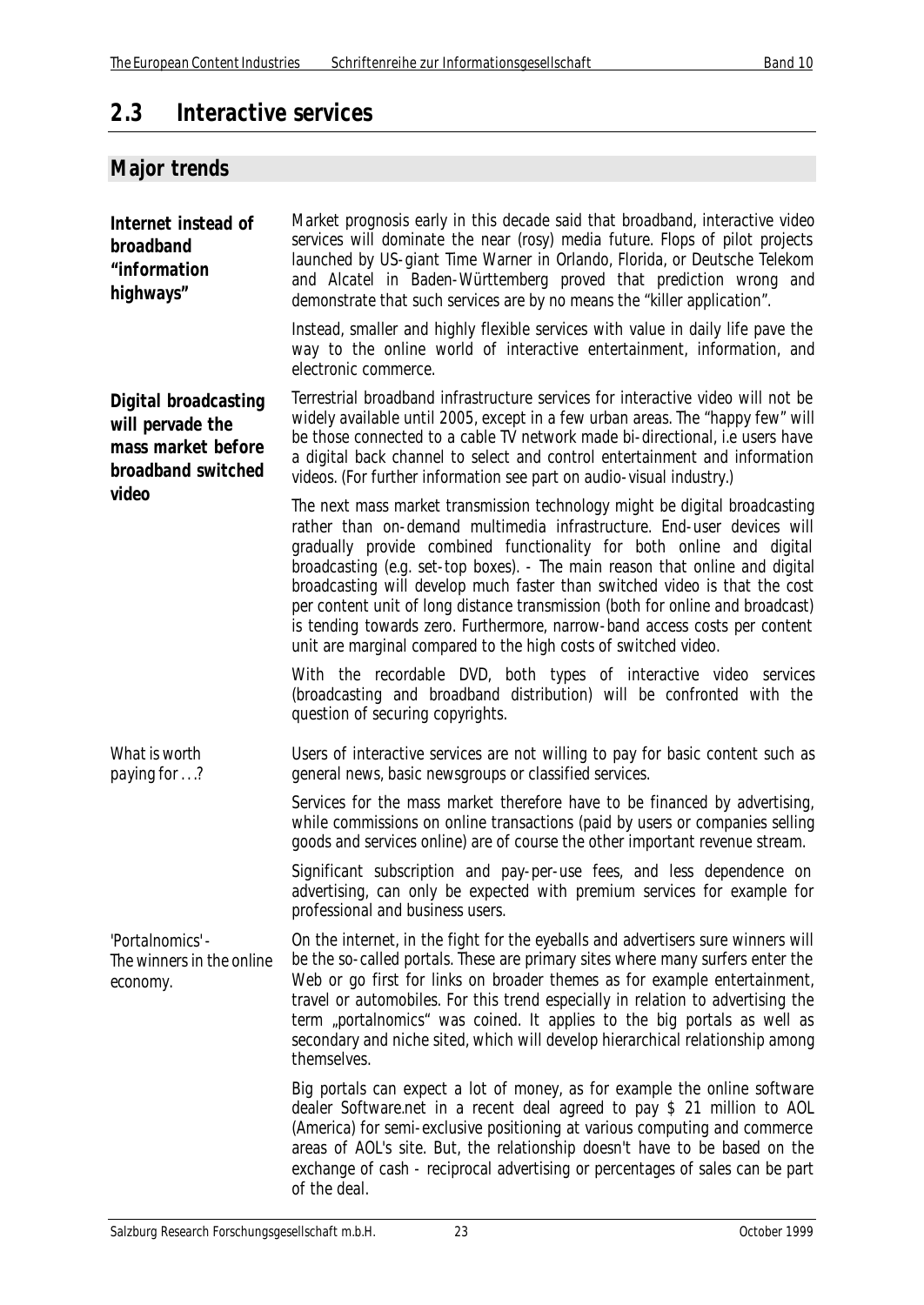# **2.3 Interactive services**

# **Major trends**

| Internet instead of<br>broadband<br>"information<br>highways"                               | Market prognosis early in this decade said that broadband, interactive video<br>services will dominate the near (rosy) media future. Flops of pilot projects<br>launched by US-giant Time Warner in Orlando, Florida, or Deutsche Telekom<br>and Alcatel in Baden-Württemberg proved that prediction wrong and<br>demonstrate that such services are by no means the "killer application".                                                                                                                                                                                                                                    |
|---------------------------------------------------------------------------------------------|-------------------------------------------------------------------------------------------------------------------------------------------------------------------------------------------------------------------------------------------------------------------------------------------------------------------------------------------------------------------------------------------------------------------------------------------------------------------------------------------------------------------------------------------------------------------------------------------------------------------------------|
|                                                                                             | Instead, smaller and highly flexible services with value in daily life pave the<br>way to the online world of interactive entertainment, information, and<br>electronic commerce.                                                                                                                                                                                                                                                                                                                                                                                                                                             |
| <b>Digital broadcasting</b><br>will pervade the<br>mass market before<br>broadband switched | Terrestrial broadband infrastructure services for interactive video will not be<br>widely available until 2005, except in a few urban areas. The "happy few" will<br>be those connected to a cable TV network made bi-directional, i.e users have<br>a digital back channel to select and control entertainment and information<br>videos. (For further information see part on audio-visual industry.)                                                                                                                                                                                                                       |
| video                                                                                       | The next mass market transmission technology might be digital broadcasting<br>rather than on-demand multimedia infrastructure. End-user devices will<br>gradually provide combined functionality for both online and digital<br>broadcasting (e.g. set-top boxes). - The main reason that online and digital<br>broadcasting will develop much faster than switched video is that the cost<br>per content unit of long distance transmission (both for online and broadcast)<br>is tending towards zero. Furthermore, narrow-band access costs per content<br>unit are marginal compared to the high costs of switched video. |
|                                                                                             | With the recordable DVD, both types of interactive video services<br>(broadcasting and broadband distribution) will be confronted with the<br>question of securing copyrights.                                                                                                                                                                                                                                                                                                                                                                                                                                                |
| What is worth<br>paying for ?                                                               | Users of interactive services are not willing to pay for basic content such as<br>general news, basic newsgroups or classified services.                                                                                                                                                                                                                                                                                                                                                                                                                                                                                      |
|                                                                                             | Services for the mass market therefore have to be financed by advertising,<br>while commissions on online transactions (paid by users or companies selling<br>goods and services online) are of course the other important revenue stream.                                                                                                                                                                                                                                                                                                                                                                                    |
|                                                                                             | Significant subscription and pay-per-use fees, and less dependence on<br>advertising, can only be expected with premium services for example for<br>professional and business users.                                                                                                                                                                                                                                                                                                                                                                                                                                          |
| 'Portalnomics'-<br>The winners in the online<br>economy.                                    | On the internet, in the fight for the eyeballs and advertisers sure winners will<br>be the so-called portals. These are primary sites where many surfers enter the<br>Web or go first for links on broader themes as for example entertainment,<br>travel or automobiles. For this trend especially in relation to advertising the<br>term "portalnomics" was coined. It applies to the big portals as well as<br>secondary and niche sited, which will develop hierarchical relationship among<br>themselves.                                                                                                                |
|                                                                                             | Big portals can expect a lot of money, as for example the online software<br>dealer Software.net in a recent deal agreed to pay \$ 21 million to AOL<br>(America) for semi-exclusive positioning at various computing and commerce<br>areas of AOL's site. But, the relationship doesn't have to be based on the<br>exchange of cash - reciprocal advertising or percentages of sales can be part<br>of the deal.                                                                                                                                                                                                             |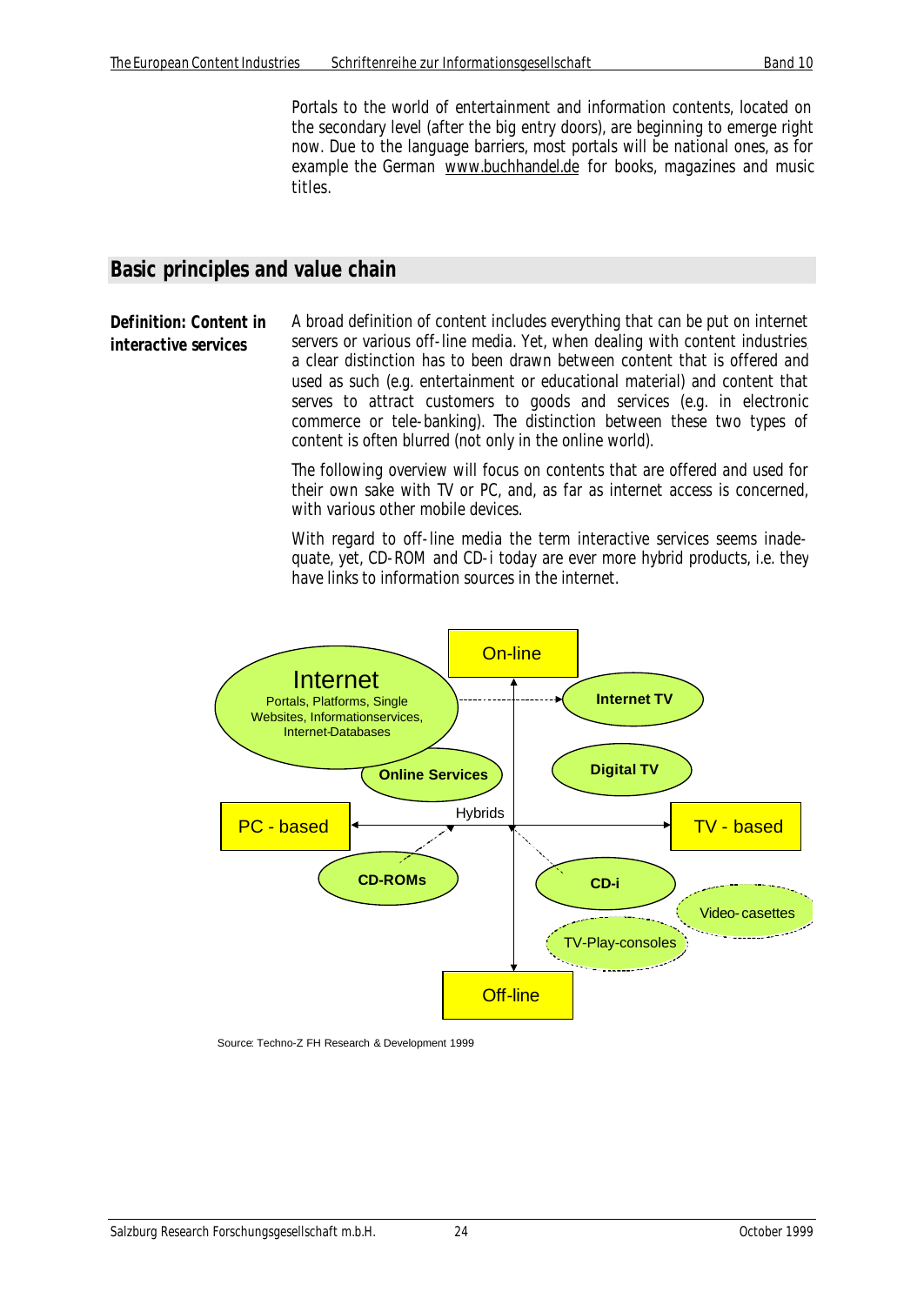Portals to the world of entertainment and information contents, located on the secondary level (after the big entry doors), are beginning to emerge right now. Due to the language barriers, most portals will be national ones, as for example the German www.buchhandel.de for books, magazines and music titles.

#### **Basic principles and value chain**

**Definition: Content in interactive services** A broad definition of content includes everything that can be put on internet servers or various off-line media. Yet, when dealing with content industries, a clear distinction has to been drawn between content that is offered and used as such (e.g. entertainment or educational material) and content that serves to attract customers to goods and services (e.g. in electronic commerce or tele-banking). The distinction between these two types of content is often blurred (not only in the online world).

> The following overview will focus on contents that are offered and used for their own sake with TV or PC, and, as far as internet access is concerned, with various other mobile devices.

> With regard to off-line media the term interactive services seems inadequate, yet, CD-ROM and CD-i today are ever more hybrid products, i.e. they have links to information sources in the internet.



Source: Techno-Z FH Research & Development 1999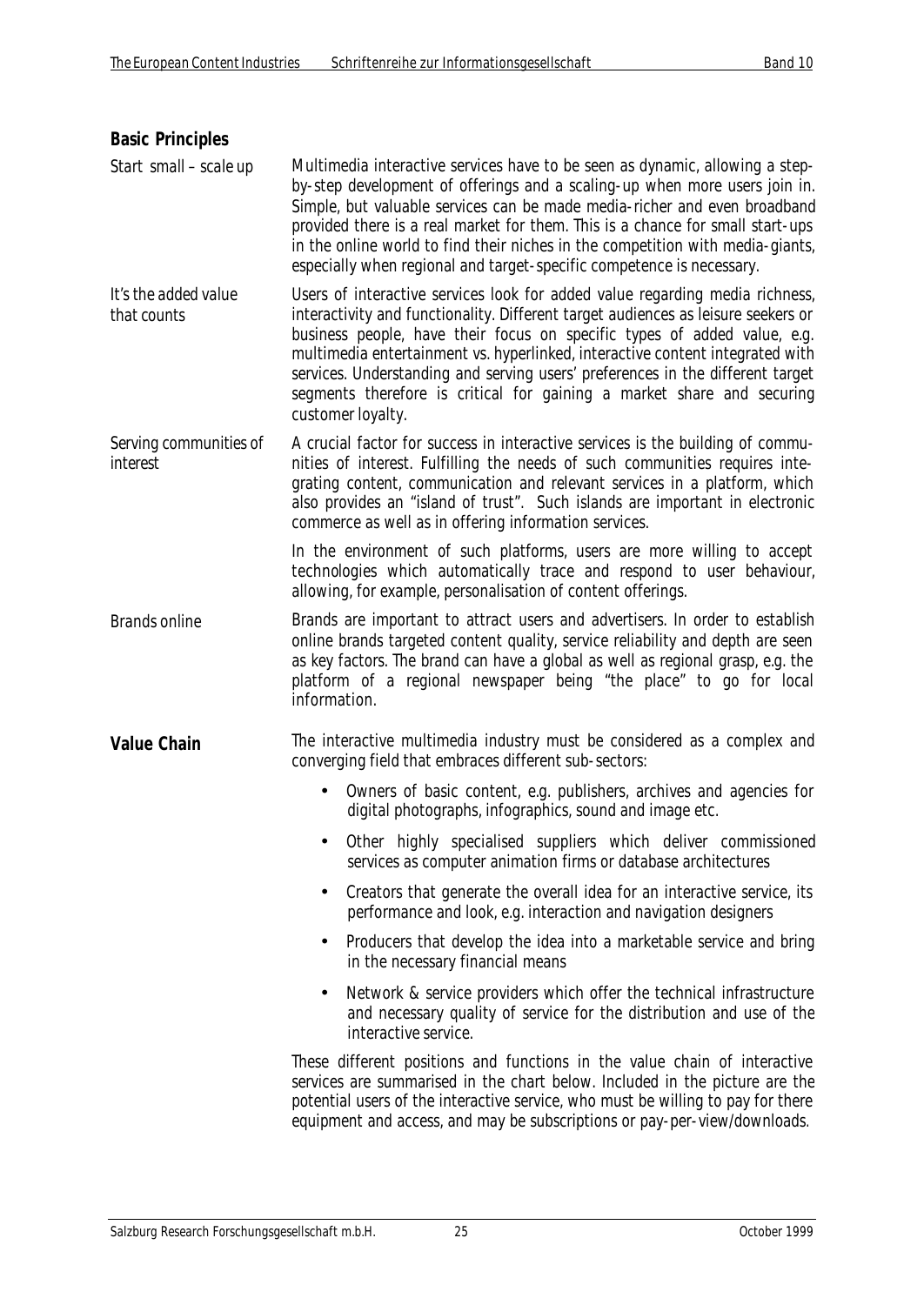| <b>Basic Principles</b>             |                                                                                                                                                                                                                                                                                                                                                                                                                                                                                                                 |
|-------------------------------------|-----------------------------------------------------------------------------------------------------------------------------------------------------------------------------------------------------------------------------------------------------------------------------------------------------------------------------------------------------------------------------------------------------------------------------------------------------------------------------------------------------------------|
| Start small - scale up              | Multimedia interactive services have to be seen as dynamic, allowing a step-<br>by-step development of offerings and a scaling-up when more users join in.<br>Simple, but valuable services can be made media-richer and even broadband<br>provided there is a real market for them. This is a chance for small start-ups<br>in the online world to find their niches in the competition with media-giants,<br>especially when regional and target-specific competence is necessary.                            |
| It's the added value<br>that counts | Users of interactive services look for added value regarding media richness,<br>interactivity and functionality. Different target audiences as leisure seekers or<br>business people, have their focus on specific types of added value, e.g.<br>multimedia entertainment vs. hyperlinked, interactive content integrated with<br>services. Understanding and serving users' preferences in the different target<br>segments therefore is critical for gaining a market share and securing<br>customer loyalty. |
| Serving communities of<br>interest  | A crucial factor for success in interactive services is the building of commu-<br>nities of interest. Fulfilling the needs of such communities requires inte-<br>grating content, communication and relevant services in a platform, which<br>also provides an "island of trust". Such islands are important in electronic<br>commerce as well as in offering information services.                                                                                                                             |
|                                     | In the environment of such platforms, users are more willing to accept<br>technologies which automatically trace and respond to user behaviour,<br>allowing, for example, personalisation of content offerings.                                                                                                                                                                                                                                                                                                 |
| <b>Brands online</b>                | Brands are important to attract users and advertisers. In order to establish<br>online brands targeted content quality, service reliability and depth are seen<br>as key factors. The brand can have a global as well as regional grasp, e.g. the<br>platform of a regional newspaper being "the place" to go for local<br>information.                                                                                                                                                                         |
| <b>Value Chain</b>                  | The interactive multimedia industry must be considered as a complex and<br>converging field that embraces different sub-sectors:                                                                                                                                                                                                                                                                                                                                                                                |
|                                     | Owners of basic content, e.g. publishers, archives and agencies for<br>digital photographs, infographics, sound and image etc.                                                                                                                                                                                                                                                                                                                                                                                  |
|                                     | Other highly specialised suppliers which deliver commissioned<br>services as computer animation firms or database architectures                                                                                                                                                                                                                                                                                                                                                                                 |
|                                     | Creators that generate the overall idea for an interactive service, its<br>performance and look, e.g. interaction and navigation designers                                                                                                                                                                                                                                                                                                                                                                      |
|                                     | Producers that develop the idea into a marketable service and bring<br>٠<br>in the necessary financial means                                                                                                                                                                                                                                                                                                                                                                                                    |
|                                     | Network & service providers which offer the technical infrastructure<br>$\bullet$<br>and necessary quality of service for the distribution and use of the<br>interactive service.                                                                                                                                                                                                                                                                                                                               |
|                                     | These different positions and functions in the value chain of interactive<br>services are summarised in the chart below. Included in the picture are the<br>potential users of the interactive service, who must be willing to pay for there<br>equipment and access, and may be subscriptions or pay-per-view/downloads.                                                                                                                                                                                       |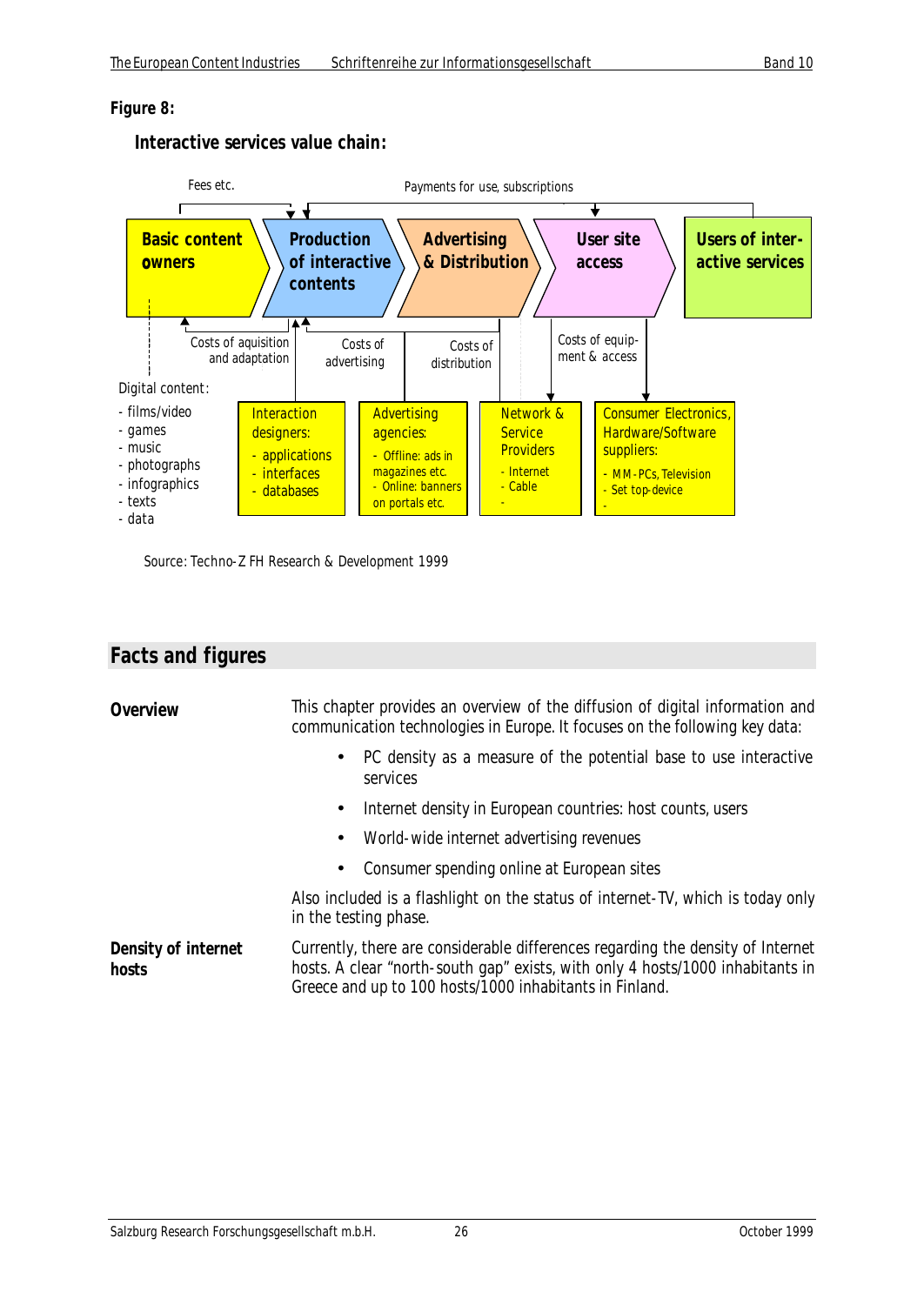#### *Figure 8:*

#### **Interactive services value chain:**



Source: Techno-Z FH Research & Development 1999

### **Facts and figures**

| Overview                     | This chapter provides an overview of the diffusion of digital information and<br>communication technologies in Europe. It focuses on the following key data:                                                                 |
|------------------------------|------------------------------------------------------------------------------------------------------------------------------------------------------------------------------------------------------------------------------|
|                              | PC density as a measure of the potential base to use interactive<br>$\bullet$<br>services                                                                                                                                    |
|                              | Internet density in European countries: host counts, users<br>$\bullet$                                                                                                                                                      |
|                              | World-wide internet advertising revenues<br>٠                                                                                                                                                                                |
|                              | Consumer spending online at European sites<br>$\bullet$                                                                                                                                                                      |
|                              | Also included is a flashlight on the status of internet-TV, which is today only<br>in the testing phase.                                                                                                                     |
| Density of internet<br>hosts | Currently, there are considerable differences regarding the density of Internet<br>hosts. A clear "north-south gap" exists, with only 4 hosts/1000 inhabitants in<br>Greece and up to 100 hosts/1000 inhabitants in Finland. |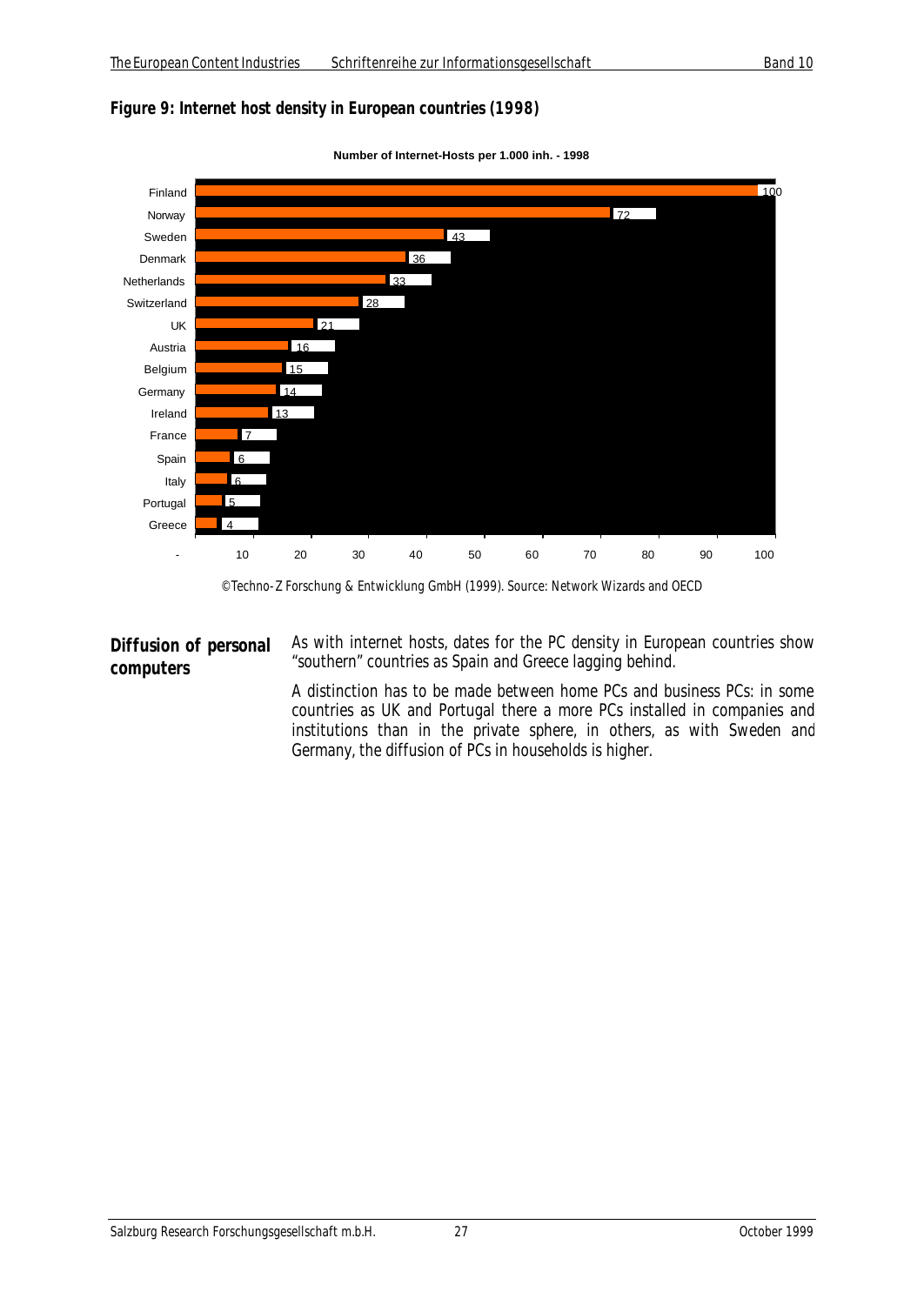#### *Figure 9: Internet host density in European countries (1998)*





#### **Diffusion of personal computers**

As with internet hosts, dates for the PC density in European countries show "southern" countries as Spain and Greece lagging behind.

A distinction has to be made between home PCs and business PCs: in some countries as UK and Portugal there a more PCs installed in companies and institutions than in the private sphere, in others, as with Sweden and Germany, the diffusion of PCs in households is higher.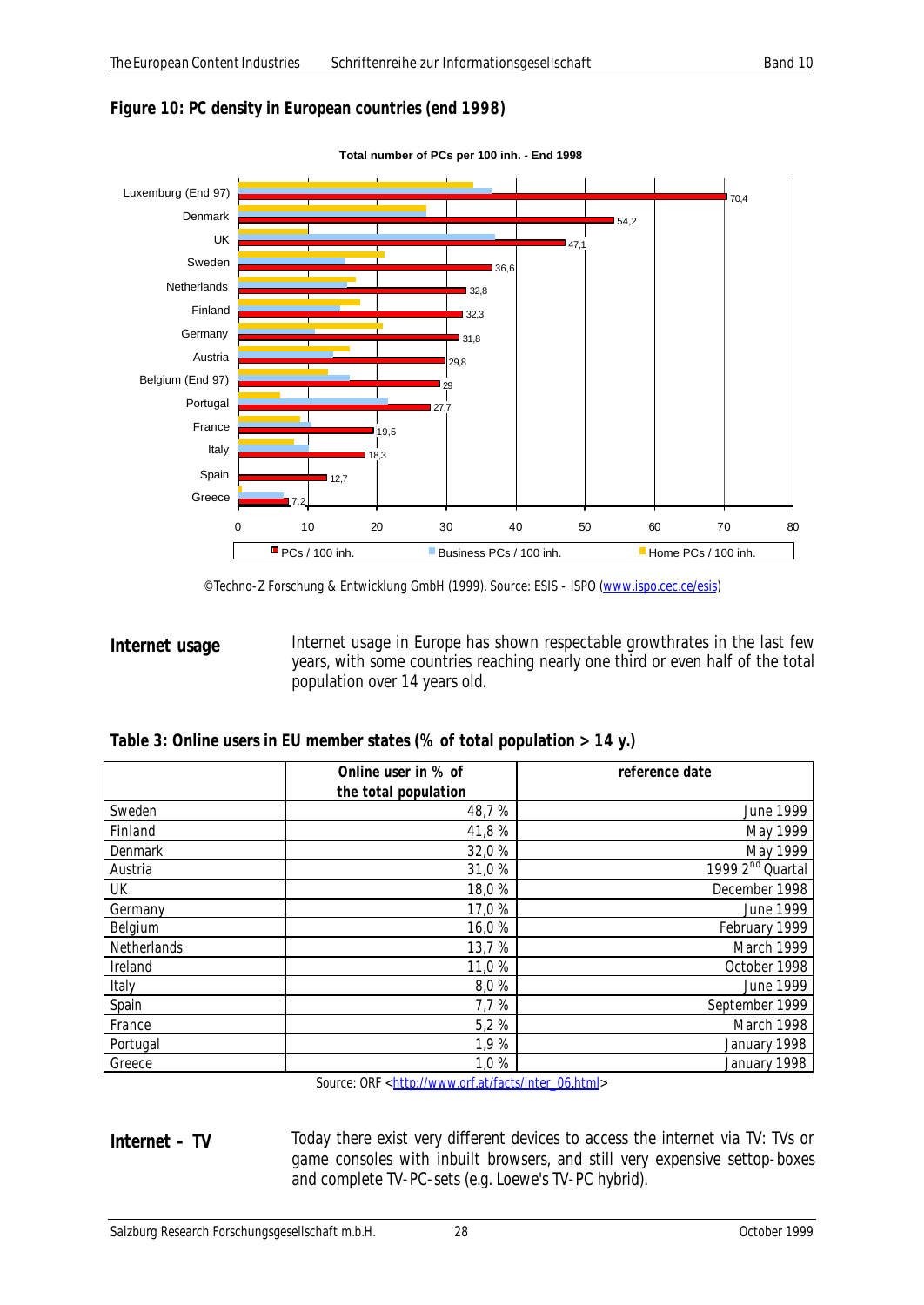#### *Figure 10: PC density in European countries (end 1998)*



**Total number of PCs per 100 inh. - End 1998**

**Internet usage Internet usage in Europe has shown respectable growthrates in the last few** years, with some countries reaching nearly one third or even half of the total population over 14 years old.

| Table 3: Online users in EU member states (% of total population > 14 y.) |  |  |  |
|---------------------------------------------------------------------------|--|--|--|
|---------------------------------------------------------------------------|--|--|--|

|                | Online user in % of  | reference date               |
|----------------|----------------------|------------------------------|
|                | the total population |                              |
| Sweden         | 48,7%                | <b>June 1999</b>             |
| Finland        | 41,8%                | May 1999                     |
| <b>Denmark</b> | 32,0 %               | May 1999                     |
| Austria        | 31,0%                | 1999 2 <sup>nd</sup> Quartal |
| UK             | 18,0%                | December 1998                |
| Germany        | 17,0 %               | June 1999                    |
| Belgium        | 16,0%                | February 1999                |
| Netherlands    | 13,7 %               | March 1999                   |
| Ireland        | 11,0 %               | October 1998                 |
| Italy          | 8,0%                 | June 1999                    |
| Spain          | 7,7 %                | September 1999               |
| France         | 5,2%                 | March 1998                   |
| Portugal       | 1,9%                 | January 1998                 |
| Greece         | 1,0%                 | January 1998                 |

Source: ORF <http://www.orf.at/facts/inter\_06.html>

**Internet – TV** Today there exist very different devices to access the internet via TV: TVs or game consoles with inbuilt browsers, and still very expensive settop-boxes and complete TV-PC-sets (e.g. Loewe's TV-PC hybrid).

<sup>©</sup> Techno-Z Forschung & Entwicklung GmbH (1999). Source: ESIS - ISPO (www.ispo.cec.ce/esis)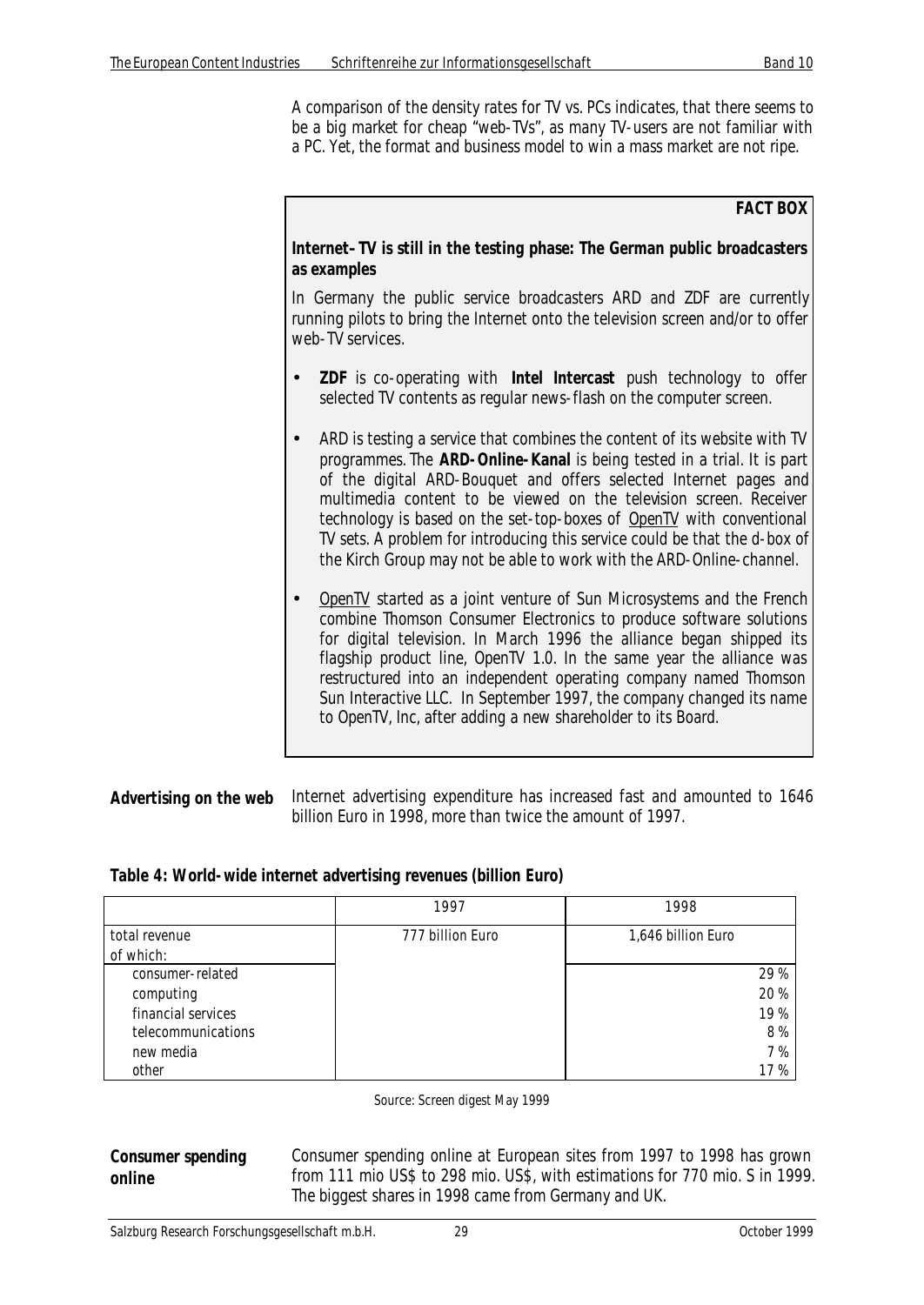A comparison of the density rates for TV vs. PCs indicates, that there seems to be a big market for cheap "web-TVs", as many TV-users are not familiar with a PC. Yet, the format and business model to win a mass market are not ripe.

#### **FACT BOX**

#### **Internet–TV is still in the testing phase: The German public broadcasters as examples**

In Germany the public service broadcasters ARD and ZDF are currently running pilots to bring the Internet onto the television screen and/or to offer web-TV services.

- **ZDF** is co-operating with **Intel Intercast** push technology to offer selected TV contents as regular news-flash on the computer screen.
- ARD is testing a service that combines the content of its website with TV programmes. The **ARD-Online-Kanal** is being tested in a trial. It is part of the digital ARD-Bouquet and offers selected Internet pages and multimedia content to be viewed on the television screen. Receiver technology is based on the set-top-boxes of OpenTV with conventional TV sets. A problem for introducing this service could be that the d-box of the Kirch Group may not be able to work with the ARD-Online-channel.
- OpenTV started as a joint venture of Sun Microsystems and the French combine Thomson Consumer Electronics to produce software solutions for digital television. In March 1996 the alliance began shipped its flagship product line, OpenTV 1.0. In the same year the alliance was restructured into an independent operating company named Thomson Sun Interactive LLC. In September 1997, the company changed its name to OpenTV, Inc, after adding a new shareholder to its Board.

| Advertising on the web Internet advertising expenditure has increased fast and amounted to 1646 |
|-------------------------------------------------------------------------------------------------|
| billion Euro in 1998, more than twice the amount of 1997.                                       |

|                    | 1997             | 1998               |
|--------------------|------------------|--------------------|
| total revenue      | 777 billion Euro | 1,646 billion Euro |
| of which:          |                  |                    |
| consumer-related   |                  | 29 %               |
| computing          |                  | 20 %               |
| financial services |                  | 19%                |
| telecommunications |                  | 8%                 |
| new media          |                  | 7%                 |
| other              |                  | 17 %               |

#### *Table 4: World-wide internet advertising revenues (billion Euro)*

Source: Screen digest May 1999

#### **Consumer spending online**

Consumer spending online at European sites from 1997 to 1998 has grown from 111 mio US\$ to 298 mio. US\$, with estimations for 770 mio. S in 1999. The biggest shares in 1998 came from Germany and UK.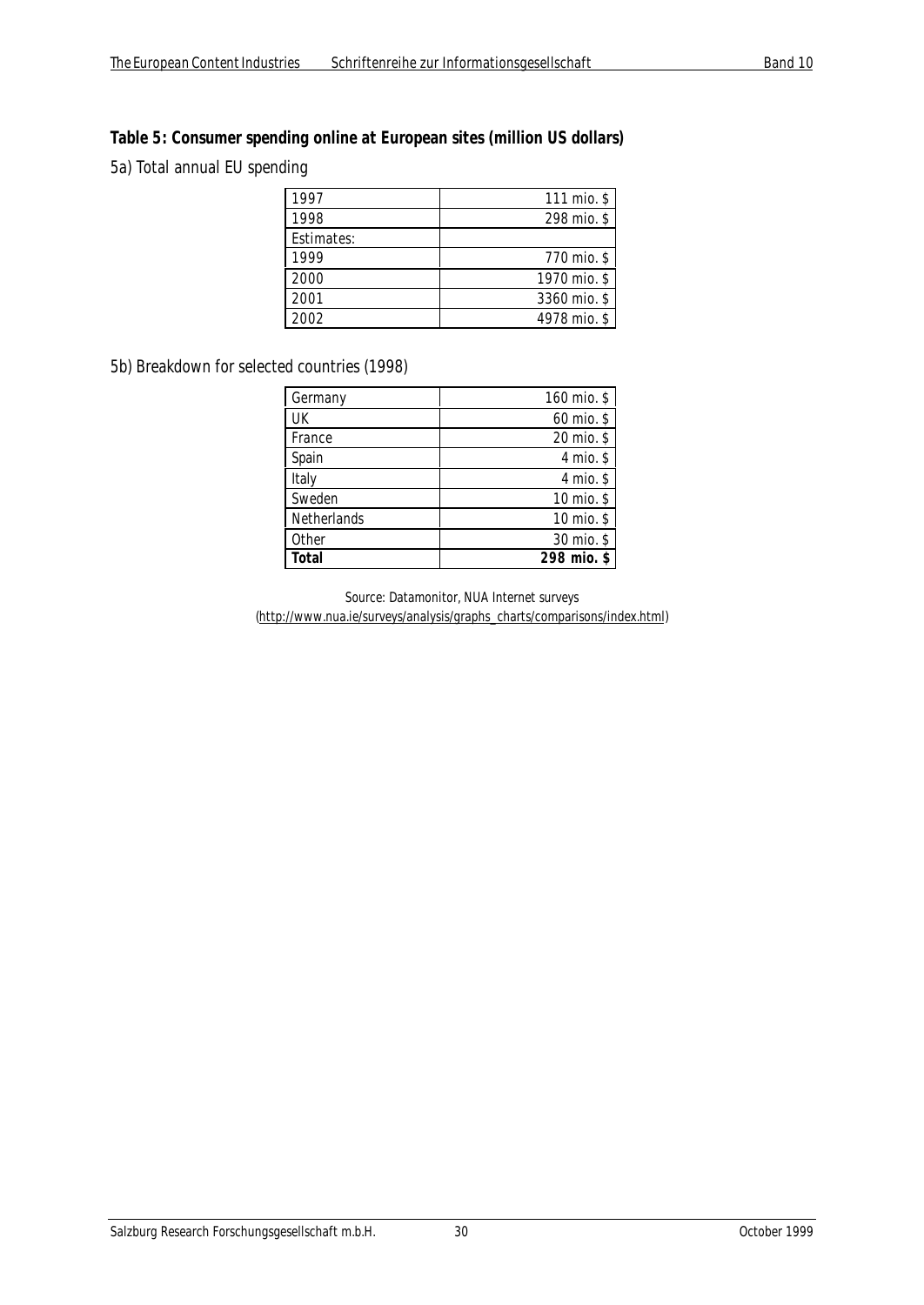#### *Table 5: Consumer spending online at European sites (million US dollars)*

5a) Total annual EU spending

| 1997       | 111 mio. \$  |
|------------|--------------|
| 1998       | 298 mio. \$  |
| Estimates: |              |
| 1999       | 770 mio. \$  |
| 2000       | 1970 mio. \$ |
| 2001       | 3360 mio. \$ |
| 2002       | 4978 mio. \$ |

#### 5b) Breakdown for selected countries (1998)

| Germany     | 160 mio. \$ |
|-------------|-------------|
| UK          | 60 mio. \$  |
| France      | 20 mio. \$  |
| Spain       | 4 mio. $$$  |
| Italy       | 4 mio. \$   |
| Sweden      | 10 mio. \$  |
| Netherlands | 10 mio. \$  |
| Other       | 30 mio. \$  |
| Total       | 298 mio. \$ |

Source: Datamonitor, NUA Internet surveys (http://www.nua.ie/surveys/analysis/graphs\_charts/comparisons/index.html)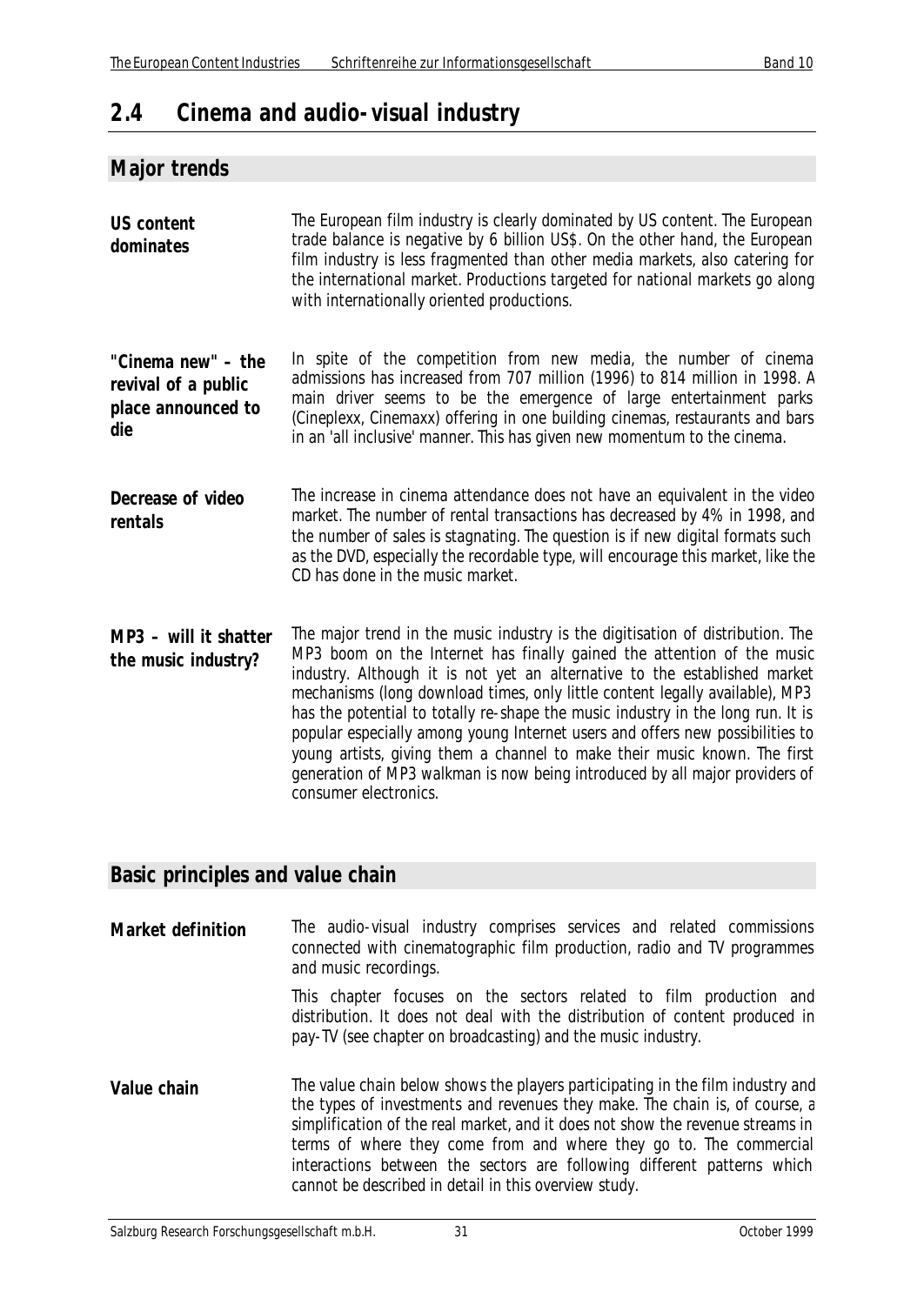# **2.4 Cinema and audio-visual industry**

#### **Major trends**

| <b>US content</b><br>dominates                                         | The European film industry is clearly dominated by US content. The European<br>trade balance is negative by 6 billion US\$. On the other hand, the European<br>film industry is less fragmented than other media markets, also catering for<br>the international market. Productions targeted for national markets go along<br>with internationally oriented productions.                                                                                                                                                                                                                                                                                                      |
|------------------------------------------------------------------------|--------------------------------------------------------------------------------------------------------------------------------------------------------------------------------------------------------------------------------------------------------------------------------------------------------------------------------------------------------------------------------------------------------------------------------------------------------------------------------------------------------------------------------------------------------------------------------------------------------------------------------------------------------------------------------|
| "Cinema new" - the<br>revival of a public<br>place announced to<br>die | In spite of the competition from new media, the number of cinema<br>admissions has increased from 707 million (1996) to 814 million in 1998. A<br>main driver seems to be the emergence of large entertainment parks<br>(Cineplexx, Cinemaxx) offering in one building cinemas, restaurants and bars<br>in an 'all inclusive' manner. This has given new momentum to the cinema.                                                                                                                                                                                                                                                                                               |
| Decrease of video<br>rentals                                           | The increase in cinema attendance does not have an equivalent in the video<br>market. The number of rental transactions has decreased by 4% in 1998, and<br>the number of sales is stagnating. The question is if new digital formats such<br>as the DVD, especially the recordable type, will encourage this market, like the<br>CD has done in the music market.                                                                                                                                                                                                                                                                                                             |
| MP3 - will it shatter<br>the music industry?                           | The major trend in the music industry is the digitisation of distribution. The<br>MP3 boom on the Internet has finally gained the attention of the music<br>industry. Although it is not yet an alternative to the established market<br>mechanisms (long download times, only little content legally available), MP3<br>has the potential to totally re-shape the music industry in the long run. It is<br>popular especially among young Internet users and offers new possibilities to<br>young artists, giving them a channel to make their music known. The first<br>generation of MP3 walkman is now being introduced by all major providers of<br>consumer electronics. |

#### **Basic principles and value chain**

**Market definition** The audio-visual industry comprises services and related commissions connected with cinematographic film production, radio and TV programmes and music recordings.

> This chapter focuses on the sectors related to film production and distribution. It does not deal with the distribution of content produced in pay-TV (see chapter on broadcasting) and the music industry.

**Value chain** The value chain below shows the players participating in the film industry and the types of investments and revenues they make. The chain is, of course, a simplification of the real market, and it does not show the revenue streams in terms of where they come from and where they go to. The commercial interactions between the sectors are following different patterns which cannot be described in detail in this overview study.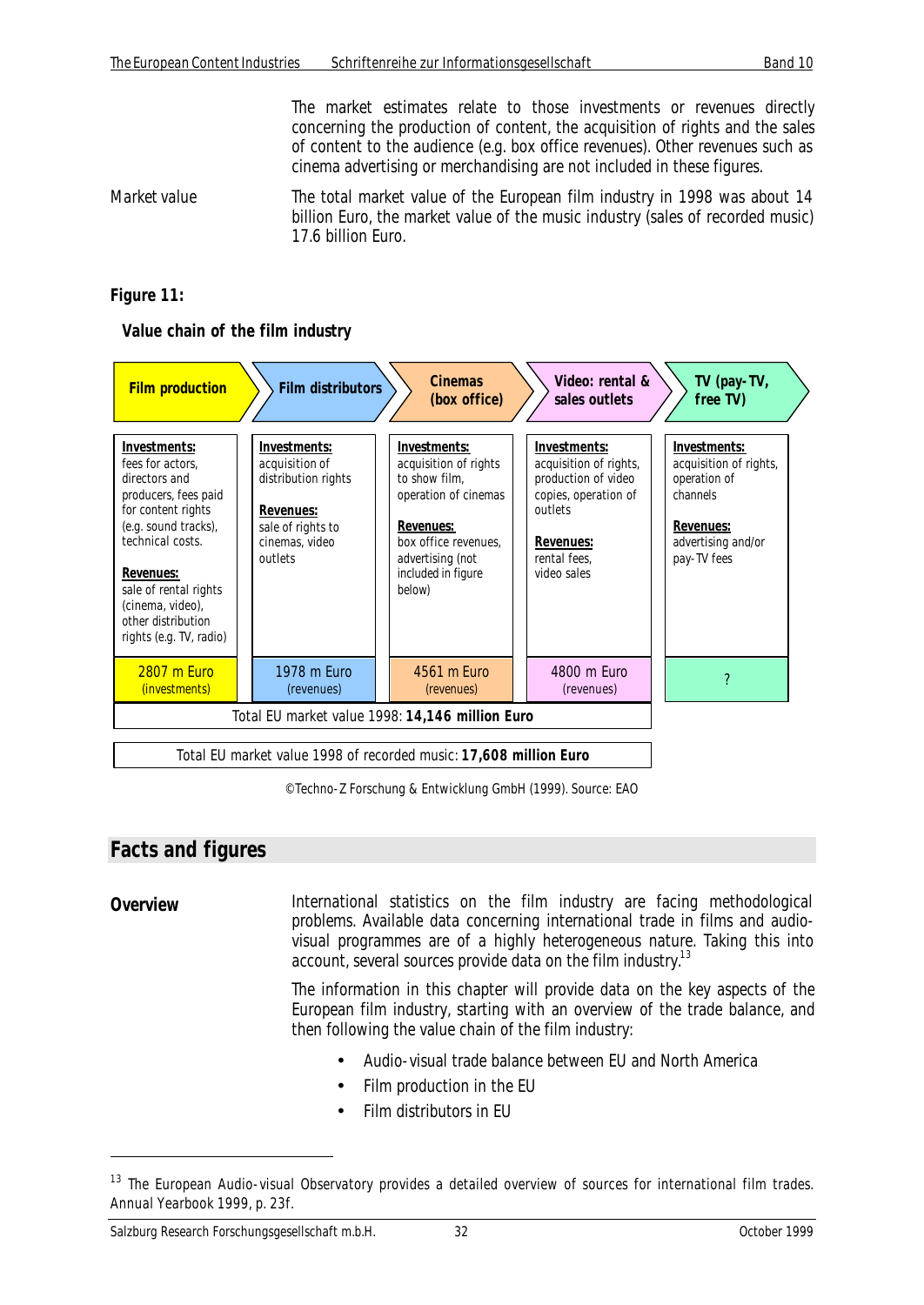The market estimates relate to those investments or revenues directly concerning the production of content, the acquisition of rights and the sales of content to the audience (e.g. box office revenues). Other revenues such as cinema advertising or merchandising are not included in these figures.

*Market value* The total market value of the European film industry in 1998 was about 14 billion Euro, the market value of the music industry (sales of recorded music) 17.6 billion Euro.

#### *Figure 11:*

#### **Value chain of the film industry**



© Techno-Z Forschung & Entwicklung GmbH (1999). Source: EAO

### **Facts and figures**

 $\overline{a}$ 

**Overview** International statistics on the film industry are facing methodological problems. Available data concerning international trade in films and audiovisual programmes are of a highly heterogeneous nature. Taking this into account, several sources provide data on the film industry.<sup>13</sup>

> The information in this chapter will provide data on the key aspects of the European film industry, starting with an overview of the trade balance, and then following the value chain of the film industry:

- Audio-visual trade balance between EU and North America
- Film production in the EU
- Film distributors in FLI

<sup>&</sup>lt;sup>13</sup> The European Audio-visual Observatory provides a detailed overview of sources for international film trades. Annual Yearbook 1999, p. 23f.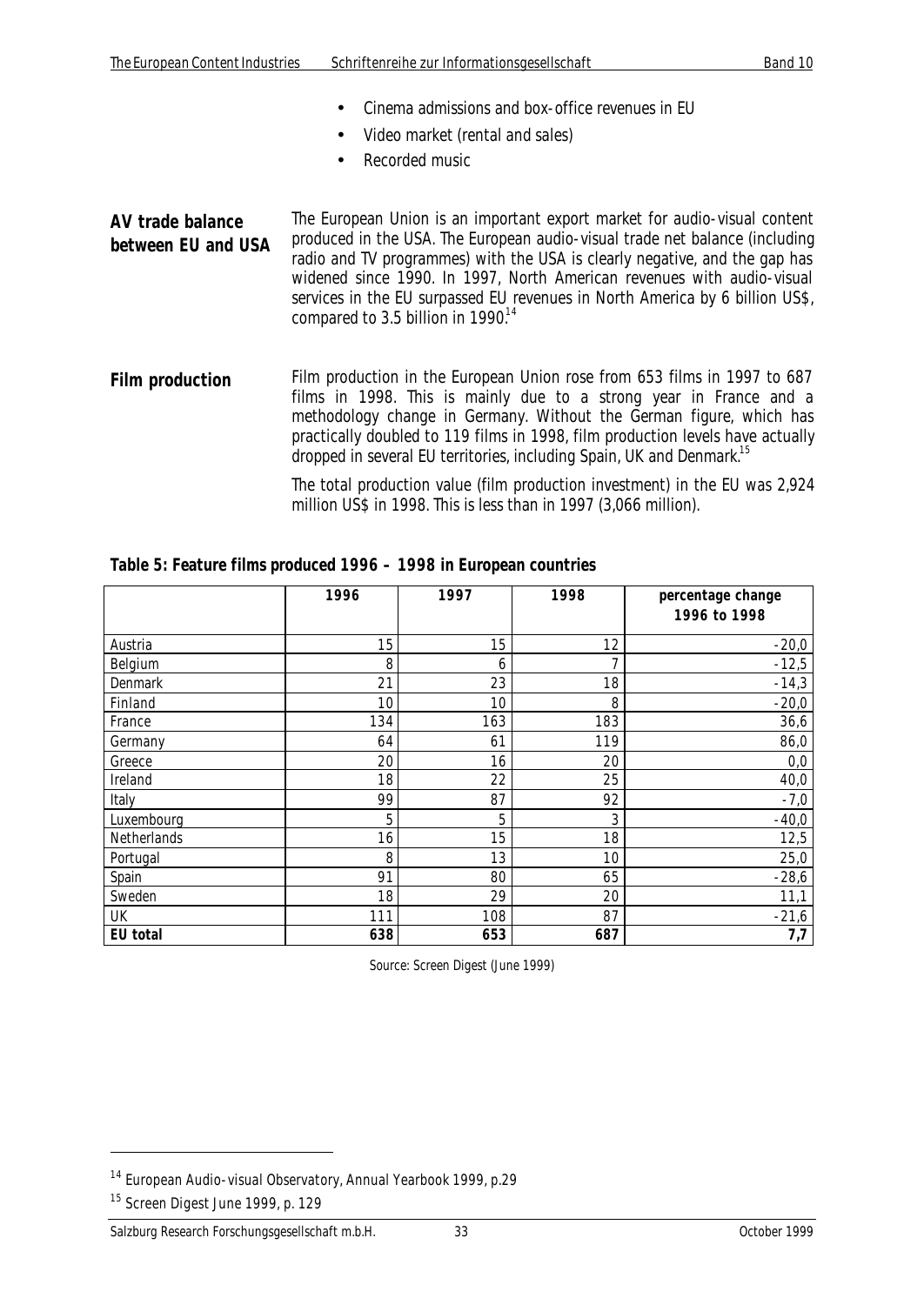- Cinema admissions and box-office revenues in EU
- Video market (rental and sales)
- Recorded music

**AV trade balance between EU and USA** The European Union is an important export market for audio-visual content produced in the USA. The European audio-visual trade net balance (including radio and TV programmes) with the USA is clearly negative, and the gap has widened since 1990. In 1997, North American revenues with audio-visual services in the EU surpassed EU revenues in North America by 6 billion US\$, compared to 3.5 billion in  $1990^{14}$ 

Film production Film production in the European Union rose from 653 films in 1997 to 687 films in 1998. This is mainly due to a strong year in France and a methodology change in Germany. Without the German figure, which has practically doubled to 119 films in 1998, film production levels have actually dropped in several EU territories, including Spain, UK and Denmark.<sup>15</sup>

> The total production value (film production investment) in the EU was 2,924 million US\$ in 1998. This is less than in 1997 (3,066 million).

|             | 1996 | 1997 | 1998 | percentage change<br>1996 to 1998 |
|-------------|------|------|------|-----------------------------------|
| Austria     | 15   | 15   | 12   | $-20,0$                           |
| Belgium     | 8    | 6    | 7    | $-12,5$                           |
| Denmark     | 21   | 23   | 18   | $-14,3$                           |
| Finland     | 10   | 10   | 8    | $-20,0$                           |
| France      | 134  | 163  | 183  | 36,6                              |
| Germany     | 64   | 61   | 119  | 86,0                              |
| Greece      | 20   | 16   | 20   | 0,0                               |
| Ireland     | 18   | 22   | 25   | 40,0                              |
| Italy       | 99   | 87   | 92   | $-7,0$                            |
| Luxembourg  | 5    | 5    | 3    | $-40,0$                           |
| Netherlands | 16   | 15   | 18   | 12,5                              |
| Portugal    | 8    | 13   | 10   | 25,0                              |
| Spain       | 91   | 80   | 65   | $-28,6$                           |
| Sweden      | 18   | 29   | 20   | 11,1                              |
| UK          | 111  | 108  | 87   | $-21,6$                           |
| EU total    | 638  | 653  | 687  | 7,7                               |

*Table 5: Feature films produced 1996 – 1998 in European countries*

Source: Screen Digest (June 1999)

<sup>14</sup> European Audio-visual Observatory, Annual Yearbook 1999, p.29

<sup>&</sup>lt;sup>15</sup> Screen Digest June 1999, p. 129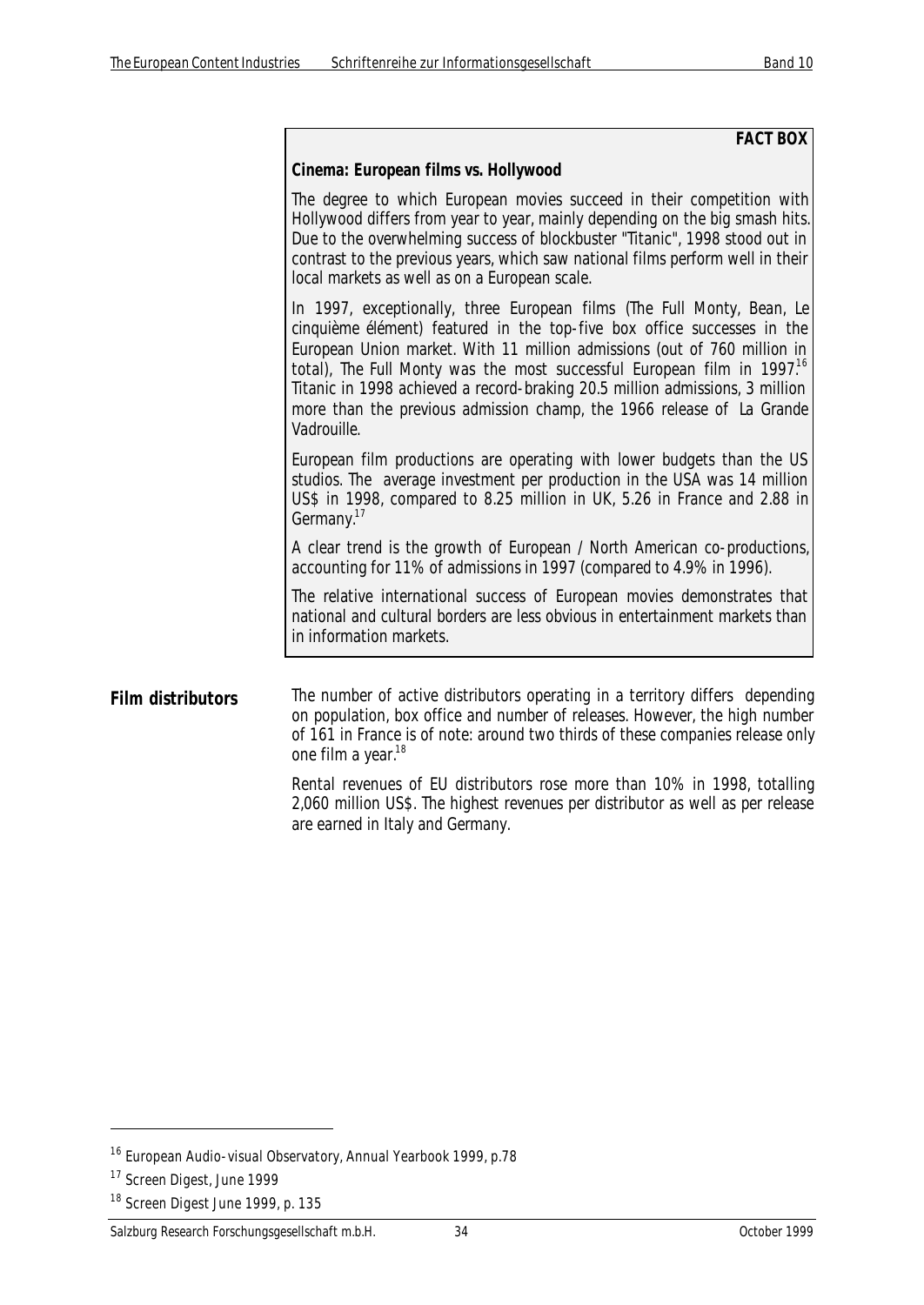#### **FACT BOX**

#### **Cinema: European films vs. Hollywood**

The degree to which European movies succeed in their competition with Hollywood differs from year to year, mainly depending on the big smash hits. Due to the overwhelming success of blockbuster "Titanic", 1998 stood out in contrast to the previous years, which saw national films perform well in their local markets as well as on a European scale.

In 1997, exceptionally, three European films (*The Full Monty, Bean, Le cinquième élément*) featured in the top-five box office successes in the European Union market. With 11 million admissions (out of 760 million in total), *The Full Monty* was the most successful European film in 1997.<sup>16</sup> Titanic in 1998 achieved a record-braking 20.5 million admissions, 3 million more than the previous admission champ, the 1966 release of *La Grande Vadrouille*.

European film productions are operating with lower budgets than the US studios. The average investment per production in the USA was 14 million US\$ in 1998, compared to 8.25 million in UK, 5.26 in France and 2.88 in Germany.<sup>17</sup>

A clear trend is the growth of European / North American co-productions, accounting for 11% of admissions in 1997 (compared to 4.9% in 1996).

The relative international success of European movies demonstrates that national and cultural borders are less obvious in entertainment markets than in information markets.

#### **Film distributors** The number of active distributors operating in a territory differs depending on population, box office and number of releases. However, the high number of 161 in France is of note: around two thirds of these companies release only one film a year.<sup>18</sup>

Rental revenues of EU distributors rose more than 10% in 1998, totalling 2,060 million US\$. The highest revenues per distributor as well as per release are earned in Italy and Germany.

<sup>16</sup> European Audio-visual Observatory, Annual Yearbook 1999, p.78

<sup>&</sup>lt;sup>17</sup> Screen Digest, June 1999

<sup>&</sup>lt;sup>18</sup> Screen Digest June 1999, p. 135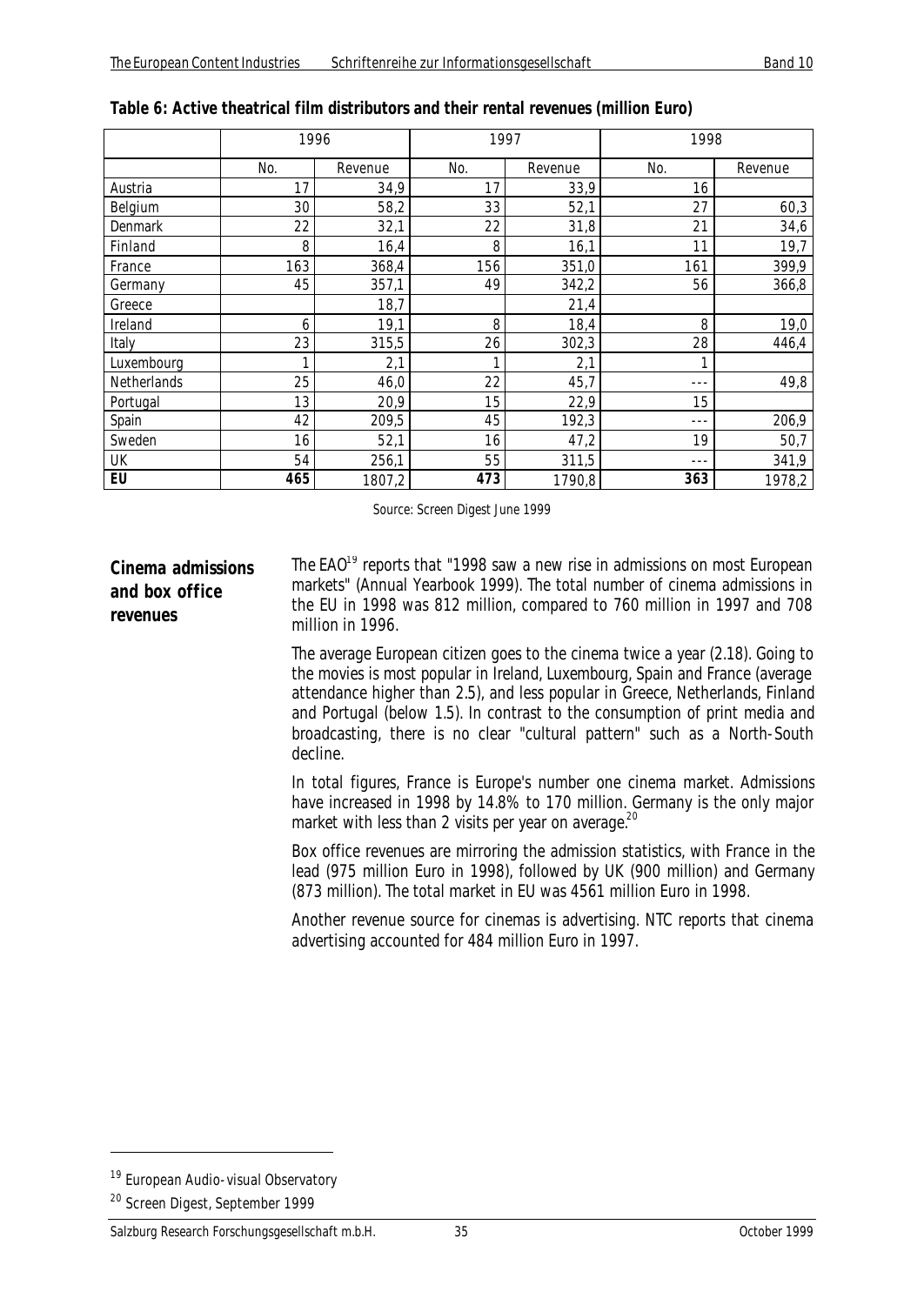|             | 1996 |         |     | 1997    |     | 1998    |  |
|-------------|------|---------|-----|---------|-----|---------|--|
|             | No.  | Revenue | No. | Revenue | No. | Revenue |  |
| Austria     | 17   | 34,9    | 17  | 33,9    | 16  |         |  |
| Belgium     | 30   | 58,2    | 33  | 52,1    | 27  | 60,3    |  |
| Denmark     | 22   | 32,1    | 22  | 31,8    | 21  | 34,6    |  |
| Finland     | 8    | 16,4    | 8   | 16,1    | 11  | 19,7    |  |
| France      | 163  | 368,4   | 156 | 351,0   | 161 | 399,9   |  |
| Germany     | 45   | 357,1   | 49  | 342,2   | 56  | 366,8   |  |
| Greece      |      | 18,7    |     | 21,4    |     |         |  |
| Ireland     | 6    | 19,1    | 8   | 18,4    | 8   | 19,0    |  |
| Italy       | 23   | 315,5   | 26  | 302,3   | 28  | 446,4   |  |
| Luxembourg  | 1    | 2,1     |     | 2,1     | 1   |         |  |
| Netherlands | 25   | 46,0    | 22  | 45,7    | --- | 49,8    |  |
| Portugal    | 13   | 20,9    | 15  | 22,9    | 15  |         |  |
| Spain       | 42   | 209,5   | 45  | 192,3   | --- | 206,9   |  |
| Sweden      | 16   | 52,1    | 16  | 47,2    | 19  | 50,7    |  |
| UK          | 54   | 256,1   | 55  | 311,5   | --- | 341,9   |  |
| EU          | 465  | 1807,2  | 473 | 1790,8  | 363 | 1978,2  |  |

| Table 6: Active theatrical film distributors and their rental revenues (million Euro) |  |  |  |  |  |
|---------------------------------------------------------------------------------------|--|--|--|--|--|
|---------------------------------------------------------------------------------------|--|--|--|--|--|

Source: Screen Digest June 1999

#### **Cinema admissions and box office revenues**

The  $EAO<sup>19</sup>$  reports that "1998 saw a new rise in admissions on most European markets" (Annual Yearbook 1999). The total number of cinema admissions in the EU in 1998 was 812 million, compared to 760 million in 1997 and 708 million in 1996.

The average European citizen goes to the cinema twice a year (2.18). Going to the movies is most popular in Ireland, Luxembourg, Spain and France (average attendance higher than 2.5), and less popular in Greece, Netherlands, Finland and Portugal (below 1.5). In contrast to the consumption of print media and broadcasting, there is no clear "cultural pattern" such as a North-South decline.

In total figures, France is Europe's number one cinema market. Admissions have increased in 1998 by 14.8% to 170 million. Germany is the only major market with less than 2 visits per year on average.<sup>20</sup>

Box office revenues are mirroring the admission statistics, with France in the lead (975 million Euro in 1998), followed by UK (900 million) and Germany (873 million). The total market in EU was 4561 million Euro in 1998.

Another revenue source for cinemas is advertising. NTC reports that cinema advertising accounted for 484 million Euro in 1997.

<sup>&</sup>lt;sup>19</sup> European Audio-visual Observatory

<sup>20</sup> Screen Digest, September 1999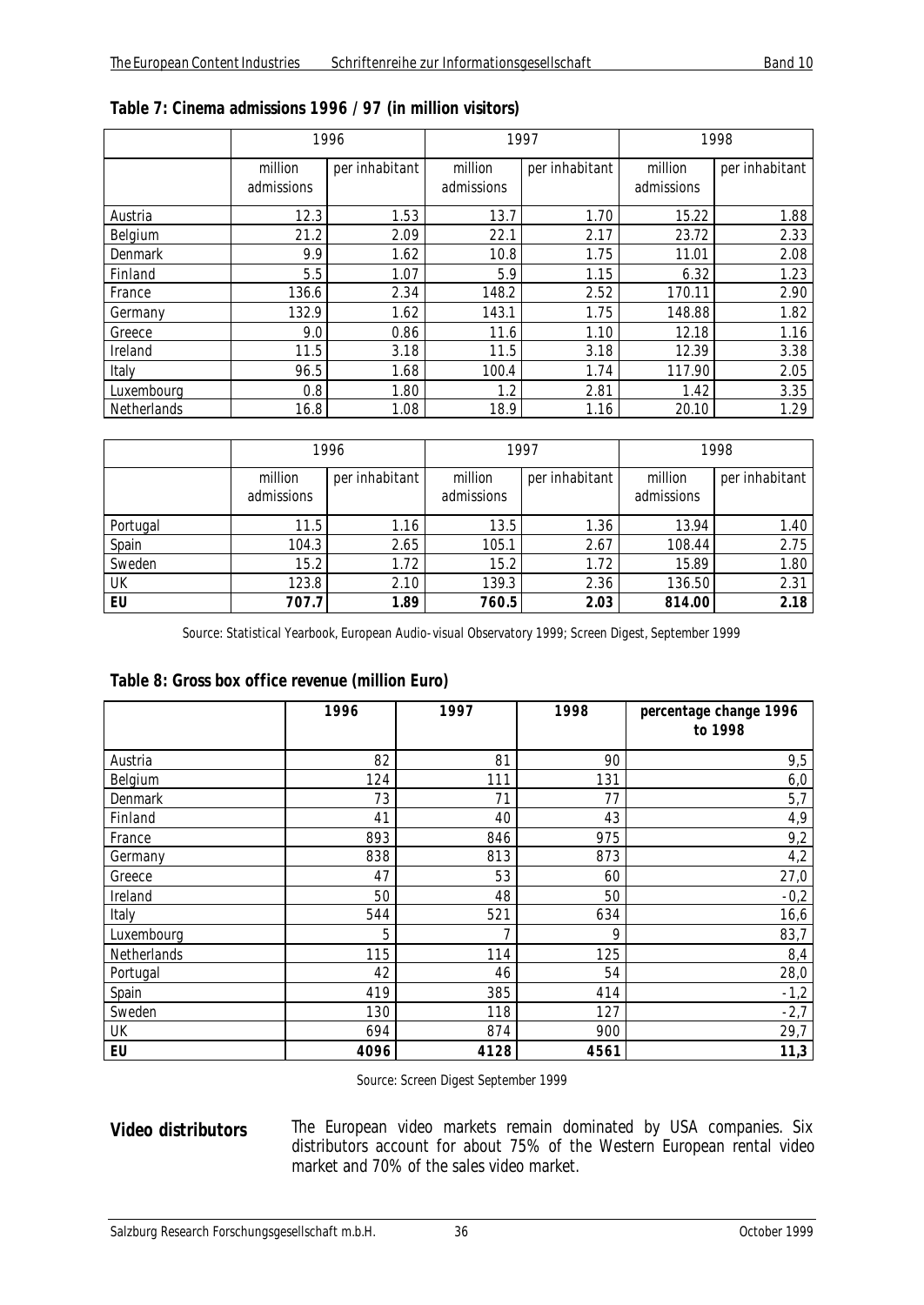|             | 1996                  |                | 1997                  |                | 1998                  |                |
|-------------|-----------------------|----------------|-----------------------|----------------|-----------------------|----------------|
|             | million<br>admissions | per inhabitant | million<br>admissions | per inhabitant | million<br>admissions | per inhabitant |
| Austria     | 12.3                  | 1.53           | 13.7                  | 1.70           | 15.22                 | 1.88           |
| Belgium     | 21.2                  | 2.09           | 22.1                  | 2.17           | 23.72                 | 2.33           |
| Denmark     | 9.9                   | 1.62           | 10.8                  | 1.75           | 11.01                 | 2.08           |
| Finland     | 5.5                   | 1.07           | 5.9                   | 1.15           | 6.32                  | 1.23           |
| France      | 136.6                 | 2.34           | 148.2                 | 2.52           | 170.11                | 2.90           |
| Germany     | 132.9                 | 1.62           | 143.1                 | 1.75           | 148.88                | 1.82           |
| Greece      | 9.0                   | 0.86           | 11.6                  | 1.10           | 12.18                 | 1.16           |
| Ireland     | 11.5                  | 3.18           | 11.5                  | 3.18           | 12.39                 | 3.38           |
| Italy       | 96.5                  | 1.68           | 100.4                 | 1.74           | 117.90                | 2.05           |
| Luxembourg  | 0.8                   | 1.80           | 1.2                   | 2.81           | 1.42                  | 3.35           |
| Netherlands | 16.8                  | 1.08           | 18.9                  | 1.16           | 20.10                 | 1.29           |

| Table 7: Cinema admissions 1996 / 97 (in million visitors) |  |  |  |  |
|------------------------------------------------------------|--|--|--|--|
|------------------------------------------------------------|--|--|--|--|

|          | 1996                  |                | 1997                  |                | 1998                  |                |
|----------|-----------------------|----------------|-----------------------|----------------|-----------------------|----------------|
|          | million<br>admissions | per inhabitant | million<br>admissions | per inhabitant | million<br>admissions | per inhabitant |
| Portugal | 11.5                  | 1.16           | 13.5                  | 1.36           | 13.94                 | 1.40           |
| Spain    | 104.3                 | 2.65           | 105.1                 | 2.67           | 108.44                | 2.75           |
| Sweden   | 15.2                  | 1.72           | 15.2                  | 1.72           | 15.89                 | 1.80           |
| UK       | 123.8                 | 2.10           | 139.3                 | 2.36           | 136.50                | 2.31           |
| EU       | 707.7                 | 1.89           | 760.5                 | 2.03           | 814.00                | 2.18           |

Source: Statistical Yearbook, European Audio-visual Observatory 1999; Screen Digest, September 1999

| Table 8: Gross box office revenue (million Euro) |  |
|--------------------------------------------------|--|
|--------------------------------------------------|--|

|             | 1996 | 1997 | 1998 | percentage change 1996<br>to 1998 |
|-------------|------|------|------|-----------------------------------|
| Austria     | 82   | 81   | 90   | 9,5                               |
| Belgium     | 124  | 111  | 131  | 6,0                               |
| Denmark     | 73   | 71   | 77   | 5,7                               |
| Finland     | 41   | 40   | 43   | 4,9                               |
| France      | 893  | 846  | 975  | 9,2                               |
| Germany     | 838  | 813  | 873  | 4,2                               |
| Greece      | 47   | 53   | 60   | 27,0                              |
| Ireland     | 50   | 48   | 50   | $-0,2$                            |
| Italy       | 544  | 521  | 634  | 16,6                              |
| Luxembourg  | 5    | 7    | 9    | 83,7                              |
| Netherlands | 115  | 114  | 125  | 8,4                               |
| Portugal    | 42   | 46   | 54   | 28,0                              |
| Spain       | 419  | 385  | 414  | $-1,2$                            |
| Sweden      | 130  | 118  | 127  | $-2,7$                            |
| UK          | 694  | 874  | 900  | 29,7                              |
| EU          | 4096 | 4128 | 4561 | 11,3                              |

Source: Screen Digest September 1999

**Video distributors** The European video markets remain dominated by USA companies. Six distributors account for about 75% of the Western European rental video market and 70% of the sales video market.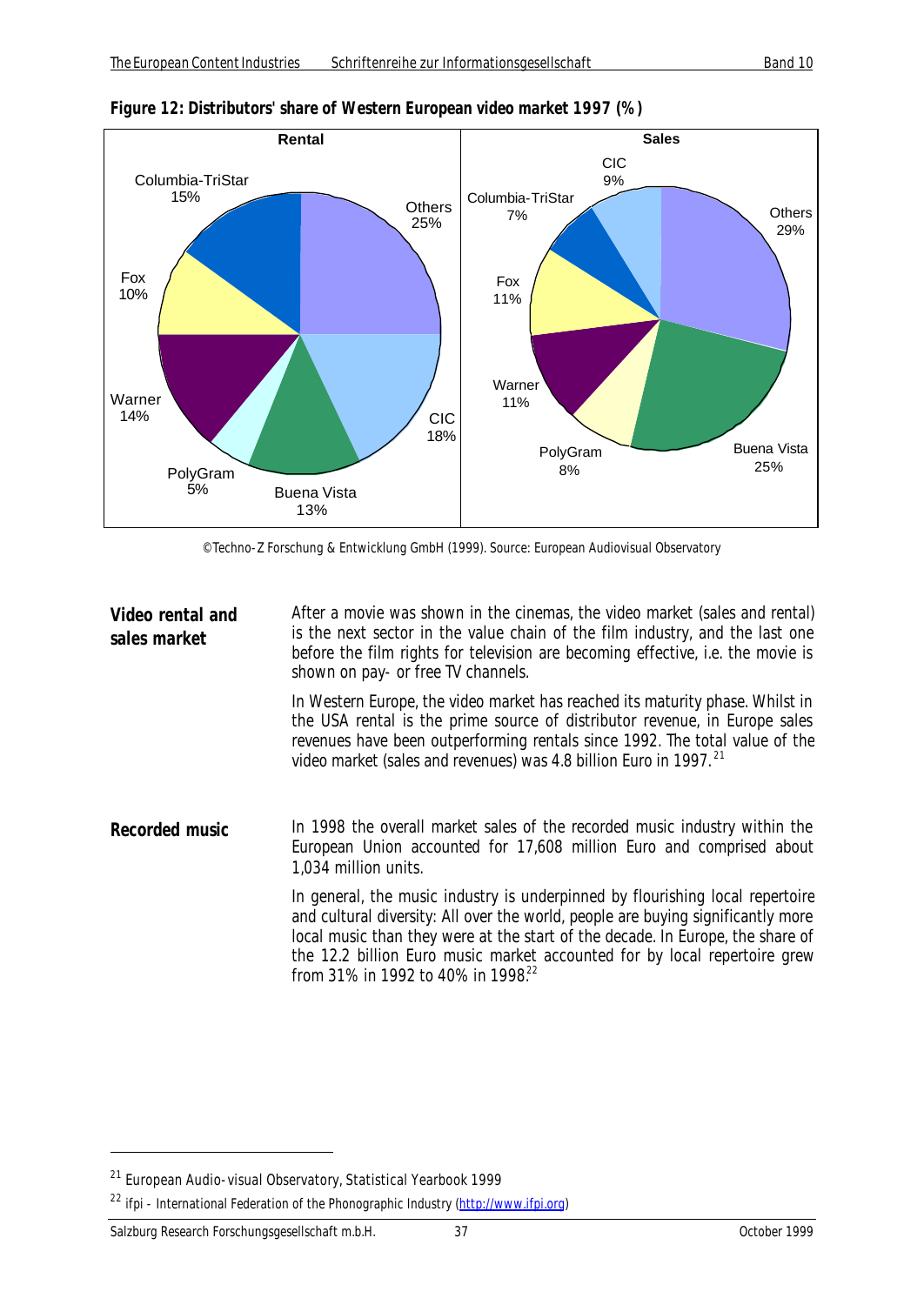

*Figure 12: Distributors' share of Western European video market 1997 (%)*

© Techno-Z Forschung & Entwicklung GmbH (1999). Source: European Audiovisual Observatory

**Video rental and sales market** After a movie was shown in the cinemas, the video market (sales and rental) is the next sector in the value chain of the film industry, and the last one before the film rights for television are becoming effective, i.e. the movie is shown on pay- or free TV channels.

> In Western Europe, the video market has reached its maturity phase. Whilst in the USA rental is the prime source of distributor revenue, in Europe sales revenues have been outperforming rentals since 1992. The total value of the video market (sales and revenues) was 4.8 billion Euro in 1997. <sup>21</sup>

**Recorded music** In 1998 the overall market sales of the recorded music industry within the European Union accounted for 17,608 million Euro and comprised about 1,034 million units.

> In general, the music industry is underpinned by flourishing local repertoire and cultural diversity: All over the world, people are buying significantly more local music than they were at the start of the decade. In Europe, the share of the 12.2 billion Euro music market accounted for by local repertoire grew from 31% in 1992 to 40% in 1998.<sup>22</sup>

<sup>&</sup>lt;sup>21</sup> European Audio-visual Observatory, Statistical Yearbook 1999

<sup>&</sup>lt;sup>22</sup> ifpi - International Federation of the Phonographic Industry (http://www.ifpi.org)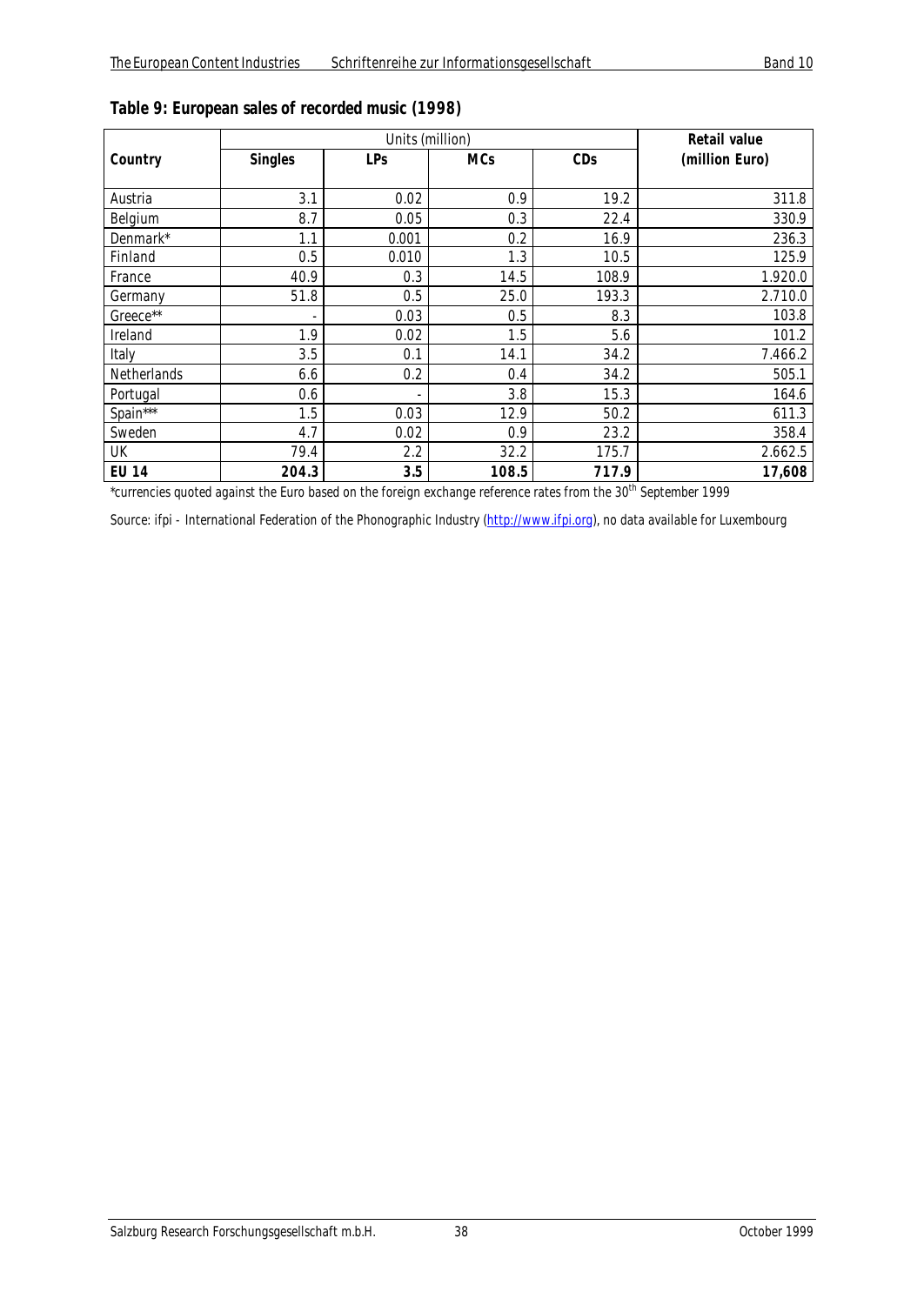|              |                | Units (million) | <b>Retail value</b> |       |                |
|--------------|----------------|-----------------|---------------------|-------|----------------|
| Country      | <b>Singles</b> | LPs             | <b>MCs</b>          | CDs   | (million Euro) |
|              |                |                 |                     |       |                |
| Austria      | 3.1            | 0.02            | 0.9                 | 19.2  | 311.8          |
| Belgium      | 8.7            | 0.05            | 0.3                 | 22.4  | 330.9          |
| Denmark*     | 1.1            | 0.001           | 0.2                 | 16.9  | 236.3          |
| Finland      | 0.5            | 0.010           | 1.3                 | 10.5  | 125.9          |
| France       | 40.9           | 0.3             | 14.5                | 108.9 | 1.920.0        |
| Germany      | 51.8           | 0.5             | 25.0                | 193.3 | 2.710.0        |
| Greece**     |                | 0.03            | 0.5                 | 8.3   | 103.8          |
| Ireland      | 1.9            | 0.02            | 1.5                 | 5.6   | 101.2          |
| Italy        | 3.5            | 0.1             | 14.1                | 34.2  | 7.466.2        |
| Netherlands  | 6.6            | 0.2             | 0.4                 | 34.2  | 505.1          |
| Portugal     | 0.6            |                 | 3.8                 | 15.3  | 164.6          |
| Spain***     | 1.5            | 0.03            | 12.9                | 50.2  | 611.3          |
| Sweden       | 4.7            | 0.02            | 0.9                 | 23.2  | 358.4          |
| UK           | 79.4           | 2.2             | 32.2                | 175.7 | 2.662.5        |
| <b>EU 14</b> | 204.3          | 3.5             | 108.5               | 717.9 | 17,608         |

## *Table 9: European sales of recorded music (1998)*

\*currencies quoted against the Euro based on the foreign exchange reference rates from the 30<sup>th</sup> September 1999

Source: ifpi - International Federation of the Phonographic Industry (http://www.ifpi.org), no data available for Luxembourg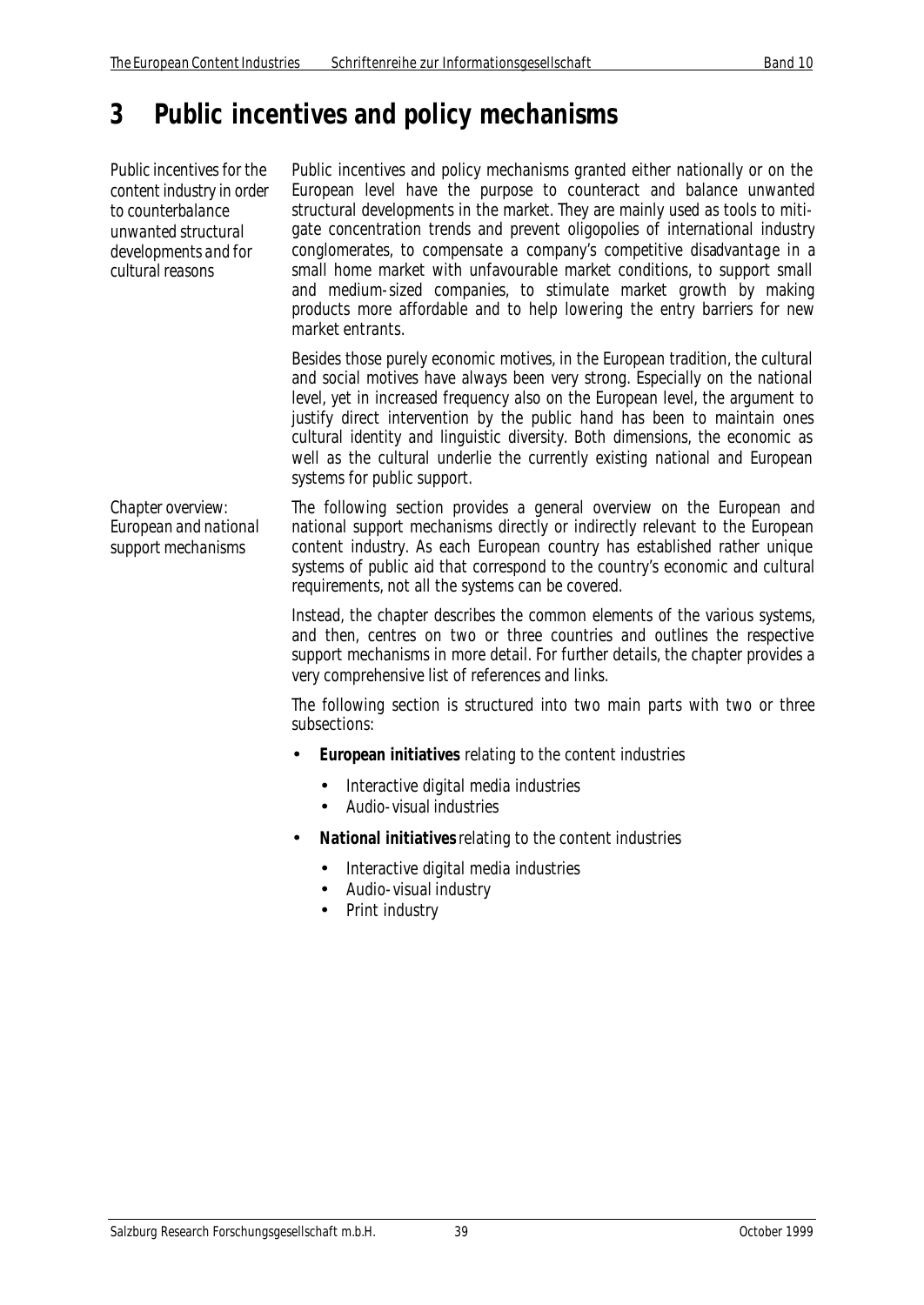# **3 Public incentives and policy mechanisms**

*Public incentives for the content industry in order to counterbalance unwanted structural developments and for cultural reasons*

Public incentives and policy mechanisms granted either nationally or on the European level have the purpose to counteract and balance unwanted structural developments in the market. They are mainly used as tools to mitigate concentration trends and prevent oligopolies of international industry conglomerates, to compensate a company's competitive disadvantage in a small home market with unfavourable market conditions, to support small and medium-sized companies, to stimulate market growth by making products more affordable and to help lowering the entry barriers for new market entrants.

Besides those purely economic motives, in the European tradition, the cultural and social motives have always been very strong. Especially on the national level, yet in increased frequency also on the European level, the argument to justify direct intervention by the public hand has been to maintain ones cultural identity and linguistic diversity. Both dimensions, the economic as well as the cultural underlie the currently existing national and European systems for public support.

*Chapter overview: European and national support mechanisms*

The following section provides a general overview on the European and national support mechanisms directly or indirectly relevant to the European content industry. As each European country has established rather unique systems of public aid that correspond to the country's economic and cultural requirements, not all the systems can be covered.

Instead, the chapter describes the common elements of the various systems, and then, centres on two or three countries and outlines the respective support mechanisms in more detail. For further details, the chapter provides a very comprehensive list of references and links.

The following section is structured into two main parts with two or three subsections:

- **European initiatives** relating to the content industries
	- Interactive digital media industries
	- Audio-visual industries
- **National initiatives** relating to the content industries
	- Interactive digital media industries
	- Audio-visual industry
	- Print industry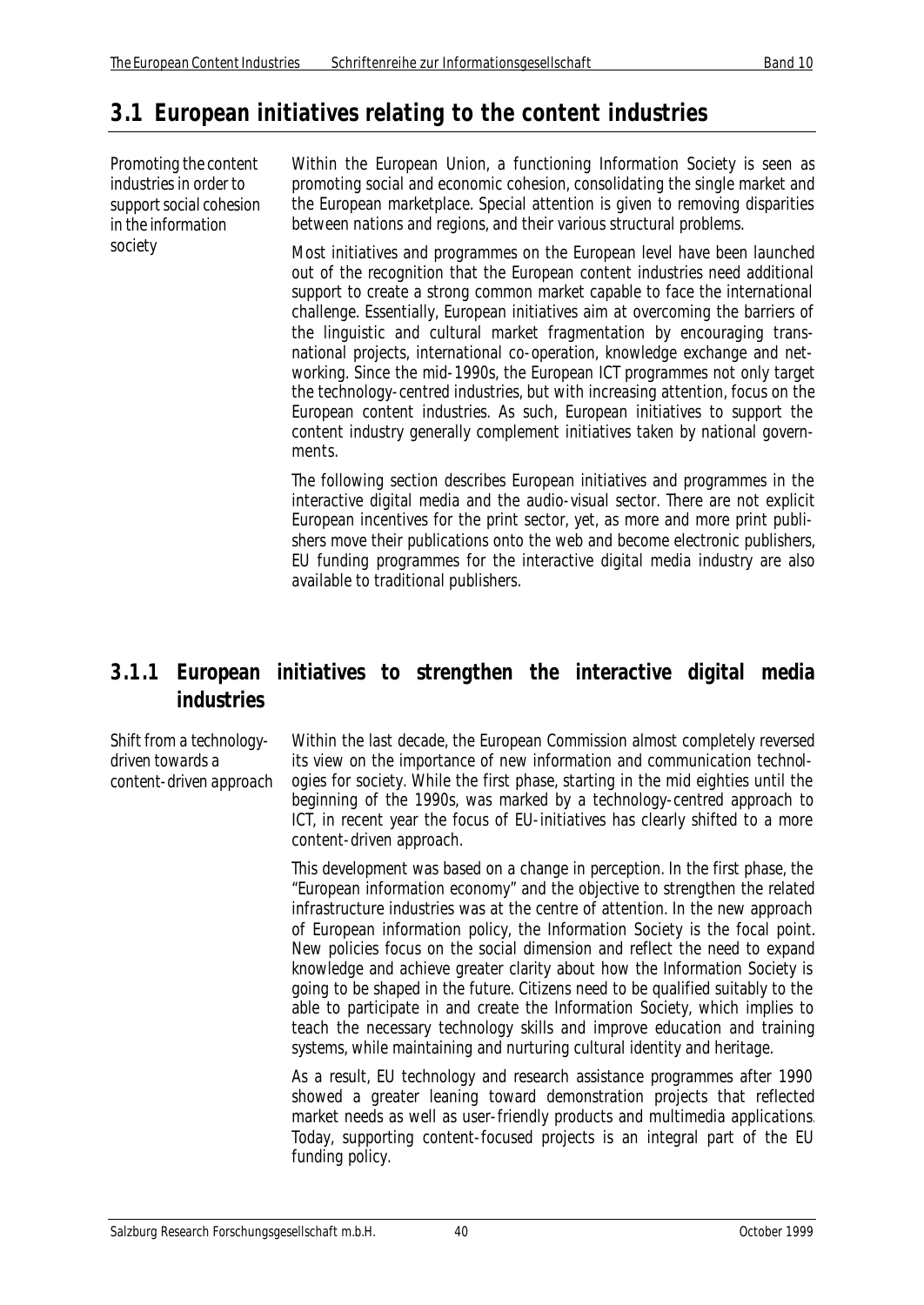## **3.1 European initiatives relating to the content industries**

*Promoting the content industries in order to support social cohesion in the information society*

Within the European Union, a functioning Information Society is seen as promoting social and economic cohesion, consolidating the single market and the European marketplace. Special attention is given to removing disparities between nations and regions, and their various structural problems.

Most initiatives and programmes on the European level have been launched out of the recognition that the European content industries need additional support to create a strong common market capable to face the international challenge. Essentially, European initiatives aim at overcoming the barriers of the linguistic and cultural market fragmentation by encouraging transnational projects, international co-operation, knowledge exchange and networking. Since the mid-1990s, the European ICT programmes not only target the technology-centred industries, but with increasing attention, focus on the European content industries. As such, European initiatives to support the content industry generally complement initiatives taken by national governments.

The following section describes European initiatives and programmes in the interactive digital media and the audio-visual sector. There are not explicit European incentives for the print sector, yet, as more and more print publishers move their publications onto the web and become electronic publishers, EU funding programmes for the interactive digital media industry are also available to traditional publishers.

## **3.1.1 European initiatives to strengthen the interactive digital media industries**

*Shift from a technologydriven towards a content-driven approach* Within the last decade, the European Commission almost completely reversed its view on the importance of new information and communication technologies for society. While the first phase, starting in the mid eighties until the beginning of the 1990s, was marked by a technology-centred approach to ICT, in recent year the focus of EU-initiatives has clearly shifted to a more content-driven approach.

This development was based on a change in perception. In the first phase, the "European information economy" and the objective to strengthen the related infrastructure industries was at the centre of attention. In the new approach of European information policy, the Information Society is the focal point. New policies focus on the social dimension and reflect the need to expand knowledge and achieve greater clarity about how the Information Society is going to be shaped in the future. Citizens need to be qualified suitably to the able to participate in and create the Information Society, which implies to teach the necessary technology skills and improve education and training systems, while maintaining and nurturing cultural identity and heritage.

As a result, EU technology and research assistance programmes after 1990 showed a greater leaning toward demonstration projects that reflected market needs as well as user-friendly products and multimedia applications. Today, supporting content-focused projects is an integral part of the EU funding policy.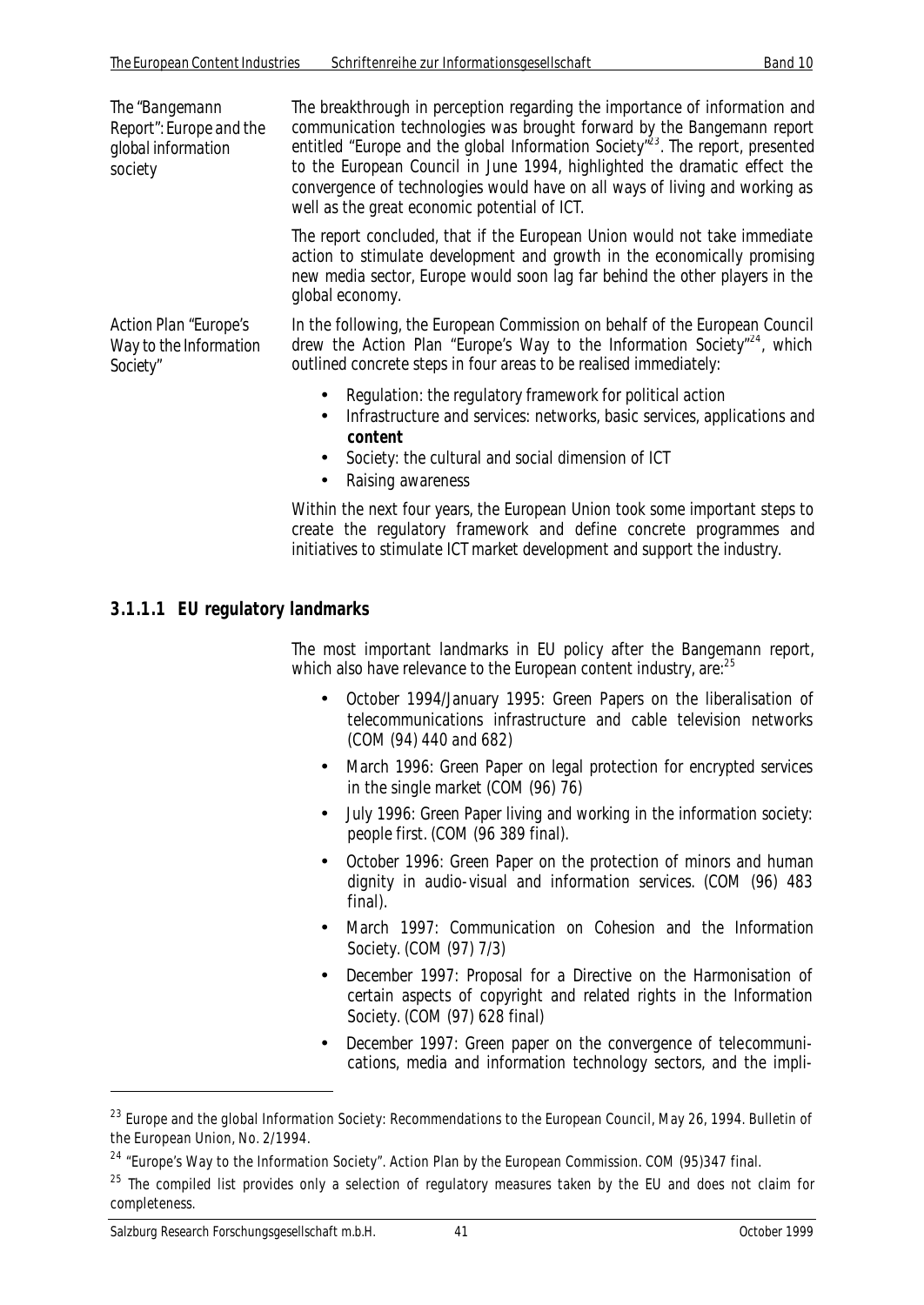| The "Bangemann<br>Report": Europe and the<br>global information<br>society | The breakthrough in perception regarding the importance of information and<br>communication technologies was brought forward by the Bangemann report<br>entitled "Europe and the global Information Society" <sup>23</sup> . The report, presented<br>to the European Council in June 1994, highlighted the dramatic effect the<br>convergence of technologies would have on all ways of living and working as<br>well as the great economic potential of ICT. |
|----------------------------------------------------------------------------|----------------------------------------------------------------------------------------------------------------------------------------------------------------------------------------------------------------------------------------------------------------------------------------------------------------------------------------------------------------------------------------------------------------------------------------------------------------|
|                                                                            | The report concluded, that if the European Union would not take immediate<br>action to stimulate development and growth in the economically promising<br>new media sector, Europe would soon lag far behind the other players in the<br>global economy.                                                                                                                                                                                                        |
| <b>Action Plan "Europe's</b><br>Way to the Information<br>Society"         | In the following, the European Commission on behalf of the European Council<br>drew the Action Plan "Europe's Way to the Information Society" <sup>24</sup> , which<br>outlined concrete steps in four areas to be realised immediately:                                                                                                                                                                                                                       |
|                                                                            | Regulation: the regulatory framework for political action<br>$\bullet$<br>Infrastructure and services, petucrks, boois services, applications and                                                                                                                                                                                                                                                                                                              |

- Infrastructure and services: networks, basic services, applications and **content**
- Society: the cultural and social dimension of ICT
- Raising awareness

Within the next four years, the European Union took some important steps to create the regulatory framework and define concrete programmes and initiatives to stimulate ICT market development and support the industry.

## **3.1.1.1 EU regulatory landmarks**

The most important landmarks in EU policy after the Bangemann report, which also have relevance to the European content industry, are:<sup>25</sup>

- October 1994/January 1995: Green Papers on the liberalisation of telecommunications infrastructure and cable television networks (COM (94) 440 and 682)
- March 1996: Green Paper on legal protection for encrypted services in the single market (COM (96) 76)
- July 1996: Green Paper living and working in the information society: people first. (COM (96 389 final).
- October 1996: Green Paper on the protection of minors and human dignity in audio-visual and information services. (COM (96) 483 final).
- March 1997: Communication on Cohesion and the Information Society. (COM (97) 7/3)
- December 1997: Proposal for a Directive on the Harmonisation of certain aspects of copyright and related rights in the Information Society. (COM (97) 628 final)
- December 1997: Green paper on the convergence of telecommunications, media and information technology sectors, and the impli-

<sup>&</sup>lt;sup>23</sup> Europe and the global Information Society: Recommendations to the European Council, May 26, 1994. Bulletin of the European Union, No. 2/1994.

<sup>&</sup>lt;sup>24</sup> "Europe's Way to the Information Society". Action Plan by the European Commission. COM (95)347 final.

 $25$  The compiled list provides only a selection of regulatory measures taken by the EU and does not claim for completeness.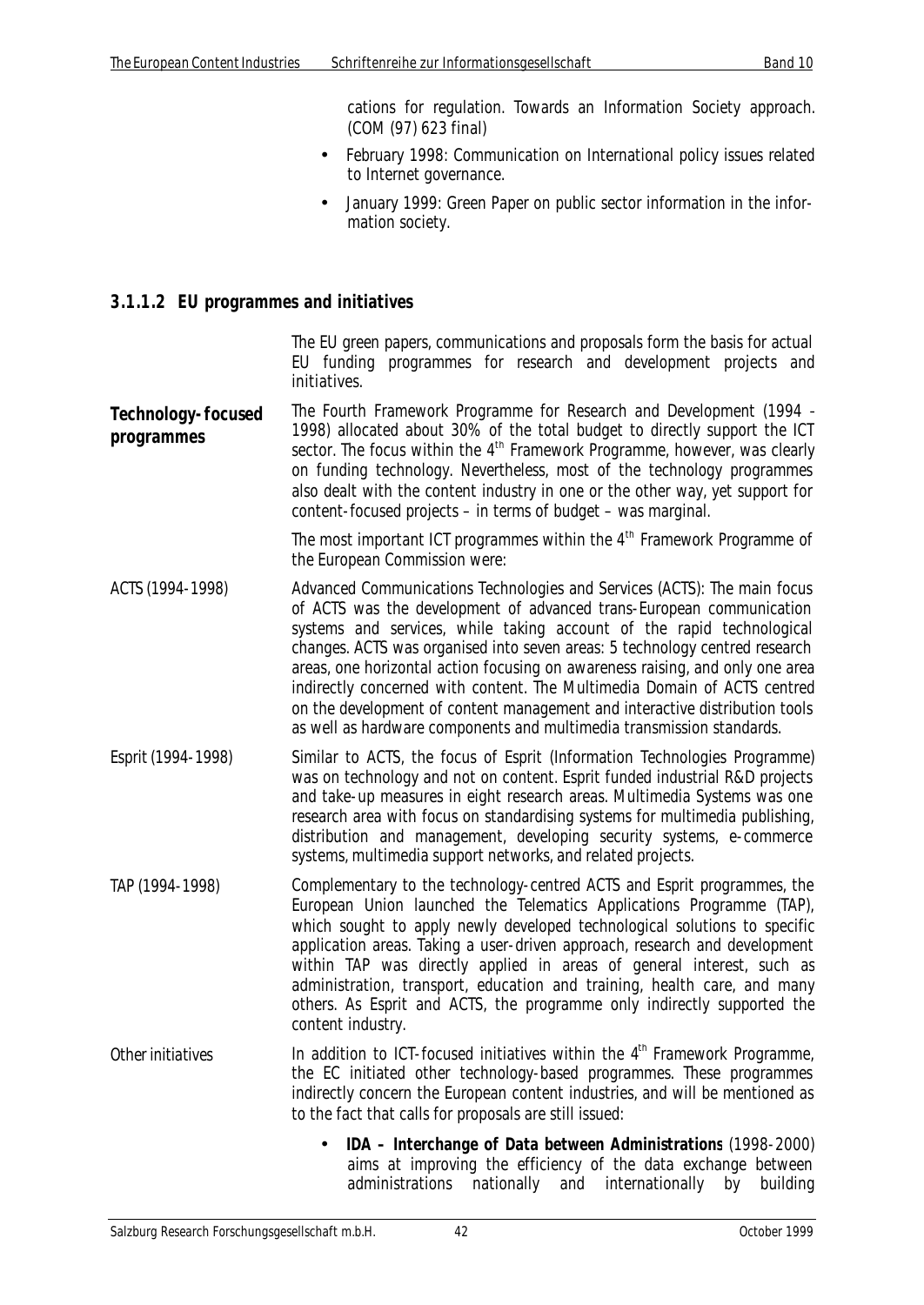cations for regulation. Towards an Information Society approach. (COM (97) 623 final)

- February 1998: Communication on International policy issues related to Internet governance.
- January 1999: Green Paper on public sector information in the information society.

#### **3.1.1.2 EU programmes and initiatives**

The EU green papers, communications and proposals form the basis for actual EU funding programmes for research and development projects and initiatives.

**Technology-focused programmes** The Fourth Framework Programme for Research and Development (1994 – 1998) allocated about 30% of the total budget to directly support the ICT sector. The focus within the 4<sup>th</sup> Framework Programme, however, was clearly on funding technology. Nevertheless, most of the technology programmes also dealt with the content industry in one or the other way, yet support for content-focused projects – in terms of budget – was marginal.

> The most important ICT programmes within the 4<sup>th</sup> Framework Programme of the European Commission were:

- *ACTS (1994-1998)* Advanced Communications Technologies and Services (ACTS): The main focus of ACTS was the development of advanced trans-European communication systems and services, while taking account of the rapid technological changes. ACTS was organised into seven areas: 5 technology centred research areas, one horizontal action focusing on awareness raising, and only one area indirectly concerned with content. The Multimedia Domain of ACTS centred on the development of content management and interactive distribution tools as well as hardware components and multimedia transmission standards.
- *Esprit (1994-1998)* Similar to ACTS, the focus of Esprit (Information Technologies Programme) was on technology and not on content. Esprit funded industrial R&D projects and take-up measures in eight research areas. Multimedia Systems was one research area with focus on standardising systems for multimedia publishing, distribution and management, developing security systems, e-commerce systems, multimedia support networks, and related projects.
- *TAP (1994-1998)* Complementary to the technology-centred ACTS and Esprit programmes, the European Union launched the Telematics Applications Programme (TAP), which sought to apply newly developed technological solutions to specific application areas. Taking a user-driven approach, research and development within TAP was directly applied in areas of general interest, such as administration, transport, education and training, health care, and many others. As Esprit and ACTS, the programme only indirectly supported the content industry.
- *Other initiatives* In addition to ICT-focused initiatives within the 4<sup>th</sup> Framework Programme, the EC initiated other technology-based programmes. These programmes indirectly concern the European content industries, and will be mentioned as to the fact that calls for proposals are still issued:
	- **IDA Interchange of Data between Administrations** (1998-2000) aims at improving the efficiency of the data exchange between administrations nationally and internationally by building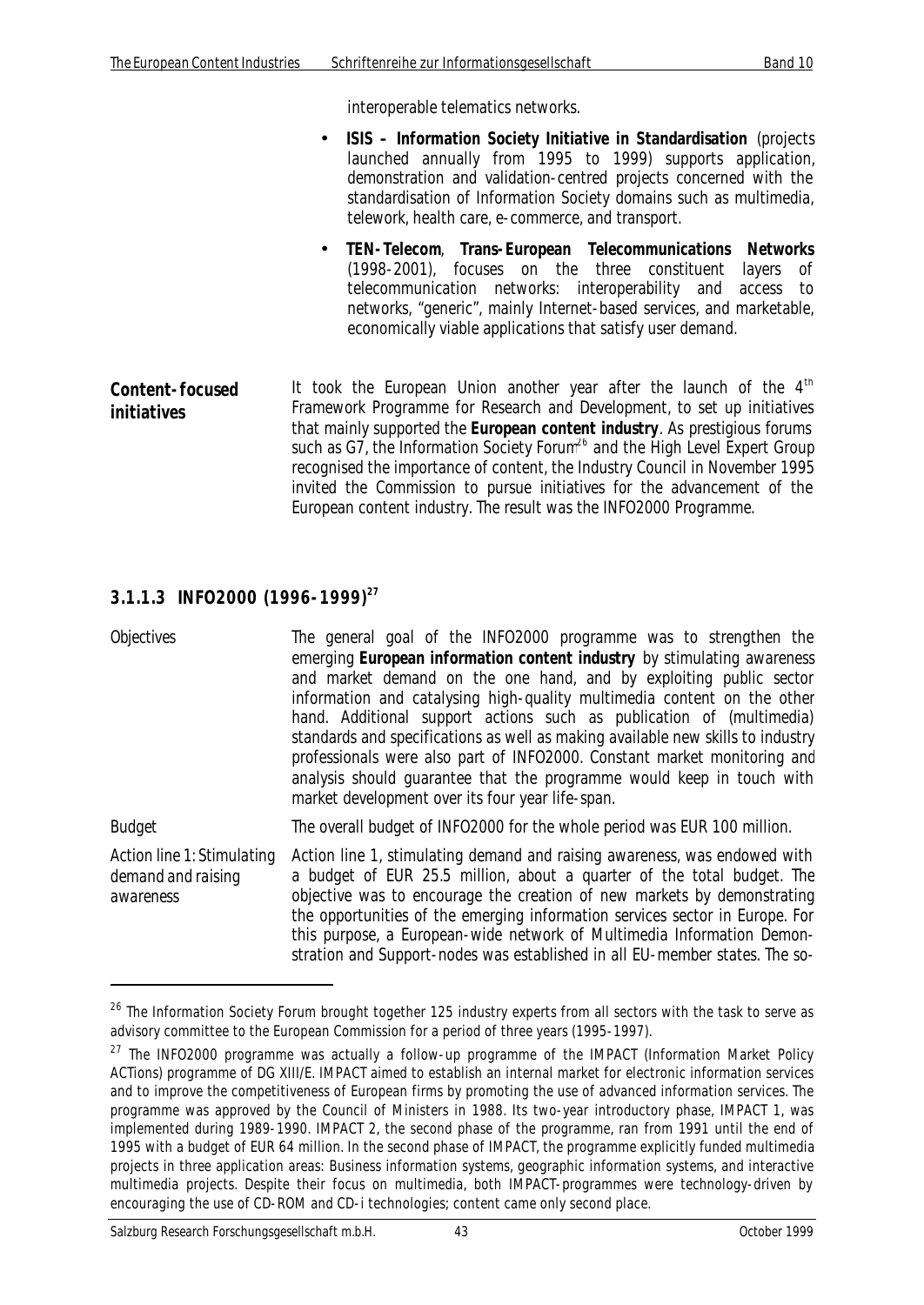interoperable telematics networks.

- **ISIS Information Society Initiative in Standardisation** (projects launched annually from 1995 to 1999) supports application, demonstration and validation-centred projects concerned with the standardisation of Information Society domains such as multimedia, telework, health care, e-commerce, and transport.
- **TEN-Telecom**, **Trans-European Telecommunications Networks** (1998-2001), focuses on the three constituent layers of telecommunication networks: interoperability and access to networks, "generic", mainly Internet-based services, and marketable, economically viable applications that satisfy user demand.
- **Content-focused initiatives** It took the European Union another year after the launch of the 4<sup>th</sup> Framework Programme for Research and Development, to set up initiatives that mainly supported the **European content industry**. As prestigious forums such as G7, the Information Society Forum<sup>26</sup> and the High Level Expert Group recognised the importance of content, the Industry Council in November 1995 invited the Commission to pursue initiatives for the advancement of the European content industry. The result was the INFO2000 Programme.

#### **3.1.1.3 INFO2000 (1996-1999)<sup>27</sup>**

*Objectives* The general goal of the INFO2000 programme was to strengthen the emerging **European information content industry** by stimulating awareness and market demand on the one hand, and by exploiting public sector information and catalysing high-quality multimedia content on the other hand. Additional support actions such as publication of (multimedia) standards and specifications as well as making available new skills to industry professionals were also part of INFO2000. Constant market monitoring and analysis should guarantee that the programme would keep in touch with market development over its four year life-span.

*Budget* The overall budget of INFO2000 for the whole period was EUR 100 million.

*Action line 1: Stimulating demand and raising awareness* Action line 1, stimulating demand and raising awareness, was endowed with a budget of EUR 25.5 million, about a quarter of the total budget. The objective was to encourage the creation of new markets by demonstrating the opportunities of the emerging information services sector in Europe. For this purpose, a European-wide network of Multimedia Information Demonstration and Support-nodes was established in all EU-member states. The so-

l

 $^{26}$  The Information Society Forum brought together 125 industry experts from all sectors with the task to serve as advisory committee to the European Commission for a period of three years (1995-1997).

 $27$  The INFO2000 programme was actually a follow-up programme of the IMPACT (Information Market Policy ACTions) programme of DG XIII/E. IMPACT aimed to establish an internal market for electronic information services and to improve the competitiveness of European firms by promoting the use of advanced information services. The programme was approved by the Council of Ministers in 1988. Its two-year introductory phase, IMPACT 1, was implemented during 1989-1990. IMPACT 2, the second phase of the programme, ran from 1991 until the end of 1995 with a budget of EUR 64 million. In the second phase of IMPACT, the programme explicitly funded multimedia projects in three application areas: Business information systems, geographic information systems, and interactive multimedia projects. Despite their focus on multimedia, both IMPACT-programmes were technology-driven by encouraging the use of CD-ROM and CD-i technologies; content came only second place.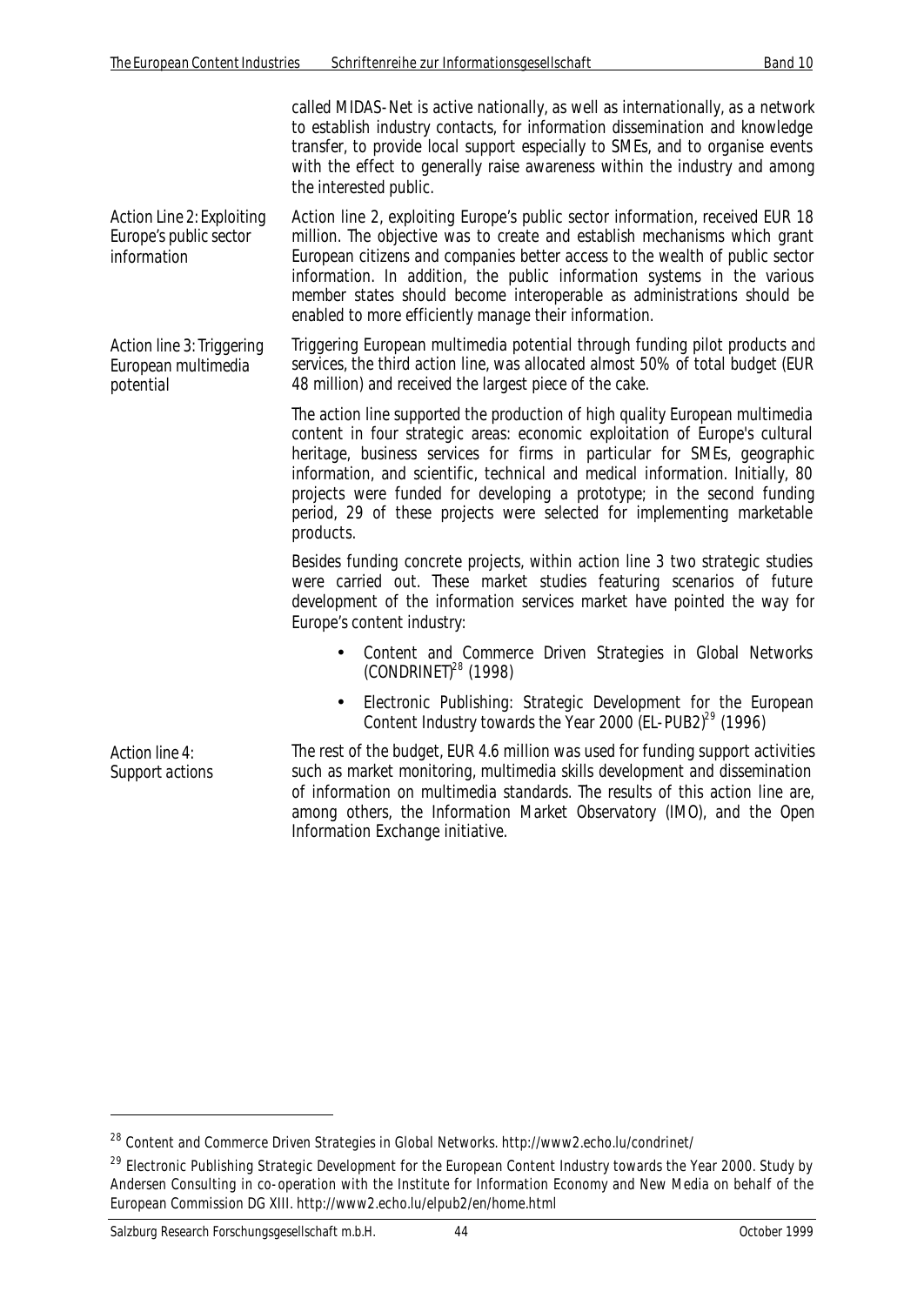called MIDAS-Net is active nationally, as well as internationally, as a network to establish industry contacts, for information dissemination and knowledge transfer, to provide local support especially to SMEs, and to organise events with the effect to generally raise awareness within the industry and among the interested public.

*Action Line 2: Exploiting Europe's public sector information* Action line 2, exploiting Europe's public sector information, received EUR 18 million. The objective was to create and establish mechanisms which grant European citizens and companies better access to the wealth of public sector information. In addition, the public information systems in the various member states should become interoperable as administrations should be enabled to more efficiently manage their information.

*Action line 3: Triggering European multimedia potential* Triggering European multimedia potential through funding pilot products and services, the third action line, was allocated almost 50% of total budget (EUR 48 million) and received the largest piece of the cake.

> The action line supported the production of high quality European multimedia content in four strategic areas: economic exploitation of Europe's cultural heritage, business services for firms in particular for SMEs, geographic information, and scientific, technical and medical information. Initially, 80 projects were funded for developing a prototype; in the second funding period, 29 of these projects were selected for implementing marketable products.

> Besides funding concrete projects, within action line 3 two strategic studies were carried out. These market studies featuring scenarios of future development of the information services market have pointed the way for Europe's content industry:

- Content and Commerce Driven Strategies in Global Networks (CONDRINET)<sup>28</sup> (1998)
- Electronic Publishing: Strategic Development for the European Content Industry towards the Year 2000 (EL-PUB2) $^{29}$  (1996)

*Action line 4: Support actions*

 $\overline{a}$ 

The rest of the budget, EUR 4.6 million was used for funding support activities such as market monitoring, multimedia skills development and dissemination of information on multimedia standards. The results of this action line are, among others, the Information Market Observatory (IMO), and the Open Information Exchange initiative.

<sup>&</sup>lt;sup>28</sup> Content and Commerce Driven Strategies in Global Networks. http://www2.echo.lu/condrinet/

<sup>&</sup>lt;sup>29</sup> Electronic Publishing Strategic Development for the European Content Industry towards the Year 2000. Study by Andersen Consulting in co-operation with the Institute for Information Economy and New Media on behalf of the European Commission DG XIII. http://www2.echo.lu/elpub2/en/home.html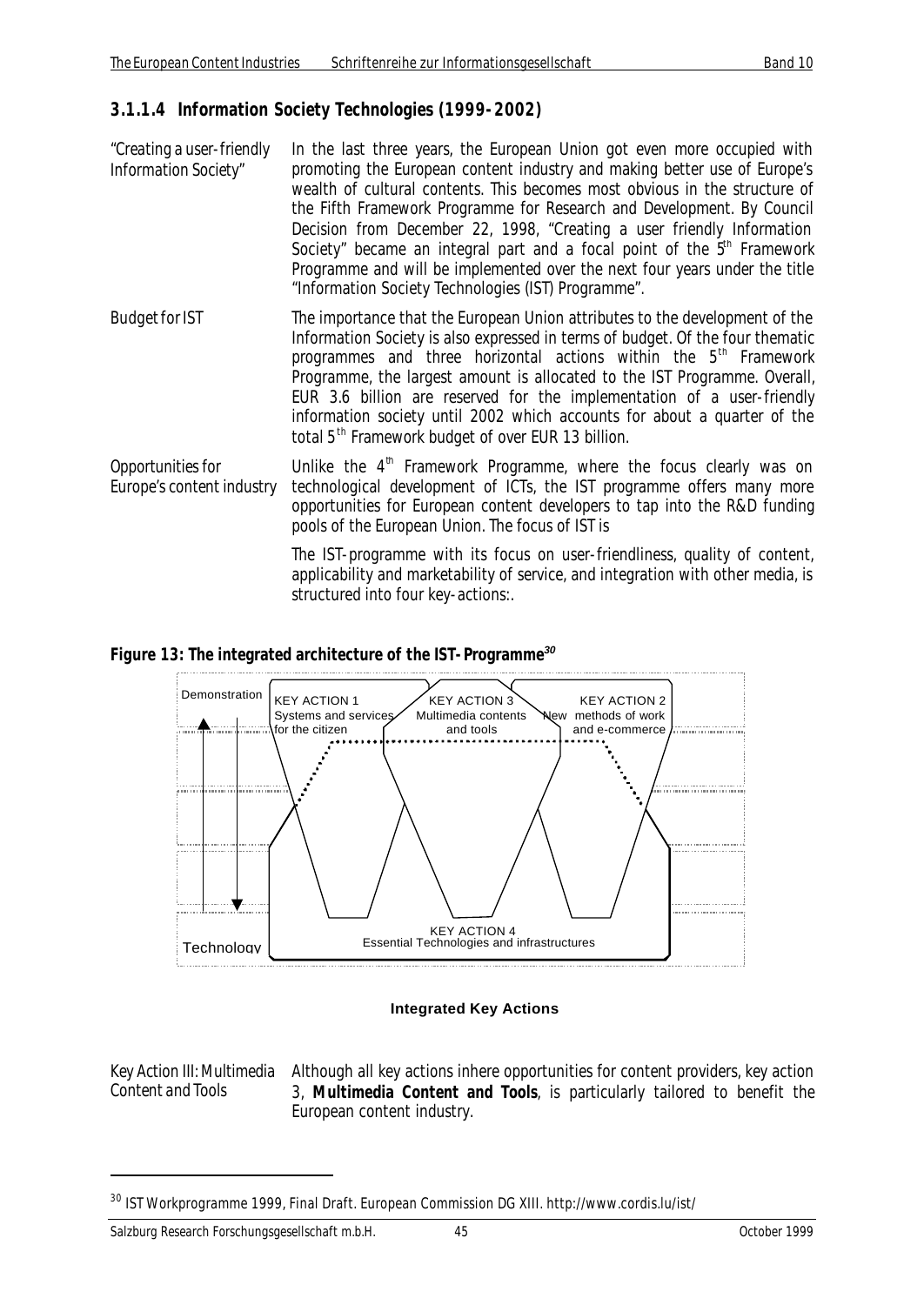#### **3.1.1.4 Information Society Technologies (1999-2002)**

- *"Creating a user-friendly Information Society"* In the last three years, the European Union got even more occupied with promoting the European content industry and making better use of Europe's wealth of cultural contents. This becomes most obvious in the structure of the Fifth Framework Programme for Research and Development. By Council Decision from December 22, 1998, "Creating a user friendly Information Society" became an integral part and a focal point of the  $5<sup>th</sup>$  Framework Programme and will be implemented over the next four years under the title "Information Society Technologies (IST) Programme".
- *Budget for IST* The importance that the European Union attributes to the development of the Information Society is also expressed in terms of budget. Of the four thematic programmes and three horizontal actions within the 5<sup>th</sup> Framework Programme, the largest amount is allocated to the IST Programme. Overall, EUR 3.6 billion are reserved for the implementation of a user-friendly information society until 2002 which accounts for about a quarter of the total 5<sup>th</sup> Framework budget of over EUR 13 billion.
- *Opportunities for Europe's content industry* Unlike the 4<sup>th</sup> Framework Programme, where the focus clearly was on technological development of ICTs, the IST programme offers many more opportunities for European content developers to tap into the R&D funding pools of the European Union. The focus of IST is

The IST-programme with its focus on user-friendliness, quality of content, applicability and marketability of service, and integration with other media, is structured into four key-actions:.

#### *Figure 13: The integrated architecture of the IST-Programme<sup>30</sup>*



#### **Integrated Key Actions**

*Key Action III: Multimedia Content and Tools*

 $\overline{a}$ 

Although all key actions inhere opportunities for content providers, key action 3, **Multimedia Content and Tools**, is particularly tailored to benefit the European content industry.

<sup>&</sup>lt;sup>30</sup> IST Workprogramme 1999, Final Draft. European Commission DG XIII. http://www.cordis.lu/ist/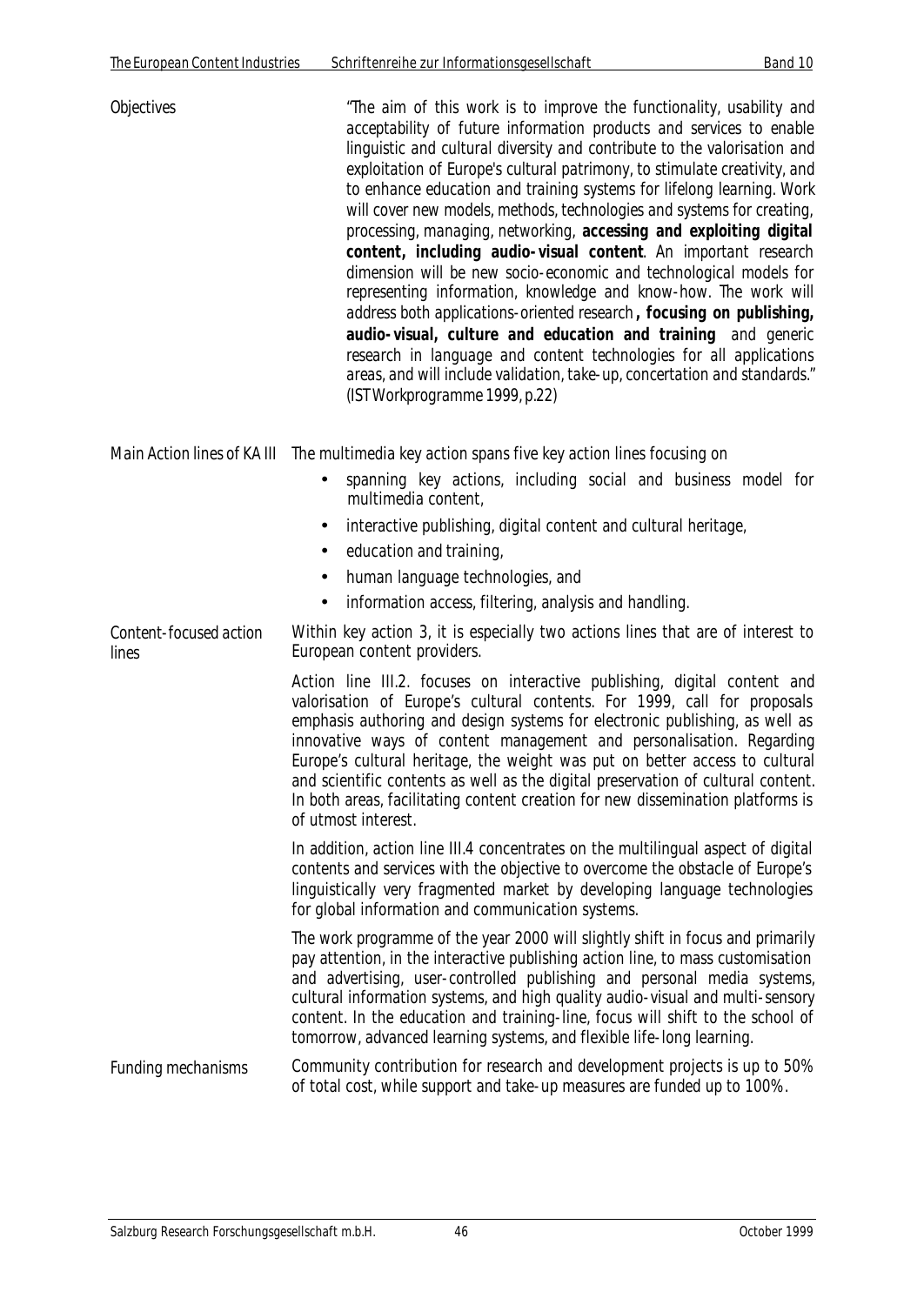| <b>Objectives</b> | "The aim of this work is to improve the functionality, usability and<br>acceptability of future information products and services to enable<br>linguistic and cultural diversity and contribute to the valorisation and<br>exploitation of Europe's cultural patrimony, to stimulate creativity, and<br>to enhance education and training systems for lifelong learning. Work<br>will cover new models, methods, technologies and systems for creating,<br>processing, managing, networking, accessing and exploiting digital<br>content, including audio-visual content. An important research<br>dimension will be new socio-economic and technological models for<br>representing information, knowledge and know-how. The work will<br>address both applications-oriented research, focusing on publishing,<br>audio-visual, culture and education and training and generic<br>research in language and content technologies for all applications<br>areas, and will include validation, take-up, concertation and standards."<br>(IST Workprogramme 1999, p.22) |
|-------------------|----------------------------------------------------------------------------------------------------------------------------------------------------------------------------------------------------------------------------------------------------------------------------------------------------------------------------------------------------------------------------------------------------------------------------------------------------------------------------------------------------------------------------------------------------------------------------------------------------------------------------------------------------------------------------------------------------------------------------------------------------------------------------------------------------------------------------------------------------------------------------------------------------------------------------------------------------------------------------------------------------------------------------------------------------------------------|
|                   | Main Action lines of KA III The multimedia key action spans five key action lines focusing on                                                                                                                                                                                                                                                                                                                                                                                                                                                                                                                                                                                                                                                                                                                                                                                                                                                                                                                                                                        |

- spanning key actions, including social and business model for multimedia content,
- interactive publishing, digital content and cultural heritage,
- education and training,
- human language technologies, and
- information access, filtering, analysis and handling.

*Content-focused action lines* Within key action 3, it is especially two actions lines that are of interest to European content providers.

> Action line III.2. focuses on interactive publishing, digital content and valorisation of Europe's cultural contents. For 1999, call for proposals emphasis authoring and design systems for electronic publishing, as well as innovative ways of content management and personalisation. Regarding Europe's cultural heritage, the weight was put on better access to cultural and scientific contents as well as the digital preservation of cultural content. In both areas, facilitating content creation for new dissemination platforms is of utmost interest.

> In addition, action line III.4 concentrates on the multilingual aspect of digital contents and services with the objective to overcome the obstacle of Europe's linguistically very fragmented market by developing language technologies for global information and communication systems.

The work programme of the year 2000 will slightly shift in focus and primarily pay attention, in the interactive publishing action line, to mass customisation and advertising, user-controlled publishing and personal media systems, cultural information systems, and high quality audio-visual and multi-sensory content. In the education and training-line, focus will shift to the school of tomorrow, advanced learning systems, and flexible life-long learning.

*Funding mechanisms* Community contribution for research and development projects is up to 50% of total cost, while support and take-up measures are funded up to 100%.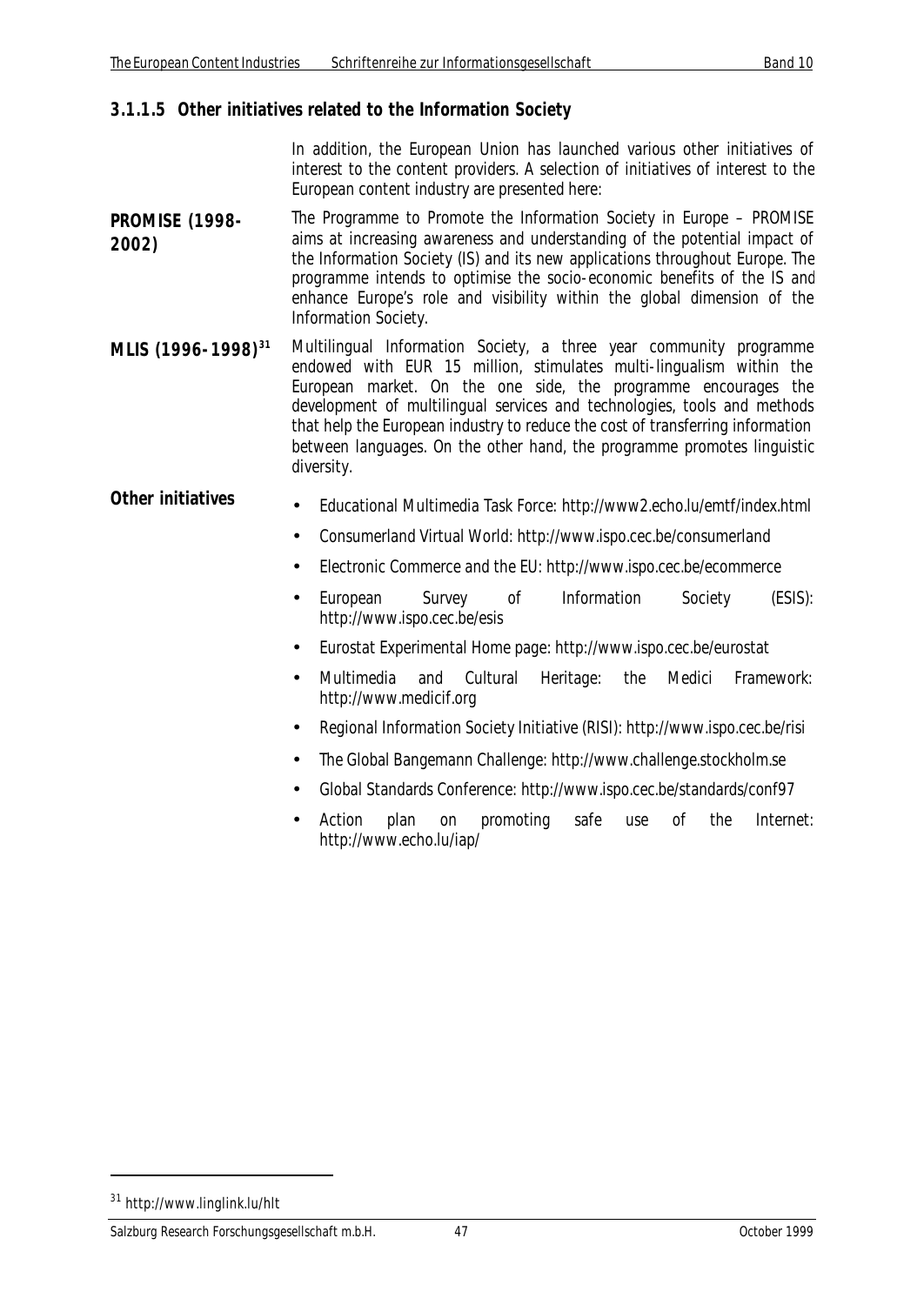#### **3.1.1.5 Other initiatives related to the Information Society**

In addition, the European Union has launched various other initiatives of interest to the content providers. A selection of initiatives of interest to the European content industry are presented here:

- **PROMISE (1998- 2002)** The Programme to Promote the Information Society in Europe – PROMISE aims at increasing awareness and understanding of the potential impact of the Information Society (IS) and its new applications throughout Europe. The programme intends to optimise the socio-economic benefits of the IS and enhance Europe's role and visibility within the global dimension of the Information Society.
- **MLIS (1996-1998)<sup>31</sup>** Multilingual Information Society, a three year community programme endowed with EUR 15 million, stimulates multi-lingualism within the European market. On the one side, the programme encourages the development of multilingual services and technologies, tools and methods that help the European industry to reduce the cost of transferring information between languages. On the other hand, the programme promotes linguistic diversity.

## **Other initiatives** • Educational Multimedia Task Force: http://www2.echo.lu/emtf/index.html

- Consumerland Virtual World: http://www.ispo.cec.be/consumerland
- Electronic Commerce and the EU: http://www.ispo.cec.be/ecommerce
- European Survey of Information Society (ESIS): http://www.ispo.cec.be/esis
- Eurostat Experimental Home page: http://www.ispo.cec.be/eurostat
- Multimedia and Cultural Heritage: the Medici Framework: http://www.medicif.org
- Regional Information Society Initiative (RISI): http://www.ispo.cec.be/risi
- The Global Bangemann Challenge: http://www.challenge.stockholm.se
- Global Standards Conference: http://www.ispo.cec.be/standards/conf97
- Action plan on promoting safe use of the Internet: http://www.echo.lu/iap/

<sup>31</sup> http://www.linglink.lu/hlt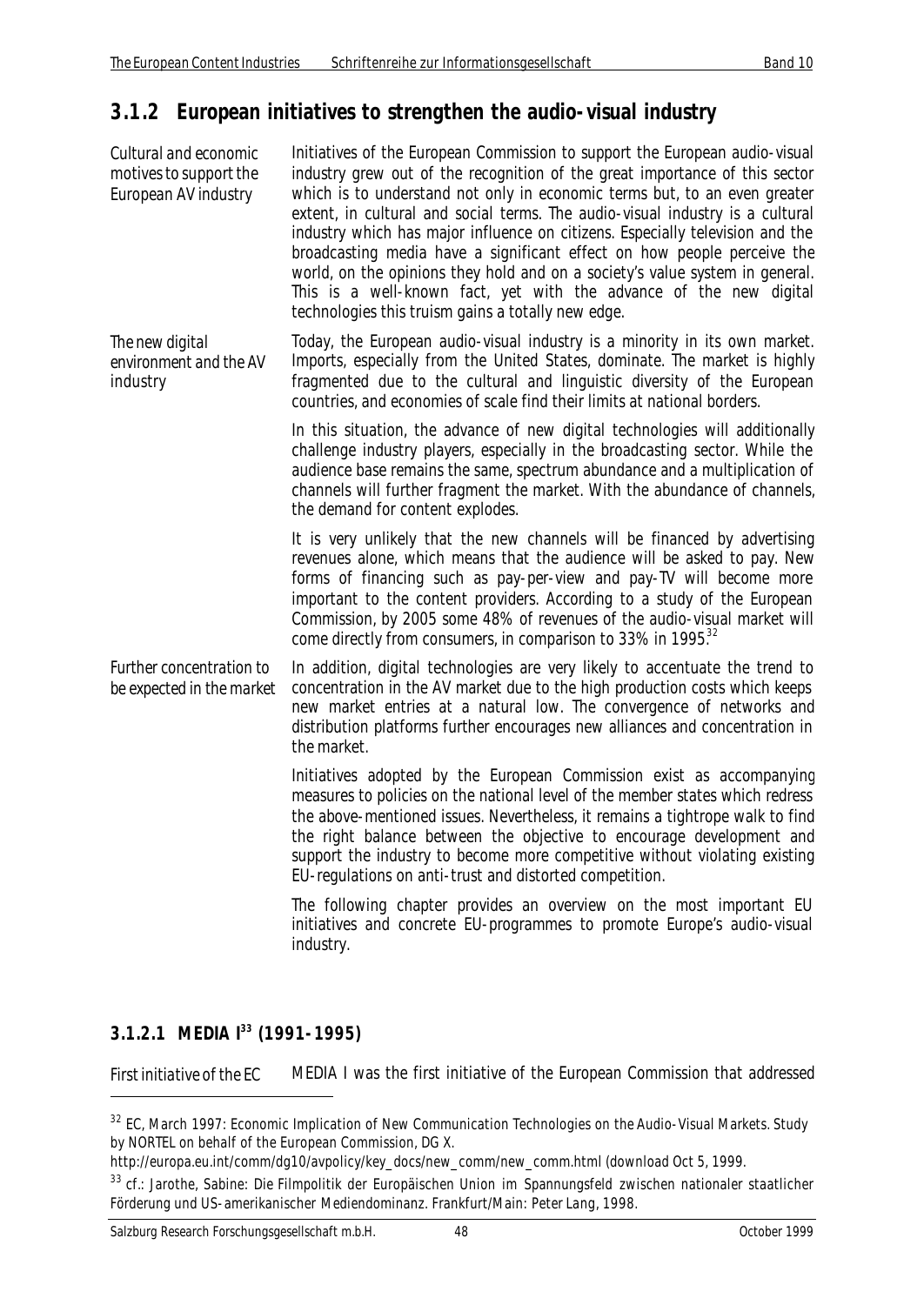## **3.1.2 European initiatives to strengthen the audio-visual industry**

| Cultural and economic<br>motives to support the<br>European AV industry | Initiatives of the European Commission to support the European audio-visual<br>industry grew out of the recognition of the great importance of this sector<br>which is to understand not only in economic terms but, to an even greater<br>extent, in cultural and social terms. The audio-visual industry is a cultural<br>industry which has major influence on citizens. Especially television and the<br>broadcasting media have a significant effect on how people perceive the<br>world, on the opinions they hold and on a society's value system in general.<br>This is a well-known fact, yet with the advance of the new digital<br>technologies this truism gains a totally new edge. |
|-------------------------------------------------------------------------|--------------------------------------------------------------------------------------------------------------------------------------------------------------------------------------------------------------------------------------------------------------------------------------------------------------------------------------------------------------------------------------------------------------------------------------------------------------------------------------------------------------------------------------------------------------------------------------------------------------------------------------------------------------------------------------------------|
| The new digital<br>environment and the AV<br>industry                   | Today, the European audio-visual industry is a minority in its own market.<br>Imports, especially from the United States, dominate. The market is highly<br>fragmented due to the cultural and linguistic diversity of the European<br>countries, and economies of scale find their limits at national borders.                                                                                                                                                                                                                                                                                                                                                                                  |
|                                                                         | In this situation, the advance of new digital technologies will additionally<br>challenge industry players, especially in the broadcasting sector. While the<br>audience base remains the same, spectrum abundance and a multiplication of<br>channels will further fragment the market. With the abundance of channels,<br>the demand for content explodes.                                                                                                                                                                                                                                                                                                                                     |
|                                                                         | It is very unlikely that the new channels will be financed by advertising<br>revenues alone, which means that the audience will be asked to pay. New<br>forms of financing such as pay-per-view and pay-TV will become more<br>important to the content providers. According to a study of the European<br>Commission, by 2005 some 48% of revenues of the audio-visual market will<br>come directly from consumers, in comparison to 33% in 1995. <sup>32</sup>                                                                                                                                                                                                                                 |
| Further concentration to<br>be expected in the market                   | In addition, digital technologies are very likely to accentuate the trend to<br>concentration in the AV market due to the high production costs which keeps<br>new market entries at a natural low. The convergence of networks and<br>distribution platforms further encourages new alliances and concentration in<br>the market.                                                                                                                                                                                                                                                                                                                                                               |
|                                                                         | Initiatives adopted by the European Commission exist as accompanying<br>measures to policies on the national level of the member states which redress<br>the above-mentioned issues. Nevertheless, it remains a tightrope walk to find<br>the right balance between the objective to encourage development and<br>support the industry to become more competitive without violating existing<br>EU-regulations on anti-trust and distorted competition.                                                                                                                                                                                                                                          |
|                                                                         | The following chapter provides an overview on the most important EU<br>initiatives and concrete EU-programmes to promote Europe's audio-visual<br>industry.                                                                                                                                                                                                                                                                                                                                                                                                                                                                                                                                      |

## **3.1.2.1 MEDIA I<sup>33</sup> (1991-1995)**

 $\overline{a}$ 

*First initiative of the EC* MEDIA I was the first initiative of the European Commission that addressed

<sup>&</sup>lt;sup>32</sup> EC, March 1997: Economic Implication of New Communication Technologies on the Audio-Visual Markets. Study by NORTEL on behalf of the European Commission, DG X.

http://europa.eu.int/comm/dg10/avpolicy/key\_docs/new\_comm/new\_comm.html (download Oct 5, 1999.

<sup>33</sup> cf.: Jarothe, Sabine: Die Filmpolitik der Europäischen Union im Spannungsfeld zwischen nationaler staatlicher Förderung und US-amerikanischer Mediendominanz. Frankfurt/Main: Peter Lang, 1998.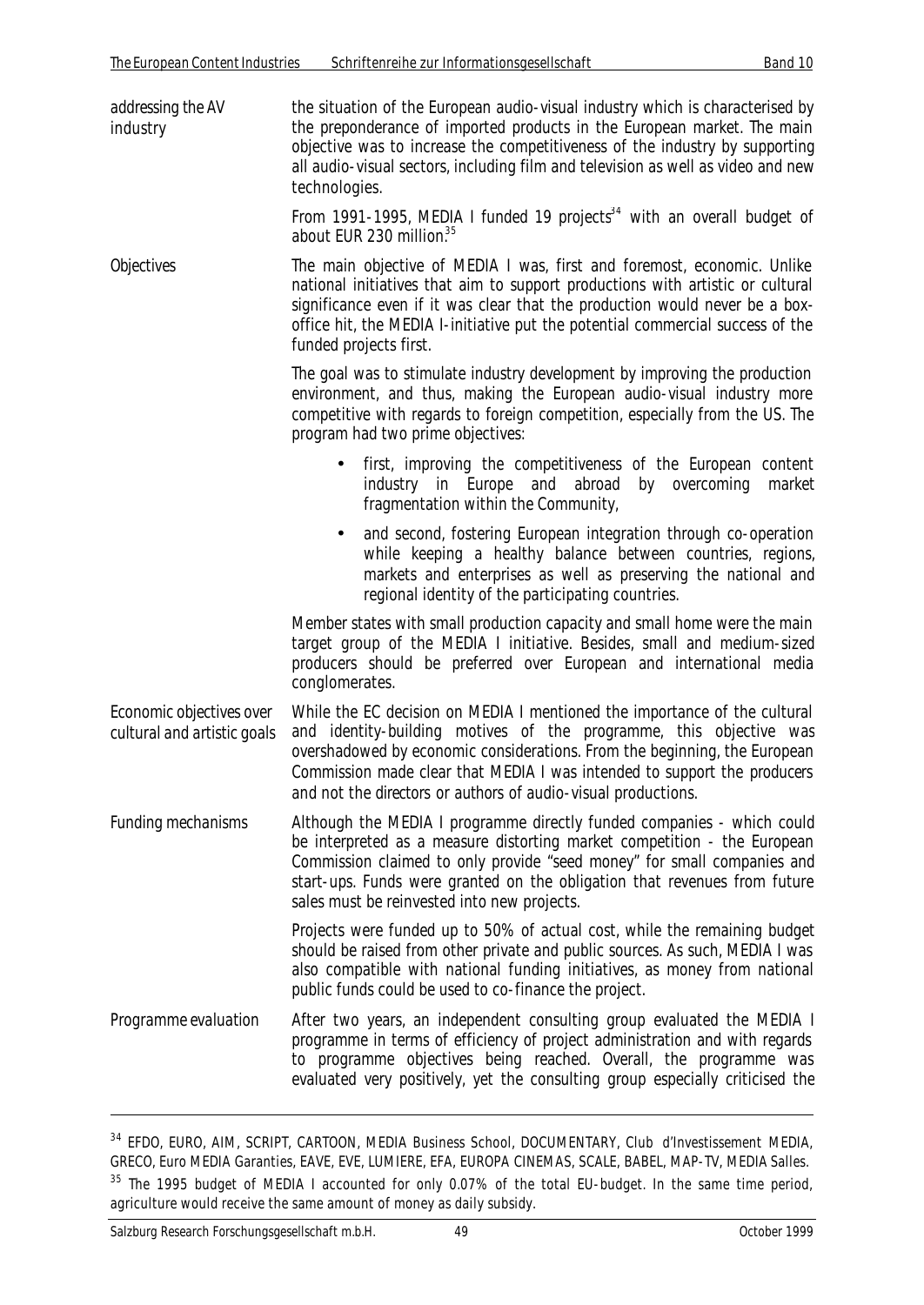| addressing the AV<br>industry                           | the situation of the European audio-visual industry which is characterised by<br>the preponderance of imported products in the European market. The main<br>objective was to increase the competitiveness of the industry by supporting<br>all audio-visual sectors, including film and television as well as video and new<br>technologies.                                                   |
|---------------------------------------------------------|------------------------------------------------------------------------------------------------------------------------------------------------------------------------------------------------------------------------------------------------------------------------------------------------------------------------------------------------------------------------------------------------|
|                                                         | From 1991-1995, MEDIA I funded 19 projects <sup>34</sup> with an overall budget of<br>about EUR 230 million. <sup>35</sup>                                                                                                                                                                                                                                                                     |
| <b>Objectives</b>                                       | The main objective of MEDIA I was, first and foremost, economic. Unlike<br>national initiatives that aim to support productions with artistic or cultural<br>significance even if it was clear that the production would never be a box-<br>office hit, the MEDIA I-initiative put the potential commercial success of the<br>funded projects first.                                           |
|                                                         | The goal was to stimulate industry development by improving the production<br>environment, and thus, making the European audio-visual industry more<br>competitive with regards to foreign competition, especially from the US. The<br>program had two prime objectives:                                                                                                                       |
|                                                         | first, improving the competitiveness of the European content<br>industry in Europe<br>and<br>abroad<br>overcoming<br>by<br>market<br>fragmentation within the Community,                                                                                                                                                                                                                       |
|                                                         | and second, fostering European integration through co-operation<br>$\bullet$<br>while keeping a healthy balance between countries, regions,<br>markets and enterprises as well as preserving the national and<br>regional identity of the participating countries.                                                                                                                             |
|                                                         | Member states with small production capacity and small home were the main<br>target group of the MEDIA I initiative. Besides, small and medium-sized<br>producers should be preferred over European and international media<br>conglomerates.                                                                                                                                                  |
| Economic objectives over<br>cultural and artistic goals | While the EC decision on MEDIA I mentioned the importance of the cultural<br>and identity-building motives of the programme, this objective was<br>overshadowed by economic considerations. From the beginning, the European<br>Commission made clear that MEDIA I was intended to support the <i>producers</i><br>and not the <i>directors</i> or <i>authors</i> of audio-visual productions. |
| <b>Funding mechanisms</b>                               | Although the MEDIA I programme directly funded companies - which could<br>be interpreted as a measure distorting market competition - the European<br>Commission claimed to only provide "seed money" for small companies and<br>start-ups. Funds were granted on the obligation that revenues from future<br>sales must be reinvested into new projects.                                      |
|                                                         | Projects were funded up to 50% of actual cost, while the remaining budget<br>should be raised from other private and public sources. As such, MEDIA I was<br>also compatible with national funding initiatives, as money from national<br>public funds could be used to co-finance the project.                                                                                                |
| Programme evaluation                                    | After two years, an independent consulting group evaluated the MEDIA I<br>programme in terms of efficiency of project administration and with regards<br>to programme objectives being reached. Overall, the programme was<br>evaluated very positively, yet the consulting group especially criticised the                                                                                    |

<sup>34</sup> EFDO, EURO, AIM, SCRIPT, CARTOON, MEDIA Business School, DOCUMENTARY, Club d'Investissement MEDIA, GRECO, Euro MEDIA Garanties, EAVE, EVE, LUMIERE, EFA, EUROPA CINEMAS, SCALE, BABEL, MAP-TV, MEDIA Salles.

<sup>35</sup> The 1995 budget of MEDIA I accounted for only 0.07% of the total EU-budget. In the same time period, agriculture would receive the same amount of money as daily subsidy.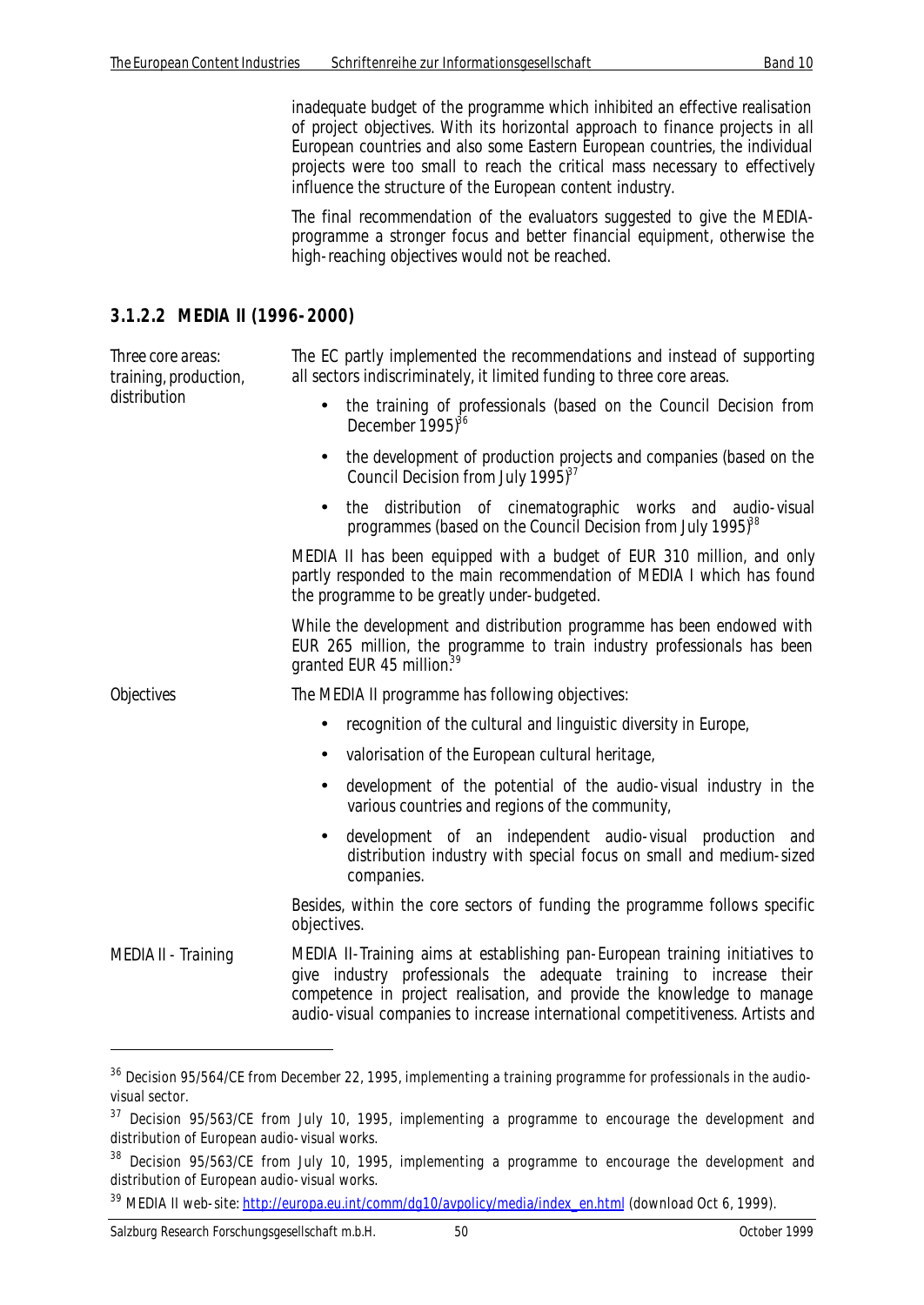inadequate budget of the programme which inhibited an effective realisation of project objectives. With its horizontal approach to finance projects in all European countries and also some Eastern European countries, the individual projects were too small to reach the critical mass necessary to effectively influence the structure of the European content industry.

The final recommendation of the evaluators suggested to give the MEDIAprogramme a stronger focus and better financial equipment, otherwise the high-reaching objectives would not be reached.

#### **3.1.2.2 MEDIA II (1996-2000)**

*Three core areas: training, production, distribution*

The EC partly implemented the recommendations and instead of supporting all sectors indiscriminately, it limited funding to three core areas.

- the training of professionals (based on the Council Decision from December  $1995$ <sup>36</sup>
- the development of production projects and companies (based on the Council Decision from July 1995 $3^{37}$
- the distribution of cinematographic works and audio-visual programmes (based on the Council Decision from July 1995)<sup>38</sup>

MEDIA II has been equipped with a budget of EUR 310 million, and only partly responded to the main recommendation of MEDIA I which has found the programme to be greatly under-budgeted.

While the development and distribution programme has been endowed with EUR 265 million, the programme to train industry professionals has been granted EUR 45 million.<sup>39</sup>

*Objectives* The MEDIA II programme has following objectives:

- recognition of the cultural and linguistic diversity in Europe,
- valorisation of the European cultural heritage,
- development of the potential of the audio-visual industry in the various countries and regions of the community,
- development of an independent audio-visual production and distribution industry with special focus on small and medium-sized companies.

Besides, within the core sectors of funding the programme follows specific objectives.

*MEDIA II - Training* MEDIA II-Training aims at establishing pan-European training initiatives to give industry professionals the adequate training to increase their competence in project realisation, and provide the knowledge to manage audio-visual companies to increase international competitiveness. Artists and

l

<sup>&</sup>lt;sup>36</sup> Decision 95/564/CE from December 22, 1995, implementing a training programme for professionals in the audiovisual sector.

<sup>&</sup>lt;sup>37</sup> Decision 95/563/CE from July 10, 1995, implementing a programme to encourage the development and distribution of European audio-visual works.

<sup>&</sup>lt;sup>38</sup> Decision 95/563/CE from July 10, 1995, implementing a programme to encourage the development and distribution of European audio-visual works.

<sup>&</sup>lt;sup>39</sup> MEDIA II web-site: http://europa.eu.int/comm/dq10/avpolicy/media/index\_en.html (download Oct 6, 1999).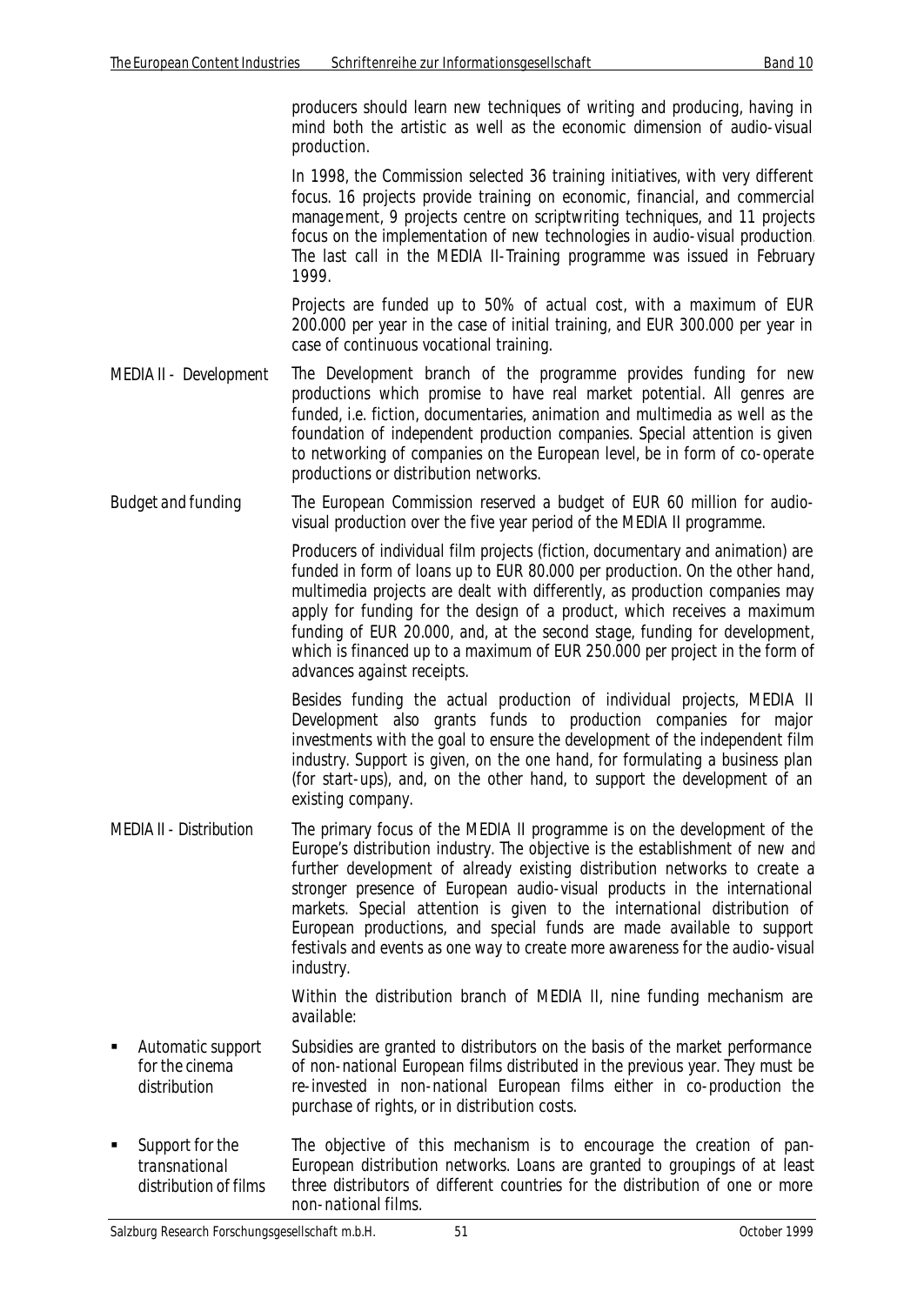producers should learn new techniques of writing and producing, having in mind both the artistic as well as the economic dimension of audio-visual production.

In 1998, the Commission selected 36 training initiatives, with very different focus. 16 projects provide training on economic, financial, and commercial management, 9 projects centre on scriptwriting techniques, and 11 projects focus on the implementation of new technologies in audio-visual production. The last call in the MEDIA II-Training programme was issued in February 1999.

Projects are funded up to 50% of actual cost, with a maximum of EUR 200.000 per year in the case of initial training, and EUR 300.000 per year in case of continuous vocational training.

- *MEDIA II Development* The Development branch of the programme provides funding for new productions which promise to have real market potential. All genres are funded, i.e. fiction, documentaries, animation and multimedia as well as the foundation of independent production companies. Special attention is given to networking of companies on the European level, be in form of co-operate productions or distribution networks.
- *Budget and funding* The European Commission reserved a budget of EUR 60 million for audiovisual production over the five year period of the MEDIA II programme.

Producers of individual film projects (fiction, documentary and animation) are funded in form of loans up to EUR 80.000 per production. On the other hand, multimedia projects are dealt with differently, as production companies may apply for funding for the design of a product, which receives a maximum funding of EUR 20.000, and, at the second stage, funding for development, which is financed up to a maximum of EUR 250.000 per project in the form of advances against receipts.

Besides funding the actual production of individual projects, MEDIA II Development also grants funds to production companies for major investments with the goal to ensure the development of the independent film industry. Support is given, on the one hand, for formulating a business plan (for start-ups), and, on the other hand, to support the development of an existing company.

*MEDIA II - Distribution* The primary focus of the MEDIA II programme is on the development of the Europe's distribution industry. The objective is the establishment of new and further development of already existing distribution networks to create a stronger presence of European audio-visual products in the international markets. Special attention is given to the international distribution of European productions, and special funds are made available to support festivals and events as one way to create more awareness for the audio-visual industry.

> Within the distribution branch of MEDIA II, nine funding mechanism are available:

- ß *Automatic support for the cinema distribution* Subsidies are granted to distributors on the basis of the market performance of non-national European films distributed in the previous year. They must be re-invested in non-national European films either in co-production the purchase of rights, or in distribution costs.
- ß *Support for the transnational distribution of films* The objective of this mechanism is to encourage the creation of pan-European distribution networks. Loans are granted to groupings of at least three distributors of different countries for the distribution of one or more non-national films.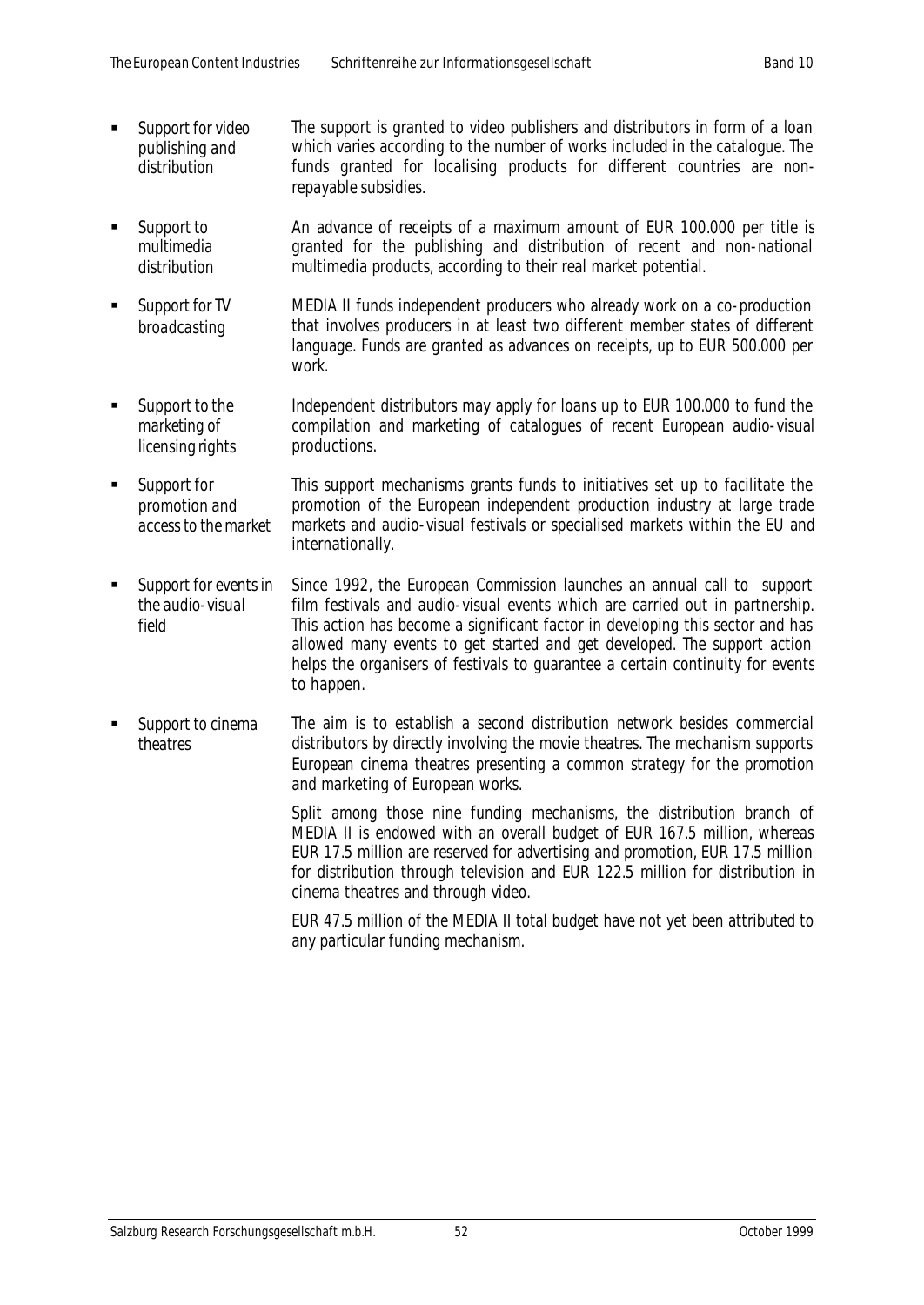- ß *Support for video publishing and distribution* The support is granted to video publishers and distributors in form of a loan which varies according to the number of works included in the catalogue. The funds granted for localising products for different countries are nonrepayable subsidies.
- ß *Support to multimedia distribution* An advance of receipts of a maximum amount of EUR 100.000 per title is granted for the publishing and distribution of recent and non-national multimedia products, according to their real market potential.
- ß *Support for TV broadcasting* MEDIA II funds independent producers who already work on a co-production that involves producers in at least two different member states of different language. Funds are granted as advances on receipts, up to EUR 500.000 per work.
- ß *Support to the marketing of licensing rights* Independent distributors may apply for loans up to EUR 100.000 to fund the compilation and marketing of catalogues of recent European audio-visual productions.
- ß *Support for promotion and access to the market* This support mechanisms grants funds to initiatives set up to facilitate the promotion of the European independent production industry at large trade markets and audio-visual festivals or specialised markets within the EU and internationally.
- ß *Support for events in the audio-visual field* Since 1992, the European Commission launches an annual call to support film festivals and audio-visual events which are carried out in partnership. This action has become a significant factor in developing this sector and has allowed many events to get started and get developed. The support action helps the organisers of festivals to guarantee a certain continuity for events to happen.
- ß *Support to cinema theatres* The aim is to establish a second distribution network besides commercial distributors by directly involving the movie theatres. The mechanism supports European cinema theatres presenting a common strategy for the promotion and marketing of European works.

Split among those nine funding mechanisms, the distribution branch of MEDIA II is endowed with an overall budget of EUR 167.5 million, whereas EUR 17.5 million are reserved for advertising and promotion, EUR 17.5 million for distribution through television and EUR 122.5 million for distribution in cinema theatres and through video.

EUR 47.5 million of the MEDIA II total budget have not yet been attributed to any particular funding mechanism.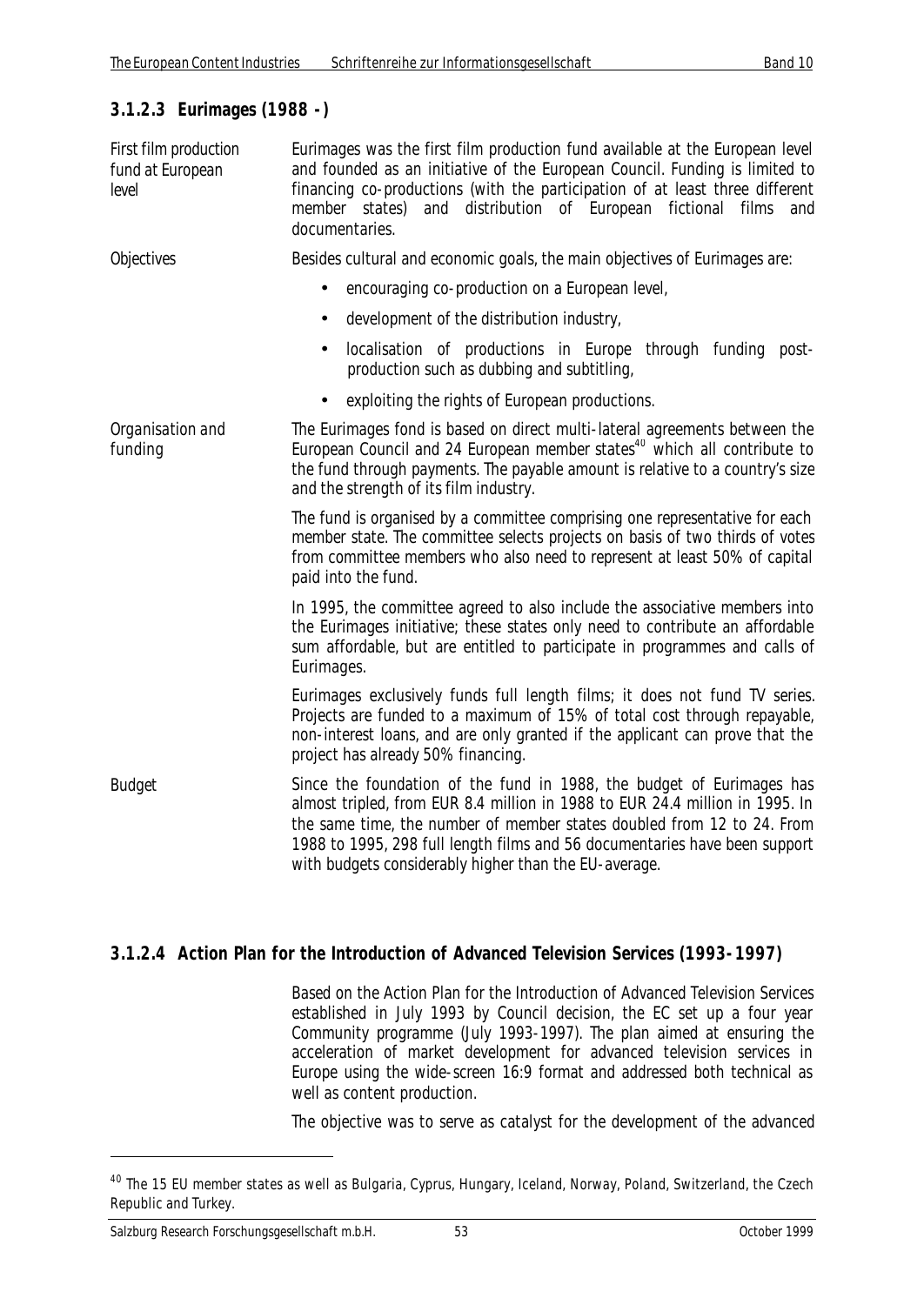## **3.1.2.3 Eurimages (1988 -)**

| First film production<br>fund at European<br>level | Eurimages was the first film production fund available at the European level<br>and founded as an initiative of the European Council. Funding is limited to<br>financing co-productions (with the participation of at least three different<br>member states) and distribution of European fictional films<br>and<br>documentaries.                                    |
|----------------------------------------------------|------------------------------------------------------------------------------------------------------------------------------------------------------------------------------------------------------------------------------------------------------------------------------------------------------------------------------------------------------------------------|
| <b>Objectives</b>                                  | Besides cultural and economic goals, the main objectives of Eurimages are:                                                                                                                                                                                                                                                                                             |
|                                                    | encouraging co-production on a European level,<br>$\bullet$                                                                                                                                                                                                                                                                                                            |
|                                                    | development of the distribution industry,                                                                                                                                                                                                                                                                                                                              |
|                                                    | localisation of productions in Europe through funding post-<br>production such as dubbing and subtitling,                                                                                                                                                                                                                                                              |
|                                                    | exploiting the rights of European productions.                                                                                                                                                                                                                                                                                                                         |
| Organisation and<br>funding                        | The Eurimages fond is based on direct multi-lateral agreements between the<br>European Council and 24 European member states <sup>40</sup> which all contribute to<br>the fund through payments. The payable amount is relative to a country's size<br>and the strength of its film industry.                                                                          |
|                                                    | The fund is organised by a committee comprising one representative for each<br>member state. The committee selects projects on basis of two thirds of votes<br>from committee members who also need to represent at least 50% of capital<br>paid into the fund.                                                                                                        |
|                                                    | In 1995, the committee agreed to also include the associative members into<br>the Eurimages initiative; these states only need to contribute an affordable<br>sum affordable, but are entitled to participate in programmes and calls of<br>Eurimages.                                                                                                                 |
|                                                    | Eurimages exclusively funds full length films; it does not fund TV series.<br>Projects are funded to a maximum of 15% of total cost through repayable,<br>non-interest loans, and are only granted if the applicant can prove that the<br>project has already 50% financing.                                                                                           |
| <b>Budget</b>                                      | Since the foundation of the fund in 1988, the budget of Eurimages has<br>almost tripled, from EUR 8.4 million in 1988 to EUR 24.4 million in 1995. In<br>the same time, the number of member states doubled from 12 to 24. From<br>1988 to 1995, 298 full length films and 56 documentaries have been support<br>with budgets considerably higher than the EU-average. |

## **3.1.2.4 Action Plan for the Introduction of Advanced Television Services (1993-1997)**

Based on the Action Plan for the Introduction of Advanced Television Services established in July 1993 by Council decision, the EC set up a four year Community programme (July 1993-1997). The plan aimed at ensuring the acceleration of market development for advanced television services in Europe using the wide-screen 16:9 format and addressed both technical as well as content production.

The objective was to serve as catalyst for the development of the advanced

<sup>&</sup>lt;sup>40</sup> The 15 EU member states as well as Bulgaria, Cyprus, Hungary, Iceland, Norway, Poland, Switzerland, the Czech Republic and Turkey.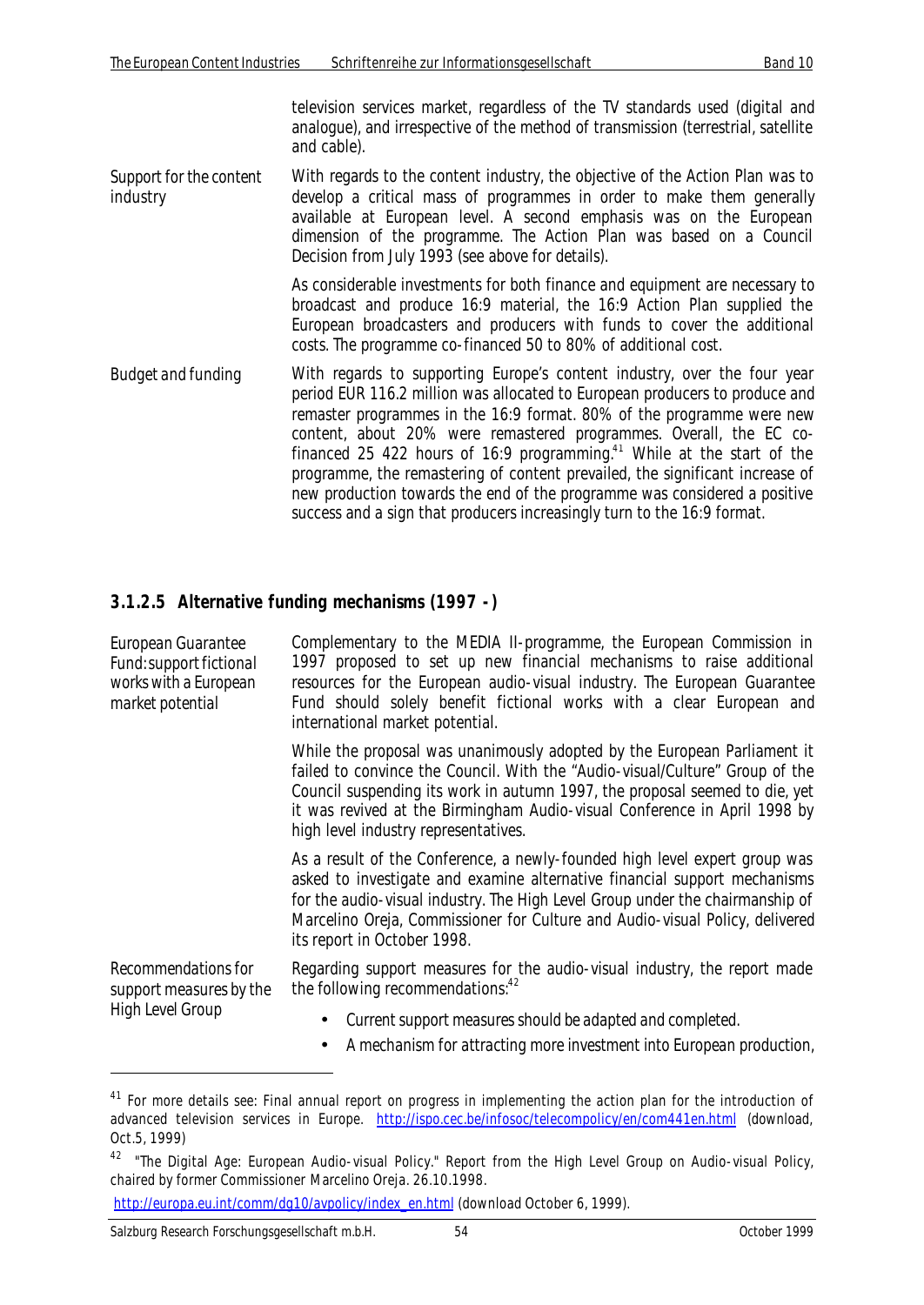television services market, regardless of the TV standards used (digital and analogue), and irrespective of the method of transmission (terrestrial, satellite and cable).

*Support for the content industry* With regards to the content industry, the objective of the Action Plan was to develop a critical mass of programmes in order to make them generally available at European level. A second emphasis was on the European dimension of the programme. The Action Plan was based on a Council Decision from July 1993 (see above for details).

> As considerable investments for both finance and equipment are necessary to broadcast and produce 16:9 material, the 16:9 Action Plan supplied the European broadcasters and producers with funds to cover the additional costs. The programme co-financed 50 to 80% of additional cost.

*Budget and funding* With regards to supporting Europe's content industry, over the four year period EUR 116.2 million was allocated to European producers to produce and remaster programmes in the 16:9 format. 80% of the programme were new content, about 20% were remastered programmes. Overall, the EC cofinanced 25 422 hours of 16:9 programming.<sup>41</sup> While at the start of the programme, the remastering of content prevailed, the significant increase of new production towards the end of the programme was considered a positive success and a sign that producers increasingly turn to the 16:9 format.

#### **3.1.2.5 Alternative funding mechanisms (1997 -)**

| European Guarantee<br>Fund: support fictional<br>works with a European<br>market potential | Complementary to the MEDIA II-programme, the European Commission in<br>1997 proposed to set up new financial mechanisms to raise additional<br>resources for the European audio-visual industry. The European Guarantee<br>Fund should solely benefit fictional works with a clear European and<br>international market potential.                           |
|--------------------------------------------------------------------------------------------|--------------------------------------------------------------------------------------------------------------------------------------------------------------------------------------------------------------------------------------------------------------------------------------------------------------------------------------------------------------|
|                                                                                            | While the proposal was unanimously adopted by the European Parliament it<br>failed to convince the Council. With the "Audio-visual/Culture" Group of the<br>Council suspending its work in autumn 1997, the proposal seemed to die, yet<br>it was revived at the Birmingham Audio-visual Conference in April 1998 by<br>high level industry representatives. |
|                                                                                            | As a result of the Conference, a newly-founded high level expert group was<br>asked to investigate and examine alternative financial support mechanisms<br>for the audio-visual industry. The High Level Group under the chairmanship of<br>Marcelino Oreja, Commissioner for Culture and Audio-visual Policy, delivered<br>its report in October 1998.      |
| Recommendations for<br>support measures by the<br><b>High Level Group</b>                  | Regarding support measures for the audio-visual industry, the report made<br>the following recommendations: <sup>42</sup>                                                                                                                                                                                                                                    |
|                                                                                            | Current support measures should be adapted and completed.<br>$\blacksquare$                                                                                                                                                                                                                                                                                  |

• *A mechanism for attracting more investment into European production,*

<sup>&</sup>lt;sup>41</sup> For more details see: Final annual report on progress in implementing the action plan for the introduction of advanced television services in Europe. http://ispo.cec.be/infosoc/telecompolicy/en/com441en.html (download, Oct.5, 1999)

<sup>&</sup>lt;sup>42</sup> "The Digital Age: European Audio-visual Policy." Report from the High Level Group on Audio-visual Policy, chaired by former Commissioner Marcelino Oreja. 26.10.1998.

http://europa.eu.int/comm/dg10/avpolicy/index\_en.html (download October 6, 1999).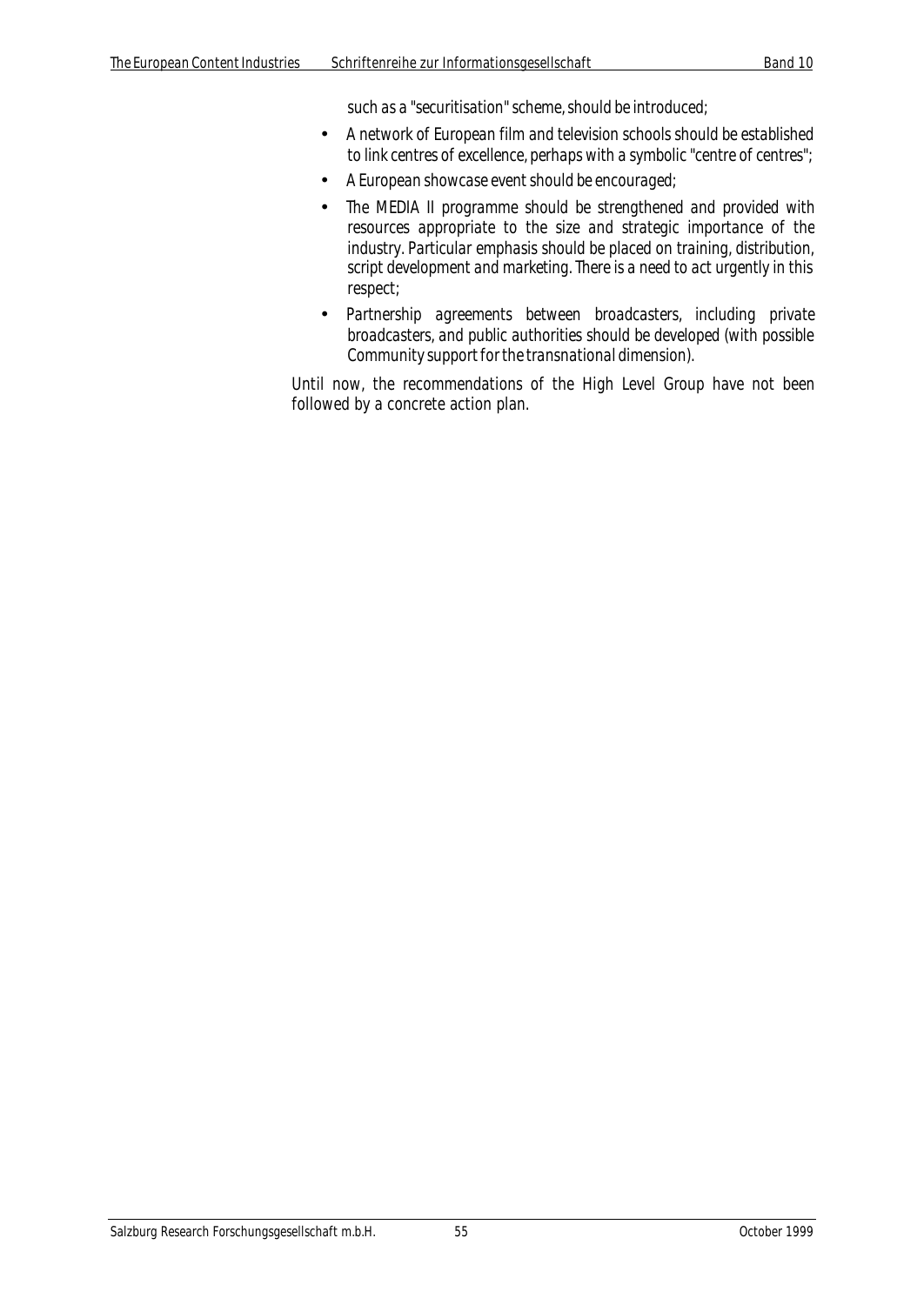*such as a "securitisation" scheme, should be introduced;*

- *A network of European film and television schools should be established to link centres of excellence, perhaps with a symbolic "centre of centres";*
- *A European showcase event should be encouraged;*
- *The MEDIA II programme should be strengthened and provided with resources appropriate to the size and strategic importance of the industry. Particular emphasis should be placed on training, distribution, script development and marketing. There is a need to act urgently in this respect;*
- *Partnership agreements between broadcasters, including private broadcasters, and public authorities should be developed (with possible Community support for the transnational dimension).*

Until now, the recommendations of the High Level Group have not been followed by a concrete action plan.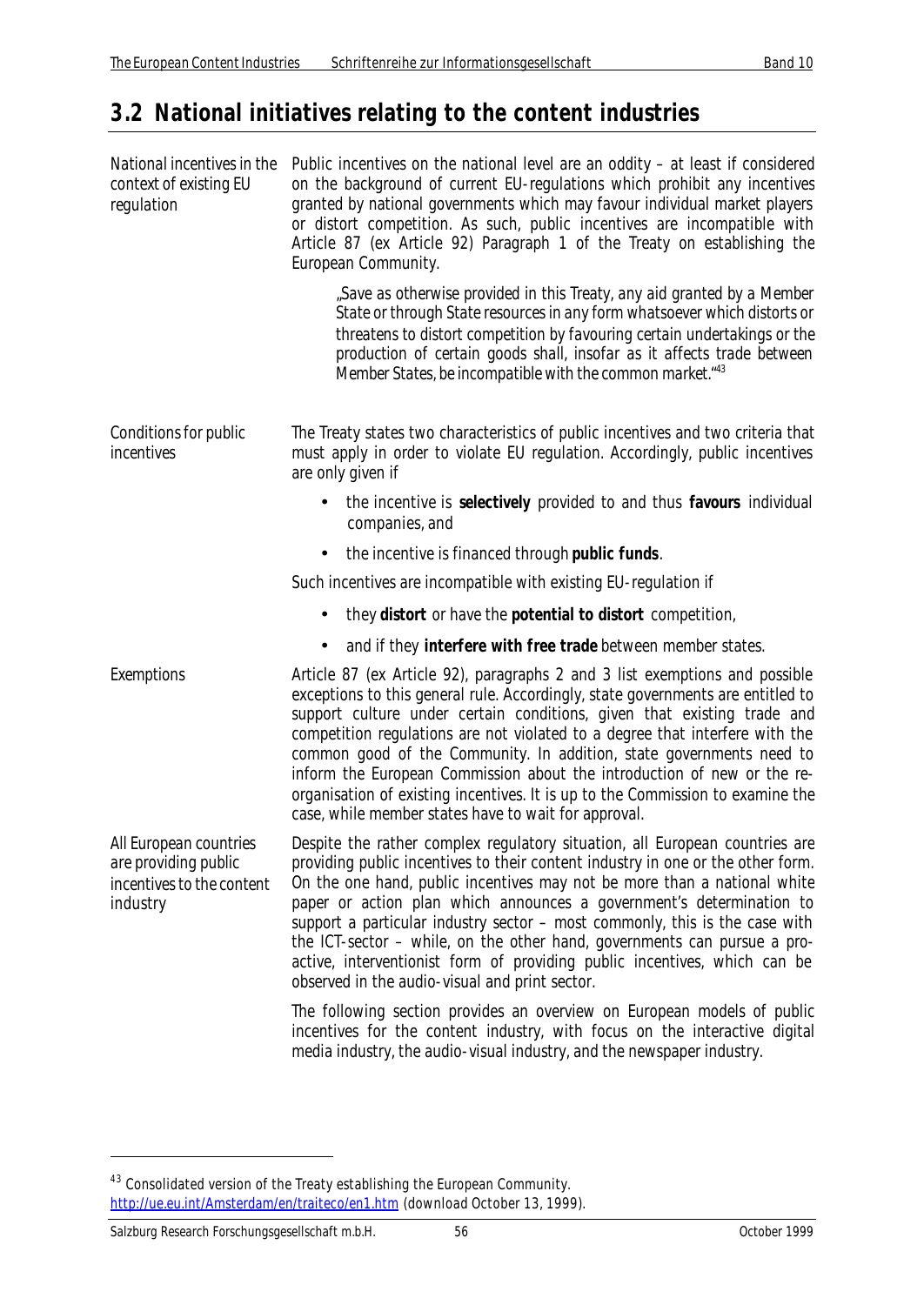## **3.2 National initiatives relating to the content industries**

| National incentives in the<br>context of existing EU<br>regulation                      | Public incentives on the national level are an oddity $-$ at least if considered<br>on the background of current EU-regulations which prohibit any incentives<br>granted by national governments which may favour individual market players<br>or distort competition. As such, public incentives are incompatible with<br>Article 87 (ex Article 92) Paragraph 1 of the Treaty on establishing the<br>European Community.                                                                                                                                                                                             |
|-----------------------------------------------------------------------------------------|------------------------------------------------------------------------------------------------------------------------------------------------------------------------------------------------------------------------------------------------------------------------------------------------------------------------------------------------------------------------------------------------------------------------------------------------------------------------------------------------------------------------------------------------------------------------------------------------------------------------|
|                                                                                         | "Save as otherwise provided in this Treaty, any aid granted by a Member<br>State or through State resources in any form whatsoever which distorts or<br>threatens to distort competition by favouring certain undertakings or the<br>production of certain goods shall, insofar as it affects trade between<br>Member States, be incompatible with the common market. <sup>43</sup>                                                                                                                                                                                                                                    |
| Conditions for public<br>incentives                                                     | The Treaty states two characteristics of public incentives and two criteria that<br>must apply in order to violate EU regulation. Accordingly, public incentives<br>are only given if                                                                                                                                                                                                                                                                                                                                                                                                                                  |
|                                                                                         | the incentive is selectively provided to and thus favours individual<br>companies, and                                                                                                                                                                                                                                                                                                                                                                                                                                                                                                                                 |
|                                                                                         | the incentive is financed through public funds.                                                                                                                                                                                                                                                                                                                                                                                                                                                                                                                                                                        |
|                                                                                         | Such incentives are incompatible with existing EU-regulation if                                                                                                                                                                                                                                                                                                                                                                                                                                                                                                                                                        |
|                                                                                         | they distort or have the potential to distort competition,                                                                                                                                                                                                                                                                                                                                                                                                                                                                                                                                                             |
|                                                                                         | and if they interfere with free trade between member states.<br>$\bullet$                                                                                                                                                                                                                                                                                                                                                                                                                                                                                                                                              |
| Exemptions                                                                              | Article 87 (ex Article 92), paragraphs 2 and 3 list exemptions and possible<br>exceptions to this general rule. Accordingly, state governments are entitled to<br>support culture under certain conditions, given that existing trade and<br>competition regulations are not violated to a degree that interfere with the<br>common good of the Community. In addition, state governments need to<br>inform the European Commission about the introduction of new or the re-<br>organisation of existing incentives. It is up to the Commission to examine the<br>case, while member states have to wait for approval. |
| All European countries<br>are providing public<br>incentives to the content<br>industry | Despite the rather complex regulatory situation, all European countries are<br>providing public incentives to their content industry in one or the other form.<br>On the one hand, public incentives may not be more than a national white<br>paper or action plan which announces a government's determination to<br>support a particular industry sector - most commonly, this is the case with<br>the ICT-sector – while, on the other hand, governments can pursue a pro-<br>active, interventionist form of providing public incentives, which can be<br>observed in the audio-visual and print sector.           |
|                                                                                         | The following section provides an overview on European models of public<br>incentives for the content industry, with focus on the interactive digital<br>media industry, the audio-visual industry, and the newspaper industry.                                                                                                                                                                                                                                                                                                                                                                                        |

 $^{43}$  Consolidated version of the Treaty establishing the European Community. http://ue.eu.int/Amsterdam/en/traiteco/en1.htm (download October 13, 1999).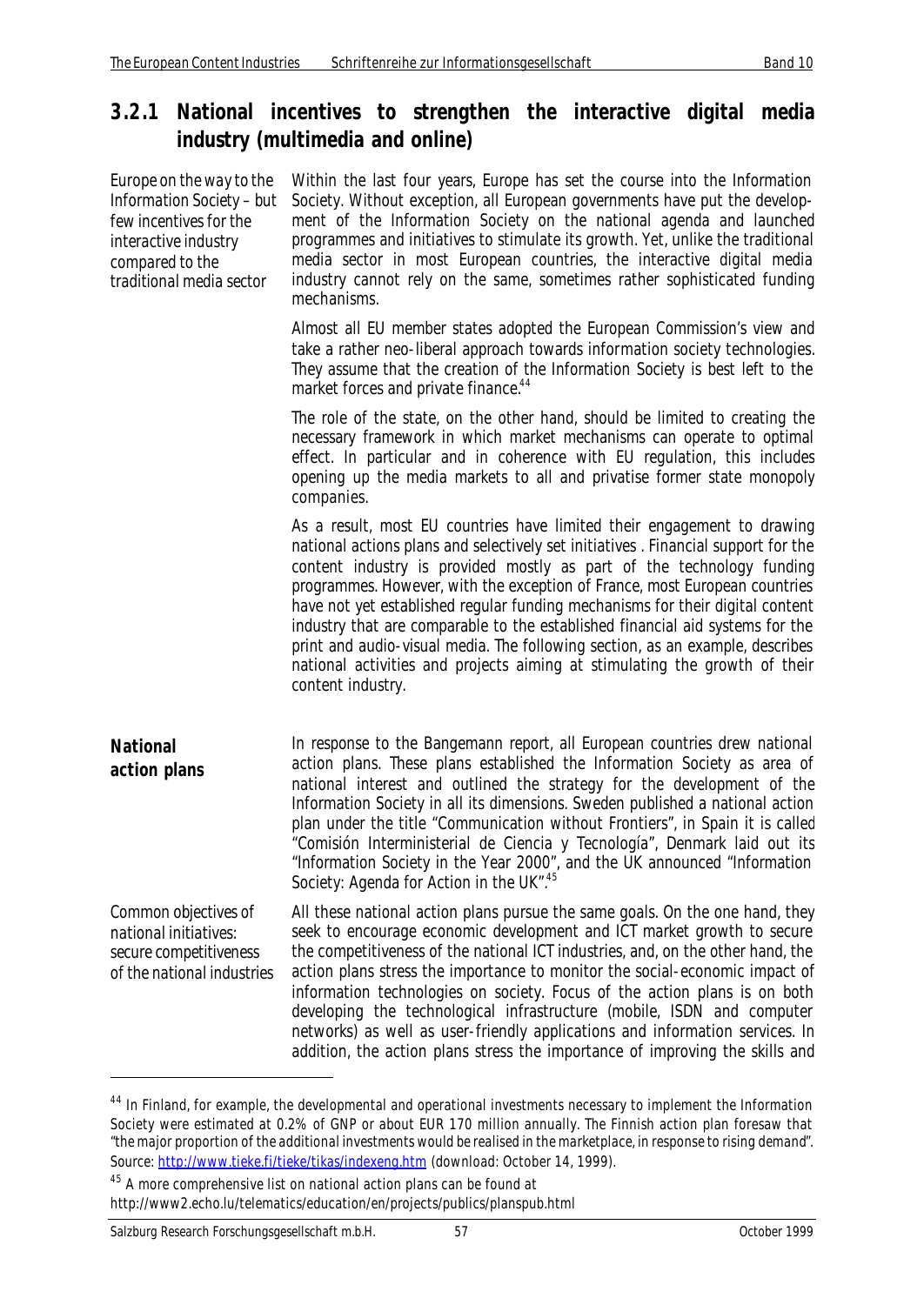## **3.2.1 National incentives to strengthen the interactive digital media industry (multimedia and online)**

| Europe on the way to the<br>Information Society - but<br>few incentives for the<br>interactive industry<br>compared to the<br>traditional media sector | Within the last four years, Europe has set the course into the Information<br>Society. Without exception, all European governments have put the develop-<br>ment of the Information Society on the national agenda and launched<br>programmes and initiatives to stimulate its growth. Yet, unlike the traditional<br>media sector in most European countries, the interactive digital media<br>industry cannot rely on the same, sometimes rather sophisticated funding<br>mechanisms.                                                                                                                                                                                   |
|--------------------------------------------------------------------------------------------------------------------------------------------------------|---------------------------------------------------------------------------------------------------------------------------------------------------------------------------------------------------------------------------------------------------------------------------------------------------------------------------------------------------------------------------------------------------------------------------------------------------------------------------------------------------------------------------------------------------------------------------------------------------------------------------------------------------------------------------|
|                                                                                                                                                        | Almost all EU member states adopted the European Commission's view and<br>take a rather neo-liberal approach towards information society technologies.<br>They assume that the creation of the Information Society is best left to the<br>market forces and private finance. <sup>44</sup>                                                                                                                                                                                                                                                                                                                                                                                |
|                                                                                                                                                        | The role of the state, on the other hand, should be limited to creating the<br>necessary framework in which market mechanisms can operate to optimal<br>effect. In particular and in coherence with EU regulation, this includes<br>opening up the media markets to all and privatise former state monopoly<br>companies.                                                                                                                                                                                                                                                                                                                                                 |
|                                                                                                                                                        | As a result, most EU countries have limited their engagement to drawing<br>national actions plans and selectively set initiatives. Financial support for the<br>content industry is provided mostly as part of the technology funding<br>programmes. However, with the exception of France, most European countries<br>have not yet established regular funding mechanisms for their digital content<br>industry that are comparable to the established financial aid systems for the<br>print and audio-visual media. The following section, as an example, describes<br>national activities and projects aiming at stimulating the growth of their<br>content industry. |
| <b>National</b><br>action plans                                                                                                                        | In response to the Bangemann report, all European countries drew national<br>action plans. These plans established the Information Society as area of<br>national interest and outlined the strategy for the development of the<br>Information Society in all its dimensions. Sweden published a national action<br>plan under the title "Communication without Frontiers", in Spain it is called<br>"Comisión Interministerial de Ciencia y Tecnología", Denmark laid out its<br>"Information Society in the Year 2000", and the UK announced "Information<br>Society: Agenda for Action in the UK". <sup>45</sup>                                                       |
| Common objectives of<br>national initiatives:<br>secure competitiveness<br>of the national industries                                                  | All these national action plans pursue the same goals. On the one hand, they<br>seek to encourage economic development and ICT market growth to secure<br>the competitiveness of the national ICT industries, and, on the other hand, the<br>action plans stress the importance to monitor the social-economic impact of<br>information technologies on society. Focus of the action plans is on both<br>developing the technological infrastructure (mobile, ISDN and computer<br>networks) as well as user-friendly applications and information services. In<br>addition, the action plans stress the importance of improving the skills and                           |

<sup>&</sup>lt;sup>44</sup> In Finland, for example, the developmental and operational investments necessary to implement the Information Society were estimated at 0.2% of GNP or about EUR 170 million annually. The Finnish action plan foresaw that "*the major proportion of the additional investments would be realised in the marketplace, in response to rising demand*". Source: http://www.tieke.fi/tieke/tikas/indexeng.htm (download: October 14, 1999).

<sup>45</sup> A more comprehensive list on national action plans can be found at http://www2.echo.lu/telematics/education/en/projects/publics/planspub.html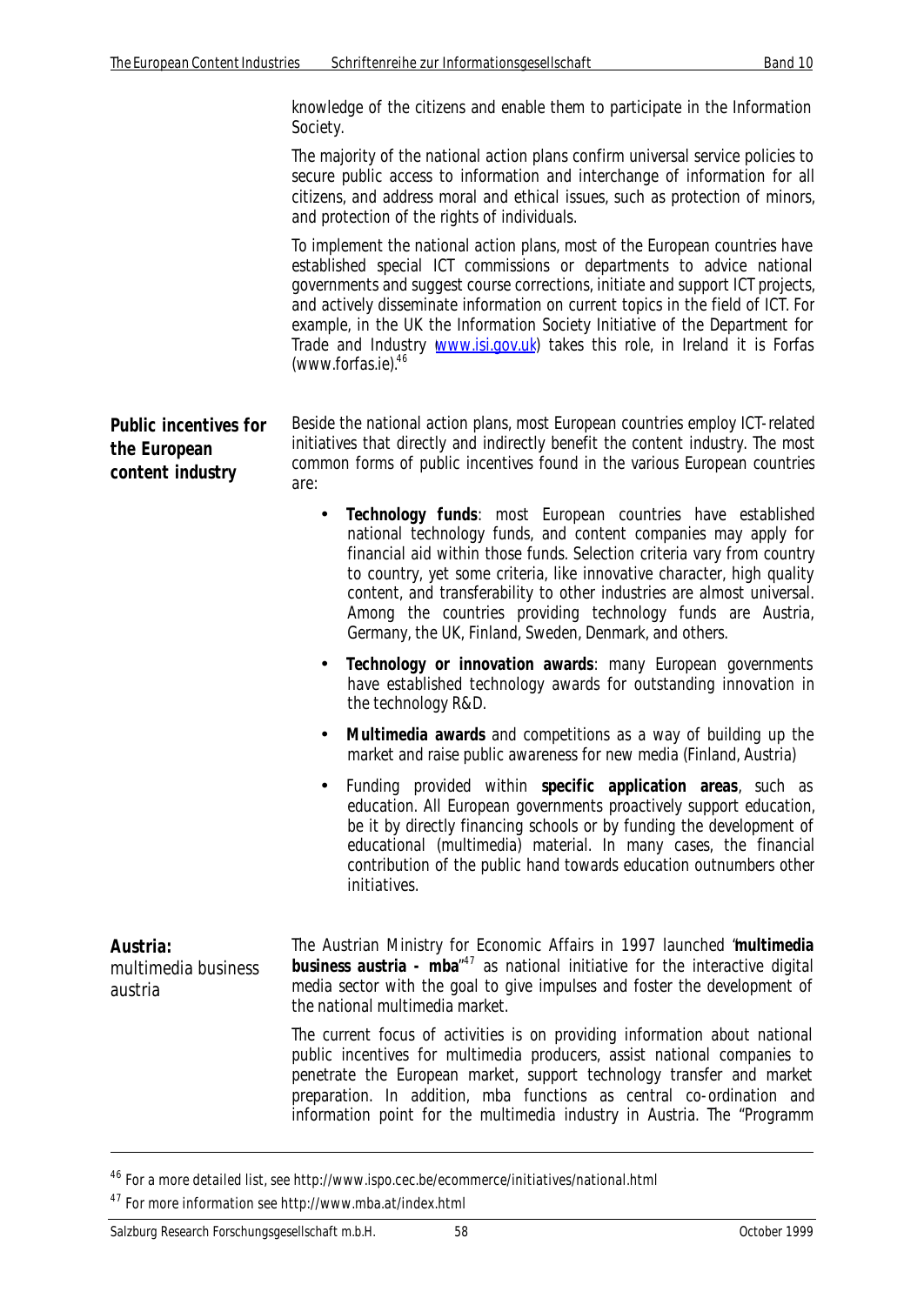knowledge of the citizens and enable them to participate in the Information Society.

The majority of the national action plans confirm universal service policies to secure public access to information and interchange of information for all citizens, and address moral and ethical issues, such as protection of minors, and protection of the rights of individuals.

To implement the national action plans, most of the European countries have established special ICT commissions or departments to advice national governments and suggest course corrections, initiate and support ICT projects, and actively disseminate information on current topics in the field of ICT. For example, in the UK the Information Society Initiative of the Department for Trade and Industry **www.isi.gov.uk**) takes this role, in Ireland it is Forfas (www.forfas.ie).<sup>46</sup>

**Public incentives for the European content industry** Beside the national action plans, most European countries employ ICT-related initiatives that directly and indirectly benefit the content industry. The most common forms of public incentives found in the various European countries are:

- **Technology funds**: most European countries have established national technology funds, and content companies may apply for financial aid within those funds. Selection criteria vary from country to country, yet some criteria, like innovative character, high quality content, and transferability to other industries are almost universal. Among the countries providing technology funds are Austria, Germany, the UK, Finland, Sweden, Denmark, and others.
- **Technology or innovation awards**: many European governments have established technology awards for outstanding innovation in the technology R&D.
- **Multimedia awards** and competitions as a way of building up the market and raise public awareness for new media (Finland, Austria)
- Funding provided within **specific application areas**, such as education. All European governments proactively support education, be it by directly financing schools or by funding the development of educational (multimedia) material. In many cases, the financial contribution of the public hand towards education outnumbers other initiatives.

| Austria:<br>multimedia business<br>austria | The Austrian Ministry for Economic Affairs in 1997 launched "multimedia<br><b>business austria - mba</b> $n^{47}$ as national initiative for the interactive digital<br>media sector with the goal to give impulses and foster the development of<br>the national multimedia market.                                                                                               |
|--------------------------------------------|------------------------------------------------------------------------------------------------------------------------------------------------------------------------------------------------------------------------------------------------------------------------------------------------------------------------------------------------------------------------------------|
|                                            | The current focus of activities is on providing information about national<br>public incentives for multimedia producers, assist national companies to<br>penetrate the European market, support technology transfer and market<br>preparation. In addition, mba functions as central co-ordination and<br>information point for the multimedia industry in Austria. The "Programm |

<sup>46</sup> For a more detailed list, see http://www.ispo.cec.be/ecommerce/initiatives/national.html

<sup>47</sup> For more information see http://www.mba.at/index.html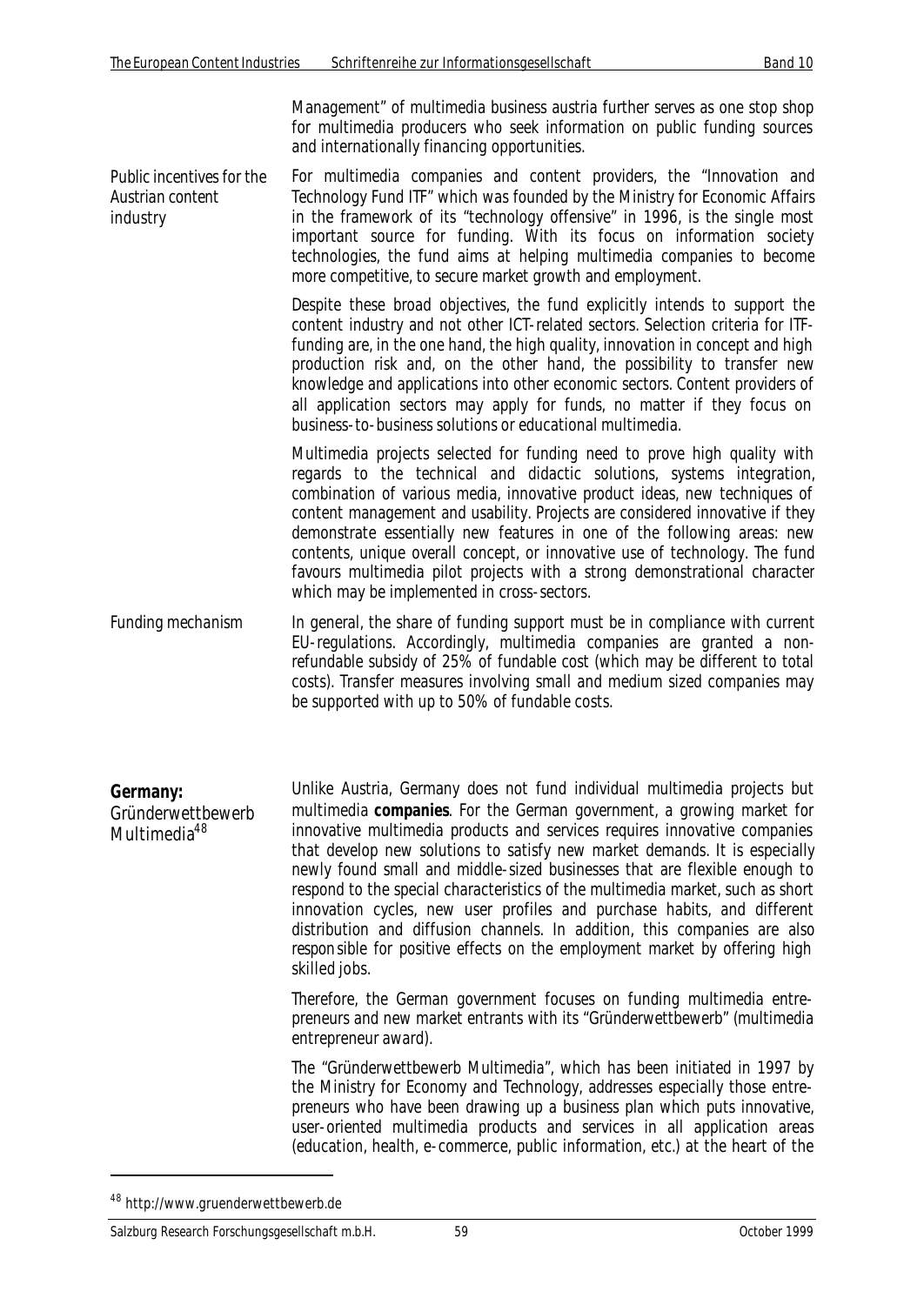Management" of multimedia business austria further serves as one stop shop for multimedia producers who seek information on public funding sources and internationally financing opportunities.

*Public incentives for the Austrian content industry* For multimedia companies and content providers, the "Innovation and Technology Fund ITF" which was founded by the Ministry for Economic Affairs in the framework of its "technology offensive" in 1996, is the single most important source for funding. With its focus on information society technologies, the fund aims at helping multimedia companies to become more competitive, to secure market growth and employment.

> Despite these broad objectives, the fund explicitly intends to support the content industry and not other ICT-related sectors. Selection criteria for ITFfunding are, in the one hand, the high quality, innovation in concept and high production risk and, on the other hand, the possibility to transfer new knowledge and applications into other economic sectors. Content providers of all application sectors may apply for funds, no matter if they focus on business-to-business solutions or educational multimedia.

Multimedia projects selected for funding need to prove high quality with regards to the technical and didactic solutions, systems integration, combination of various media, innovative product ideas, new techniques of content management and usability. Projects are considered innovative if they demonstrate essentially new features in one of the following areas: new contents, unique overall concept, or innovative use of technology. The fund favours multimedia pilot projects with a strong demonstrational character which may be implemented in cross-sectors.

*Funding mechanism* In general, the share of funding support must be in compliance with current EU-regulations. Accordingly, multimedia companies are granted a nonrefundable subsidy of 25% of fundable cost (which may be different to total costs). Transfer measures involving small and medium sized companies may be supported with up to 50% of fundable costs.

**Germany:** Gründerwettbewerb Multimedia<sup>48</sup> Unlike Austria, Germany does not fund individual multimedia projects but multimedia **companies**. For the German government, a growing market for innovative multimedia products and services requires innovative companies that develop new solutions to satisfy new market demands. It is especially newly found small and middle-sized businesses that are flexible enough to respond to the special characteristics of the multimedia market, such as short innovation cycles, new user profiles and purchase habits, and different distribution and diffusion channels. In addition, this companies are also responsible for positive effects on the employment market by offering high skilled jobs.

> Therefore, the German government focuses on funding multimedia entrepreneurs and new market entrants with its "Gründerwettbewerb" (multimedia entrepreneur award).

> The "Gründerwettbewerb Multimedia", which has been initiated in 1997 by the Ministry for Economy and Technology, addresses especially those entrepreneurs who have been drawing up a business plan which puts innovative, user-oriented multimedia products and services in all application areas (education, health, e-commerce, public information, etc.) at the heart of the

<sup>48</sup> http://www.gruenderwettbewerb.de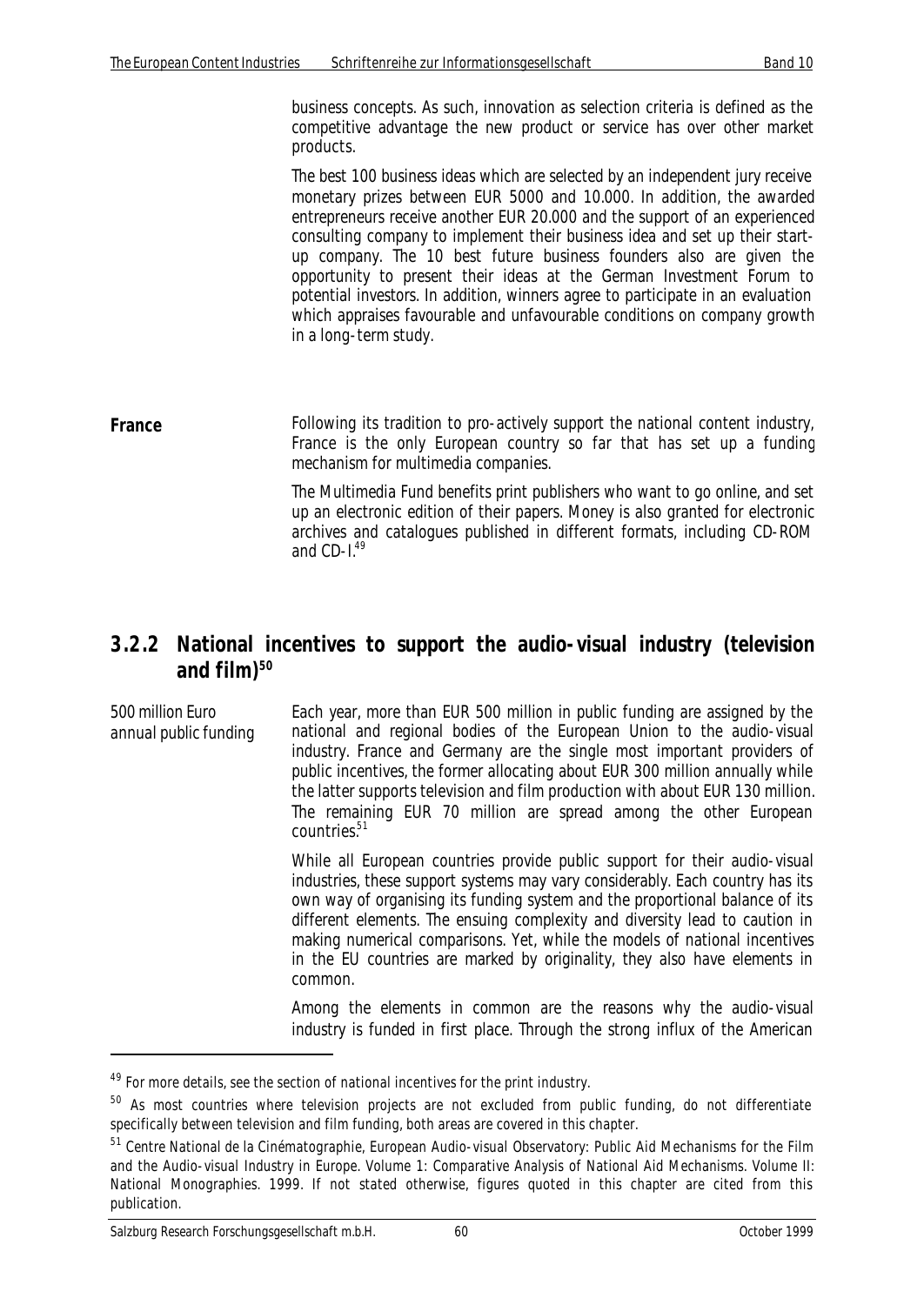business concepts. As such, innovation as selection criteria is defined as the competitive advantage the new product or service has over other market products.

The best 100 business ideas which are selected by an independent jury receive monetary prizes between EUR 5000 and 10.000. In addition, the awarded entrepreneurs receive another EUR 20.000 and the support of an experienced consulting company to implement their business idea and set up their startup company. The 10 best future business founders also are given the opportunity to present their ideas at the German Investment Forum to potential investors. In addition, winners agree to participate in an evaluation which appraises favourable and unfavourable conditions on company growth in a long-term study.

**France** Following its tradition to pro-actively support the national content industry, France is the only European country so far that has set up a funding mechanism for multimedia companies.

> The Multimedia Fund benefits print publishers who want to go online, and set up an electronic edition of their papers. Money is also granted for electronic archives and catalogues published in different formats, including CD-ROM and CD-1.49

## **3.2.2 National incentives to support the audio-visual industry (television and film)<sup>50</sup>**

*500 million Euro annual public funding* Each year, more than EUR 500 million in public funding are assigned by the national and regional bodies of the European Union to the audio-visual industry. France and Germany are the single most important providers of public incentives, the former allocating about EUR 300 million annually while the latter supports television and film production with about EUR 130 million. The remaining EUR 70 million are spread among the other European countries<sup>51</sup>

> While all European countries provide public support for their audio-visual industries, these support systems may vary considerably. Each country has its own way of organising its funding system and the proportional balance of its different elements. The ensuing complexity and diversity lead to caution in making numerical comparisons. Yet, while the models of national incentives in the EU countries are marked by originality, they also have elements in common.

> Among the elements in common are the reasons why the audio-visual industry is funded in first place. Through the strong influx of the American

l

 $49$  For more details, see the section of national incentives for the print industry.

<sup>&</sup>lt;sup>50</sup> As most countries where television projects are not excluded from public funding, do not differentiate specifically between television and film funding, both areas are covered in this chapter.

<sup>&</sup>lt;sup>51</sup> Centre National de la Cinématographie, European Audio-visual Observatory: Public Aid Mechanisms for the Film and the Audio-visual Industry in Europe. Volume 1: Comparative Analysis of National Aid Mechanisms. Volume II: National Monographies. 1999. If not stated otherwise, figures quoted in this chapter are cited from this publication.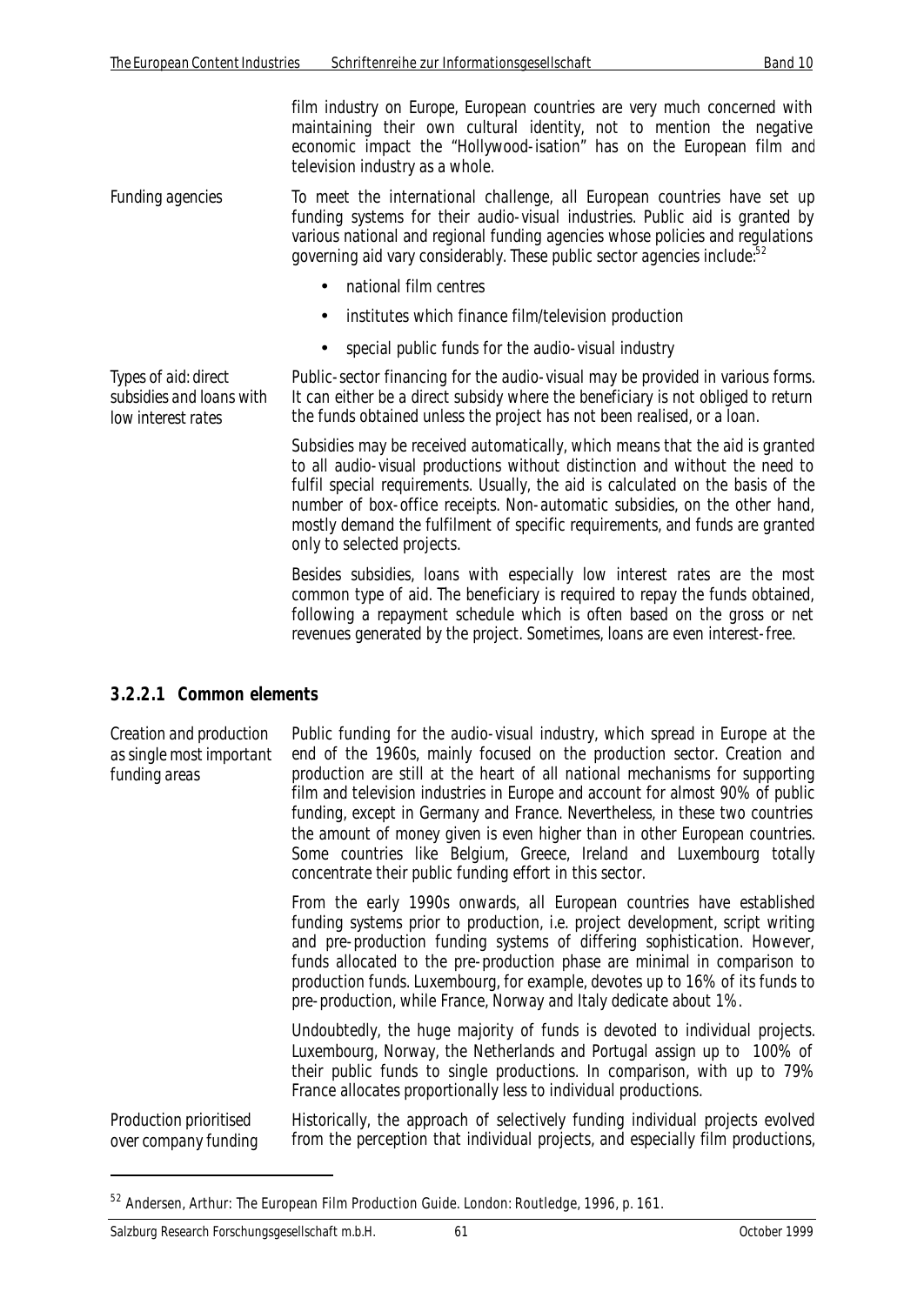film industry on Europe, European countries are very much concerned with maintaining their own cultural identity, not to mention the negative economic impact the "Hollywood-isation" has on the European film and television industry as a whole.

*Funding agencies* To meet the international challenge, all European countries have set up funding systems for their audio-visual industries. Public aid is granted by various national and regional funding agencies whose policies and regulations governing aid vary considerably. These public sector agencies include:<sup>52</sup>

- national film centres
- institutes which finance film/television production
- special public funds for the audio-visual industry

*Types of aid: direct subsidies and loans with low interest rates* Public-sector financing for the audio-visual may be provided in various forms. It can either be a direct subsidy where the beneficiary is not obliged to return the funds obtained unless the project has not been realised, or a loan.

> Subsidies may be received automatically, which means that the aid is granted to all audio-visual productions without distinction and without the need to fulfil special requirements. Usually, the aid is calculated on the basis of the number of box-office receipts. Non-automatic subsidies, on the other hand, mostly demand the fulfilment of specific requirements, and funds are granted only to selected projects.

> Besides subsidies, loans with especially low interest rates are the most common type of aid. The beneficiary is required to repay the funds obtained, following a repayment schedule which is often based on the gross or net revenues generated by the project. Sometimes, loans are even interest-free.

#### **3.2.2.1 Common elements**

*Creation and production as single most important funding areas* Public funding for the audio-visual industry, which spread in Europe at the end of the 1960s, mainly focused on the production sector. Creation and production are still at the heart of all national mechanisms for supporting film and television industries in Europe and account for almost 90% of public funding, except in Germany and France. Nevertheless, in these two countries the amount of money given is even higher than in other European countries. Some countries like Belgium, Greece, Ireland and Luxembourg totally concentrate their public funding effort in this sector. From the early 1990s onwards, all European countries have established funding systems prior to production, i.e. project development, script writing and pre-production funding systems of differing sophistication. However, funds allocated to the pre-production phase are minimal in comparison to production funds. Luxembourg, for example, devotes up to 16% of its funds to

> Undoubtedly, the huge majority of funds is devoted to individual projects. Luxembourg, Norway, the Netherlands and Portugal assign up to 100% of their public funds to single productions. In comparison, with up to 79% France allocates proportionally less to individual productions.

pre-production, while France, Norway and Italy dedicate about 1%.

*Production prioritised over company funding* Historically, the approach of selectively funding individual projects evolved from the perception that individual projects, and especially film productions,

<sup>52</sup> Andersen, Arthur: The European Film Production Guide. London: Routledge, 1996, p. 161.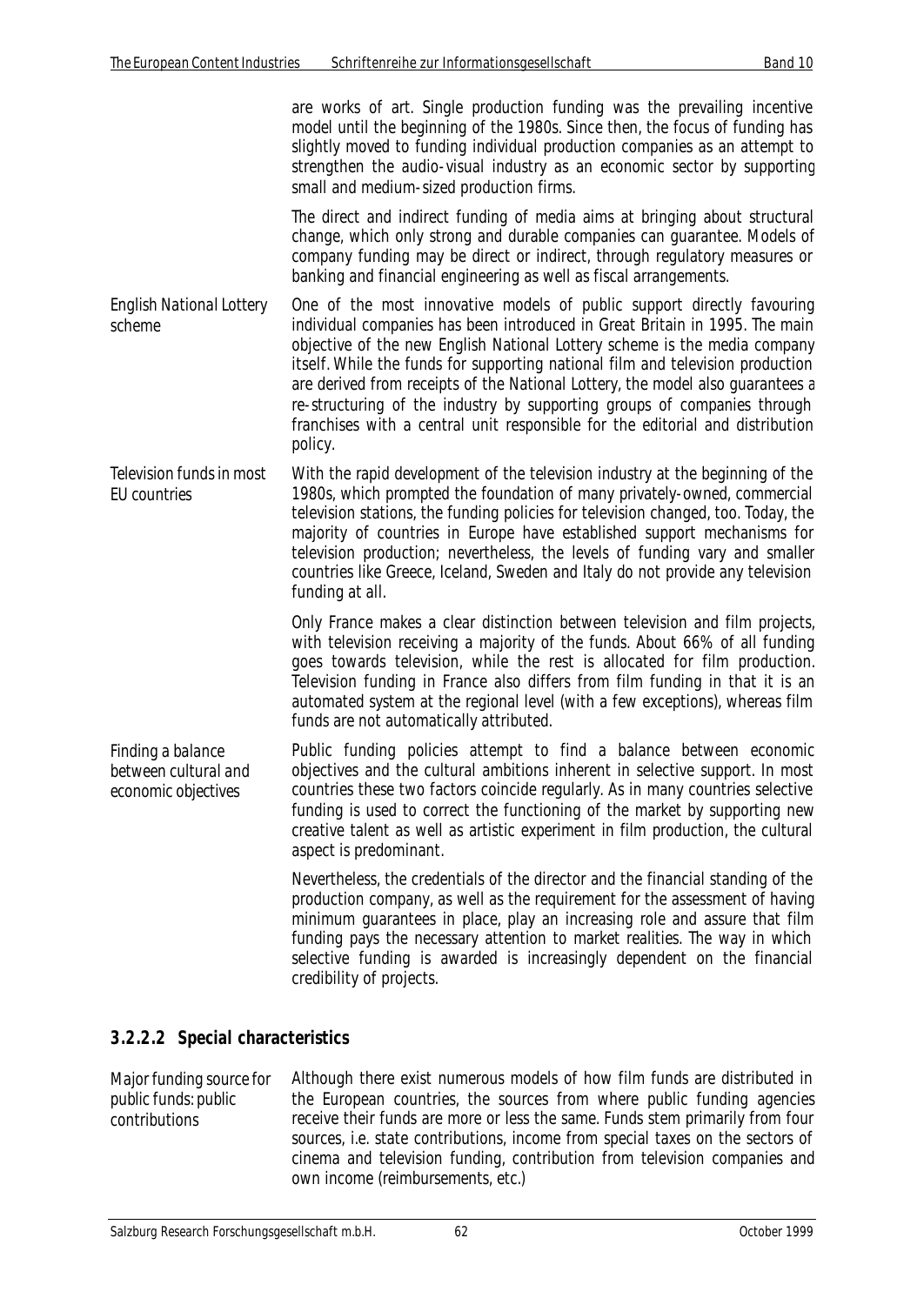are works of art. Single production funding was the prevailing incentive model until the beginning of the 1980s. Since then, the focus of funding has slightly moved to funding individual production companies as an attempt to strengthen the audio-visual industry as an economic sector by supporting small and medium-sized production firms.

The direct and indirect funding of media aims at bringing about structural change, which only strong and durable companies can guarantee. Models of company funding may be direct or indirect, through regulatory measures or banking and financial engineering as well as fiscal arrangements.

- *English National Lottery scheme* One of the most innovative models of public support directly favouring individual companies has been introduced in Great Britain in 1995. The main objective of the new English National Lottery scheme is the media company itself. While the funds for supporting national film and television production are derived from receipts of the National Lottery, the model also guarantees a re-structuring of the industry by supporting groups of companies through franchises with a central unit responsible for the editorial and distribution policy.
- *Television funds in most EU countries* With the rapid development of the television industry at the beginning of the 1980s, which prompted the foundation of many privately-owned, commercial television stations, the funding policies for television changed, too. Today, the majority of countries in Europe have established support mechanisms for television production; nevertheless, the levels of funding vary and smaller countries like Greece, Iceland, Sweden and Italy do not provide any television funding at all.

Only France makes a clear distinction between television and film projects, with television receiving a majority of the funds. About 66% of all funding goes towards television, while the rest is allocated for film production. Television funding in France also differs from film funding in that it is an automated system at the regional level (with a few exceptions), whereas film funds are not automatically attributed.

*Finding a balance between cultural and economic objectives* Public funding policies attempt to find a balance between economic objectives and the cultural ambitions inherent in selective support. In most countries these two factors coincide regularly. As in many countries selective funding is used to correct the functioning of the market by supporting new creative talent as well as artistic experiment in film production, the cultural aspect is predominant.

> Nevertheless, the credentials of the director and the financial standing of the production company, as well as the requirement for the assessment of having minimum guarantees in place, play an increasing role and assure that film funding pays the necessary attention to market realities. The way in which selective funding is awarded is increasingly dependent on the financial credibility of projects.

## **3.2.2.2 Special characteristics**

*Major funding source for public funds: public contributions* Although there exist numerous models of how film funds are distributed in the European countries, the sources from where public funding agencies receive their funds are more or less the same. Funds stem primarily from four sources, i.e. state contributions, income from special taxes on the sectors of cinema and television funding, contribution from television companies and own income (reimbursements, etc.)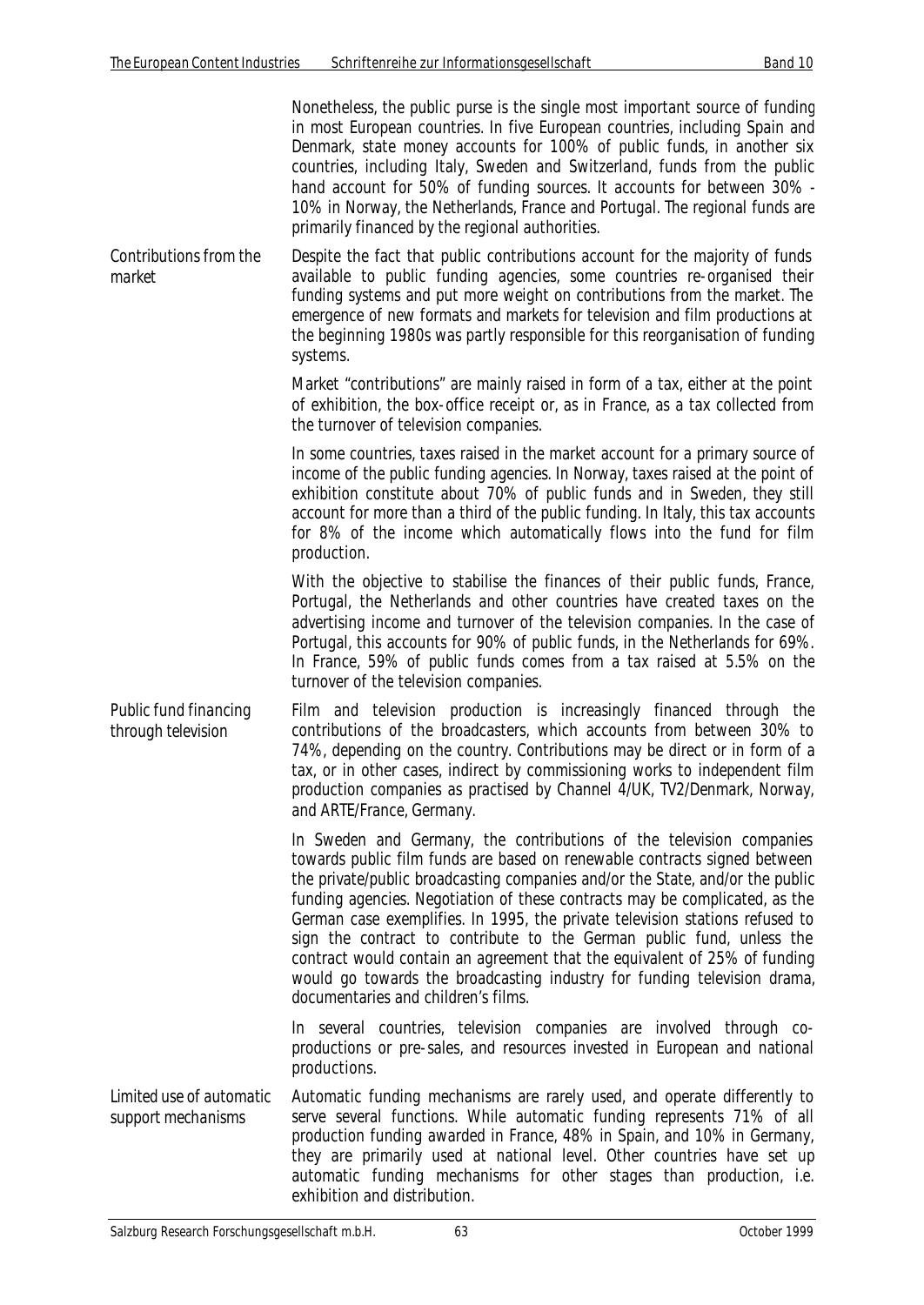*market*

Nonetheless, the public purse is the single most important source of funding in most European countries. In five European countries, including Spain and Denmark, state money accounts for 100% of public funds, in another six countries, including Italy, Sweden and Switzerland, funds from the public hand account for 50% of funding sources. It accounts for between 30% - 10% in Norway, the Netherlands, France and Portugal. The regional funds are primarily financed by the regional authorities. *Contributions from the* Despite the fact that public contributions account for the majority of funds available to public funding agencies, some countries re-organised their funding systems and put more weight on contributions from the market. The emergence of new formats and markets for television and film productions at the beginning 1980s was partly responsible for this reorganisation of funding systems.

Market "contributions" are mainly raised in form of a tax, either at the point of exhibition, the box-office receipt or, as in France, as a tax collected from the turnover of television companies.

In some countries, taxes raised in the market account for a primary source of income of the public funding agencies. In Norway, taxes raised at the point of exhibition constitute about 70% of public funds and in Sweden, they still account for more than a third of the public funding. In Italy, this tax accounts for 8% of the income which automatically flows into the fund for film production.

With the objective to stabilise the finances of their public funds, France, Portugal, the Netherlands and other countries have created taxes on the advertising income and turnover of the television companies. In the case of Portugal, this accounts for 90% of public funds, in the Netherlands for 69%. In France, 59% of public funds comes from a tax raised at 5.5% on the turnover of the television companies.

*Public fund financing through television* Film and television production is increasingly financed through the contributions of the broadcasters, which accounts from between 30% to 74%, depending on the country. Contributions may be direct or in form of a tax, or in other cases, indirect by commissioning works to independent film production companies as practised by Channel 4/UK, TV2/Denmark, Norway, and ARTE/France, Germany.

> In Sweden and Germany, the contributions of the television companies towards public film funds are based on renewable contracts signed between the private/public broadcasting companies and/or the State, and/or the public funding agencies. Negotiation of these contracts may be complicated, as the German case exemplifies. In 1995, the private television stations refused to sign the contract to contribute to the German public fund, unless the contract would contain an agreement that the equivalent of 25% of funding would go towards the broadcasting industry for funding television drama, documentaries and children's films.

> In several countries, television companies are involved through coproductions or pre-sales, and resources invested in European and national productions.

*Limited use of automatic support mechanisms* Automatic funding mechanisms are rarely used, and operate differently to serve several functions. While automatic funding represents 71% of all production funding awarded in France, 48% in Spain, and 10% in Germany, they are primarily used at national level. Other countries have set up automatic funding mechanisms for other stages than production, i.e. exhibition and distribution.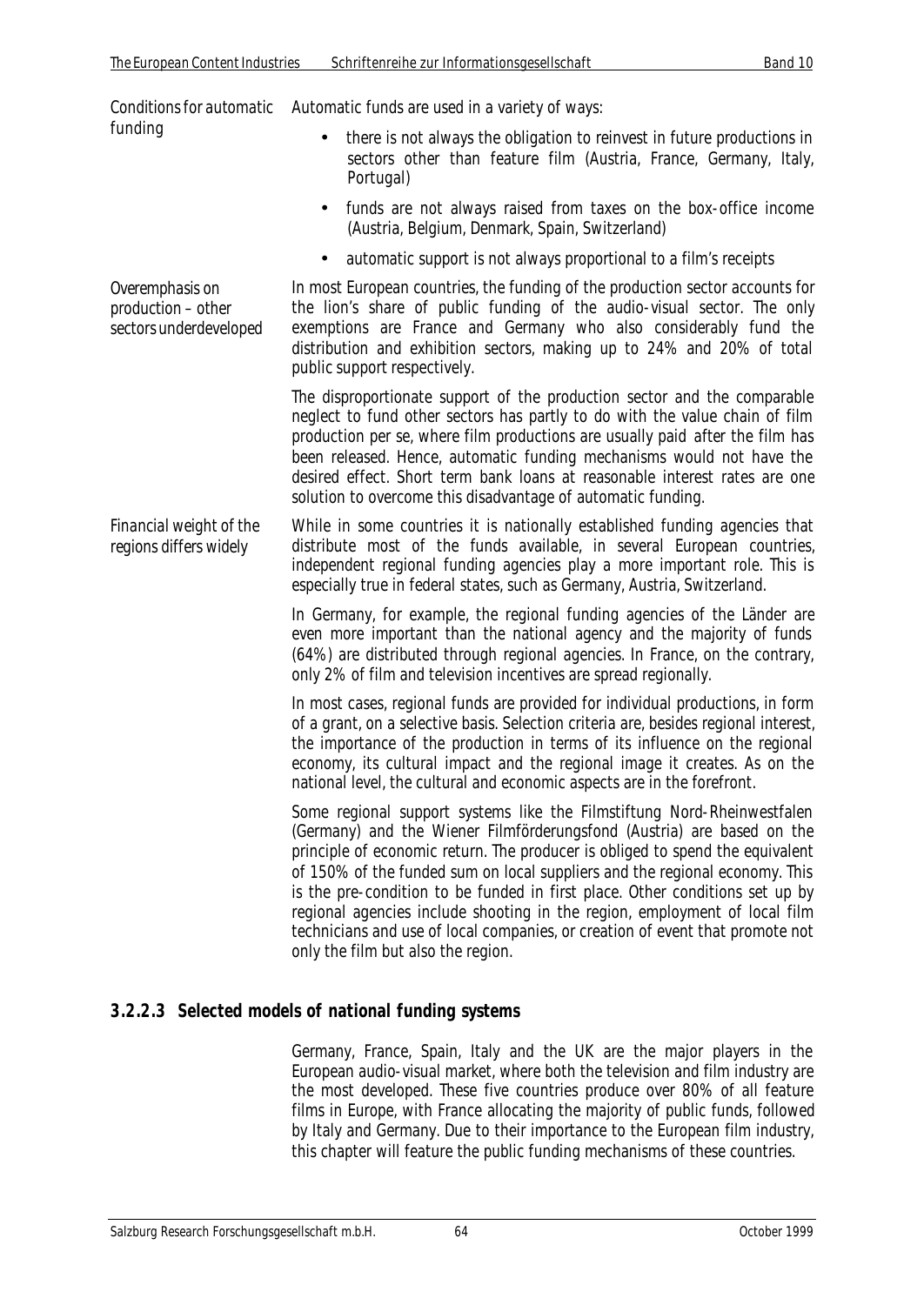| Conditions for automatic<br>funding                             | Automatic funds are used in a variety of ways:                                                                                                                                                                                                                                                                                                                                                                                                                                                                                                                                                         |
|-----------------------------------------------------------------|--------------------------------------------------------------------------------------------------------------------------------------------------------------------------------------------------------------------------------------------------------------------------------------------------------------------------------------------------------------------------------------------------------------------------------------------------------------------------------------------------------------------------------------------------------------------------------------------------------|
|                                                                 | there is not always the obligation to reinvest in future productions in<br>sectors other than feature film (Austria, France, Germany, Italy,<br>Portugal)                                                                                                                                                                                                                                                                                                                                                                                                                                              |
|                                                                 | funds are not always raised from taxes on the box-office income<br>(Austria, Belgium, Denmark, Spain, Switzerland)                                                                                                                                                                                                                                                                                                                                                                                                                                                                                     |
|                                                                 | automatic support is not always proportional to a film's receipts<br>$\bullet$                                                                                                                                                                                                                                                                                                                                                                                                                                                                                                                         |
| Overemphasis on<br>production - other<br>sectors underdeveloped | In most European countries, the funding of the production sector accounts for<br>the lion's share of public funding of the audio-visual sector. The only<br>exemptions are France and Germany who also considerably fund the<br>distribution and exhibition sectors, making up to 24% and 20% of total<br>public support respectively.                                                                                                                                                                                                                                                                 |
|                                                                 | The disproportionate support of the production sector and the comparable<br>neglect to fund other sectors has partly to do with the value chain of film<br>production per se, where film productions are usually paid after the film has<br>been released. Hence, automatic funding mechanisms would not have the<br>desired effect. Short term bank loans at reasonable interest rates are one<br>solution to overcome this disadvantage of automatic funding.                                                                                                                                        |
| Financial weight of the<br>regions differs widely               | While in some countries it is nationally established funding agencies that<br>distribute most of the funds available, in several European countries,<br>independent regional funding agencies play a more important role. This is<br>especially true in federal states, such as Germany, Austria, Switzerland.                                                                                                                                                                                                                                                                                         |
|                                                                 | In Germany, for example, the regional funding agencies of the Länder are<br>even more important than the national agency and the majority of funds<br>(64%) are distributed through regional agencies. In France, on the contrary,<br>only 2% of film and television incentives are spread regionally.                                                                                                                                                                                                                                                                                                 |
|                                                                 | In most cases, regional funds are provided for individual productions, in form<br>of a grant, on a selective basis. Selection criteria are, besides regional interest,<br>the importance of the production in terms of its influence on the regional<br>economy, its cultural impact and the regional image it creates. As on the<br>national level, the cultural and economic aspects are in the forefront.                                                                                                                                                                                           |
|                                                                 | Some regional support systems like the Filmstiftung Nord-Rheinwestfalen<br>(Germany) and the Wiener Filmförderungsfond (Austria) are based on the<br>principle of economic return. The producer is obliged to spend the equivalent<br>of 150% of the funded sum on local suppliers and the regional economy. This<br>is the pre-condition to be funded in first place. Other conditions set up by<br>regional agencies include shooting in the region, employment of local film<br>technicians and use of local companies, or creation of event that promote not<br>only the film but also the region. |
|                                                                 |                                                                                                                                                                                                                                                                                                                                                                                                                                                                                                                                                                                                        |

## **3.2.2.3 Selected models of national funding systems**

Germany, France, Spain, Italy and the UK are the major players in the European audio-visual market, where both the television and film industry are the most developed. These five countries produce over 80% of all feature films in Europe, with France allocating the majority of public funds, followed by Italy and Germany. Due to their importance to the European film industry, this chapter will feature the public funding mechanisms of these countries.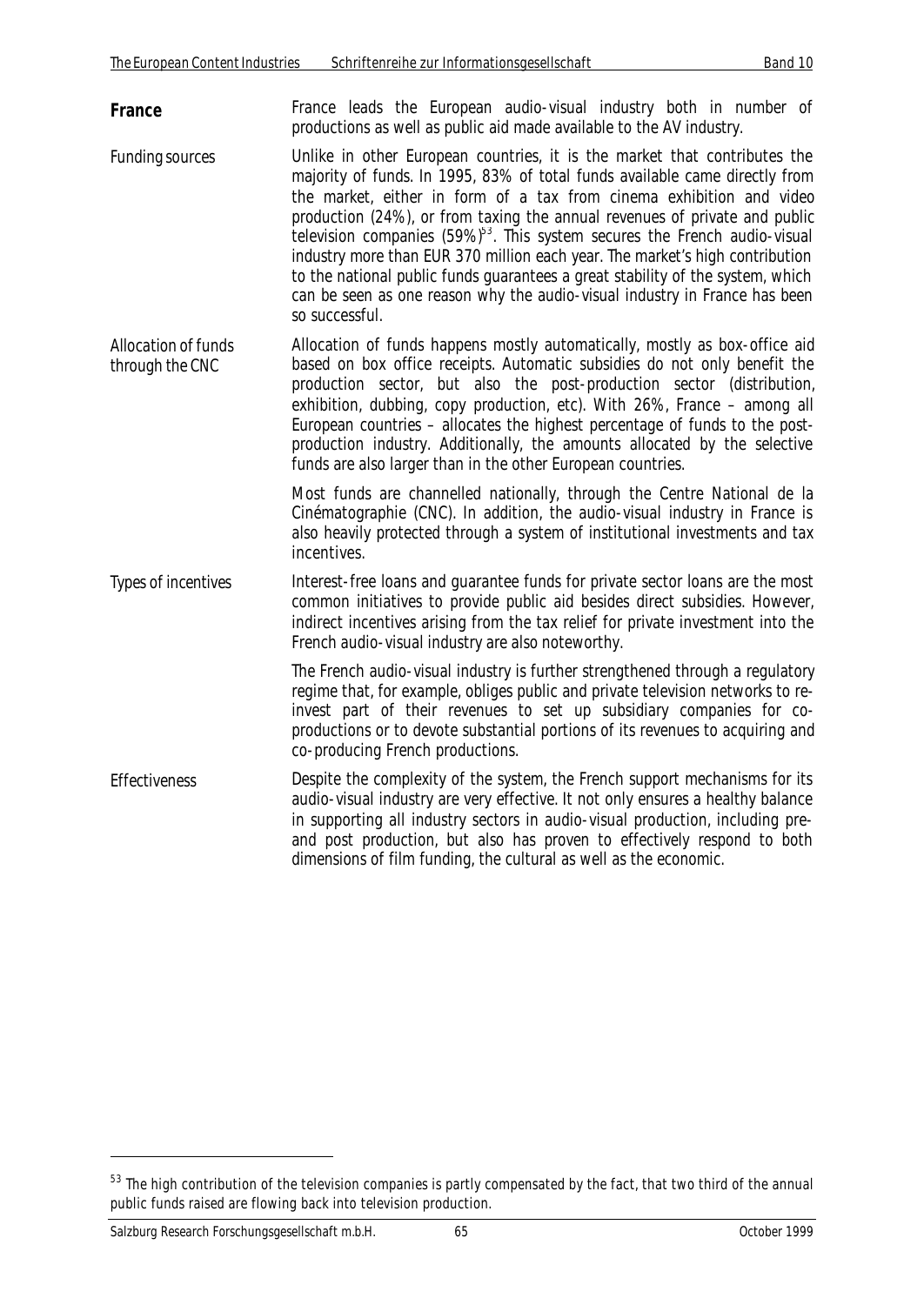**France France** leads the European audio-visual industry both in number of productions as well as public aid made available to the AV industry.

- *Funding sources* Unlike in other European countries, it is the market that contributes the majority of funds. In 1995, 83% of total funds available came directly from the market, either in form of a tax from cinema exhibition and video production (24%), or from taxing the annual revenues of private and public television companies  $(59\%)^{53}$ . This system secures the French audio-visual industry more than EUR 370 million each year. The market's high contribution to the national public funds guarantees a great stability of the system, which can be seen as one reason why the audio-visual industry in France has been so successful.
- *Allocation of funds through the CNC* Allocation of funds happens mostly automatically, mostly as box-office aid based on box office receipts. Automatic subsidies do not only benefit the production sector, but also the post-production sector (distribution, exhibition, dubbing, copy production, etc). With 26%, France – among all European countries – allocates the highest percentage of funds to the postproduction industry. Additionally, the amounts allocated by the selective funds are also larger than in the other European countries.

Most funds are channelled nationally, through the Centre National de la Cinématographie (CNC). In addition, the audio-visual industry in France is also heavily protected through a system of institutional investments and tax incentives.

*Types of incentives* Interest-free loans and guarantee funds for private sector loans are the most common initiatives to provide public aid besides direct subsidies. However, indirect incentives arising from the tax relief for private investment into the French audio-visual industry are also noteworthy.

> The French audio-visual industry is further strengthened through a regulatory regime that, for example, obliges public and private television networks to reinvest part of their revenues to set up subsidiary companies for coproductions or to devote substantial portions of its revenues to acquiring and co-producing French productions.

*Effectiveness* Despite the complexity of the system, the French support mechanisms for its audio-visual industry are very effective. It not only ensures a healthy balance in supporting all industry sectors in audio-visual production, including preand post production, but also has proven to effectively respond to both dimensions of film funding, the cultural as well as the economic.

 $53$  The high contribution of the television companies is partly compensated by the fact, that two third of the annual public funds raised are flowing back into television production.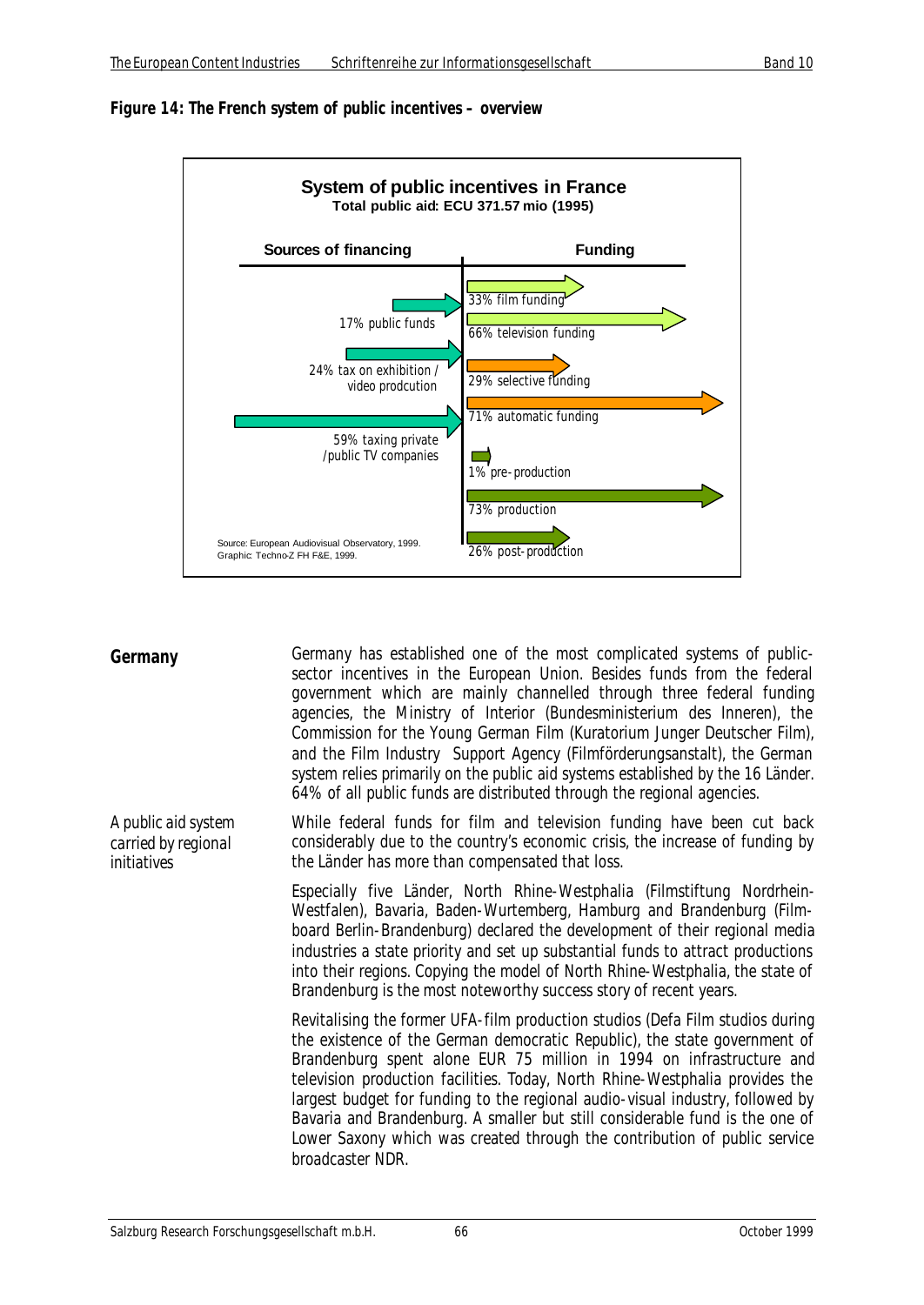



| Germany                                                   | Germany has established one of the most complicated systems of public-<br>sector incentives in the European Union. Besides funds from the federal<br>government which are mainly channelled through three federal funding<br>agencies, the Ministry of Interior (Bundesministerium des Inneren), the<br>Commission for the Young German Film (Kuratorium Junger Deutscher Film),<br>and the Film Industry Support Agency (Filmförderungsanstalt), the German<br>system relies primarily on the public aid systems established by the 16 Länder.<br>64% of all public funds are distributed through the regional agencies. |
|-----------------------------------------------------------|---------------------------------------------------------------------------------------------------------------------------------------------------------------------------------------------------------------------------------------------------------------------------------------------------------------------------------------------------------------------------------------------------------------------------------------------------------------------------------------------------------------------------------------------------------------------------------------------------------------------------|
| A public aid system<br>carried by regional<br>initiatives | While federal funds for film and television funding have been cut back<br>considerably due to the country's economic crisis, the increase of funding by<br>the Länder has more than compensated that loss.                                                                                                                                                                                                                                                                                                                                                                                                                |
|                                                           | Especially five Länder, North Rhine-Westphalia (Filmstiftung Nordrhein-<br>Westfalen), Bavaria, Baden-Wurtemberg, Hamburg and Brandenburg (Film-<br>board Berlin-Brandenburg) declared the development of their regional media<br>industries a state priority and set up substantial funds to attract productions<br>into their regions. Copying the model of North Rhine-Westphalia, the state of<br>Brandenburg is the most noteworthy success story of recent years.                                                                                                                                                   |
|                                                           | Revitalising the former UFA-film production studios (Defa Film studios during<br>the existence of the German democratic Republic), the state government of<br>Brandenburg spent alone EUR 75 million in 1994 on infrastructure and<br>television production facilities. Today, North Rhine-Westphalia provides the<br>largest budget for funding to the regional audio-visual industry, followed by<br>Bavaria and Brandenburg. A smaller but still considerable fund is the one of<br>Lower Saxony which was created through the contribution of public service<br>broadcaster NDR.                                      |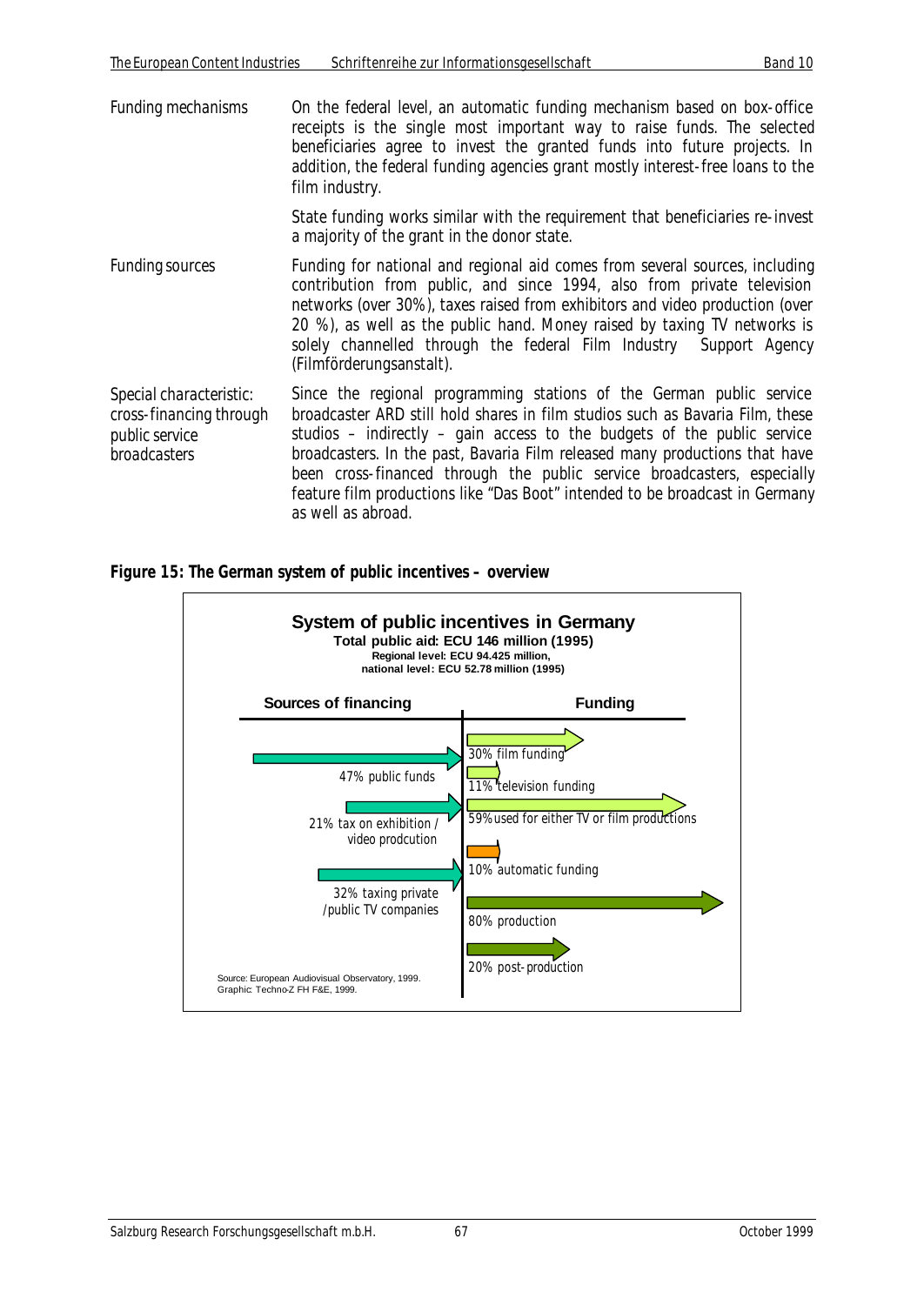*Funding mechanisms* On the federal level, an automatic funding mechanism based on box-office receipts is the single most important way to raise funds. The selected beneficiaries agree to invest the granted funds into future projects. In addition, the federal funding agencies grant mostly interest-free loans to the film industry.

> State funding works similar with the requirement that beneficiaries re-invest a majority of the grant in the donor state.

*Funding sources* Funding for national and regional aid comes from several sources, including contribution from public, and since 1994, also from private television networks (over 30%), taxes raised from exhibitors and video production (over 20 %), as well as the public hand. Money raised by taxing TV networks is solely channelled through the federal Film Industry Support Agency (Filmförderungsanstalt).

*Special characteristic: cross-financing through public service broadcasters* Since the regional programming stations of the German public service broadcaster ARD still hold shares in film studios such as Bavaria Film, these studios – indirectly – gain access to the budgets of the public service broadcasters. In the past, Bavaria Film released many productions that have been cross-financed through the public service broadcasters, especially feature film productions like "Das Boot" intended to be broadcast in Germany as well as abroad.

*Figure 15: The German system of public incentives – overview*

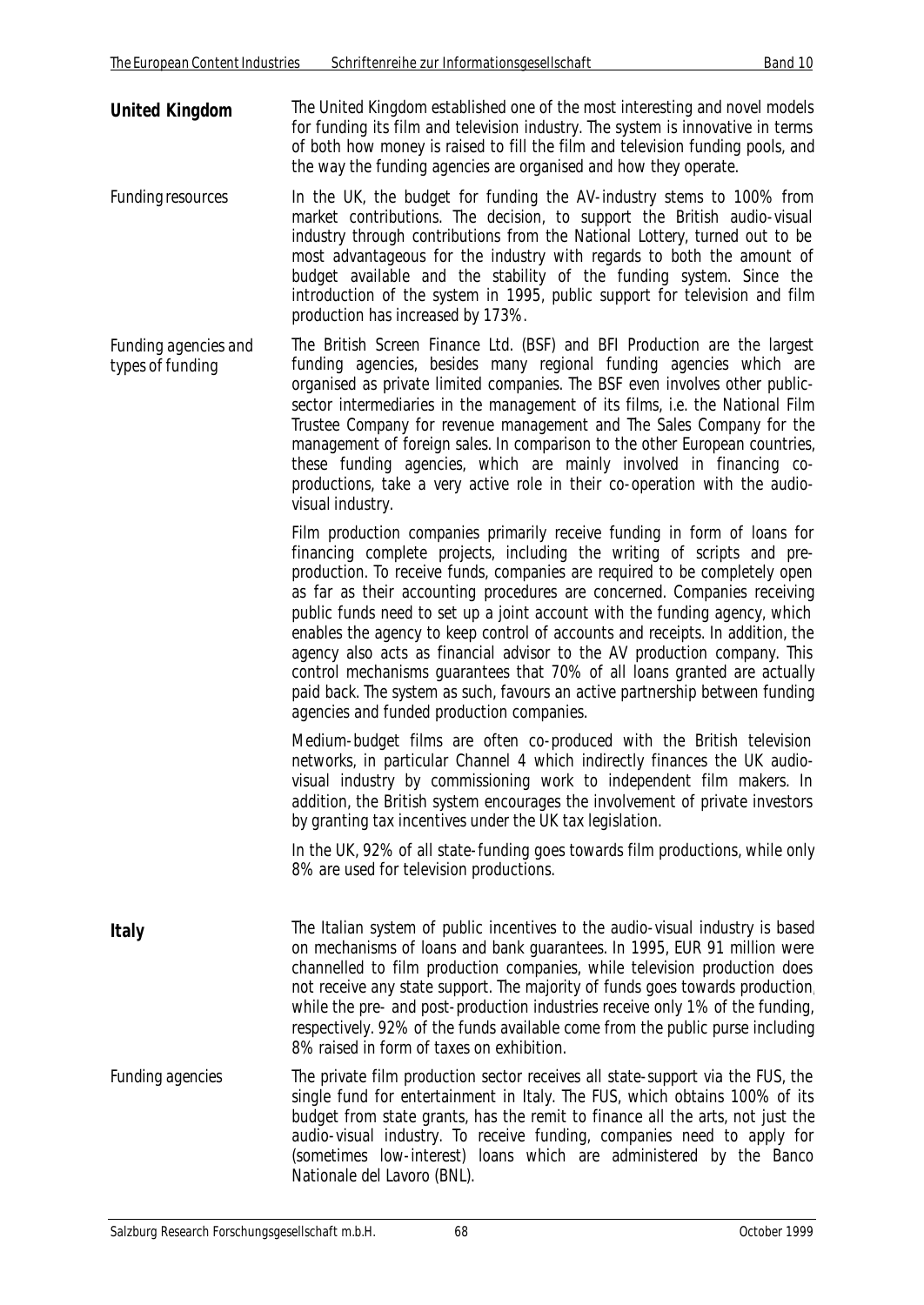- **United Kingdom** The United Kingdom established one of the most interesting and novel models for funding its film and television industry. The system is innovative in terms of both how money is raised to fill the film and television funding pools, and the way the funding agencies are organised and how they operate.
- *Funding resources* In the UK, the budget for funding the AV-industry stems to 100% from market contributions. The decision, to support the British audio-visual industry through contributions from the National Lottery, turned out to be most advantageous for the industry with regards to both the amount of budget available and the stability of the funding system. Since the introduction of the system in 1995, public support for television and film production has increased by 173%.
- *Funding agencies and types of funding* The British Screen Finance Ltd. (BSF) and BFI Production are the largest funding agencies, besides many regional funding agencies which are organised as private limited companies. The BSF even involves other publicsector intermediaries in the management of its films, i.e. the National Film Trustee Company for revenue management and The Sales Company for the management of foreign sales. In comparison to the other European countries, these funding agencies, which are mainly involved in financing coproductions, take a very active role in their co-operation with the audiovisual industry.

Film production companies primarily receive funding in form of loans for financing complete projects, including the writing of scripts and preproduction. To receive funds, companies are required to be completely open as far as their accounting procedures are concerned. Companies receiving public funds need to set up a joint account with the funding agency, which enables the agency to keep control of accounts and receipts. In addition, the agency also acts as financial advisor to the AV production company. This control mechanisms guarantees that 70% of all loans granted are actually paid back. The system as such, favours an active partnership between funding agencies and funded production companies.

Medium-budget films are often co-produced with the British television networks, in particular Channel 4 which indirectly finances the UK audiovisual industry by commissioning work to independent film makers. In addition, the British system encourages the involvement of private investors by granting tax incentives under the UK tax legislation.

In the UK, 92% of all state-funding goes towards film productions, while only 8% are used for television productions.

- **Italy** The Italian system of public incentives to the audio-visual industry is based on mechanisms of loans and bank guarantees. In 1995, EUR 91 million were channelled to film production companies, while television production does not receive any state support. The majority of funds goes towards production, while the pre- and post-production industries receive only 1% of the funding, respectively. 92% of the funds available come from the public purse including 8% raised in form of taxes on exhibition.
- *Funding agencies* The private film production sector receives all state-support via the FUS, the single fund for entertainment in Italy. The FUS, which obtains 100% of its budget from state grants, has the remit to finance all the arts, not just the audio-visual industry. To receive funding, companies need to apply for (sometimes low-interest) loans which are administered by the Banco Nationale del Lavoro (BNL).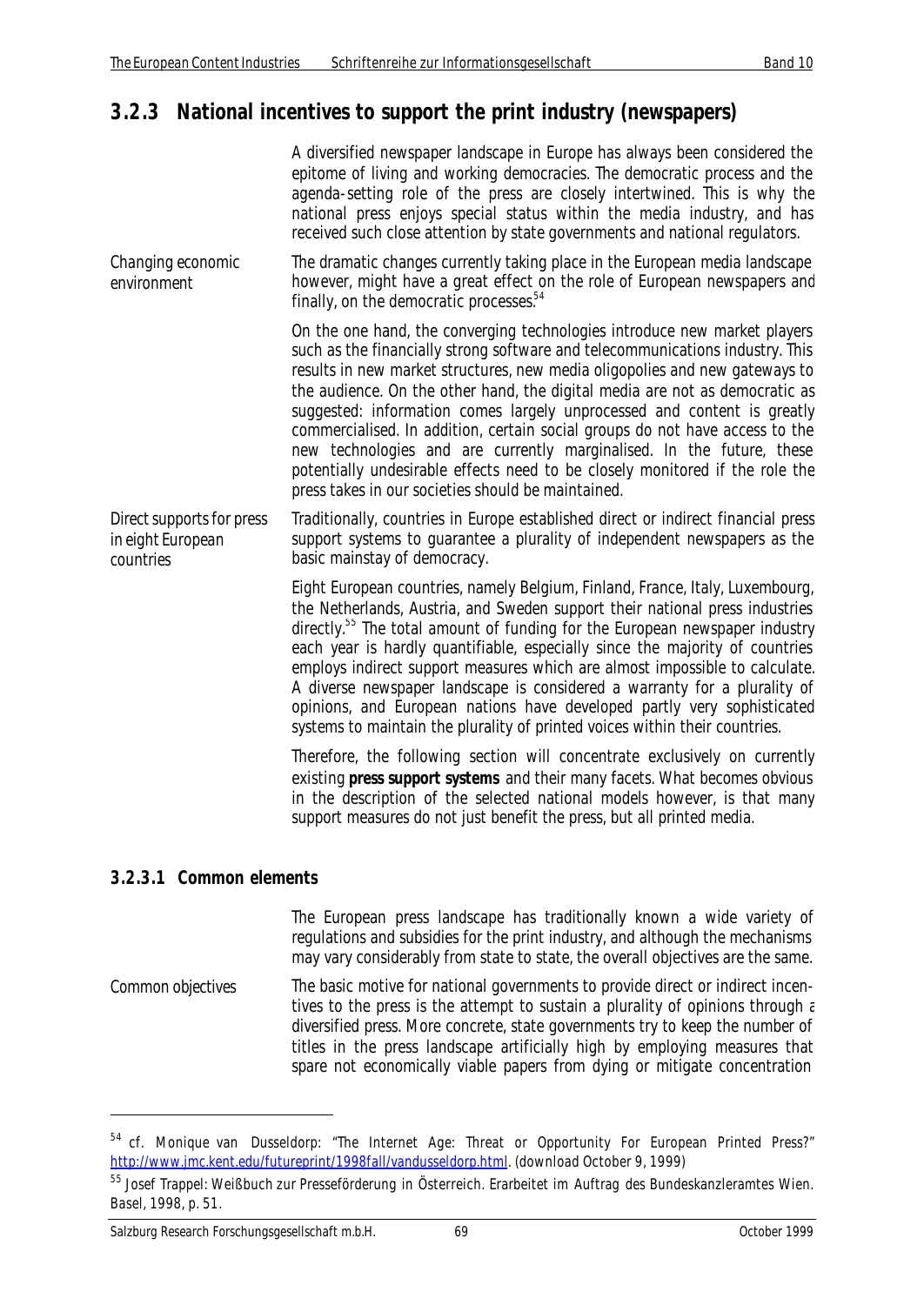## **3.2.3 National incentives to support the print industry (newspapers)**

|                                                             | A diversified newspaper landscape in Europe has always been considered the<br>epitome of living and working democracies. The democratic process and the<br>agenda-setting role of the press are closely intertwined. This is why the<br>national press enjoys special status within the media industry, and has<br>received such close attention by state governments and national regulators.                                                                                                                                                                                                                                                                                                     |
|-------------------------------------------------------------|----------------------------------------------------------------------------------------------------------------------------------------------------------------------------------------------------------------------------------------------------------------------------------------------------------------------------------------------------------------------------------------------------------------------------------------------------------------------------------------------------------------------------------------------------------------------------------------------------------------------------------------------------------------------------------------------------|
| Changing economic<br>environment                            | The dramatic changes currently taking place in the European media landscape<br>however, might have a great effect on the role of European newspapers and<br>finally, on the democratic processes. <sup>54</sup>                                                                                                                                                                                                                                                                                                                                                                                                                                                                                    |
|                                                             | On the one hand, the converging technologies introduce new market players<br>such as the financially strong software and telecommunications industry. This<br>results in new market structures, new media oligopolies and new gateways to<br>the audience. On the other hand, the digital media are not as democratic as<br>suggested: information comes largely unprocessed and content is greatly<br>commercialised. In addition, certain social groups do not have access to the<br>new technologies and are currently marginalised. In the future, these<br>potentially undesirable effects need to be closely monitored if the role the<br>press takes in our societies should be maintained. |
| Direct supports for press<br>in eight European<br>countries | Traditionally, countries in Europe established direct or indirect financial press<br>support systems to guarantee a plurality of independent newspapers as the<br>basic mainstay of democracy.                                                                                                                                                                                                                                                                                                                                                                                                                                                                                                     |
|                                                             | Eight European countries, namely Belgium, Finland, France, Italy, Luxembourg,<br>the Netherlands, Austria, and Sweden support their national press industries<br>directly. <sup>55</sup> The total amount of funding for the European newspaper industry<br>each year is hardly quantifiable, especially since the majority of countries<br>employs indirect support measures which are almost impossible to calculate.<br>A diverse newspaper landscape is considered a warranty for a plurality of<br>opinions, and European nations have developed partly very sophisticated<br>systems to maintain the plurality of printed voices within their countries.                                     |
|                                                             | Therefore, the following section will concentrate exclusively on currently<br>existing press support systems and their many facets. What becomes obvious<br>in the description of the selected national models however, is that many<br>support measures do not just benefit the press, but all printed media.                                                                                                                                                                                                                                                                                                                                                                                     |
| 3.2.3.1 Common elements                                     |                                                                                                                                                                                                                                                                                                                                                                                                                                                                                                                                                                                                                                                                                                    |
|                                                             | The European press landscape has traditionally known a wide variety of<br>regulations and subsidies for the print industry, and although the mechanisms<br>may vary considerably from state to state, the overall objectives are the same.                                                                                                                                                                                                                                                                                                                                                                                                                                                         |

*Common objectives* The basic motive for national governments to provide direct or indirect incentives to the press is the attempt to sustain a plurality of opinions through  $\varepsilon$ diversified press. More concrete, state governments try to keep the number of titles in the press landscape artificially high by employing measures that spare not economically viable papers from dying or mitigate concentration

<sup>&</sup>lt;sup>54</sup> cf. Monique van Dusseldorp: "The Internet Age: Threat or Opportunity For European Printed Press?" http://www.jmc.kent.edu/futureprint/1998fall/vandusseldorp.html. (download October 9, 1999)

<sup>55</sup> Josef Trappel: Weißbuch zur Presseförderung in Österreich. Erarbeitet im Auftrag des Bundeskanzleramtes Wien. Basel, 1998, p. 51.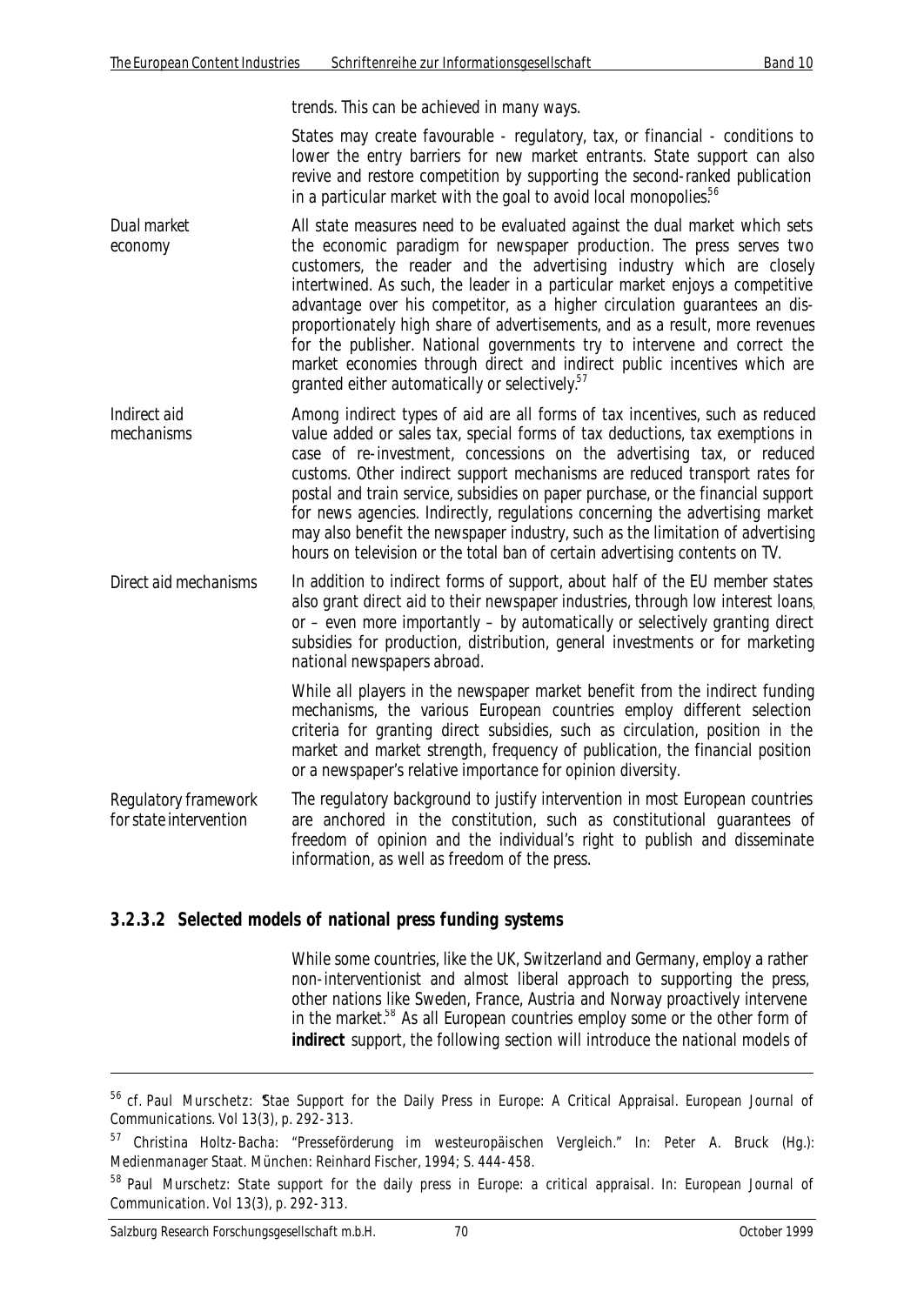trends. This can be achieved in many ways.

States may create favourable - regulatory, tax, or financial - conditions to lower the entry barriers for new market entrants. State support can also revive and restore competition by supporting the second-ranked publication in a particular market with the goal to avoid local monopolies.<sup>56</sup>

- *Dual market economy* All state measures need to be evaluated against the dual market which sets the economic paradigm for newspaper production. The press serves two customers, the reader and the advertising industry which are closely intertwined. As such, the leader in a particular market enjoys a competitive advantage over his competitor, as a higher circulation guarantees an disproportionately high share of advertisements, and as a result, more revenues for the publisher. National governments try to intervene and correct the market economies through direct and indirect public incentives which are granted either automatically or selectively.<sup>57</sup>
- *Indirect aid mechanisms* Among indirect types of aid are all forms of tax incentives, such as reduced value added or sales tax, special forms of tax deductions, tax exemptions in case of re-investment, concessions on the advertising tax, or reduced customs. Other indirect support mechanisms are reduced transport rates for postal and train service, subsidies on paper purchase, or the financial support for news agencies. Indirectly, regulations concerning the advertising market may also benefit the newspaper industry, such as the limitation of advertising hours on television or the total ban of certain advertising contents on TV.
- *Direct aid mechanisms* In addition to indirect forms of support, about half of the EU member states also grant direct aid to their newspaper industries, through low interest loans, or – even more importantly – by automatically or selectively granting direct subsidies for production, distribution, general investments or for marketing national newspapers abroad.

While all players in the newspaper market benefit from the indirect funding mechanisms, the various European countries employ different selection criteria for granting direct subsidies, such as circulation, position in the market and market strength, frequency of publication, the financial position or a newspaper's relative importance for opinion diversity.

*Regulatory framework for state intervention* The regulatory background to justify intervention in most European countries are anchored in the constitution, such as constitutional guarantees of freedom of opinion and the individual's right to publish and disseminate information, as well as freedom of the press.

#### **3.2.3.2 Selected models of national press funding systems**

While some countries, like the UK, Switzerland and Germany, employ a rather non-interventionist and almost liberal approach to supporting the press, other nations like Sweden, France, Austria and Norway proactively intervene in the market.<sup>58</sup> As all European countries employ some or the other form of **indirect** support, the following section will introduce the national models of

<sup>&</sup>lt;sup>56</sup> cf. Paul Murschetz: Stae Support for the Daily Press in Europe: A Critical Appraisal. European Journal of Communications. Vol 13(3), p. 292-313.

<sup>&</sup>lt;sup>57</sup> Christina Holtz-Bacha: "Presseförderung im westeuropäischen Vergleich." In: Peter A. Bruck (Hg.): Medienmanager Staat. München: Reinhard Fischer, 1994; S. 444-458.

<sup>&</sup>lt;sup>58</sup> Paul Murschetz: State support for the daily press in Europe: a critical appraisal. In: European Journal of Communication. Vol 13(3), p. 292-313.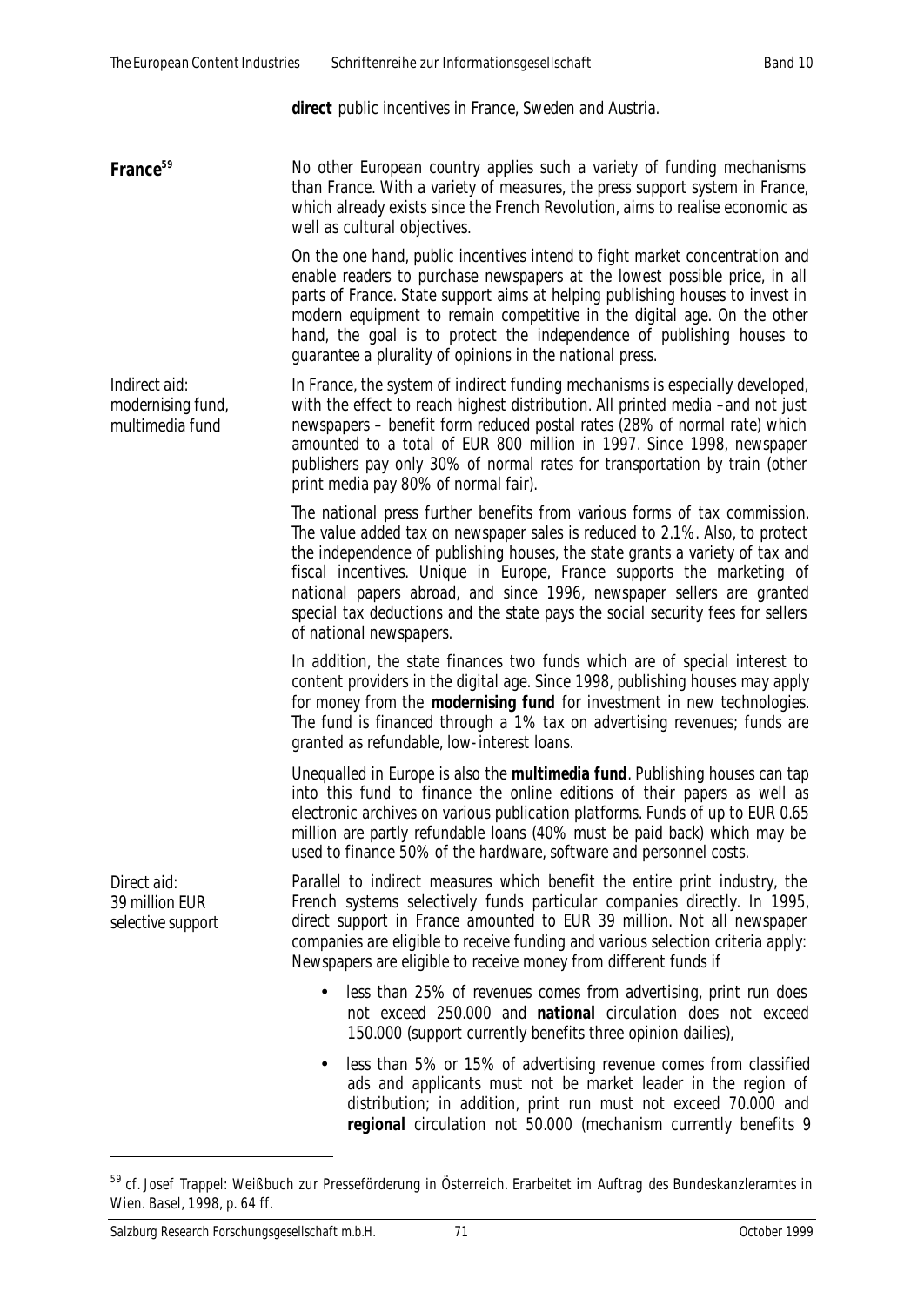**direct** public incentives in France, Sweden and Austria.

**France<sup>59</sup>** No other European country applies such a variety of funding mechanisms than France. With a variety of measures, the press support system in France, which already exists since the French Revolution, aims to realise economic as well as cultural objectives.

> On the one hand, public incentives intend to fight market concentration and enable readers to purchase newspapers at the lowest possible price, in all parts of France. State support aims at helping publishing houses to invest in modern equipment to remain competitive in the digital age. On the other hand, the goal is to protect the independence of publishing houses to guarantee a plurality of opinions in the national press.

*Indirect aid: modernising fund, multimedia fund* In France, the system of indirect funding mechanisms is especially developed, with the effect to reach highest distribution. All printed media –and not just newspapers – benefit form reduced postal rates (28% of normal rate) which amounted to a total of EUR 800 million in 1997. Since 1998, newspaper publishers pay only 30% of normal rates for transportation by train (other print media pay 80% of normal fair).

> The national press further benefits from various forms of tax commission. The value added tax on newspaper sales is reduced to 2.1%. Also, to protect the independence of publishing houses, the state grants a variety of tax and fiscal incentives. Unique in Europe, France supports the marketing of national papers abroad, and since 1996, newspaper sellers are granted special tax deductions and the state pays the social security fees for sellers of national newspapers.

> In addition, the state finances two funds which are of special interest to content providers in the digital age. Since 1998, publishing houses may apply for money from the **modernising fund** for investment in new technologies. The fund is financed through a 1% tax on advertising revenues; funds are granted as refundable, low-interest loans.

> Unequalled in Europe is also the **multimedia fund**. Publishing houses can tap into this fund to finance the online editions of their papers as well as electronic archives on various publication platforms. Funds of up to EUR 0.65 million are partly refundable loans (40% must be paid back) which may be used to finance 50% of the hardware, software and personnel costs.

*Direct aid: 39 million EUR selective support*

 $\overline{a}$ 

Parallel to indirect measures which benefit the entire print industry, the French systems selectively funds particular companies directly. In 1995, direct support in France amounted to EUR 39 million. Not all newspaper companies are eligible to receive funding and various selection criteria apply: Newspapers are eligible to receive money from different funds if

- less than 25% of revenues comes from advertising, print run does not exceed 250.000 and **national** circulation does not exceed 150.000 (support currently benefits three opinion dailies),
- less than 5% or 15% of advertising revenue comes from classified ads and applicants must not be market leader in the region of distribution; in addition, print run must not exceed 70.000 and **regional** circulation not 50.000 (mechanism currently benefits 9

<sup>&</sup>lt;sup>59</sup> cf. Josef Trappel: Weißbuch zur Presseförderung in Österreich. Erarbeitet im Auftrag des Bundeskanzleramtes in Wien. Basel, 1998, p. 64 ff.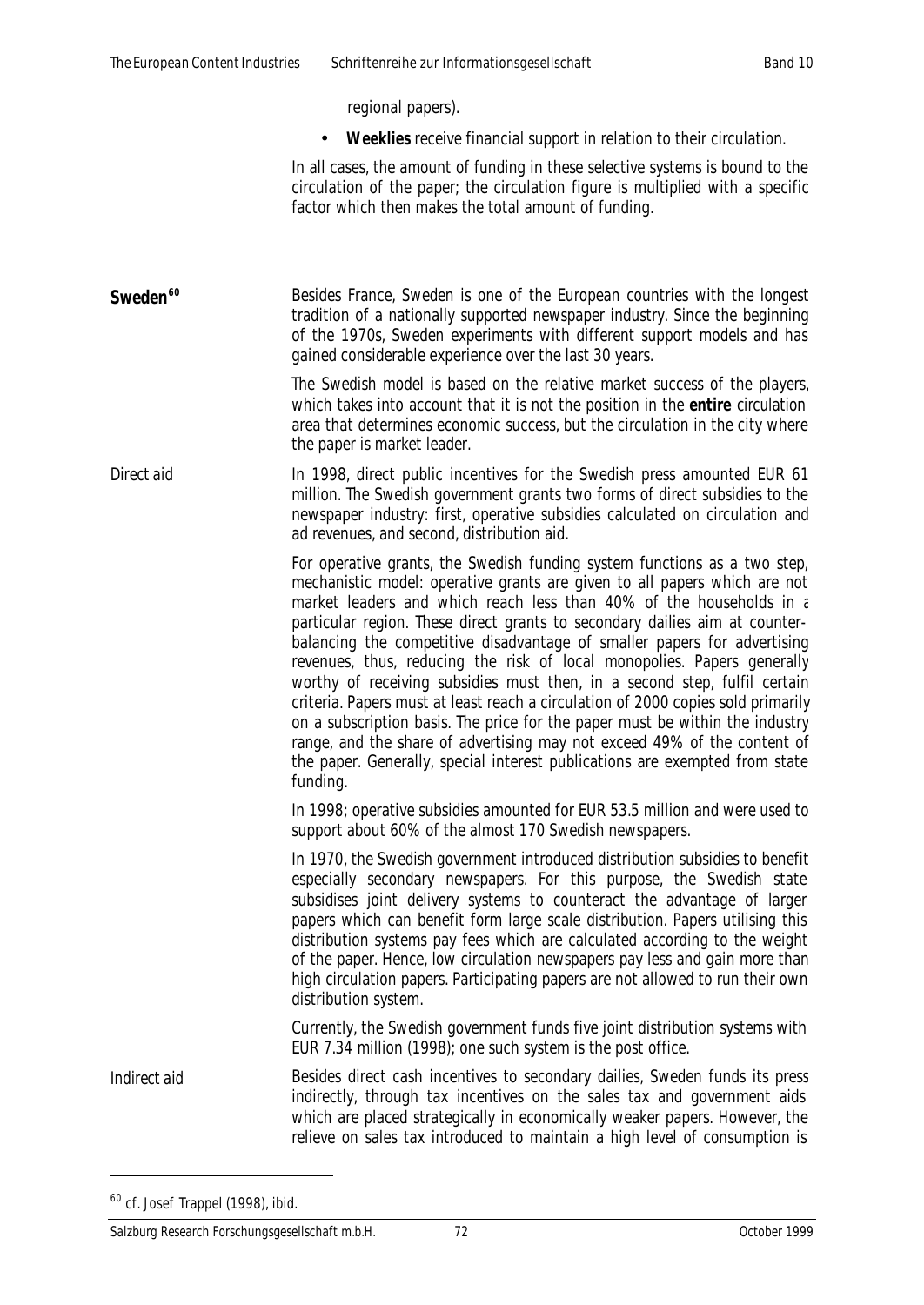regional papers).

• **Weeklies** receive financial support in relation to their circulation.

In all cases, the amount of funding in these selective systems is bound to the circulation of the paper; the circulation figure is multiplied with a specific factor which then makes the total amount of funding.

**Sweden<sup>60</sup>** Besides France, Sweden is one of the European countries with the longest tradition of a nationally supported newspaper industry. Since the beginning of the 1970s, Sweden experiments with different support models and has gained considerable experience over the last 30 years.

> The Swedish model is based on the relative market success of the players, which takes into account that it is not the position in the **entire** circulation area that determines economic success, but the circulation in the city where the paper is market leader.

*Direct aid* In 1998, direct public incentives for the Swedish press amounted EUR 61 million. The Swedish government grants two forms of direct subsidies to the newspaper industry: first, operative subsidies calculated on circulation and ad revenues, and second, distribution aid.

> For operative grants, the Swedish funding system functions as a two step, mechanistic model: operative grants are given to all papers which are not market leaders and which reach less than 40% of the households in  $\varepsilon$ particular region. These direct grants to secondary dailies aim at counterbalancing the competitive disadvantage of smaller papers for advertising revenues, thus, reducing the risk of local monopolies. Papers generally worthy of receiving subsidies must then, in a second step, fulfil certain criteria. Papers must at least reach a circulation of 2000 copies sold primarily on a subscription basis. The price for the paper must be within the industry range, and the share of advertising may not exceed 49% of the content of the paper. Generally, special interest publications are exempted from state funding.

> In 1998; operative subsidies amounted for EUR 53.5 million and were used to support about 60% of the almost 170 Swedish newspapers.

> In 1970, the Swedish government introduced distribution subsidies to benefit especially secondary newspapers. For this purpose, the Swedish state subsidises joint delivery systems to counteract the advantage of larger papers which can benefit form large scale distribution. Papers utilising this distribution systems pay fees which are calculated according to the weight of the paper. Hence, low circulation newspapers pay less and gain more than high circulation papers. Participating papers are not allowed to run their own distribution system.

> Currently, the Swedish government funds five joint distribution systems with EUR 7.34 million (1998); one such system is the post office.

*Indirect aid* Besides direct cash incentives to secondary dailies, Sweden funds its press indirectly, through tax incentives on the sales tax and government aids which are placed strategically in economically weaker papers. However, the relieve on sales tax introduced to maintain a high level of consumption is

<sup>&</sup>lt;sup>60</sup> cf. Josef Trappel (1998), ibid.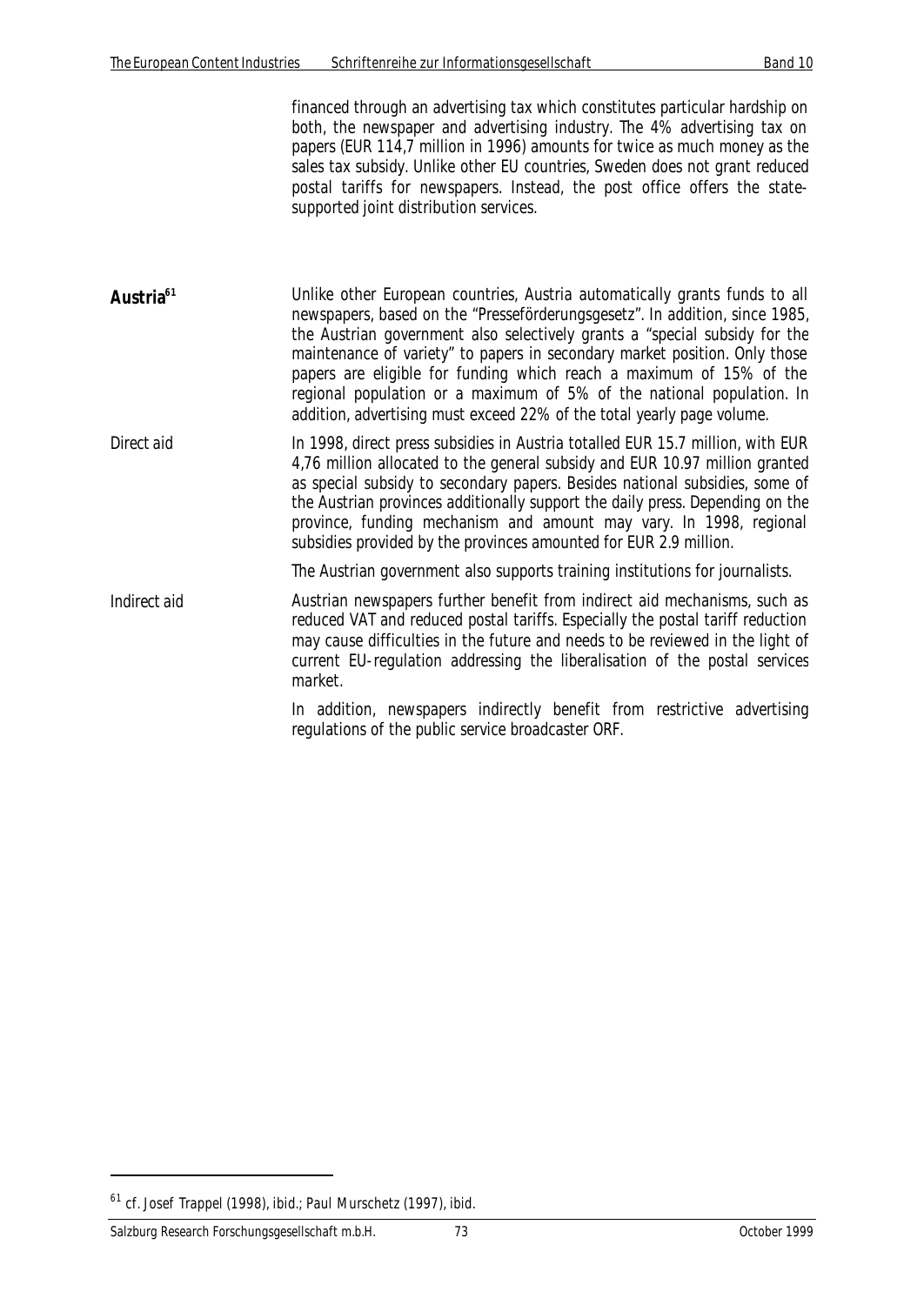financed through an advertising tax which constitutes particular hardship on both, the newspaper and advertising industry. The 4% advertising tax on papers (EUR 114,7 million in 1996) amounts for twice as much money as the sales tax subsidy. Unlike other EU countries, Sweden does not grant reduced postal tariffs for newspapers. Instead, the post office offers the statesupported joint distribution services.

- Austria<sup>61</sup> Unlike other European countries, Austria automatically grants funds to all newspapers, based on the "Presseförderungsgesetz". In addition, since 1985, the Austrian government also selectively grants a "special subsidy for the maintenance of variety" to papers in secondary market position. Only those papers are eligible for funding which reach a maximum of 15% of the regional population or a maximum of 5% of the national population. In addition, advertising must exceed 22% of the total yearly page volume.
- *Direct aid* In 1998, direct press subsidies in Austria totalled EUR 15.7 million, with EUR 4,76 million allocated to the general subsidy and EUR 10.97 million granted as special subsidy to secondary papers. Besides national subsidies, some of the Austrian provinces additionally support the daily press. Depending on the province, funding mechanism and amount may vary. In 1998, regional subsidies provided by the provinces amounted for EUR 2.9 million.

The Austrian government also supports training institutions for journalists.

*Indirect aid* **Austrian newspapers further benefit from indirect aid mechanisms, such as** reduced VAT and reduced postal tariffs. Especially the postal tariff reduction may cause difficulties in the future and needs to be reviewed in the light of current EU-regulation addressing the liberalisation of the postal services market.

> In addition, newspapers indirectly benefit from restrictive advertising regulations of the public service broadcaster ORF.

 $\overline{a}$ 

 $61$  cf. Josef Trappel (1998), ibid.; Paul Murschetz (1997), ibid.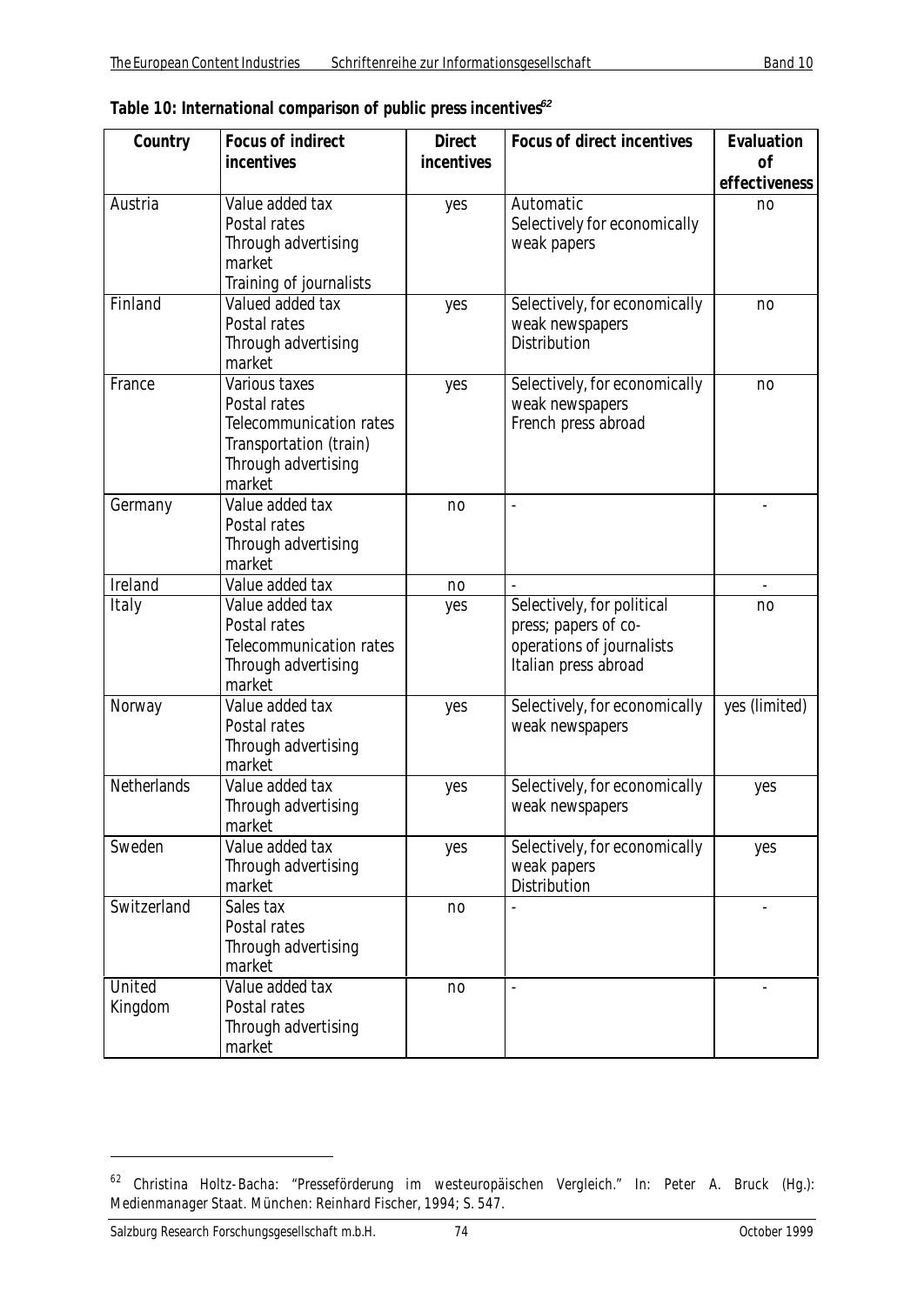| Country           | <b>Focus of indirect</b>                                                                                            | <b>Direct</b>  | <b>Focus of direct incentives</b>                                                                       | Evaluation    |
|-------------------|---------------------------------------------------------------------------------------------------------------------|----------------|---------------------------------------------------------------------------------------------------------|---------------|
|                   | incentives                                                                                                          | incentives     |                                                                                                         | 0f            |
|                   |                                                                                                                     |                |                                                                                                         | effectiveness |
| Austria           | Value added tax<br>Postal rates<br>Through advertising<br>market<br>Training of journalists                         | yes            | Automatic<br>Selectively for economically<br>weak papers                                                | no            |
| Finland           | Valued added tax<br>Postal rates<br>Through advertising<br>market                                                   | yes            | Selectively, for economically<br>weak newspapers<br><b>Distribution</b>                                 | no            |
| France            | Various taxes<br>Postal rates<br>Telecommunication rates<br>Transportation (train)<br>Through advertising<br>market | yes            | Selectively, for economically<br>weak newspapers<br>French press abroad                                 | no            |
| Germany           | Value added tax<br>Postal rates<br>Through advertising<br>market                                                    | n <sub>0</sub> | $\overline{a}$                                                                                          |               |
| Ireland           | Value added tax                                                                                                     | no             |                                                                                                         |               |
| Italy             | Value added tax<br>Postal rates<br>Telecommunication rates<br>Through advertising<br>market                         | yes            | Selectively, for political<br>press; papers of co-<br>operations of journalists<br>Italian press abroad | no            |
| Norway            | Value added tax<br>Postal rates<br>Through advertising<br>market                                                    | yes            | Selectively, for economically<br>weak newspapers                                                        | yes (limited) |
| Netherlands       | Value added tax<br>Through advertising<br>market                                                                    | yes            | Selectively, for economically<br>weak newspapers                                                        | yes           |
| Sweden            | Value added tax<br>Through advertising<br>market                                                                    | yes            | Selectively, for economically<br>weak papers<br>Distribution                                            | yes           |
| Switzerland       | Sales tax<br>Postal rates<br>Through advertising<br>market                                                          | no             |                                                                                                         |               |
| United<br>Kingdom | Value added tax<br>Postal rates<br>Through advertising<br>market                                                    | no             | $\overline{\phantom{a}}$                                                                                |               |

 $\overline{a}$ 

<sup>&</sup>lt;sup>62</sup> Christina Holtz-Bacha: "Presseförderung im westeuropäischen Vergleich." In: Peter A. Bruck (Hg.): Medienmanager Staat. München: Reinhard Fischer, 1994; S. 547.